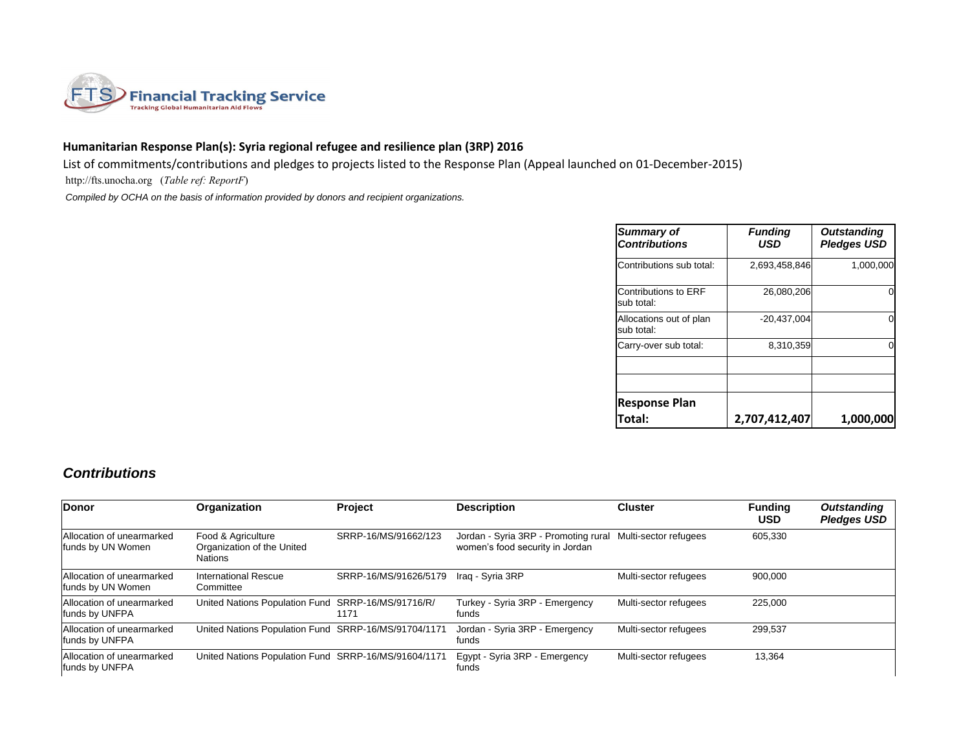

## **Humanitarian Response Plan(s): Syria regional refugee and resilience plan (3RP) 2016**

List of commitments/contributions and pledges to projects listed to the Response Plan (Appeal launched on 01-December-2015)

http://fts.unocha.org (*Table ref: ReportF*)

 *Compiled by OCHA on the basis of information provided by donors and recipient organizations.*

| Summary of<br><b>Contributions</b>    | <b>Funding</b><br><b>USD</b> | <b>Outstanding</b><br><b>Pledges USD</b> |
|---------------------------------------|------------------------------|------------------------------------------|
| Contributions sub total:              | 2,693,458,846                | 1,000,000                                |
| Contributions to ERF<br>sub total:    | 26,080,206                   |                                          |
| Allocations out of plan<br>sub total: | $-20,437,004$                |                                          |
| Carry-over sub total:                 | 8,310,359                    |                                          |
|                                       |                              |                                          |
| <b>Response Plan</b><br>Total:        | 2,707,412,407                | 1,000,000                                |

## *Contributions*

| Donor                                          | Organization                                                       | Project               | <b>Description</b>                                                                            | <b>Cluster</b>        | <b>Funding</b><br><b>USD</b> | <b>Outstanding</b><br><b>Pledges USD</b> |
|------------------------------------------------|--------------------------------------------------------------------|-----------------------|-----------------------------------------------------------------------------------------------|-----------------------|------------------------------|------------------------------------------|
| Allocation of unearmarked<br>funds by UN Women | Food & Agriculture<br>Organization of the United<br><b>Nations</b> | SRRP-16/MS/91662/123  | Jordan - Syria 3RP - Promoting rural Multi-sector refugees<br>women's food security in Jordan |                       | 605,330                      |                                          |
| Allocation of unearmarked<br>funds by UN Women | International Rescue<br>Committee                                  | SRRP-16/MS/91626/5179 | Iraq - Syria 3RP                                                                              | Multi-sector refugees | 900,000                      |                                          |
| Allocation of unearmarked<br>funds by UNFPA    | United Nations Population Fund SRRP-16/MS/91716/R/                 | 1171                  | Turkey - Syria 3RP - Emergency<br>funds                                                       | Multi-sector refugees | 225,000                      |                                          |
| Allocation of unearmarked<br>funds by UNFPA    | United Nations Population Fund SRRP-16/MS/91704/1171               |                       | Jordan - Syria 3RP - Emergency<br>funds                                                       | Multi-sector refugees | 299,537                      |                                          |
| Allocation of unearmarked<br>funds by UNFPA    | United Nations Population Fund SRRP-16/MS/91604/1171               |                       | Eqypt - Syria 3RP - Emergency<br>funds                                                        | Multi-sector refugees | 13,364                       |                                          |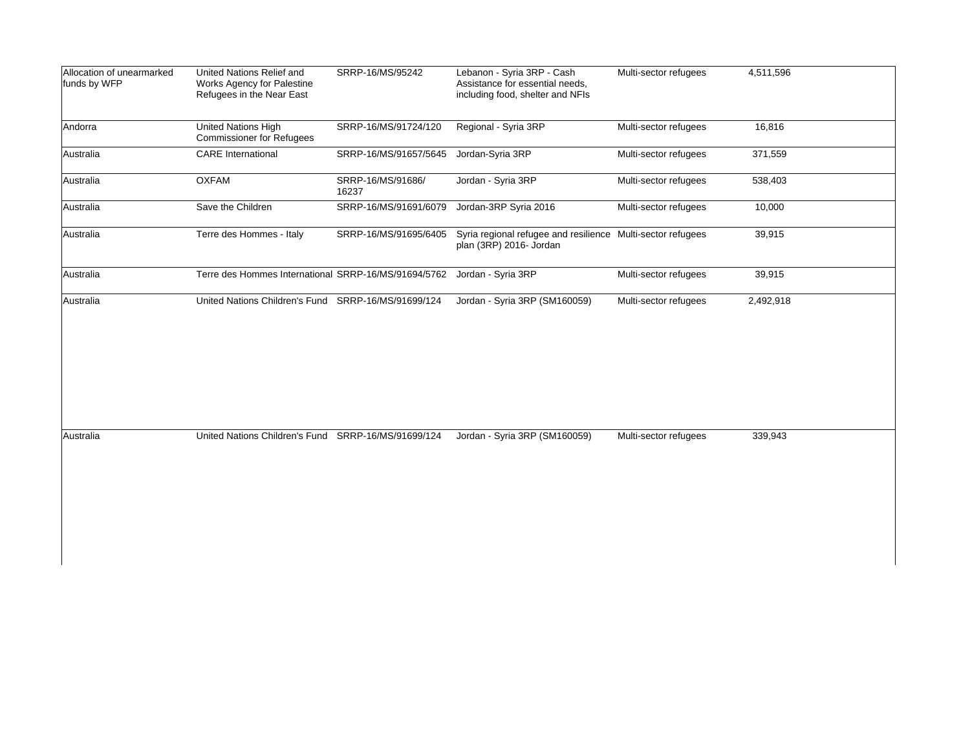| Allocation of unearmarked<br>funds by WFP | United Nations Relief and<br>Works Agency for Palestine<br>Refugees in the Near East | SRRP-16/MS/95242           | Lebanon - Syria 3RP - Cash<br>Assistance for essential needs,<br>including food, shelter and NFIs | Multi-sector refugees | 4,511,596 |
|-------------------------------------------|--------------------------------------------------------------------------------------|----------------------------|---------------------------------------------------------------------------------------------------|-----------------------|-----------|
| Andorra                                   | United Nations High<br><b>Commissioner for Refugees</b>                              | SRRP-16/MS/91724/120       | Regional - Syria 3RP                                                                              | Multi-sector refugees | 16,816    |
| Australia                                 | <b>CARE</b> International                                                            | SRRP-16/MS/91657/5645      | Jordan-Syria 3RP                                                                                  | Multi-sector refugees | 371,559   |
| Australia                                 | <b>OXFAM</b>                                                                         | SRRP-16/MS/91686/<br>16237 | Jordan - Syria 3RP                                                                                | Multi-sector refugees | 538,403   |
| Australia                                 | Save the Children                                                                    | SRRP-16/MS/91691/6079      | Jordan-3RP Syria 2016                                                                             | Multi-sector refugees | 10,000    |
| Australia                                 | Terre des Hommes - Italy                                                             | SRRP-16/MS/91695/6405      | Syria regional refugee and resilience Multi-sector refugees<br>plan (3RP) 2016- Jordan            |                       | 39,915    |
| Australia                                 | Terre des Hommes International SRRP-16/MS/91694/5762                                 |                            | Jordan - Syria 3RP                                                                                | Multi-sector refugees | 39,915    |
| Australia                                 | United Nations Children's Fund SRRP-16/MS/91699/124                                  |                            | Jordan - Syria 3RP (SM160059)                                                                     | Multi-sector refugees | 2,492,918 |
| Australia                                 | United Nations Children's Fund SRRP-16/MS/91699/124                                  |                            | Jordan - Syria 3RP (SM160059)                                                                     | Multi-sector refugees | 339,943   |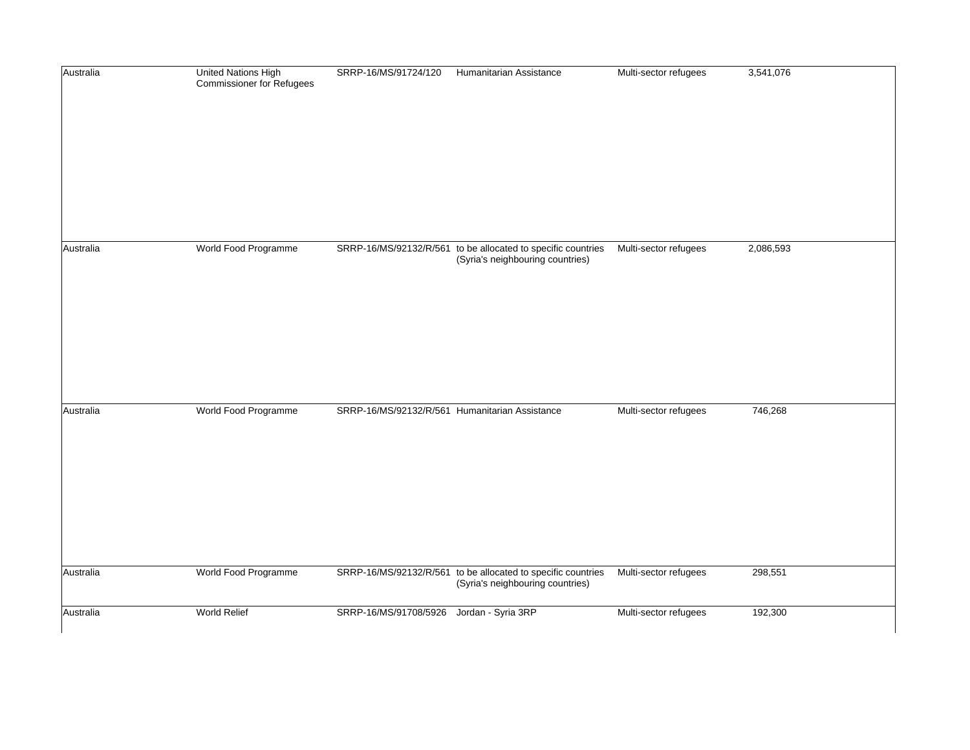| Australia | <b>United Nations High</b><br><b>Commissioner for Refugees</b> | SRRP-16/MS/91724/120                           | Humanitarian Assistance                                                                          | Multi-sector refugees | 3,541,076 |
|-----------|----------------------------------------------------------------|------------------------------------------------|--------------------------------------------------------------------------------------------------|-----------------------|-----------|
|           |                                                                |                                                |                                                                                                  |                       |           |
|           |                                                                |                                                |                                                                                                  |                       |           |
|           |                                                                |                                                |                                                                                                  |                       |           |
|           |                                                                |                                                |                                                                                                  |                       |           |
| Australia | World Food Programme                                           |                                                | SRRP-16/MS/92132/R/561 to be allocated to specific countries<br>(Syria's neighbouring countries) | Multi-sector refugees | 2,086,593 |
|           |                                                                |                                                |                                                                                                  |                       |           |
|           |                                                                |                                                |                                                                                                  |                       |           |
|           |                                                                |                                                |                                                                                                  |                       |           |
|           |                                                                |                                                |                                                                                                  |                       |           |
| Australia | World Food Programme                                           | SRRP-16/MS/92132/R/561 Humanitarian Assistance |                                                                                                  | Multi-sector refugees | 746,268   |
|           |                                                                |                                                |                                                                                                  |                       |           |
|           |                                                                |                                                |                                                                                                  |                       |           |
|           |                                                                |                                                |                                                                                                  |                       |           |
|           |                                                                |                                                |                                                                                                  |                       |           |
| Australia | World Food Programme                                           |                                                | SRRP-16/MS/92132/R/561 to be allocated to specific countries<br>(Syria's neighbouring countries) | Multi-sector refugees | 298,551   |
| Australia | World Relief                                                   | SRRP-16/MS/91708/5926                          | Jordan - Syria 3RP                                                                               | Multi-sector refugees | 192,300   |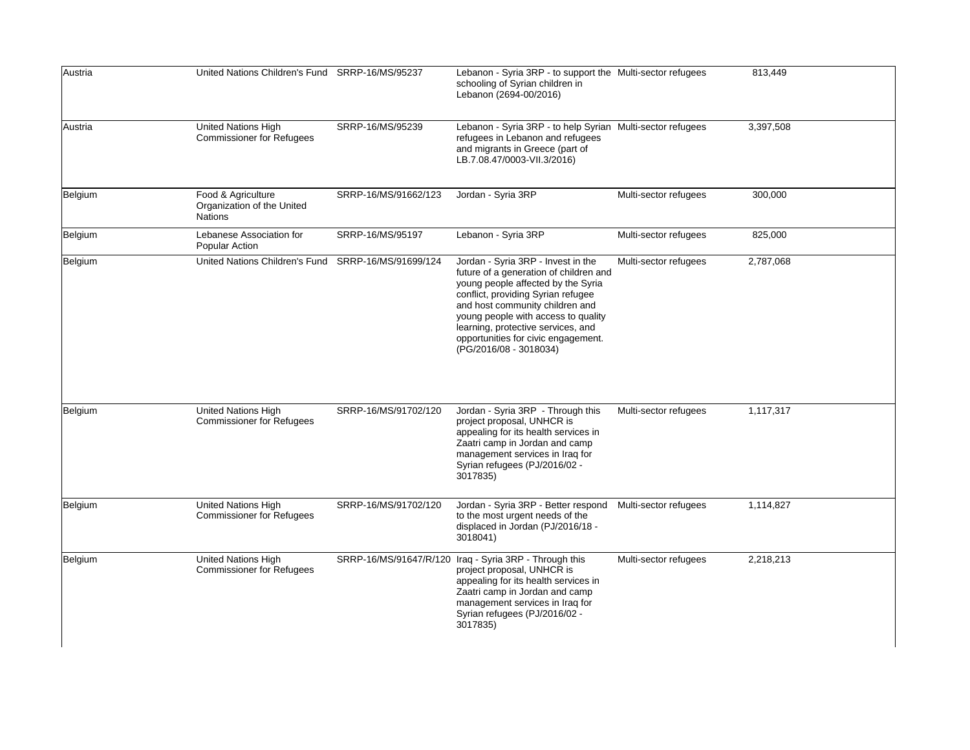| Austria | United Nations Children's Fund SRRP-16/MS/95237                    |                        | Lebanon - Syria 3RP - to support the Multi-sector refugees<br>schooling of Syrian children in<br>Lebanon (2694-00/2016)                                                                                                                                                                                                                   |                       | 813,449   |
|---------|--------------------------------------------------------------------|------------------------|-------------------------------------------------------------------------------------------------------------------------------------------------------------------------------------------------------------------------------------------------------------------------------------------------------------------------------------------|-----------------------|-----------|
| Austria | <b>United Nations High</b><br><b>Commissioner for Refugees</b>     | SRRP-16/MS/95239       | Lebanon - Syria 3RP - to help Syrian Multi-sector refugees<br>refugees in Lebanon and refugees<br>and migrants in Greece (part of<br>LB.7.08.47/0003-VII.3/2016)                                                                                                                                                                          |                       | 3,397,508 |
| Belgium | Food & Agriculture<br>Organization of the United<br><b>Nations</b> | SRRP-16/MS/91662/123   | Jordan - Syria 3RP                                                                                                                                                                                                                                                                                                                        | Multi-sector refugees | 300,000   |
| Belgium | Lebanese Association for<br><b>Popular Action</b>                  | SRRP-16/MS/95197       | Lebanon - Syria 3RP                                                                                                                                                                                                                                                                                                                       | Multi-sector refugees | 825,000   |
| Belgium | United Nations Children's Fund SRRP-16/MS/91699/124                |                        | Jordan - Syria 3RP - Invest in the<br>future of a generation of children and<br>young people affected by the Syria<br>conflict, providing Syrian refugee<br>and host community children and<br>young people with access to quality<br>learning, protective services, and<br>opportunities for civic engagement.<br>(PG/2016/08 - 3018034) | Multi-sector refugees | 2,787,068 |
| Belgium | United Nations High<br><b>Commissioner for Refugees</b>            | SRRP-16/MS/91702/120   | Jordan - Syria 3RP - Through this<br>project proposal, UNHCR is<br>appealing for its health services in<br>Zaatri camp in Jordan and camp<br>management services in Iraq for<br>Syrian refugees (PJ/2016/02 -<br>3017835)                                                                                                                 | Multi-sector refugees | 1,117,317 |
| Belgium | United Nations High<br><b>Commissioner for Refugees</b>            | SRRP-16/MS/91702/120   | Jordan - Syria 3RP - Better respond<br>to the most urgent needs of the<br>displaced in Jordan (PJ/2016/18 -<br>3018041)                                                                                                                                                                                                                   | Multi-sector refugees | 1,114,827 |
| Belgium | United Nations High<br><b>Commissioner for Refugees</b>            | SRRP-16/MS/91647/R/120 | Iraq - Syria 3RP - Through this<br>project proposal, UNHCR is<br>appealing for its health services in<br>Zaatri camp in Jordan and camp<br>management services in Iraq for<br>Syrian refugees (PJ/2016/02 -<br>3017835)                                                                                                                   | Multi-sector refugees | 2,218,213 |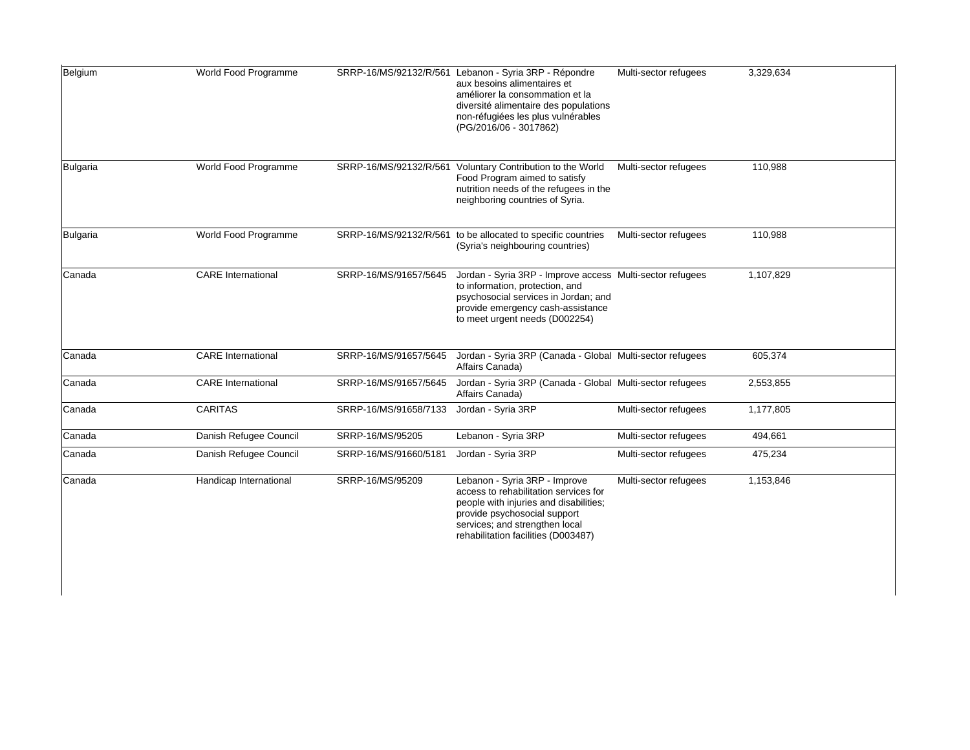| Belgium  | World Food Programme      |                        | SRRP-16/MS/92132/R/561 Lebanon - Syria 3RP - Répondre<br>aux besoins alimentaires et<br>améliorer la consommation et la<br>diversité alimentaire des populations<br>non-réfugiées les plus vulnérables<br>(PG/2016/06 - 3017862) | Multi-sector refugees | 3,329,634 |
|----------|---------------------------|------------------------|----------------------------------------------------------------------------------------------------------------------------------------------------------------------------------------------------------------------------------|-----------------------|-----------|
| Bulgaria | World Food Programme      | SRRP-16/MS/92132/R/561 | Voluntary Contribution to the World<br>Food Program aimed to satisfy<br>nutrition needs of the refugees in the<br>neighboring countries of Syria.                                                                                | Multi-sector refugees | 110,988   |
| Bulgaria | World Food Programme      |                        | SRRP-16/MS/92132/R/561 to be allocated to specific countries<br>(Syria's neighbouring countries)                                                                                                                                 | Multi-sector refugees | 110,988   |
| Canada   | <b>CARE</b> International | SRRP-16/MS/91657/5645  | Jordan - Syria 3RP - Improve access Multi-sector refugees<br>to information, protection, and<br>psychosocial services in Jordan; and<br>provide emergency cash-assistance<br>to meet urgent needs (D002254)                      |                       | 1,107,829 |
| Canada   | <b>CARE</b> International | SRRP-16/MS/91657/5645  | Jordan - Syria 3RP (Canada - Global Multi-sector refugees<br>Affairs Canada)                                                                                                                                                     |                       | 605,374   |
| Canada   | <b>CARE</b> International | SRRP-16/MS/91657/5645  | Jordan - Syria 3RP (Canada - Global Multi-sector refugees<br>Affairs Canada)                                                                                                                                                     |                       | 2,553,855 |
| Canada   | <b>CARITAS</b>            | SRRP-16/MS/91658/7133  | Jordan - Syria 3RP                                                                                                                                                                                                               | Multi-sector refugees | 1,177,805 |
| Canada   | Danish Refugee Council    | SRRP-16/MS/95205       | Lebanon - Syria 3RP                                                                                                                                                                                                              | Multi-sector refugees | 494,661   |
| Canada   | Danish Refugee Council    | SRRP-16/MS/91660/5181  | Jordan - Syria 3RP                                                                                                                                                                                                               | Multi-sector refugees | 475,234   |
| Canada   | Handicap International    | SRRP-16/MS/95209       | Lebanon - Syria 3RP - Improve<br>access to rehabilitation services for<br>people with injuries and disabilities;<br>provide psychosocial support<br>services; and strengthen local<br>rehabilitation facilities (D003487)        | Multi-sector refugees | 1,153,846 |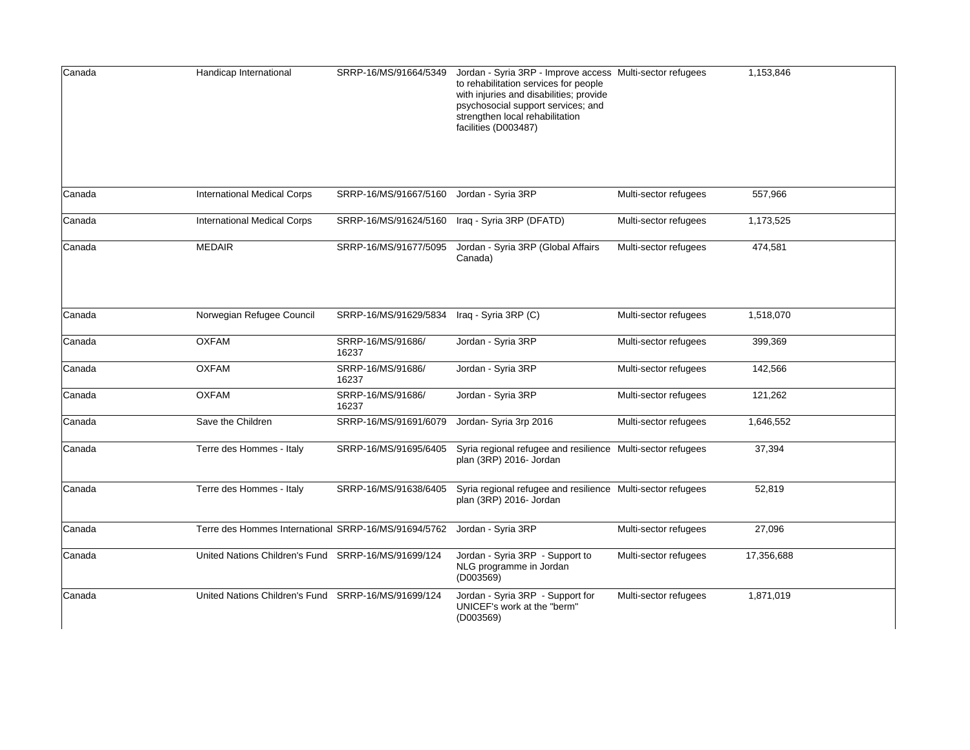| Canada | Handicap International                               | SRRP-16/MS/91664/5349      | Jordan - Syria 3RP - Improve access Multi-sector refugees<br>to rehabilitation services for people<br>with injuries and disabilities; provide<br>psychosocial support services; and<br>strengthen local rehabilitation<br>facilities (D003487) |                       | 1,153,846  |
|--------|------------------------------------------------------|----------------------------|------------------------------------------------------------------------------------------------------------------------------------------------------------------------------------------------------------------------------------------------|-----------------------|------------|
| Canada | <b>International Medical Corps</b>                   | SRRP-16/MS/91667/5160      | Jordan - Syria 3RP                                                                                                                                                                                                                             | Multi-sector refugees | 557,966    |
| Canada | <b>International Medical Corps</b>                   | SRRP-16/MS/91624/5160      | Iraq - Syria 3RP (DFATD)                                                                                                                                                                                                                       | Multi-sector refugees | 1,173,525  |
| Canada | <b>MEDAIR</b>                                        | SRRP-16/MS/91677/5095      | Jordan - Syria 3RP (Global Affairs<br>Canada)                                                                                                                                                                                                  | Multi-sector refugees | 474,581    |
| Canada | Norwegian Refugee Council                            | SRRP-16/MS/91629/5834      | Iraq - Syria 3RP (C)                                                                                                                                                                                                                           | Multi-sector refugees | 1,518,070  |
| Canada | <b>OXFAM</b>                                         | SRRP-16/MS/91686/<br>16237 | Jordan - Syria 3RP                                                                                                                                                                                                                             | Multi-sector refugees | 399,369    |
| Canada | <b>OXFAM</b>                                         | SRRP-16/MS/91686/<br>16237 | Jordan - Syria 3RP                                                                                                                                                                                                                             | Multi-sector refugees | 142,566    |
| Canada | <b>OXFAM</b>                                         | SRRP-16/MS/91686/<br>16237 | Jordan - Syria 3RP                                                                                                                                                                                                                             | Multi-sector refugees | 121,262    |
| Canada | Save the Children                                    | SRRP-16/MS/91691/6079      | Jordan- Syria 3rp 2016                                                                                                                                                                                                                         | Multi-sector refugees | 1,646,552  |
| Canada | Terre des Hommes - Italy                             | SRRP-16/MS/91695/6405      | Syria regional refugee and resilience Multi-sector refugees<br>plan (3RP) 2016- Jordan                                                                                                                                                         |                       | 37,394     |
| Canada | Terre des Hommes - Italy                             | SRRP-16/MS/91638/6405      | Syria regional refugee and resilience Multi-sector refugees<br>plan (3RP) 2016- Jordan                                                                                                                                                         |                       | 52,819     |
| Canada | Terre des Hommes International SRRP-16/MS/91694/5762 |                            | Jordan - Syria 3RP                                                                                                                                                                                                                             | Multi-sector refugees | 27,096     |
| Canada | United Nations Children's Fund SRRP-16/MS/91699/124  |                            | Jordan - Syria 3RP - Support to<br>NLG programme in Jordan<br>(D003569)                                                                                                                                                                        | Multi-sector refugees | 17,356,688 |
| Canada | United Nations Children's Fund SRRP-16/MS/91699/124  |                            | Jordan - Syria 3RP - Support for<br>UNICEF's work at the "berm"<br>(D003569)                                                                                                                                                                   | Multi-sector refugees | 1,871,019  |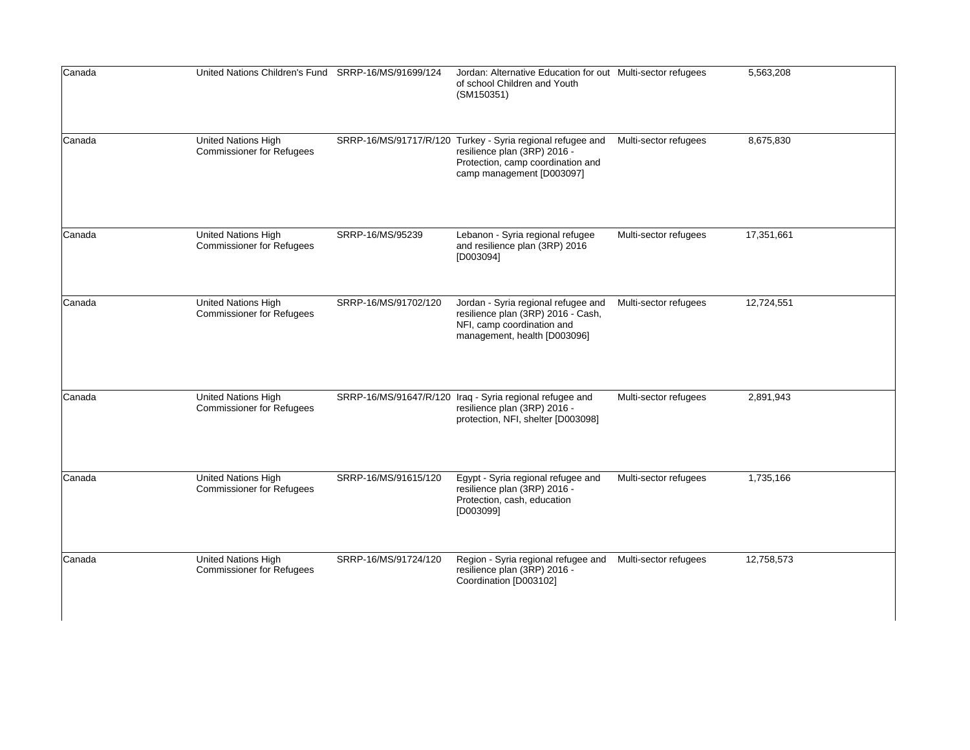| Canada | United Nations Children's Fund SRRP-16/MS/91699/124            |                      | Jordan: Alternative Education for out Multi-sector refugees<br>of school Children and Youth<br>(SM150351)                                                    |                       | 5,563,208  |
|--------|----------------------------------------------------------------|----------------------|--------------------------------------------------------------------------------------------------------------------------------------------------------------|-----------------------|------------|
| Canada | United Nations High<br><b>Commissioner for Refugees</b>        |                      | SRRP-16/MS/91717/R/120 Turkey - Syria regional refugee and<br>resilience plan (3RP) 2016 -<br>Protection, camp coordination and<br>camp management [D003097] | Multi-sector refugees | 8,675,830  |
| Canada | United Nations High<br><b>Commissioner for Refugees</b>        | SRRP-16/MS/95239     | Lebanon - Syria regional refugee<br>and resilience plan (3RP) 2016<br>[D003094]                                                                              | Multi-sector refugees | 17,351,661 |
| Canada | <b>United Nations High</b><br><b>Commissioner for Refugees</b> | SRRP-16/MS/91702/120 | Jordan - Syria regional refugee and<br>resilience plan (3RP) 2016 - Cash,<br>NFI, camp coordination and<br>management, health [D003096]                      | Multi-sector refugees | 12,724,551 |
| Canada | United Nations High<br><b>Commissioner for Refugees</b>        |                      | SRRP-16/MS/91647/R/120 Iraq - Syria regional refugee and<br>resilience plan (3RP) 2016 -<br>protection, NFI, shelter [D003098]                               | Multi-sector refugees | 2,891,943  |
| Canada | <b>United Nations High</b><br><b>Commissioner for Refugees</b> | SRRP-16/MS/91615/120 | Egypt - Syria regional refugee and<br>resilience plan (3RP) 2016 -<br>Protection, cash, education<br>[D003099]                                               | Multi-sector refugees | 1,735,166  |
| Canada | United Nations High<br><b>Commissioner for Refugees</b>        | SRRP-16/MS/91724/120 | Region - Syria regional refugee and<br>resilience plan (3RP) 2016 -<br>Coordination [D003102]                                                                | Multi-sector refugees | 12,758,573 |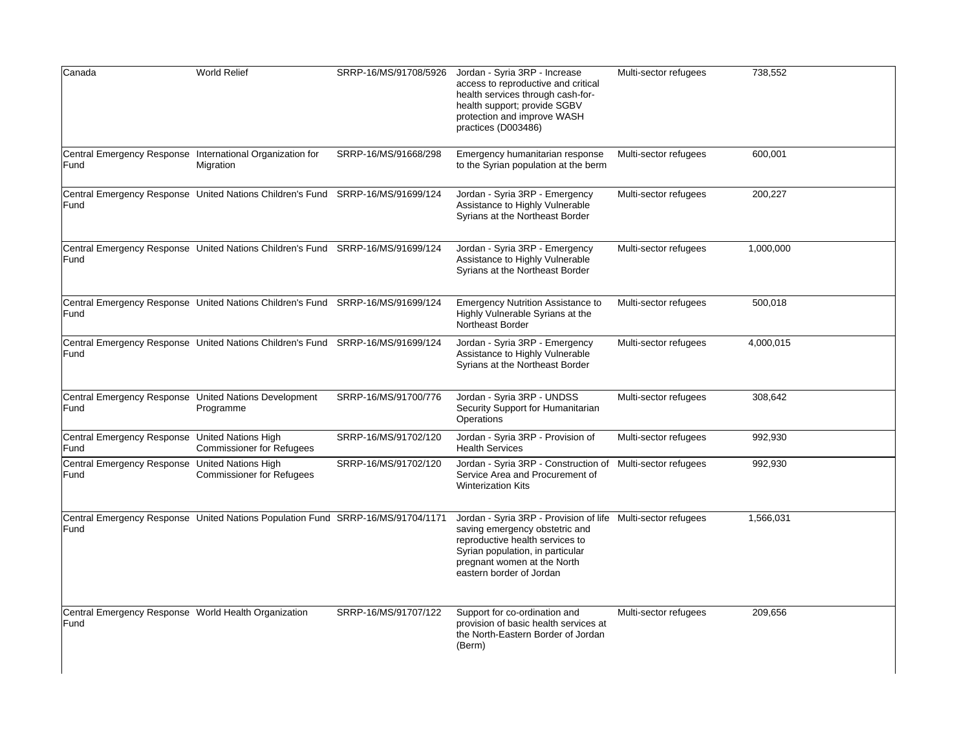| Canada                                                            | <b>World Relief</b>                                                             | SRRP-16/MS/91708/5926 | Jordan - Syria 3RP - Increase<br>access to reproductive and critical<br>health services through cash-for-<br>health support; provide SGBV<br>protection and improve WASH<br>practices (D003486)                                  | Multi-sector refugees | 738,552   |
|-------------------------------------------------------------------|---------------------------------------------------------------------------------|-----------------------|----------------------------------------------------------------------------------------------------------------------------------------------------------------------------------------------------------------------------------|-----------------------|-----------|
| Central Emergency Response International Organization for<br>Fund | Migration                                                                       | SRRP-16/MS/91668/298  | Emergency humanitarian response<br>to the Syrian population at the berm                                                                                                                                                          | Multi-sector refugees | 600,001   |
| Fund                                                              | Central Emergency Response United Nations Children's Fund SRRP-16/MS/91699/124  |                       | Jordan - Syria 3RP - Emergency<br>Assistance to Highly Vulnerable<br>Syrians at the Northeast Border                                                                                                                             | Multi-sector refugees | 200,227   |
| Fund                                                              | Central Emergency Response United Nations Children's Fund SRRP-16/MS/91699/124  |                       | Jordan - Syria 3RP - Emergency<br>Assistance to Highly Vulnerable<br>Syrians at the Northeast Border                                                                                                                             | Multi-sector refugees | 1,000,000 |
| Fund                                                              | Central Emergency Response United Nations Children's Fund SRRP-16/MS/91699/124  |                       | <b>Emergency Nutrition Assistance to</b><br>Highly Vulnerable Syrians at the<br>Northeast Border                                                                                                                                 | Multi-sector refugees | 500,018   |
| Fund                                                              | Central Emergency Response United Nations Children's Fund SRRP-16/MS/91699/124  |                       | Jordan - Syria 3RP - Emergency<br>Assistance to Highly Vulnerable<br>Syrians at the Northeast Border                                                                                                                             | Multi-sector refugees | 4,000,015 |
| Central Emergency Response United Nations Development<br>Fund     | Programme                                                                       | SRRP-16/MS/91700/776  | Jordan - Syria 3RP - UNDSS<br>Security Support for Humanitarian<br>Operations                                                                                                                                                    | Multi-sector refugees | 308,642   |
| Central Emergency Response United Nations High<br>Fund            | <b>Commissioner for Refugees</b>                                                | SRRP-16/MS/91702/120  | Jordan - Syria 3RP - Provision of<br><b>Health Services</b>                                                                                                                                                                      | Multi-sector refugees | 992,930   |
| Central Emergency Response United Nations High<br>Fund            | <b>Commissioner for Refugees</b>                                                | SRRP-16/MS/91702/120  | Jordan - Syria 3RP - Construction of Multi-sector refugees<br>Service Area and Procurement of<br><b>Winterization Kits</b>                                                                                                       |                       | 992,930   |
| Fund                                                              | Central Emergency Response United Nations Population Fund SRRP-16/MS/91704/1171 |                       | Jordan - Syria 3RP - Provision of life Multi-sector refugees<br>saving emergency obstetric and<br>reproductive health services to<br>Syrian population, in particular<br>pregnant women at the North<br>eastern border of Jordan |                       | 1,566,031 |
| Central Emergency Response World Health Organization<br>Fund      |                                                                                 | SRRP-16/MS/91707/122  | Support for co-ordination and<br>provision of basic health services at<br>the North-Eastern Border of Jordan<br>(Berm)                                                                                                           | Multi-sector refugees | 209,656   |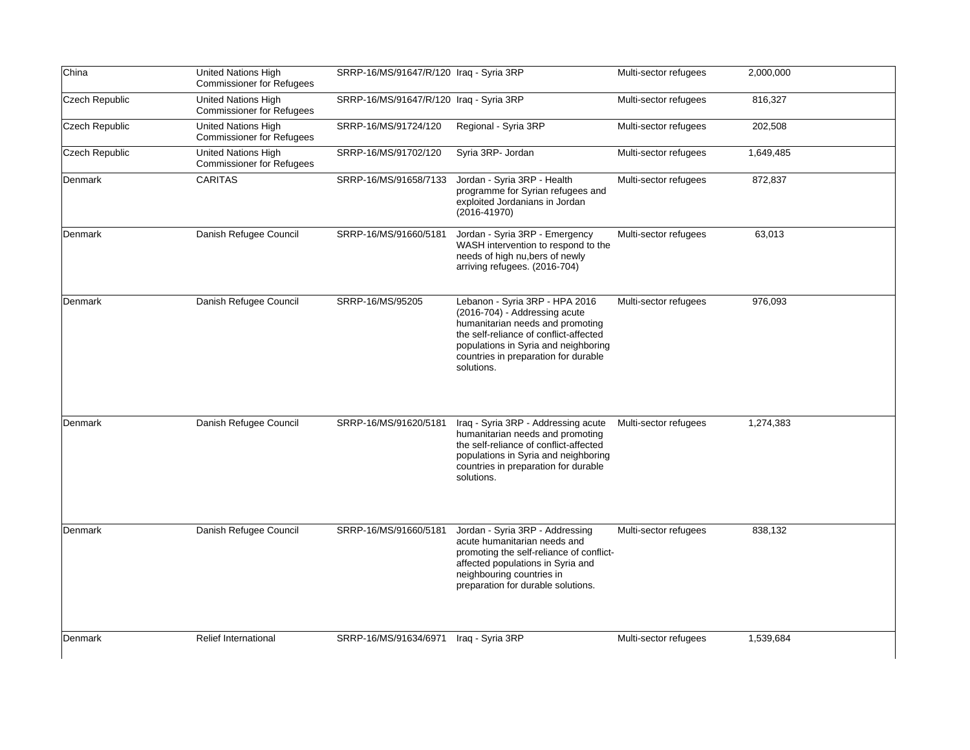| China          | <b>United Nations High</b><br><b>Commissioner for Refugees</b> | SRRP-16/MS/91647/R/120 Iraq - Syria 3RP |                                                                                                                                                                                                                                             | Multi-sector refugees | 2,000,000 |
|----------------|----------------------------------------------------------------|-----------------------------------------|---------------------------------------------------------------------------------------------------------------------------------------------------------------------------------------------------------------------------------------------|-----------------------|-----------|
| Czech Republic | <b>United Nations High</b><br><b>Commissioner for Refugees</b> | SRRP-16/MS/91647/R/120 Iraq - Syria 3RP |                                                                                                                                                                                                                                             | Multi-sector refugees | 816,327   |
| Czech Republic | United Nations High<br><b>Commissioner for Refugees</b>        | SRRP-16/MS/91724/120                    | Regional - Syria 3RP                                                                                                                                                                                                                        | Multi-sector refugees | 202,508   |
| Czech Republic | <b>United Nations High</b><br><b>Commissioner for Refugees</b> | SRRP-16/MS/91702/120                    | Syria 3RP- Jordan                                                                                                                                                                                                                           | Multi-sector refugees | 1,649,485 |
| Denmark        | <b>CARITAS</b>                                                 | SRRP-16/MS/91658/7133                   | Jordan - Syria 3RP - Health<br>programme for Syrian refugees and<br>exploited Jordanians in Jordan<br>$(2016 - 41970)$                                                                                                                      | Multi-sector refugees | 872,837   |
| Denmark        | Danish Refugee Council                                         | SRRP-16/MS/91660/5181                   | Jordan - Syria 3RP - Emergency<br>WASH intervention to respond to the<br>needs of high nu, bers of newly<br>arriving refugees. (2016-704)                                                                                                   | Multi-sector refugees | 63,013    |
| Denmark        | Danish Refugee Council                                         | SRRP-16/MS/95205                        | Lebanon - Syria 3RP - HPA 2016<br>(2016-704) - Addressing acute<br>humanitarian needs and promoting<br>the self-reliance of conflict-affected<br>populations in Syria and neighboring<br>countries in preparation for durable<br>solutions. | Multi-sector refugees | 976,093   |
| Denmark        | Danish Refugee Council                                         | SRRP-16/MS/91620/5181                   | Iraq - Syria 3RP - Addressing acute<br>humanitarian needs and promoting<br>the self-reliance of conflict-affected<br>populations in Syria and neighboring<br>countries in preparation for durable<br>solutions.                             | Multi-sector refugees | 1,274,383 |
| Denmark        | Danish Refugee Council                                         | SRRP-16/MS/91660/5181                   | Jordan - Syria 3RP - Addressing<br>acute humanitarian needs and<br>promoting the self-reliance of conflict-<br>affected populations in Syria and<br>neighbouring countries in<br>preparation for durable solutions.                         | Multi-sector refugees | 838,132   |
| Denmark        | <b>Relief International</b>                                    | SRRP-16/MS/91634/6971                   | Iraq - Syria 3RP                                                                                                                                                                                                                            | Multi-sector refugees | 1,539,684 |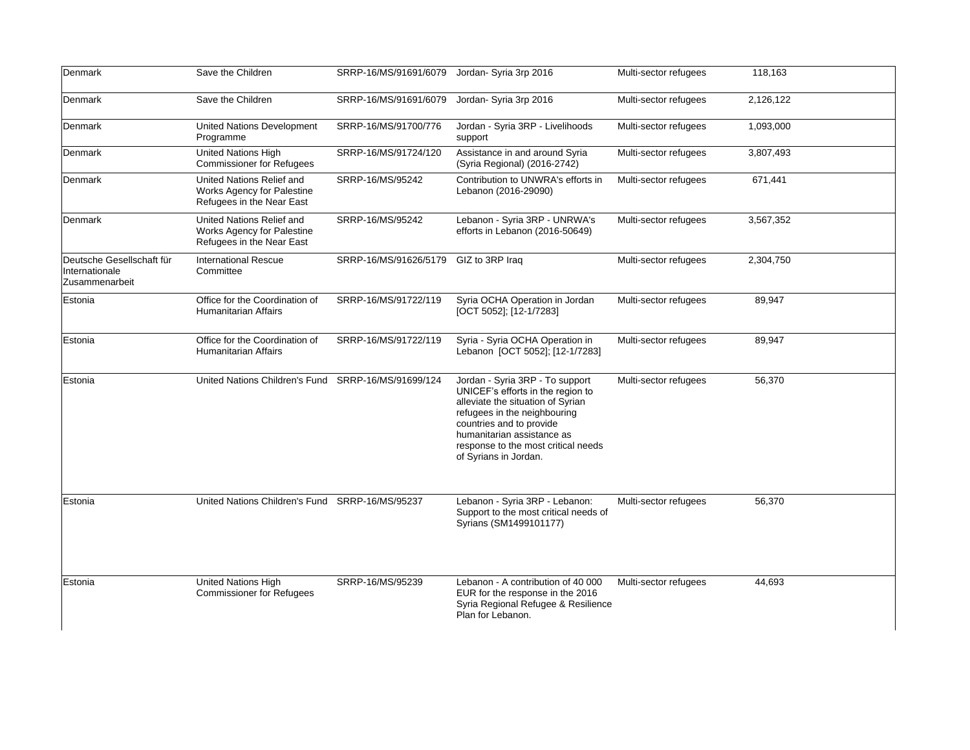| Denmark                                                       | Save the Children                                                                    | SRRP-16/MS/91691/6079 | Jordan- Syria 3rp 2016                                                                                                                                                                                                                                              | Multi-sector refugees | 118,163   |
|---------------------------------------------------------------|--------------------------------------------------------------------------------------|-----------------------|---------------------------------------------------------------------------------------------------------------------------------------------------------------------------------------------------------------------------------------------------------------------|-----------------------|-----------|
| Denmark                                                       | Save the Children                                                                    | SRRP-16/MS/91691/6079 | Jordan- Syria 3rp 2016                                                                                                                                                                                                                                              | Multi-sector refugees | 2,126,122 |
| Denmark                                                       | United Nations Development<br>Programme                                              | SRRP-16/MS/91700/776  | Jordan - Syria 3RP - Livelihoods<br>support                                                                                                                                                                                                                         | Multi-sector refugees | 1,093,000 |
| Denmark                                                       | United Nations High<br><b>Commissioner for Refugees</b>                              | SRRP-16/MS/91724/120  | Assistance in and around Syria<br>(Syria Regional) (2016-2742)                                                                                                                                                                                                      | Multi-sector refugees | 3,807,493 |
| Denmark                                                       | United Nations Relief and<br>Works Agency for Palestine<br>Refugees in the Near East | SRRP-16/MS/95242      | Contribution to UNWRA's efforts in<br>Lebanon (2016-29090)                                                                                                                                                                                                          | Multi-sector refugees | 671,441   |
| Denmark                                                       | United Nations Relief and<br>Works Agency for Palestine<br>Refugees in the Near East | SRRP-16/MS/95242      | Lebanon - Syria 3RP - UNRWA's<br>efforts in Lebanon (2016-50649)                                                                                                                                                                                                    | Multi-sector refugees | 3,567,352 |
| Deutsche Gesellschaft für<br>Internationale<br>Zusammenarbeit | <b>International Rescue</b><br>Committee                                             | SRRP-16/MS/91626/5179 | GIZ to 3RP Iraq                                                                                                                                                                                                                                                     | Multi-sector refugees | 2,304,750 |
| Estonia                                                       | Office for the Coordination of<br><b>Humanitarian Affairs</b>                        | SRRP-16/MS/91722/119  | Syria OCHA Operation in Jordan<br>[OCT 5052]; $[12-1/7283]$                                                                                                                                                                                                         | Multi-sector refugees | 89,947    |
| Estonia                                                       | Office for the Coordination of<br><b>Humanitarian Affairs</b>                        | SRRP-16/MS/91722/119  | Syria - Syria OCHA Operation in<br>Lebanon [OCT 5052]; [12-1/7283]                                                                                                                                                                                                  | Multi-sector refugees | 89,947    |
| Estonia                                                       | United Nations Children's Fund SRRP-16/MS/91699/124                                  |                       | Jordan - Syria 3RP - To support<br>UNICEF's efforts in the region to<br>alleviate the situation of Syrian<br>refugees in the neighbouring<br>countries and to provide<br>humanitarian assistance as<br>response to the most critical needs<br>of Syrians in Jordan. | Multi-sector refugees | 56,370    |
| Estonia                                                       | United Nations Children's Fund SRRP-16/MS/95237                                      |                       | Lebanon - Syria 3RP - Lebanon:<br>Support to the most critical needs of<br>Syrians (SM1499101177)                                                                                                                                                                   | Multi-sector refugees | 56,370    |
| Estonia                                                       | United Nations High<br><b>Commissioner for Refugees</b>                              | SRRP-16/MS/95239      | Lebanon - A contribution of 40 000<br>EUR for the response in the 2016<br>Syria Regional Refugee & Resilience<br>Plan for Lebanon.                                                                                                                                  | Multi-sector refugees | 44,693    |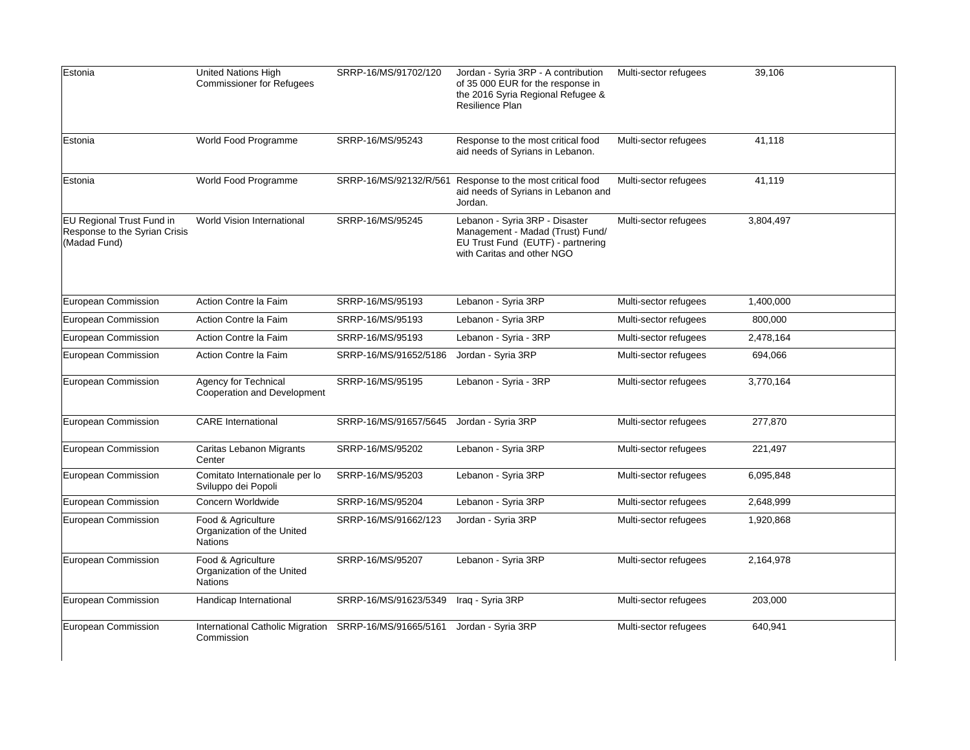| Estonia                                                                    | United Nations High<br><b>Commissioner for Refugees</b>     | SRRP-16/MS/91702/120   | Jordan - Syria 3RP - A contribution<br>of 35 000 EUR for the response in<br>the 2016 Syria Regional Refugee &<br>Resilience Plan      | Multi-sector refugees | 39,106    |
|----------------------------------------------------------------------------|-------------------------------------------------------------|------------------------|---------------------------------------------------------------------------------------------------------------------------------------|-----------------------|-----------|
| Estonia                                                                    | World Food Programme                                        | SRRP-16/MS/95243       | Response to the most critical food<br>aid needs of Syrians in Lebanon.                                                                | Multi-sector refugees | 41,118    |
| Estonia                                                                    | World Food Programme                                        | SRRP-16/MS/92132/R/561 | Response to the most critical food<br>aid needs of Syrians in Lebanon and<br>Jordan.                                                  | Multi-sector refugees | 41,119    |
| EU Regional Trust Fund in<br>Response to the Syrian Crisis<br>(Madad Fund) | World Vision International                                  | SRRP-16/MS/95245       | Lebanon - Syria 3RP - Disaster<br>Management - Madad (Trust) Fund/<br>EU Trust Fund (EUTF) - partnering<br>with Caritas and other NGO | Multi-sector refugees | 3,804,497 |
| European Commission                                                        | Action Contre la Faim                                       | SRRP-16/MS/95193       | Lebanon - Syria 3RP                                                                                                                   | Multi-sector refugees | 1,400,000 |
| European Commission                                                        | Action Contre la Faim                                       | SRRP-16/MS/95193       | Lebanon - Syria 3RP                                                                                                                   | Multi-sector refugees | 800,000   |
| European Commission                                                        | Action Contre la Faim                                       | SRRP-16/MS/95193       | Lebanon - Syria - 3RP                                                                                                                 | Multi-sector refugees | 2,478,164 |
| European Commission                                                        | Action Contre la Faim                                       | SRRP-16/MS/91652/5186  | Jordan - Syria 3RP                                                                                                                    | Multi-sector refugees | 694,066   |
| European Commission                                                        | Agency for Technical<br>Cooperation and Development         | SRRP-16/MS/95195       | Lebanon - Syria - 3RP                                                                                                                 | Multi-sector refugees | 3,770,164 |
| European Commission                                                        | <b>CARE</b> International                                   | SRRP-16/MS/91657/5645  | Jordan - Syria 3RP                                                                                                                    | Multi-sector refugees | 277,870   |
| European Commission                                                        | Caritas Lebanon Migrants<br>Center                          | SRRP-16/MS/95202       | Lebanon - Syria 3RP                                                                                                                   | Multi-sector refugees | 221,497   |
| European Commission                                                        | Comitato Internationale per lo<br>Sviluppo dei Popoli       | SRRP-16/MS/95203       | Lebanon - Syria 3RP                                                                                                                   | Multi-sector refugees | 6,095,848 |
| European Commission                                                        | Concern Worldwide                                           | SRRP-16/MS/95204       | Lebanon - Syria 3RP                                                                                                                   | Multi-sector refugees | 2,648,999 |
| European Commission                                                        | Food & Agriculture<br>Organization of the United<br>Nations | SRRP-16/MS/91662/123   | Jordan - Syria 3RP                                                                                                                    | Multi-sector refugees | 1,920,868 |
| European Commission                                                        | Food & Agriculture<br>Organization of the United<br>Nations | SRRP-16/MS/95207       | Lebanon - Syria 3RP                                                                                                                   | Multi-sector refugees | 2,164,978 |
| European Commission                                                        | Handicap International                                      | SRRP-16/MS/91623/5349  | Iraq - Syria 3RP                                                                                                                      | Multi-sector refugees | 203,000   |
| European Commission                                                        | International Catholic Migration<br>Commission              | SRRP-16/MS/91665/5161  | Jordan - Syria 3RP                                                                                                                    | Multi-sector refugees | 640,941   |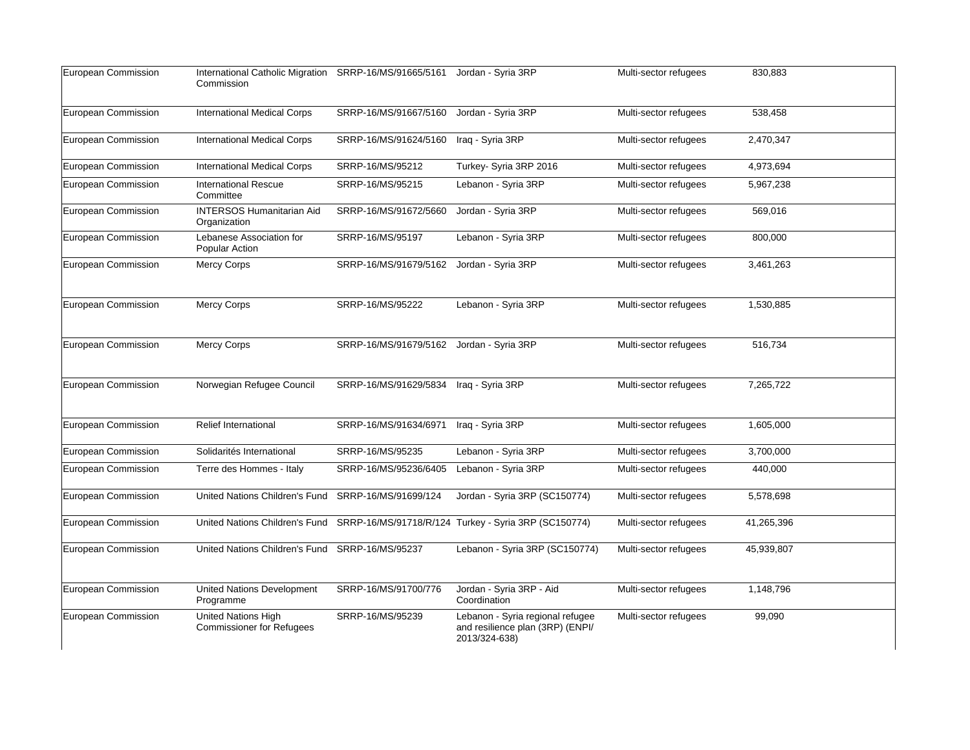| European Commission | International Catholic Migration<br>Commission                 | SRRP-16/MS/91665/5161 | Jordan - Syria 3RP                                                                    | Multi-sector refugees | 830,883    |
|---------------------|----------------------------------------------------------------|-----------------------|---------------------------------------------------------------------------------------|-----------------------|------------|
| European Commission | <b>International Medical Corps</b>                             | SRRP-16/MS/91667/5160 | Jordan - Syria 3RP                                                                    | Multi-sector refugees | 538,458    |
| European Commission | <b>International Medical Corps</b>                             | SRRP-16/MS/91624/5160 | Iraq - Syria 3RP                                                                      | Multi-sector refugees | 2,470,347  |
| European Commission | <b>International Medical Corps</b>                             | SRRP-16/MS/95212      | Turkey- Syria 3RP 2016                                                                | Multi-sector refugees | 4,973,694  |
| European Commission | <b>International Rescue</b><br>Committee                       | SRRP-16/MS/95215      | Lebanon - Syria 3RP                                                                   | Multi-sector refugees | 5,967,238  |
| European Commission | <b>INTERSOS Humanitarian Aid</b><br>Organization               | SRRP-16/MS/91672/5660 | Jordan - Syria 3RP                                                                    | Multi-sector refugees | 569,016    |
| European Commission | Lebanese Association for<br>Popular Action                     | SRRP-16/MS/95197      | Lebanon - Syria 3RP                                                                   | Multi-sector refugees | 800,000    |
| European Commission | <b>Mercy Corps</b>                                             | SRRP-16/MS/91679/5162 | Jordan - Syria 3RP                                                                    | Multi-sector refugees | 3,461,263  |
| European Commission | <b>Mercy Corps</b>                                             | SRRP-16/MS/95222      | Lebanon - Syria 3RP                                                                   | Multi-sector refugees | 1,530,885  |
| European Commission | <b>Mercy Corps</b>                                             | SRRP-16/MS/91679/5162 | Jordan - Syria 3RP                                                                    | Multi-sector refugees | 516,734    |
| European Commission | Norwegian Refugee Council                                      | SRRP-16/MS/91629/5834 | Iraq - Syria 3RP                                                                      | Multi-sector refugees | 7,265,722  |
| European Commission | Relief International                                           | SRRP-16/MS/91634/6971 | Iraq - Syria 3RP                                                                      | Multi-sector refugees | 1,605,000  |
| European Commission | Solidarités International                                      | SRRP-16/MS/95235      | Lebanon - Syria 3RP                                                                   | Multi-sector refugees | 3,700,000  |
| European Commission | Terre des Hommes - Italy                                       | SRRP-16/MS/95236/6405 | Lebanon - Syria 3RP                                                                   | Multi-sector refugees | 440,000    |
| European Commission | United Nations Children's Fund                                 | SRRP-16/MS/91699/124  | Jordan - Syria 3RP (SC150774)                                                         | Multi-sector refugees | 5,578,698  |
| European Commission | United Nations Children's Fund                                 |                       | SRRP-16/MS/91718/R/124 Turkey - Syria 3RP (SC150774)                                  | Multi-sector refugees | 41,265,396 |
| European Commission | United Nations Children's Fund                                 | SRRP-16/MS/95237      | Lebanon - Syria 3RP (SC150774)                                                        | Multi-sector refugees | 45,939,807 |
| European Commission | <b>United Nations Development</b><br>Programme                 | SRRP-16/MS/91700/776  | Jordan - Syria 3RP - Aid<br>Coordination                                              | Multi-sector refugees | 1,148,796  |
| European Commission | <b>United Nations High</b><br><b>Commissioner for Refugees</b> | SRRP-16/MS/95239      | Lebanon - Syria regional refugee<br>and resilience plan (3RP) (ENPI/<br>2013/324-638) | Multi-sector refugees | 99,090     |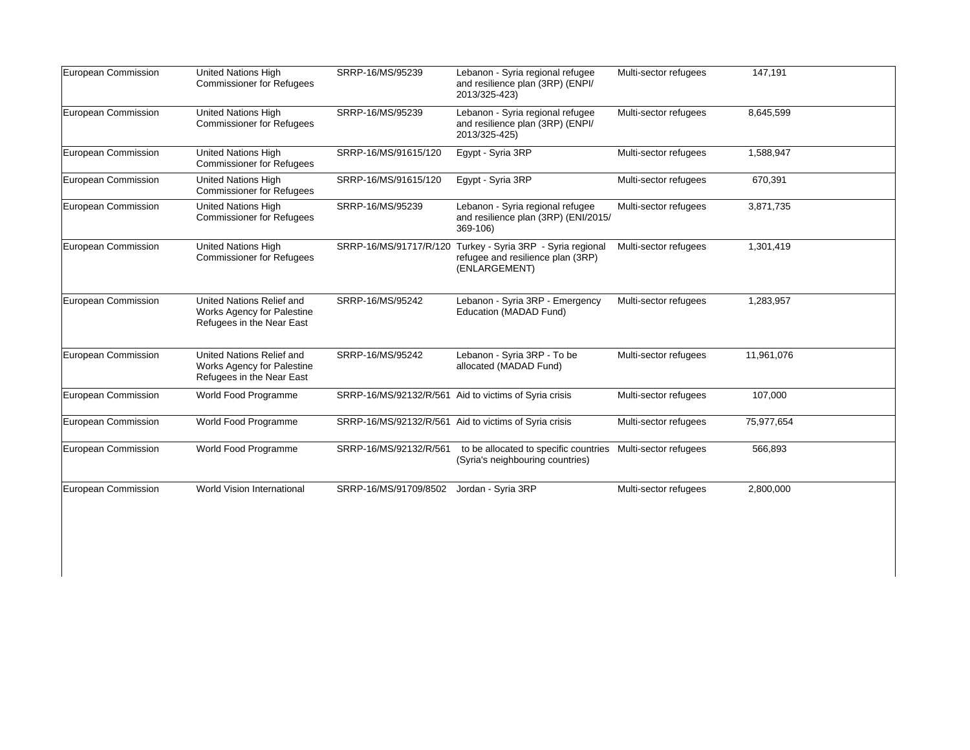| European Commission | United Nations High                                                                  |                                          |                                                                                                                  |                       |            |
|---------------------|--------------------------------------------------------------------------------------|------------------------------------------|------------------------------------------------------------------------------------------------------------------|-----------------------|------------|
|                     | <b>Commissioner for Refugees</b>                                                     | SRRP-16/MS/95239                         | Lebanon - Syria regional refugee<br>and resilience plan (3RP) (ENPI/<br>2013/325-423)                            | Multi-sector refugees | 147,191    |
| European Commission | United Nations High<br><b>Commissioner for Refugees</b>                              | SRRP-16/MS/95239                         | Lebanon - Syria regional refugee<br>and resilience plan (3RP) (ENPI/<br>2013/325-425)                            | Multi-sector refugees | 8,645,599  |
| European Commission | United Nations High<br><b>Commissioner for Refugees</b>                              | SRRP-16/MS/91615/120                     | Egypt - Syria 3RP                                                                                                | Multi-sector refugees | 1,588,947  |
| European Commission | <b>United Nations High</b><br><b>Commissioner for Refugees</b>                       | SRRP-16/MS/91615/120                     | Egypt - Syria 3RP                                                                                                | Multi-sector refugees | 670,391    |
| European Commission | United Nations High<br><b>Commissioner for Refugees</b>                              | SRRP-16/MS/95239                         | Lebanon - Syria regional refugee<br>and resilience plan (3RP) (ENI/2015/<br>369-106)                             | Multi-sector refugees | 3,871,735  |
| European Commission | United Nations High<br><b>Commissioner for Refugees</b>                              |                                          | SRRP-16/MS/91717/R/120 Turkey - Syria 3RP - Syria regional<br>refugee and resilience plan (3RP)<br>(ENLARGEMENT) | Multi-sector refugees | 1,301,419  |
| European Commission | United Nations Relief and<br>Works Agency for Palestine<br>Refugees in the Near East | SRRP-16/MS/95242                         | Lebanon - Syria 3RP - Emergency<br>Education (MADAD Fund)                                                        | Multi-sector refugees | 1,283,957  |
| European Commission | United Nations Relief and<br>Works Agency for Palestine<br>Refugees in the Near East | SRRP-16/MS/95242                         | Lebanon - Syria 3RP - To be<br>allocated (MADAD Fund)                                                            | Multi-sector refugees | 11,961,076 |
| European Commission | World Food Programme                                                                 |                                          | SRRP-16/MS/92132/R/561 Aid to victims of Syria crisis                                                            | Multi-sector refugees | 107,000    |
| European Commission | World Food Programme                                                                 |                                          | SRRP-16/MS/92132/R/561 Aid to victims of Syria crisis                                                            | Multi-sector refugees | 75,977,654 |
| European Commission | World Food Programme                                                                 | SRRP-16/MS/92132/R/561                   | to be allocated to specific countries Multi-sector refugees<br>(Syria's neighbouring countries)                  |                       | 566,893    |
| European Commission | World Vision International                                                           | SRRP-16/MS/91709/8502 Jordan - Syria 3RP |                                                                                                                  | Multi-sector refugees | 2,800,000  |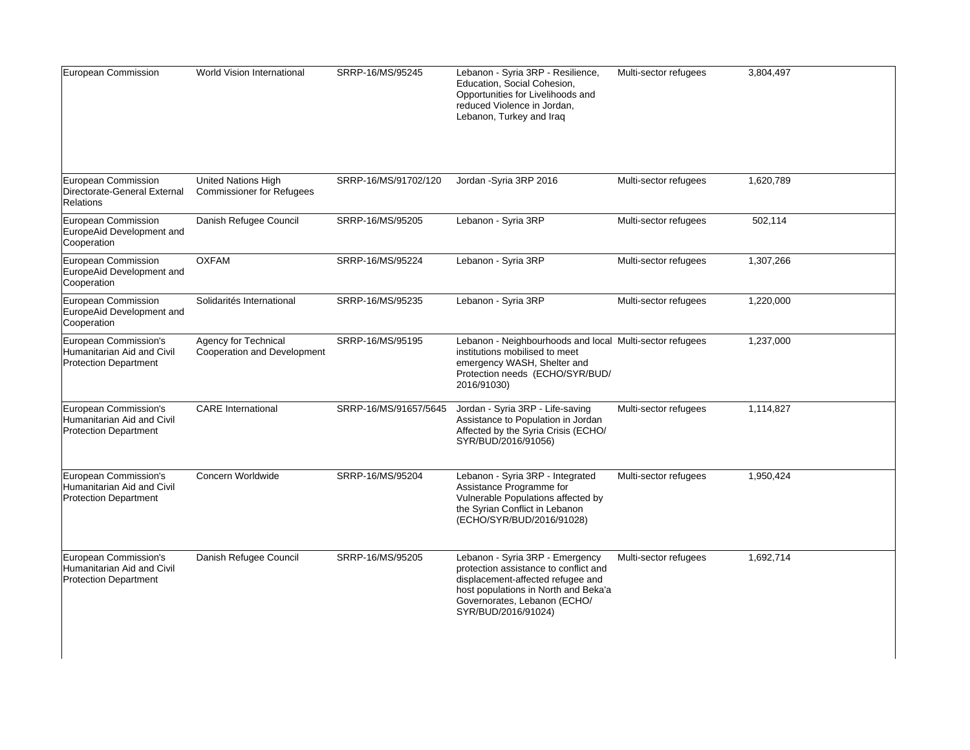| European Commission                                                                 | World Vision International                              | SRRP-16/MS/95245      | Lebanon - Syria 3RP - Resilience,<br>Education, Social Cohesion,<br>Opportunities for Livelihoods and<br>reduced Violence in Jordan,<br>Lebanon, Turkey and Iraq                                             | Multi-sector refugees | 3,804,497 |
|-------------------------------------------------------------------------------------|---------------------------------------------------------|-----------------------|--------------------------------------------------------------------------------------------------------------------------------------------------------------------------------------------------------------|-----------------------|-----------|
| European Commission<br>Directorate-General External<br><b>Relations</b>             | United Nations High<br><b>Commissioner for Refugees</b> | SRRP-16/MS/91702/120  | Jordan - Syria 3RP 2016                                                                                                                                                                                      | Multi-sector refugees | 1,620,789 |
| European Commission<br>EuropeAid Development and<br>Cooperation                     | Danish Refugee Council                                  | SRRP-16/MS/95205      | Lebanon - Syria 3RP                                                                                                                                                                                          | Multi-sector refugees | 502,114   |
| European Commission<br>EuropeAid Development and<br>Cooperation                     | <b>OXFAM</b>                                            | SRRP-16/MS/95224      | Lebanon - Syria 3RP                                                                                                                                                                                          | Multi-sector refugees | 1,307,266 |
| European Commission<br>EuropeAid Development and<br>Cooperation                     | Solidarités International                               | SRRP-16/MS/95235      | Lebanon - Syria 3RP                                                                                                                                                                                          | Multi-sector refugees | 1,220,000 |
| European Commission's<br>Humanitarian Aid and Civil<br><b>Protection Department</b> | Agency for Technical<br>Cooperation and Development     | SRRP-16/MS/95195      | Lebanon - Neighbourhoods and local Multi-sector refugees<br>institutions mobilised to meet<br>emergency WASH, Shelter and<br>Protection needs (ECHO/SYR/BUD/<br>2016/91030)                                  |                       | 1,237,000 |
| European Commission's<br>Humanitarian Aid and Civil<br><b>Protection Department</b> | <b>CARE</b> International                               | SRRP-16/MS/91657/5645 | Jordan - Syria 3RP - Life-saving<br>Assistance to Population in Jordan<br>Affected by the Syria Crisis (ECHO/<br>SYR/BUD/2016/91056)                                                                         | Multi-sector refugees | 1,114,827 |
| European Commission's<br>Humanitarian Aid and Civil<br><b>Protection Department</b> | Concern Worldwide                                       | SRRP-16/MS/95204      | Lebanon - Syria 3RP - Integrated<br>Assistance Programme for<br>Vulnerable Populations affected by<br>the Syrian Conflict in Lebanon<br>(ECHO/SYR/BUD/2016/91028)                                            | Multi-sector refugees | 1,950,424 |
| European Commission's<br>Humanitarian Aid and Civil<br><b>Protection Department</b> | Danish Refugee Council                                  | SRRP-16/MS/95205      | Lebanon - Syria 3RP - Emergency<br>protection assistance to conflict and<br>displacement-affected refugee and<br>host populations in North and Beka'a<br>Governorates, Lebanon (ECHO/<br>SYR/BUD/2016/91024) | Multi-sector refugees | 1,692,714 |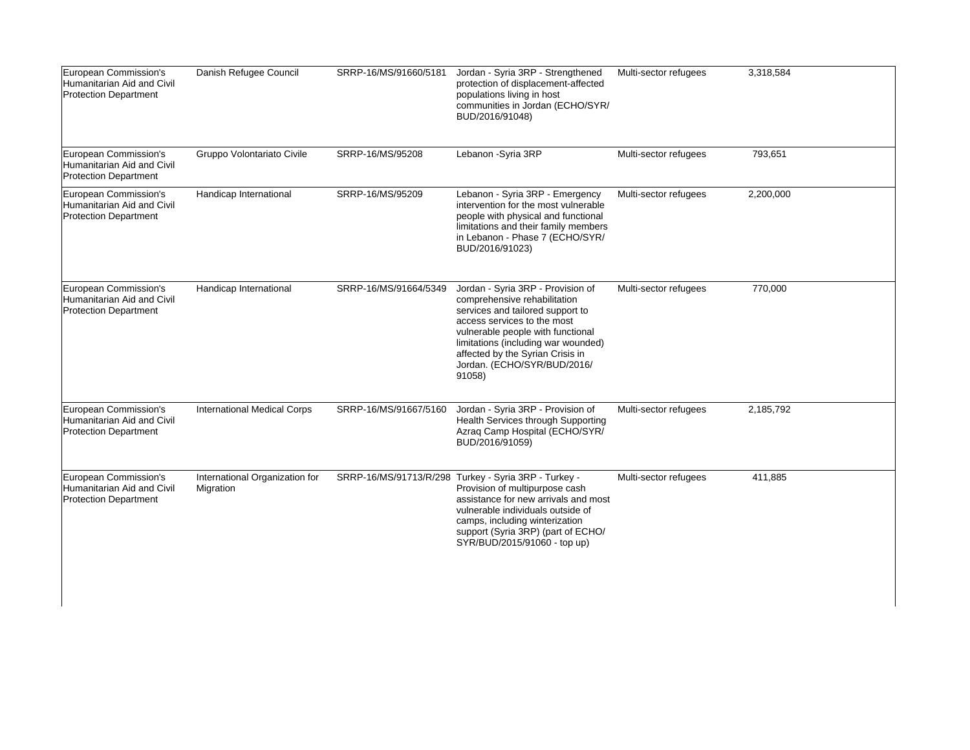| European Commission's<br>Humanitarian Aid and Civil<br><b>Protection Department</b> | Danish Refugee Council                      | SRRP-16/MS/91660/5181 | Jordan - Syria 3RP - Strengthened<br>protection of displacement-affected<br>populations living in host<br>communities in Jordan (ECHO/SYR/<br>BUD/2016/91048)                                                                                                                                 | Multi-sector refugees | 3,318,584 |
|-------------------------------------------------------------------------------------|---------------------------------------------|-----------------------|-----------------------------------------------------------------------------------------------------------------------------------------------------------------------------------------------------------------------------------------------------------------------------------------------|-----------------------|-----------|
| European Commission's<br>Humanitarian Aid and Civil<br><b>Protection Department</b> | Gruppo Volontariato Civile                  | SRRP-16/MS/95208      | Lebanon - Syria 3RP                                                                                                                                                                                                                                                                           | Multi-sector refugees | 793,651   |
| European Commission's<br>Humanitarian Aid and Civil<br><b>Protection Department</b> | Handicap International                      | SRRP-16/MS/95209      | Lebanon - Syria 3RP - Emergency<br>intervention for the most vulnerable<br>people with physical and functional<br>limitations and their family members<br>in Lebanon - Phase 7 (ECHO/SYR/<br>BUD/2016/91023)                                                                                  | Multi-sector refugees | 2,200,000 |
| European Commission's<br>Humanitarian Aid and Civil<br><b>Protection Department</b> | Handicap International                      | SRRP-16/MS/91664/5349 | Jordan - Syria 3RP - Provision of<br>comprehensive rehabilitation<br>services and tailored support to<br>access services to the most<br>vulnerable people with functional<br>limitations (including war wounded)<br>affected by the Syrian Crisis in<br>Jordan. (ECHO/SYR/BUD/2016/<br>91058) | Multi-sector refugees | 770,000   |
| European Commission's<br>Humanitarian Aid and Civil<br><b>Protection Department</b> | <b>International Medical Corps</b>          | SRRP-16/MS/91667/5160 | Jordan - Syria 3RP - Provision of<br>Health Services through Supporting<br>Azraq Camp Hospital (ECHO/SYR/<br>BUD/2016/91059)                                                                                                                                                                  | Multi-sector refugees | 2,185,792 |
| European Commission's<br>Humanitarian Aid and Civil<br><b>Protection Department</b> | International Organization for<br>Migration |                       | SRRP-16/MS/91713/R/298 Turkey - Syria 3RP - Turkey -<br>Provision of multipurpose cash<br>assistance for new arrivals and most<br>vulnerable individuals outside of<br>camps, including winterization<br>support (Syria 3RP) (part of ECHO/<br>SYR/BUD/2015/91060 - top up)                   | Multi-sector refugees | 411,885   |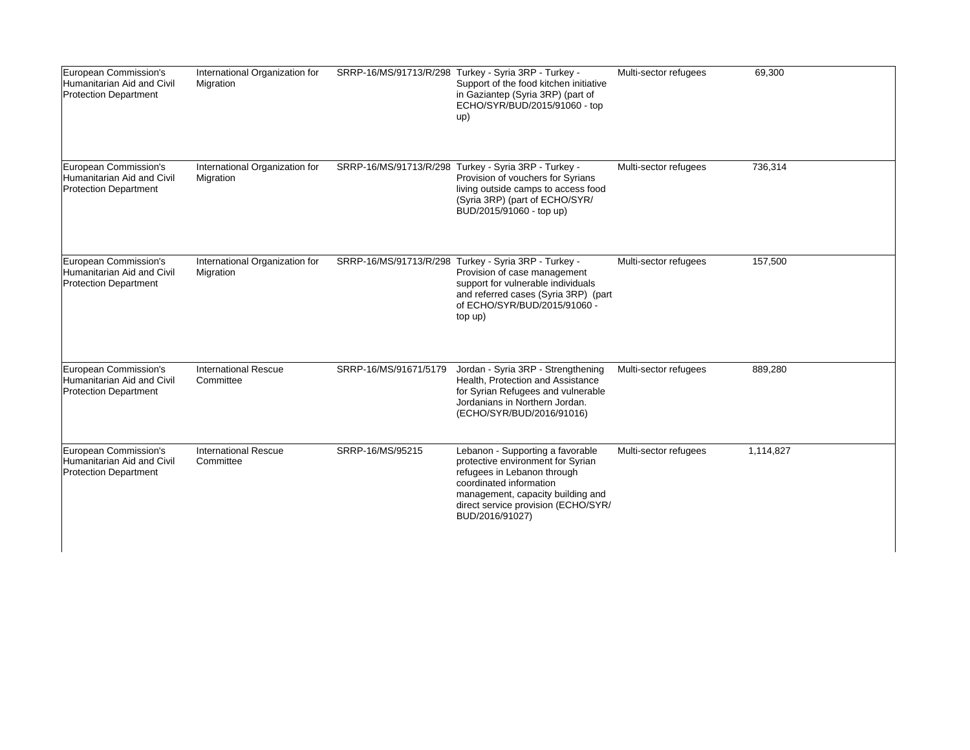| European Commission's<br>Humanitarian Aid and Civil<br>Protection Department        | International Organization for<br>Migration |                       | SRRP-16/MS/91713/R/298 Turkey - Syria 3RP - Turkey -<br>Support of the food kitchen initiative<br>in Gaziantep (Syria 3RP) (part of<br>ECHO/SYR/BUD/2015/91060 - top<br>up)                                                    | Multi-sector refugees | 69,300    |
|-------------------------------------------------------------------------------------|---------------------------------------------|-----------------------|--------------------------------------------------------------------------------------------------------------------------------------------------------------------------------------------------------------------------------|-----------------------|-----------|
| European Commission's<br>Humanitarian Aid and Civil<br>Protection Department        | International Organization for<br>Migration |                       | SRRP-16/MS/91713/R/298 Turkey - Syria 3RP - Turkey -<br>Provision of vouchers for Syrians<br>living outside camps to access food<br>(Syria 3RP) (part of ECHO/SYR/<br>BUD/2015/91060 - top up)                                 | Multi-sector refugees | 736,314   |
| European Commission's<br>Humanitarian Aid and Civil<br><b>Protection Department</b> | International Organization for<br>Migration |                       | SRRP-16/MS/91713/R/298 Turkey - Syria 3RP - Turkey -<br>Provision of case management<br>support for vulnerable individuals<br>and referred cases (Syria 3RP) (part<br>of ECHO/SYR/BUD/2015/91060 -<br>top up)                  | Multi-sector refugees | 157,500   |
| European Commission's<br>Humanitarian Aid and Civil<br><b>Protection Department</b> | <b>International Rescue</b><br>Committee    | SRRP-16/MS/91671/5179 | Jordan - Syria 3RP - Strengthening<br>Health, Protection and Assistance<br>for Syrian Refugees and vulnerable<br>Jordanians in Northern Jordan.<br>(ECHO/SYR/BUD/2016/91016)                                                   | Multi-sector refugees | 889,280   |
| European Commission's<br>Humanitarian Aid and Civil<br><b>Protection Department</b> | <b>International Rescue</b><br>Committee    | SRRP-16/MS/95215      | Lebanon - Supporting a favorable<br>protective environment for Syrian<br>refugees in Lebanon through<br>coordinated information<br>management, capacity building and<br>direct service provision (ECHO/SYR/<br>BUD/2016/91027) | Multi-sector refugees | 1,114,827 |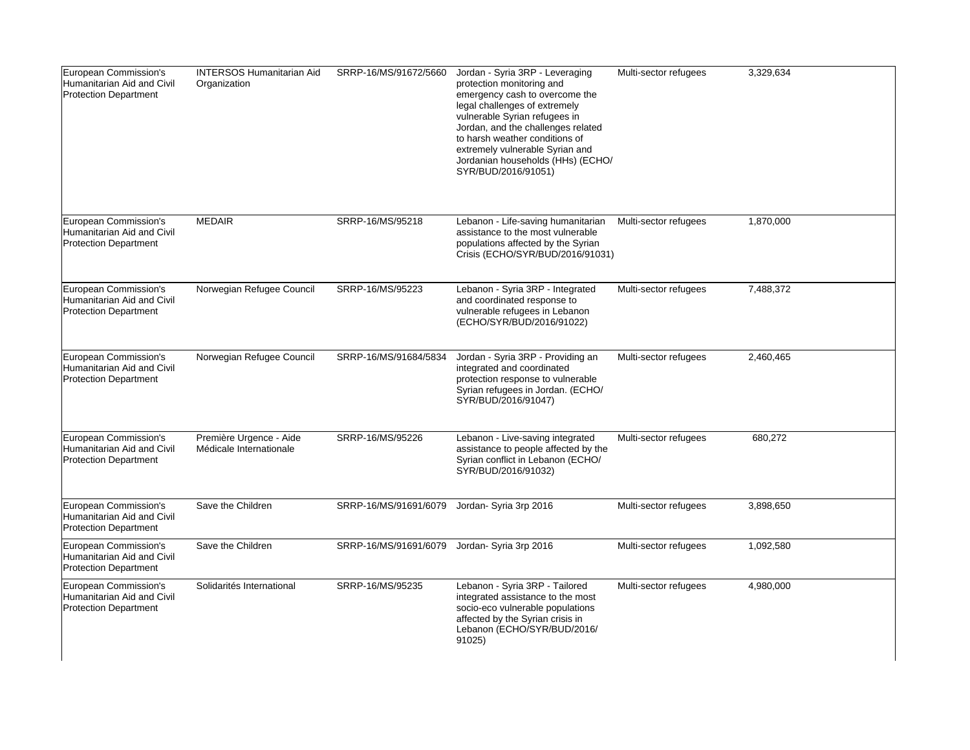| European Commission's<br>Humanitarian Aid and Civil<br><b>Protection Department</b> | <b>INTERSOS Humanitarian Aid</b><br>Organization   | SRRP-16/MS/91672/5660 | Jordan - Syria 3RP - Leveraging<br>protection monitoring and<br>emergency cash to overcome the<br>legal challenges of extremely<br>vulnerable Syrian refugees in<br>Jordan, and the challenges related<br>to harsh weather conditions of<br>extremely vulnerable Syrian and<br>Jordanian households (HHs) (ECHO/<br>SYR/BUD/2016/91051) | Multi-sector refugees | 3,329,634 |
|-------------------------------------------------------------------------------------|----------------------------------------------------|-----------------------|-----------------------------------------------------------------------------------------------------------------------------------------------------------------------------------------------------------------------------------------------------------------------------------------------------------------------------------------|-----------------------|-----------|
| European Commission's<br>Humanitarian Aid and Civil<br><b>Protection Department</b> | <b>MEDAIR</b>                                      | SRRP-16/MS/95218      | Lebanon - Life-saving humanitarian<br>assistance to the most vulnerable<br>populations affected by the Syrian<br>Crisis (ECHO/SYR/BUD/2016/91031)                                                                                                                                                                                       | Multi-sector refugees | 1,870,000 |
| European Commission's<br>Humanitarian Aid and Civil<br><b>Protection Department</b> | Norwegian Refugee Council                          | SRRP-16/MS/95223      | Lebanon - Syria 3RP - Integrated<br>and coordinated response to<br>vulnerable refugees in Lebanon<br>(ECHO/SYR/BUD/2016/91022)                                                                                                                                                                                                          | Multi-sector refugees | 7,488,372 |
| European Commission's<br>Humanitarian Aid and Civil<br><b>Protection Department</b> | Norwegian Refugee Council                          | SRRP-16/MS/91684/5834 | Jordan - Syria 3RP - Providing an<br>integrated and coordinated<br>protection response to vulnerable<br>Syrian refugees in Jordan. (ECHO/<br>SYR/BUD/2016/91047)                                                                                                                                                                        | Multi-sector refugees | 2,460,465 |
| European Commission's<br>Humanitarian Aid and Civil<br><b>Protection Department</b> | Première Urgence - Aide<br>Médicale Internationale | SRRP-16/MS/95226      | Lebanon - Live-saving integrated<br>assistance to people affected by the<br>Syrian conflict in Lebanon (ECHO/<br>SYR/BUD/2016/91032)                                                                                                                                                                                                    | Multi-sector refugees | 680,272   |
| European Commission's<br>Humanitarian Aid and Civil<br><b>Protection Department</b> | Save the Children                                  | SRRP-16/MS/91691/6079 | Jordan- Syria 3rp 2016                                                                                                                                                                                                                                                                                                                  | Multi-sector refugees | 3,898,650 |
| European Commission's<br>Humanitarian Aid and Civil<br><b>Protection Department</b> | Save the Children                                  | SRRP-16/MS/91691/6079 | Jordan- Syria 3rp 2016                                                                                                                                                                                                                                                                                                                  | Multi-sector refugees | 1,092,580 |
| European Commission's<br>Humanitarian Aid and Civil<br><b>Protection Department</b> | Solidarités International                          | SRRP-16/MS/95235      | Lebanon - Syria 3RP - Tailored<br>integrated assistance to the most<br>socio-eco vulnerable populations<br>affected by the Syrian crisis in<br>Lebanon (ECHO/SYR/BUD/2016/<br>91025)                                                                                                                                                    | Multi-sector refugees | 4,980,000 |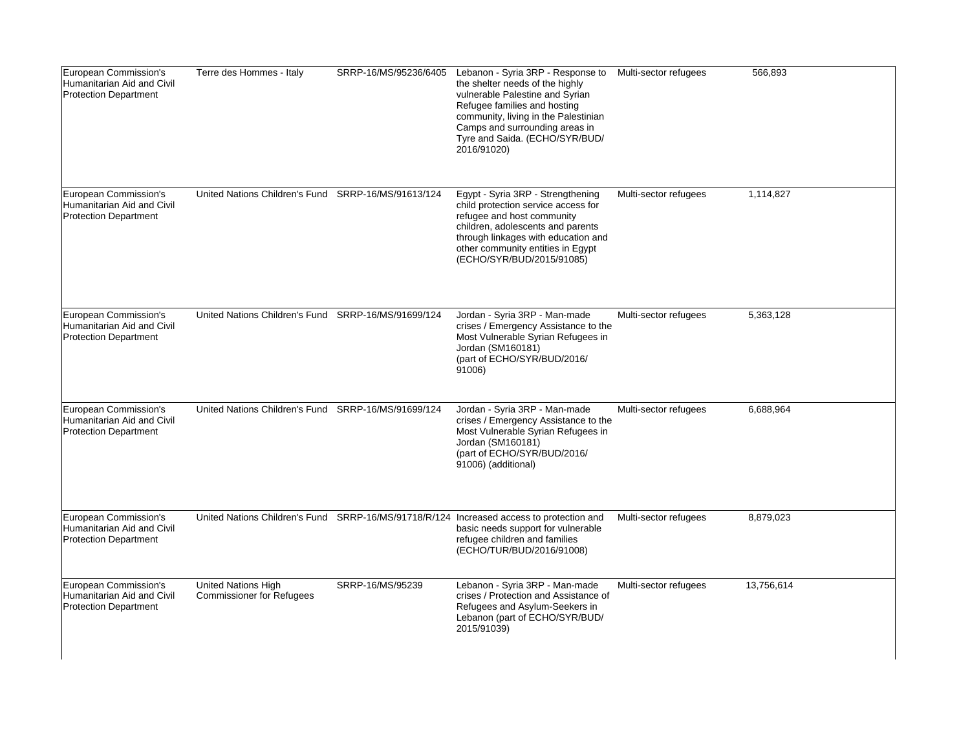| European Commission's<br>Humanitarian Aid and Civil<br><b>Protection Department</b> | Terre des Hommes - Italy                                       | SRRP-16/MS/95236/6405 | Lebanon - Syria 3RP - Response to<br>the shelter needs of the highly<br>vulnerable Palestine and Syrian<br>Refugee families and hosting<br>community, living in the Palestinian<br>Camps and surrounding areas in<br>Tyre and Saida. (ECHO/SYR/BUD/<br>2016/91020) | Multi-sector refugees | 566,893    |
|-------------------------------------------------------------------------------------|----------------------------------------------------------------|-----------------------|--------------------------------------------------------------------------------------------------------------------------------------------------------------------------------------------------------------------------------------------------------------------|-----------------------|------------|
| European Commission's<br>Humanitarian Aid and Civil<br><b>Protection Department</b> | United Nations Children's Fund SRRP-16/MS/91613/124            |                       | Egypt - Syria 3RP - Strengthening<br>child protection service access for<br>refugee and host community<br>children, adolescents and parents<br>through linkages with education and<br>other community entities in Egypt<br>(ECHO/SYR/BUD/2015/91085)               | Multi-sector refugees | 1,114,827  |
| European Commission's<br>Humanitarian Aid and Civil<br><b>Protection Department</b> | United Nations Children's Fund SRRP-16/MS/91699/124            |                       | Jordan - Syria 3RP - Man-made<br>crises / Emergency Assistance to the<br>Most Vulnerable Syrian Refugees in<br>Jordan (SM160181)<br>(part of ECHO/SYR/BUD/2016/<br>91006)                                                                                          | Multi-sector refugees | 5,363,128  |
| European Commission's<br>Humanitarian Aid and Civil<br><b>Protection Department</b> | United Nations Children's Fund SRRP-16/MS/91699/124            |                       | Jordan - Syria 3RP - Man-made<br>crises / Emergency Assistance to the<br>Most Vulnerable Syrian Refugees in<br>Jordan (SM160181)<br>(part of ECHO/SYR/BUD/2016/<br>91006) (additional)                                                                             | Multi-sector refugees | 6,688,964  |
| European Commission's<br>Humanitarian Aid and Civil<br><b>Protection Department</b> |                                                                |                       | United Nations Children's Fund SRRP-16/MS/91718/R/124 Increased access to protection and<br>basic needs support for vulnerable<br>refugee children and families<br>(ECHO/TUR/BUD/2016/91008)                                                                       | Multi-sector refugees | 8,879,023  |
| European Commission's<br>Humanitarian Aid and Civil<br><b>Protection Department</b> | <b>United Nations High</b><br><b>Commissioner for Refugees</b> | SRRP-16/MS/95239      | Lebanon - Syria 3RP - Man-made<br>crises / Protection and Assistance of<br>Refugees and Asylum-Seekers in<br>Lebanon (part of ECHO/SYR/BUD/<br>2015/91039)                                                                                                         | Multi-sector refugees | 13,756,614 |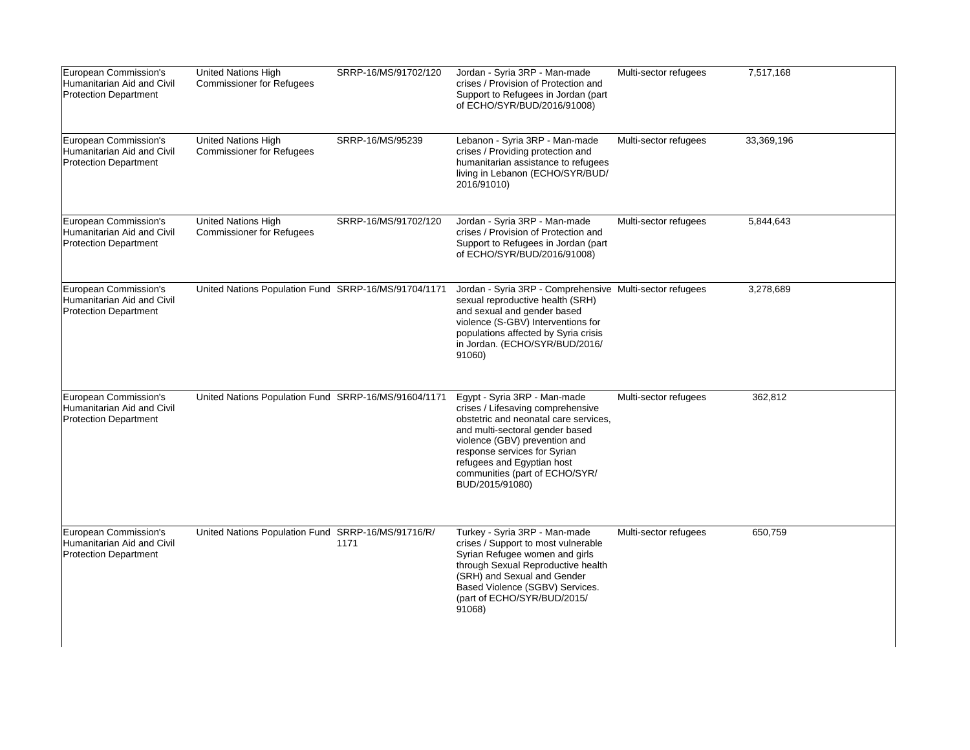| European Commission's<br>Humanitarian Aid and Civil<br><b>Protection Department</b> | United Nations High<br><b>Commissioner for Refugees</b> | SRRP-16/MS/91702/120 | Jordan - Syria 3RP - Man-made<br>crises / Provision of Protection and<br>Support to Refugees in Jordan (part<br>of ECHO/SYR/BUD/2016/91008)                                                                                                                                                       | Multi-sector refugees | 7,517,168  |
|-------------------------------------------------------------------------------------|---------------------------------------------------------|----------------------|---------------------------------------------------------------------------------------------------------------------------------------------------------------------------------------------------------------------------------------------------------------------------------------------------|-----------------------|------------|
| European Commission's<br>Humanitarian Aid and Civil<br>Protection Department        | United Nations High<br><b>Commissioner for Refugees</b> | SRRP-16/MS/95239     | Lebanon - Syria 3RP - Man-made<br>crises / Providing protection and<br>humanitarian assistance to refugees<br>living in Lebanon (ECHO/SYR/BUD/<br>2016/91010)                                                                                                                                     | Multi-sector refugees | 33,369,196 |
| European Commission's<br>Humanitarian Aid and Civil<br><b>Protection Department</b> | United Nations High<br><b>Commissioner for Refugees</b> | SRRP-16/MS/91702/120 | Jordan - Syria 3RP - Man-made<br>crises / Provision of Protection and<br>Support to Refugees in Jordan (part<br>of ECHO/SYR/BUD/2016/91008)                                                                                                                                                       | Multi-sector refugees | 5,844,643  |
| European Commission's<br>Humanitarian Aid and Civil<br><b>Protection Department</b> | United Nations Population Fund SRRP-16/MS/91704/1171    |                      | Jordan - Syria 3RP - Comprehensive Multi-sector refugees<br>sexual reproductive health (SRH)<br>and sexual and gender based<br>violence (S-GBV) Interventions for<br>populations affected by Syria crisis<br>in Jordan. (ECHO/SYR/BUD/2016/<br>91060)                                             |                       | 3,278,689  |
| European Commission's<br>Humanitarian Aid and Civil<br><b>Protection Department</b> | United Nations Population Fund SRRP-16/MS/91604/1171    |                      | Egypt - Syria 3RP - Man-made<br>crises / Lifesaving comprehensive<br>obstetric and neonatal care services,<br>and multi-sectoral gender based<br>violence (GBV) prevention and<br>response services for Syrian<br>refugees and Egyptian host<br>communities (part of ECHO/SYR/<br>BUD/2015/91080) | Multi-sector refugees | 362,812    |
| European Commission's<br>Humanitarian Aid and Civil<br><b>Protection Department</b> | United Nations Population Fund SRRP-16/MS/91716/R/      | 1171                 | Turkey - Syria 3RP - Man-made<br>crises / Support to most vulnerable<br>Syrian Refugee women and girls<br>through Sexual Reproductive health<br>(SRH) and Sexual and Gender<br>Based Violence (SGBV) Services.<br>(part of ECHO/SYR/BUD/2015/<br>91068)                                           | Multi-sector refugees | 650,759    |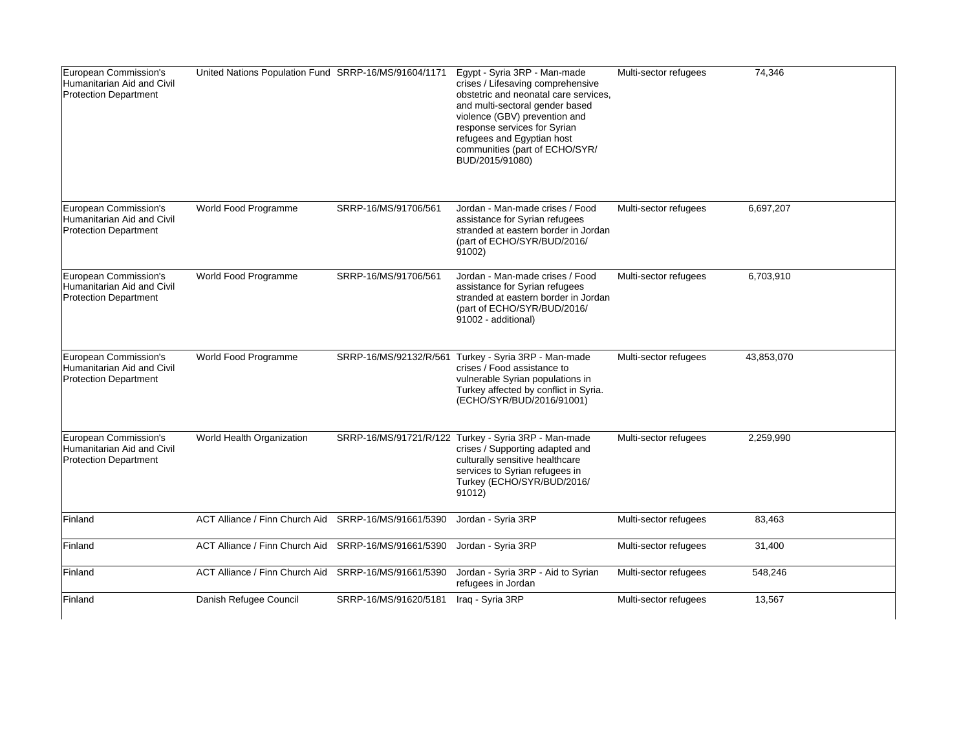| European Commission's<br>Humanitarian Aid and Civil<br><b>Protection Department</b> | United Nations Population Fund SRRP-16/MS/91604/1171 |                       | Egypt - Syria 3RP - Man-made<br>crises / Lifesaving comprehensive<br>obstetric and neonatal care services,<br>and multi-sectoral gender based<br>violence (GBV) prevention and<br>response services for Syrian<br>refugees and Egyptian host<br>communities (part of ECHO/SYR/<br>BUD/2015/91080) | Multi-sector refugees | 74,346     |
|-------------------------------------------------------------------------------------|------------------------------------------------------|-----------------------|---------------------------------------------------------------------------------------------------------------------------------------------------------------------------------------------------------------------------------------------------------------------------------------------------|-----------------------|------------|
| European Commission's<br>Humanitarian Aid and Civil<br><b>Protection Department</b> | World Food Programme                                 | SRRP-16/MS/91706/561  | Jordan - Man-made crises / Food<br>assistance for Syrian refugees<br>stranded at eastern border in Jordan<br>(part of ECHO/SYR/BUD/2016/<br>91002)                                                                                                                                                | Multi-sector refugees | 6,697,207  |
| European Commission's<br>Humanitarian Aid and Civil<br><b>Protection Department</b> | World Food Programme                                 | SRRP-16/MS/91706/561  | Jordan - Man-made crises / Food<br>assistance for Syrian refugees<br>stranded at eastern border in Jordan<br>(part of ECHO/SYR/BUD/2016/<br>91002 - additional)                                                                                                                                   | Multi-sector refugees | 6,703,910  |
| European Commission's<br>Humanitarian Aid and Civil<br><b>Protection Department</b> | World Food Programme                                 |                       | SRRP-16/MS/92132/R/561 Turkey - Syria 3RP - Man-made<br>crises / Food assistance to<br>vulnerable Syrian populations in<br>Turkey affected by conflict in Syria.<br>(ECHO/SYR/BUD/2016/91001)                                                                                                     | Multi-sector refugees | 43,853,070 |
| European Commission's<br>Humanitarian Aid and Civil<br><b>Protection Department</b> | World Health Organization                            |                       | SRRP-16/MS/91721/R/122 Turkey - Syria 3RP - Man-made<br>crises / Supporting adapted and<br>culturally sensitive healthcare<br>services to Syrian refugees in<br>Turkey (ECHO/SYR/BUD/2016/<br>91012)                                                                                              | Multi-sector refugees | 2,259,990  |
| Finland                                                                             | ACT Alliance / Finn Church Aid                       | SRRP-16/MS/91661/5390 | Jordan - Syria 3RP                                                                                                                                                                                                                                                                                | Multi-sector refugees | 83,463     |
| Finland                                                                             | ACT Alliance / Finn Church Aid                       | SRRP-16/MS/91661/5390 | Jordan - Syria 3RP                                                                                                                                                                                                                                                                                | Multi-sector refugees | 31,400     |
| Finland                                                                             | ACT Alliance / Finn Church Aid                       | SRRP-16/MS/91661/5390 | Jordan - Syria 3RP - Aid to Syrian<br>refugees in Jordan                                                                                                                                                                                                                                          | Multi-sector refugees | 548,246    |
| Finland                                                                             | Danish Refugee Council                               | SRRP-16/MS/91620/5181 | Iraq - Syria 3RP                                                                                                                                                                                                                                                                                  | Multi-sector refugees | 13,567     |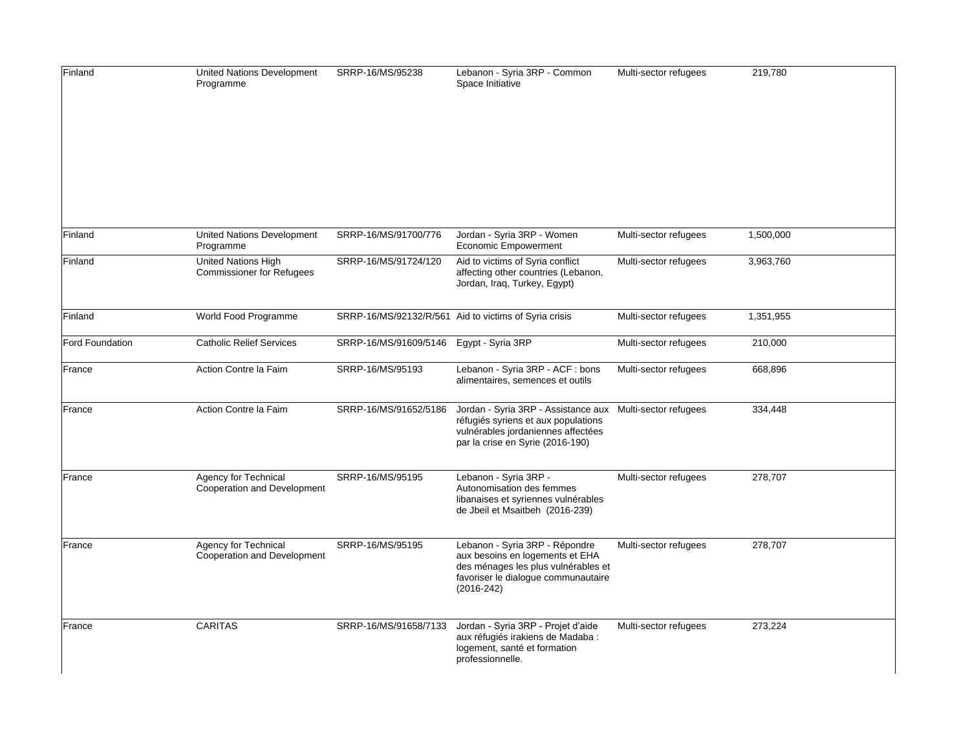| Finland         | United Nations Development<br>Programme                              | SRRP-16/MS/95238      | Lebanon - Syria 3RP - Common<br>Space Initiative                                                                                                                | Multi-sector refugees | 219,780   |
|-----------------|----------------------------------------------------------------------|-----------------------|-----------------------------------------------------------------------------------------------------------------------------------------------------------------|-----------------------|-----------|
| Finland         | United Nations Development                                           | SRRP-16/MS/91700/776  | Jordan - Syria 3RP - Women                                                                                                                                      | Multi-sector refugees | 1,500,000 |
| Finland         | Programme<br>United Nations High<br><b>Commissioner for Refugees</b> | SRRP-16/MS/91724/120  | Economic Empowerment<br>Aid to victims of Syria conflict<br>affecting other countries (Lebanon,<br>Jordan, Iraq, Turkey, Egypt)                                 | Multi-sector refugees | 3,963,760 |
| Finland         | World Food Programme                                                 |                       | SRRP-16/MS/92132/R/561 Aid to victims of Syria crisis                                                                                                           | Multi-sector refugees | 1,351,955 |
| Ford Foundation | <b>Catholic Relief Services</b>                                      | SRRP-16/MS/91609/5146 | Egypt - Syria 3RP                                                                                                                                               | Multi-sector refugees | 210,000   |
| France          | Action Contre la Faim                                                | SRRP-16/MS/95193      | Lebanon - Syria 3RP - ACF : bons<br>alimentaires, semences et outils                                                                                            | Multi-sector refugees | 668,896   |
| France          | Action Contre la Faim                                                | SRRP-16/MS/91652/5186 | Jordan - Syria 3RP - Assistance aux<br>réfugiés syriens et aux populations<br>vulnérables jordaniennes affectées<br>par la crise en Syrie (2016-190)            | Multi-sector refugees | 334,448   |
| France          | Agency for Technical<br>Cooperation and Development                  | SRRP-16/MS/95195      | Lebanon - Syria 3RP -<br>Autonomisation des femmes<br>libanaises et syriennes vulnérables<br>de Jbeil et Msaitbeh (2016-239)                                    | Multi-sector refugees | 278,707   |
| France          | Agency for Technical<br>Cooperation and Development                  | SRRP-16/MS/95195      | Lebanon - Syria 3RP - Répondre<br>aux besoins en logements et EHA<br>des ménages les plus vulnérables et<br>favoriser le dialogue communautaire<br>$(2016-242)$ | Multi-sector refugees | 278,707   |
| France          | <b>CARITAS</b>                                                       | SRRP-16/MS/91658/7133 | Jordan - Syria 3RP - Projet d'aide<br>aux réfugiés irakiens de Madaba :<br>logement, santé et formation<br>professionnelle.                                     | Multi-sector refugees | 273,224   |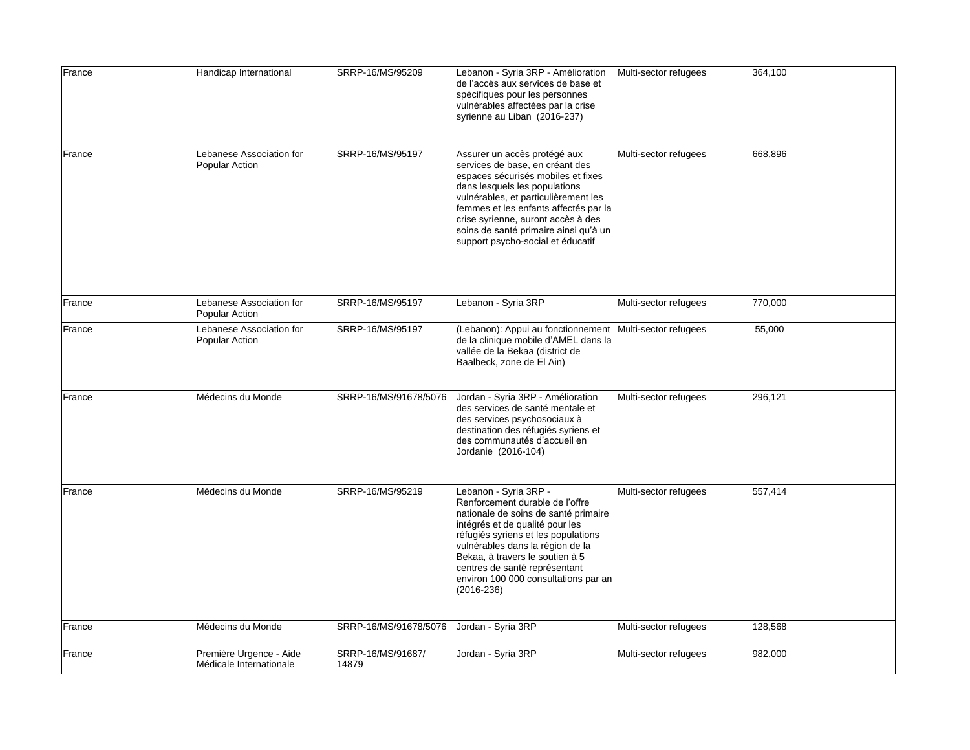| France | Handicap International                             | SRRP-16/MS/95209           | Lebanon - Syria 3RP - Amélioration<br>de l'accès aux services de base et<br>spécifiques pour les personnes<br>vulnérables affectées par la crise<br>syrienne au Liban (2016-237)                                                                                                                                                             | Multi-sector refugees | 364,100 |
|--------|----------------------------------------------------|----------------------------|----------------------------------------------------------------------------------------------------------------------------------------------------------------------------------------------------------------------------------------------------------------------------------------------------------------------------------------------|-----------------------|---------|
| France | Lebanese Association for<br><b>Popular Action</b>  | SRRP-16/MS/95197           | Assurer un accès protégé aux<br>services de base, en créant des<br>espaces sécurisés mobiles et fixes<br>dans lesquels les populations<br>vulnérables, et particulièrement les<br>femmes et les enfants affectés par la<br>crise syrienne, auront accès à des<br>soins de santé primaire ainsi qu'à un<br>support psycho-social et éducatif  | Multi-sector refugees | 668,896 |
| France | Lebanese Association for<br><b>Popular Action</b>  | SRRP-16/MS/95197           | Lebanon - Syria 3RP                                                                                                                                                                                                                                                                                                                          | Multi-sector refugees | 770,000 |
| France | Lebanese Association for<br>Popular Action         | SRRP-16/MS/95197           | (Lebanon): Appui au fonctionnement Multi-sector refugees<br>de la clinique mobile d'AMEL dans la<br>vallée de la Bekaa (district de<br>Baalbeck, zone de El Ain)                                                                                                                                                                             |                       | 55,000  |
| France | Médecins du Monde                                  | SRRP-16/MS/91678/5076      | Jordan - Syria 3RP - Amélioration<br>des services de santé mentale et<br>des services psychosociaux à<br>destination des réfugiés syriens et<br>des communautés d'accueil en<br>Jordanie (2016-104)                                                                                                                                          | Multi-sector refugees | 296,121 |
| France | Médecins du Monde                                  | SRRP-16/MS/95219           | Lebanon - Syria 3RP -<br>Renforcement durable de l'offre<br>nationale de soins de santé primaire<br>intégrés et de qualité pour les<br>réfugiés syriens et les populations<br>vulnérables dans la région de la<br>Bekaa, à travers le soutien à 5<br>centres de santé représentant<br>environ 100 000 consultations par an<br>$(2016 - 236)$ | Multi-sector refugees | 557,414 |
| France | Médecins du Monde                                  | SRRP-16/MS/91678/5076      | Jordan - Syria 3RP                                                                                                                                                                                                                                                                                                                           | Multi-sector refugees | 128,568 |
| France | Première Urgence - Aide<br>Médicale Internationale | SRRP-16/MS/91687/<br>14879 | Jordan - Syria 3RP                                                                                                                                                                                                                                                                                                                           | Multi-sector refugees | 982,000 |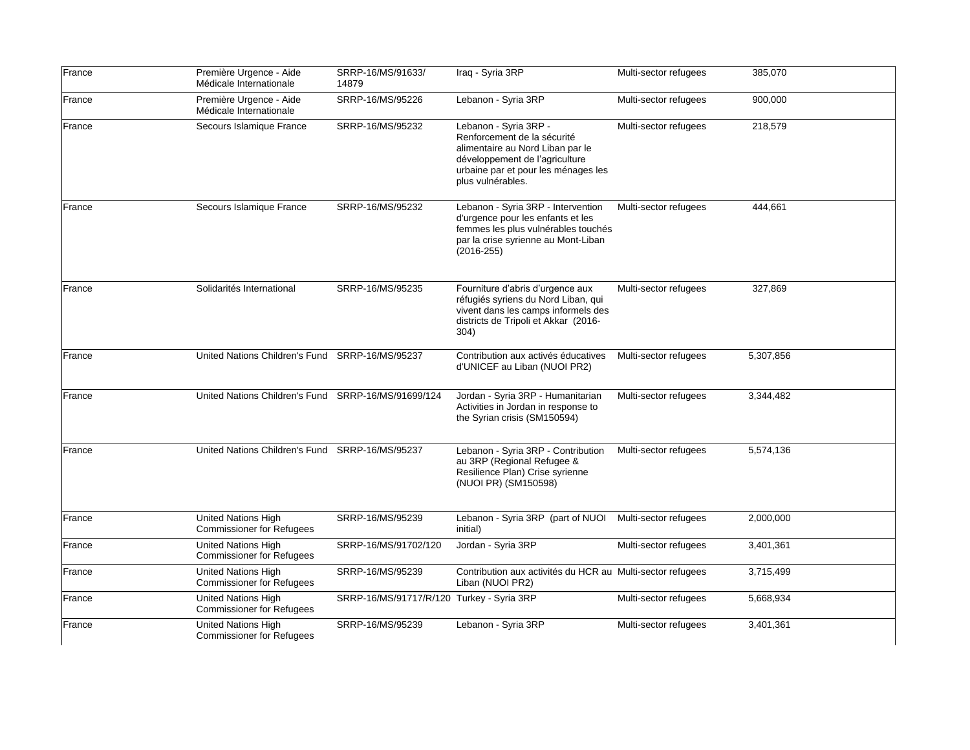| France | Première Urgence - Aide<br>Médicale Internationale             | SRRP-16/MS/91633/<br>14879                | Iraq - Syria 3RP                                                                                                                                                                       | Multi-sector refugees | 385,070   |
|--------|----------------------------------------------------------------|-------------------------------------------|----------------------------------------------------------------------------------------------------------------------------------------------------------------------------------------|-----------------------|-----------|
| France | Première Urgence - Aide<br>Médicale Internationale             | SRRP-16/MS/95226                          | Lebanon - Syria 3RP                                                                                                                                                                    | Multi-sector refugees | 900,000   |
| France | Secours Islamique France                                       | SRRP-16/MS/95232                          | Lebanon - Syria 3RP -<br>Renforcement de la sécurité<br>alimentaire au Nord Liban par le<br>développement de l'agriculture<br>urbaine par et pour les ménages les<br>plus vulnérables. | Multi-sector refugees | 218,579   |
| France | Secours Islamique France                                       | SRRP-16/MS/95232                          | Lebanon - Syria 3RP - Intervention<br>d'urgence pour les enfants et les<br>femmes les plus vulnérables touchés<br>par la crise syrienne au Mont-Liban<br>$(2016 - 255)$                | Multi-sector refugees | 444,661   |
| France | Solidarités International                                      | SRRP-16/MS/95235                          | Fourniture d'abris d'urgence aux<br>réfugiés syriens du Nord Liban, qui<br>vivent dans les camps informels des<br>districts de Tripoli et Akkar (2016-<br>304)                         | Multi-sector refugees | 327,869   |
| France | United Nations Children's Fund SRRP-16/MS/95237                |                                           | Contribution aux activés éducatives<br>d'UNICEF au Liban (NUOI PR2)                                                                                                                    | Multi-sector refugees | 5,307,856 |
| France | United Nations Children's Fund                                 | SRRP-16/MS/91699/124                      | Jordan - Syria 3RP - Humanitarian<br>Activities in Jordan in response to<br>the Syrian crisis (SM150594)                                                                               | Multi-sector refugees | 3,344,482 |
| France | United Nations Children's Fund SRRP-16/MS/95237                |                                           | Lebanon - Syria 3RP - Contribution<br>au 3RP (Regional Refugee &<br>Resilience Plan) Crise syrienne<br>(NUOI PR) (SM150598)                                                            | Multi-sector refugees | 5,574,136 |
| France | <b>United Nations High</b><br><b>Commissioner for Refugees</b> | SRRP-16/MS/95239                          | Lebanon - Syria 3RP (part of NUOI<br>initial)                                                                                                                                          | Multi-sector refugees | 2,000,000 |
| France | United Nations High<br><b>Commissioner for Refugees</b>        | SRRP-16/MS/91702/120                      | Jordan - Syria 3RP                                                                                                                                                                     | Multi-sector refugees | 3,401,361 |
| France | <b>United Nations High</b><br><b>Commissioner for Refugees</b> | SRRP-16/MS/95239                          | Contribution aux activités du HCR au Multi-sector refugees<br>Liban (NUOI PR2)                                                                                                         |                       | 3,715,499 |
| France | <b>United Nations High</b><br><b>Commissioner for Refugees</b> | SRRP-16/MS/91717/R/120 Turkey - Syria 3RP |                                                                                                                                                                                        | Multi-sector refugees | 5,668,934 |
| France | United Nations High<br><b>Commissioner for Refugees</b>        | SRRP-16/MS/95239                          | Lebanon - Syria 3RP                                                                                                                                                                    | Multi-sector refugees | 3,401,361 |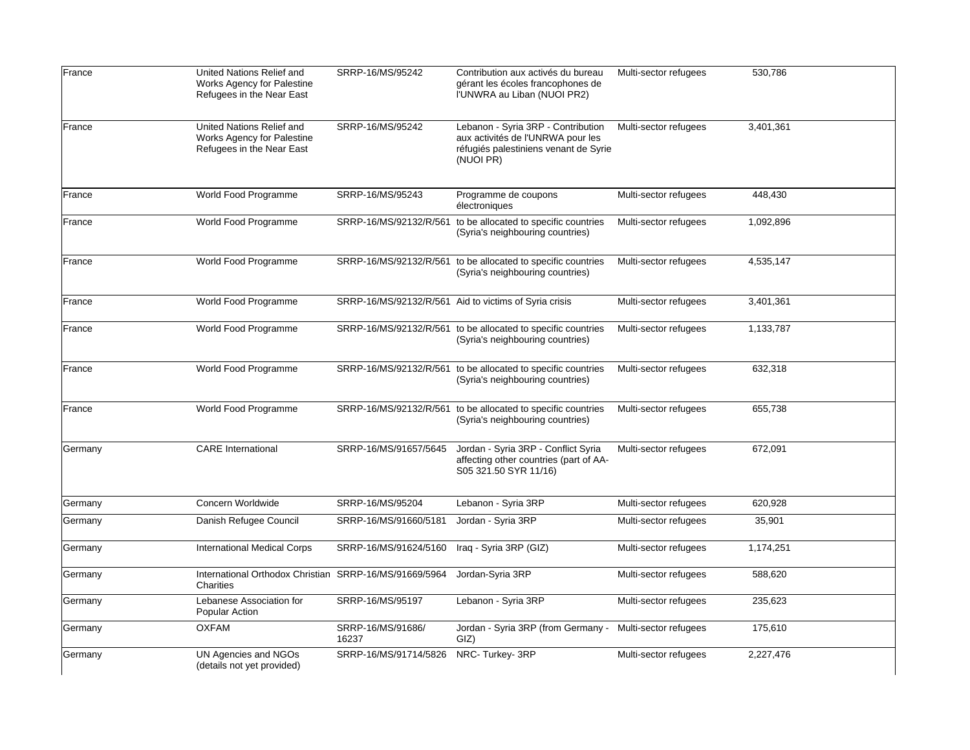| France  | United Nations Relief and<br>Works Agency for Palestine<br>Refugees in the Near East        | SRRP-16/MS/95242           | Contribution aux activés du bureau<br>gérant les écoles francophones de<br>I'UNWRA au Liban (NUOI PR2)                        | Multi-sector refugees | 530,786   |
|---------|---------------------------------------------------------------------------------------------|----------------------------|-------------------------------------------------------------------------------------------------------------------------------|-----------------------|-----------|
| France  | United Nations Relief and<br><b>Works Agency for Palestine</b><br>Refugees in the Near East | SRRP-16/MS/95242           | Lebanon - Syria 3RP - Contribution<br>aux activités de l'UNRWA pour les<br>réfugiés palestiniens venant de Syrie<br>(NUOI PR) | Multi-sector refugees | 3,401,361 |
| France  | World Food Programme                                                                        | SRRP-16/MS/95243           | Programme de coupons<br>électroniques                                                                                         | Multi-sector refugees | 448,430   |
| France  | World Food Programme                                                                        |                            | SRRP-16/MS/92132/R/561 to be allocated to specific countries<br>(Syria's neighbouring countries)                              | Multi-sector refugees | 1,092,896 |
| France  | World Food Programme                                                                        |                            | SRRP-16/MS/92132/R/561 to be allocated to specific countries<br>(Syria's neighbouring countries)                              | Multi-sector refugees | 4,535,147 |
| France  | World Food Programme                                                                        |                            | SRRP-16/MS/92132/R/561 Aid to victims of Syria crisis                                                                         | Multi-sector refugees | 3,401,361 |
| France  | World Food Programme                                                                        |                            | SRRP-16/MS/92132/R/561 to be allocated to specific countries<br>(Syria's neighbouring countries)                              | Multi-sector refugees | 1,133,787 |
| France  | World Food Programme                                                                        |                            | SRRP-16/MS/92132/R/561 to be allocated to specific countries<br>(Syria's neighbouring countries)                              | Multi-sector refugees | 632,318   |
| France  | World Food Programme                                                                        |                            | SRRP-16/MS/92132/R/561 to be allocated to specific countries<br>(Syria's neighbouring countries)                              | Multi-sector refugees | 655,738   |
| Germany | <b>CARE</b> International                                                                   | SRRP-16/MS/91657/5645      | Jordan - Syria 3RP - Conflict Syria<br>affecting other countries (part of AA-<br>S05 321.50 SYR 11/16)                        | Multi-sector refugees | 672,091   |
| Germany | Concern Worldwide                                                                           | SRRP-16/MS/95204           | Lebanon - Syria 3RP                                                                                                           | Multi-sector refugees | 620,928   |
| Germany | Danish Refugee Council                                                                      | SRRP-16/MS/91660/5181      | Jordan - Syria 3RP                                                                                                            | Multi-sector refugees | 35,901    |
| Germany | <b>International Medical Corps</b>                                                          | SRRP-16/MS/91624/5160      | Iraq - Syria 3RP (GIZ)                                                                                                        | Multi-sector refugees | 1,174,251 |
| Germany | International Orthodox Christian SRRP-16/MS/91669/5964<br>Charities                         |                            | Jordan-Syria 3RP                                                                                                              | Multi-sector refugees | 588,620   |
| Germany | Lebanese Association for<br>Popular Action                                                  | SRRP-16/MS/95197           | Lebanon - Syria 3RP                                                                                                           | Multi-sector refugees | 235,623   |
| Germany | <b>OXFAM</b>                                                                                | SRRP-16/MS/91686/<br>16237 | Jordan - Syria 3RP (from Germany -<br>GIZ)                                                                                    | Multi-sector refugees | 175,610   |
| Germany | UN Agencies and NGOs<br>(details not yet provided)                                          | SRRP-16/MS/91714/5826      | NRC-Turkey-3RP                                                                                                                | Multi-sector refugees | 2,227,476 |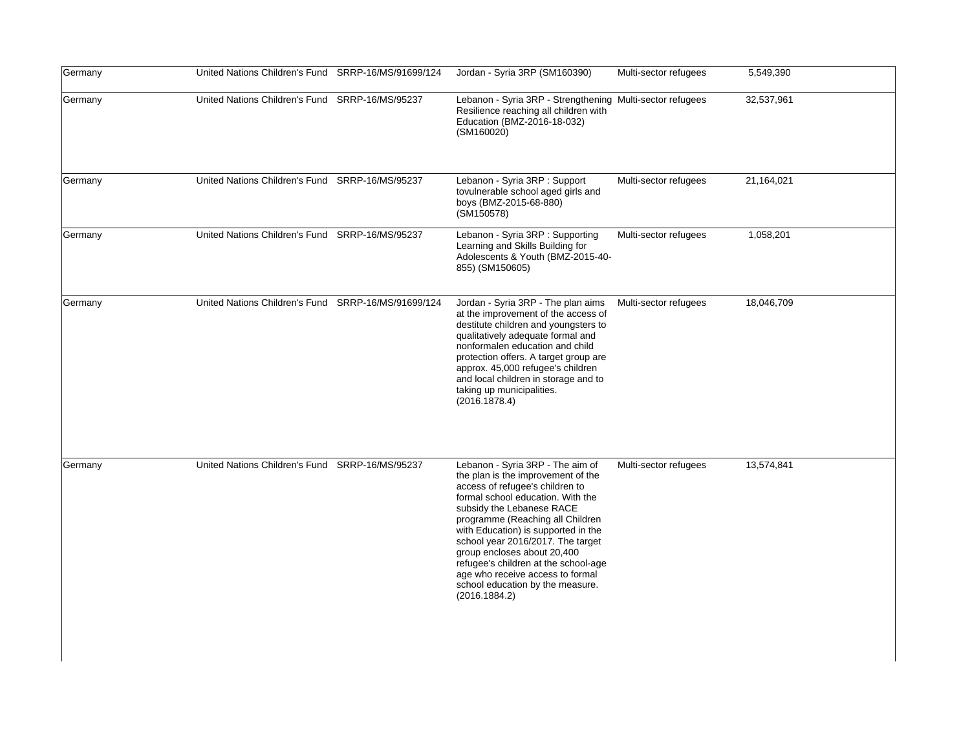| Germany | United Nations Children's Fund SRRP-16/MS/91699/124 | Jordan - Syria 3RP (SM160390)                                                                                                                                                                                                                                                                                                                                                                                                                               | Multi-sector refugees | 5,549,390  |
|---------|-----------------------------------------------------|-------------------------------------------------------------------------------------------------------------------------------------------------------------------------------------------------------------------------------------------------------------------------------------------------------------------------------------------------------------------------------------------------------------------------------------------------------------|-----------------------|------------|
| Germany | United Nations Children's Fund SRRP-16/MS/95237     | Lebanon - Syria 3RP - Strengthening Multi-sector refugees<br>Resilience reaching all children with<br>Education (BMZ-2016-18-032)<br>(SM160020)                                                                                                                                                                                                                                                                                                             |                       | 32,537,961 |
| Germany | United Nations Children's Fund SRRP-16/MS/95237     | Lebanon - Syria 3RP : Support<br>tovulnerable school aged girls and<br>boys (BMZ-2015-68-880)<br>(SM150578)                                                                                                                                                                                                                                                                                                                                                 | Multi-sector refugees | 21,164,021 |
| Germany | United Nations Children's Fund SRRP-16/MS/95237     | Lebanon - Syria 3RP : Supporting<br>Learning and Skills Building for<br>Adolescents & Youth (BMZ-2015-40-<br>855) (SM150605)                                                                                                                                                                                                                                                                                                                                | Multi-sector refugees | 1,058,201  |
| Germany | United Nations Children's Fund SRRP-16/MS/91699/124 | Jordan - Syria 3RP - The plan aims<br>at the improvement of the access of<br>destitute children and youngsters to<br>qualitatively adequate formal and<br>nonformalen education and child<br>protection offers. A target group are<br>approx. 45,000 refugee's children<br>and local children in storage and to<br>taking up municipalities.<br>(2016.1878.4)                                                                                               | Multi-sector refugees | 18,046,709 |
| Germany | United Nations Children's Fund SRRP-16/MS/95237     | Lebanon - Syria 3RP - The aim of<br>the plan is the improvement of the<br>access of refugee's children to<br>formal school education. With the<br>subsidy the Lebanese RACE<br>programme (Reaching all Children<br>with Education) is supported in the<br>school year 2016/2017. The target<br>group encloses about 20,400<br>refugee's children at the school-age<br>age who receive access to formal<br>school education by the measure.<br>(2016.1884.2) | Multi-sector refugees | 13,574,841 |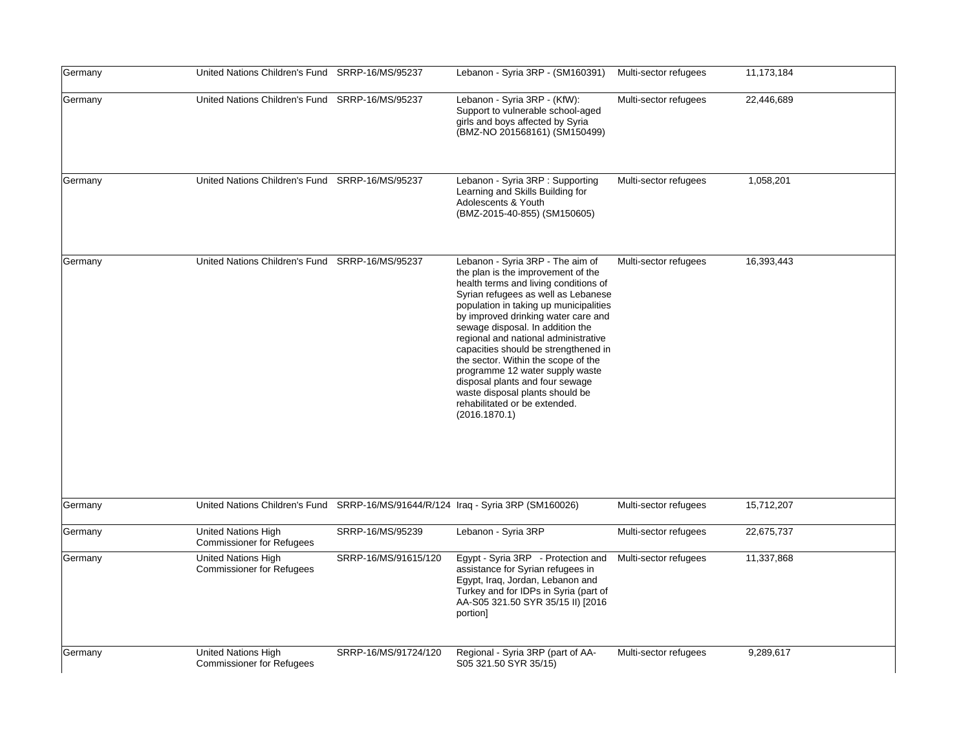| Germany | United Nations Children's Fund SRRP-16/MS/95237                                   |                      | Lebanon - Syria 3RP - (SM160391)                                                                                                                                                                                                                                                                                                                                                                                                                                                                                                                              | Multi-sector refugees | 11,173,184 |
|---------|-----------------------------------------------------------------------------------|----------------------|---------------------------------------------------------------------------------------------------------------------------------------------------------------------------------------------------------------------------------------------------------------------------------------------------------------------------------------------------------------------------------------------------------------------------------------------------------------------------------------------------------------------------------------------------------------|-----------------------|------------|
| Germany | United Nations Children's Fund SRRP-16/MS/95237                                   |                      | Lebanon - Syria 3RP - (KfW):<br>Support to vulnerable school-aged<br>girls and boys affected by Syria<br>(BMZ-NO 201568161) (SM150499)                                                                                                                                                                                                                                                                                                                                                                                                                        | Multi-sector refugees | 22,446,689 |
| Germany | United Nations Children's Fund SRRP-16/MS/95237                                   |                      | Lebanon - Syria 3RP : Supporting<br>Learning and Skills Building for<br>Adolescents & Youth<br>(BMZ-2015-40-855) (SM150605)                                                                                                                                                                                                                                                                                                                                                                                                                                   | Multi-sector refugees | 1,058,201  |
| Germany | United Nations Children's Fund SRRP-16/MS/95237                                   |                      | Lebanon - Syria 3RP - The aim of<br>the plan is the improvement of the<br>health terms and living conditions of<br>Syrian refugees as well as Lebanese<br>population in taking up municipalities<br>by improved drinking water care and<br>sewage disposal. In addition the<br>regional and national administrative<br>capacities should be strengthened in<br>the sector. Within the scope of the<br>programme 12 water supply waste<br>disposal plants and four sewage<br>waste disposal plants should be<br>rehabilitated or be extended.<br>(2016.1870.1) | Multi-sector refugees | 16,393,443 |
| Germany | United Nations Children's Fund SRRP-16/MS/91644/R/124 Iraq - Syria 3RP (SM160026) |                      |                                                                                                                                                                                                                                                                                                                                                                                                                                                                                                                                                               | Multi-sector refugees | 15,712,207 |
| Germany | United Nations High<br><b>Commissioner for Refugees</b>                           | SRRP-16/MS/95239     | Lebanon - Syria 3RP                                                                                                                                                                                                                                                                                                                                                                                                                                                                                                                                           | Multi-sector refugees | 22,675,737 |
| Germany | United Nations High<br><b>Commissioner for Refugees</b>                           | SRRP-16/MS/91615/120 | Egypt - Syria 3RP - Protection and<br>assistance for Syrian refugees in<br>Egypt, Iraq, Jordan, Lebanon and<br>Turkey and for IDPs in Syria (part of<br>AA-S05 321.50 SYR 35/15 II) [2016<br>portion]                                                                                                                                                                                                                                                                                                                                                         | Multi-sector refugees | 11,337,868 |
| Germany | <b>United Nations High</b><br><b>Commissioner for Refugees</b>                    | SRRP-16/MS/91724/120 | Regional - Syria 3RP (part of AA-<br>S05 321.50 SYR 35/15)                                                                                                                                                                                                                                                                                                                                                                                                                                                                                                    | Multi-sector refugees | 9,289,617  |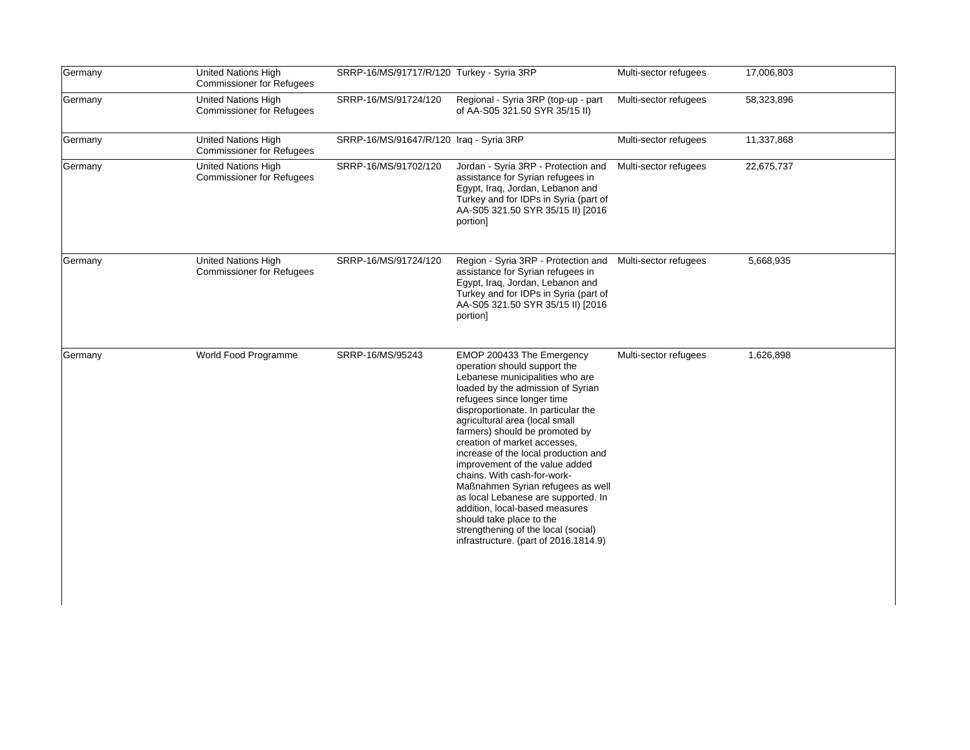| Germany | United Nations High<br><b>Commissioner for Refugees</b>        | SRRP-16/MS/91717/R/120 Turkey - Syria 3RP |                                                                                                                                                                                                                                                                                                                                                                                                                                                                                                                                                                                                                                               | Multi-sector refugees | 17,006,803 |
|---------|----------------------------------------------------------------|-------------------------------------------|-----------------------------------------------------------------------------------------------------------------------------------------------------------------------------------------------------------------------------------------------------------------------------------------------------------------------------------------------------------------------------------------------------------------------------------------------------------------------------------------------------------------------------------------------------------------------------------------------------------------------------------------------|-----------------------|------------|
| Germany | United Nations High<br><b>Commissioner for Refugees</b>        | SRRP-16/MS/91724/120                      | Regional - Syria 3RP (top-up - part<br>of AA-S05 321.50 SYR 35/15 II)                                                                                                                                                                                                                                                                                                                                                                                                                                                                                                                                                                         | Multi-sector refugees | 58,323,896 |
| Germany | United Nations High<br><b>Commissioner for Refugees</b>        | SRRP-16/MS/91647/R/120 Iraq - Syria 3RP   |                                                                                                                                                                                                                                                                                                                                                                                                                                                                                                                                                                                                                                               | Multi-sector refugees | 11,337,868 |
| Germany | <b>United Nations High</b><br><b>Commissioner for Refugees</b> | SRRP-16/MS/91702/120                      | Jordan - Syria 3RP - Protection and<br>assistance for Syrian refugees in<br>Egypt, Iraq, Jordan, Lebanon and<br>Turkey and for IDPs in Syria (part of<br>AA-S05 321.50 SYR 35/15 II) [2016<br>portion]                                                                                                                                                                                                                                                                                                                                                                                                                                        | Multi-sector refugees | 22,675,737 |
| Germany | United Nations High<br><b>Commissioner for Refugees</b>        | SRRP-16/MS/91724/120                      | Region - Syria 3RP - Protection and Multi-sector refugees<br>assistance for Syrian refugees in<br>Egypt, Iraq, Jordan, Lebanon and<br>Turkey and for IDPs in Syria (part of<br>AA-S05 321.50 SYR 35/15 II) [2016<br>portion]                                                                                                                                                                                                                                                                                                                                                                                                                  |                       | 5,668,935  |
| Germany | World Food Programme                                           | SRRP-16/MS/95243                          | EMOP 200433 The Emergency<br>operation should support the<br>Lebanese municipalities who are<br>loaded by the admission of Syrian<br>refugees since longer time<br>disproportionate. In particular the<br>agricultural area (local small<br>farmers) should be promoted by<br>creation of market accesses,<br>increase of the local production and<br>improvement of the value added<br>chains. With cash-for-work-<br>Maßnahmen Syrian refugees as well<br>as local Lebanese are supported. In<br>addition, local-based measures<br>should take place to the<br>strengthening of the local (social)<br>infrastructure. (part of 2016.1814.9) | Multi-sector refugees | 1,626,898  |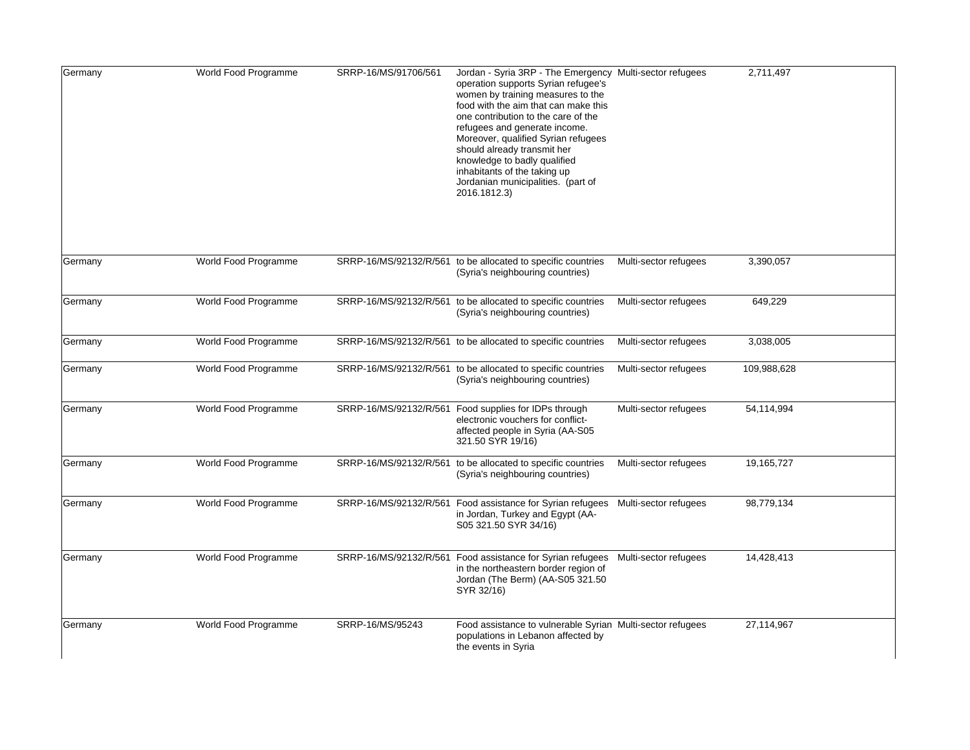| Germany | World Food Programme | SRRP-16/MS/91706/561   | Jordan - Syria 3RP - The Emergency Multi-sector refugees<br>operation supports Syrian refugee's<br>women by training measures to the<br>food with the aim that can make this<br>one contribution to the care of the<br>refugees and generate income.<br>Moreover, qualified Syrian refugees<br>should already transmit her<br>knowledge to badly qualified<br>inhabitants of the taking up<br>Jordanian municipalities. (part of<br>2016.1812.3) |                       | 2,711,497   |
|---------|----------------------|------------------------|--------------------------------------------------------------------------------------------------------------------------------------------------------------------------------------------------------------------------------------------------------------------------------------------------------------------------------------------------------------------------------------------------------------------------------------------------|-----------------------|-------------|
| Germany | World Food Programme |                        | SRRP-16/MS/92132/R/561 to be allocated to specific countries<br>(Syria's neighbouring countries)                                                                                                                                                                                                                                                                                                                                                 | Multi-sector refugees | 3,390,057   |
| Germany | World Food Programme | SRRP-16/MS/92132/R/561 | to be allocated to specific countries<br>(Syria's neighbouring countries)                                                                                                                                                                                                                                                                                                                                                                        | Multi-sector refugees | 649,229     |
| Germany | World Food Programme |                        | SRRP-16/MS/92132/R/561 to be allocated to specific countries                                                                                                                                                                                                                                                                                                                                                                                     | Multi-sector refugees | 3,038,005   |
| Germany | World Food Programme |                        | SRRP-16/MS/92132/R/561 to be allocated to specific countries<br>(Syria's neighbouring countries)                                                                                                                                                                                                                                                                                                                                                 | Multi-sector refugees | 109,988,628 |
| Germany | World Food Programme | SRRP-16/MS/92132/R/561 | Food supplies for IDPs through<br>electronic vouchers for conflict-<br>affected people in Syria (AA-S05<br>321.50 SYR 19/16)                                                                                                                                                                                                                                                                                                                     | Multi-sector refugees | 54,114,994  |
| Germany | World Food Programme | SRRP-16/MS/92132/R/561 | to be allocated to specific countries<br>(Syria's neighbouring countries)                                                                                                                                                                                                                                                                                                                                                                        | Multi-sector refugees | 19,165,727  |
| Germany | World Food Programme | SRRP-16/MS/92132/R/561 | Food assistance for Syrian refugees Multi-sector refugees<br>in Jordan, Turkey and Egypt (AA-<br>S05 321.50 SYR 34/16)                                                                                                                                                                                                                                                                                                                           |                       | 98,779,134  |
| Germany | World Food Programme | SRRP-16/MS/92132/R/561 | Food assistance for Syrian refugees<br>in the northeastern border region of<br>Jordan (The Berm) (AA-S05 321.50<br>SYR 32/16)                                                                                                                                                                                                                                                                                                                    | Multi-sector refugees | 14,428,413  |
| Germany | World Food Programme | SRRP-16/MS/95243       | Food assistance to vulnerable Syrian Multi-sector refugees<br>populations in Lebanon affected by<br>the events in Syria                                                                                                                                                                                                                                                                                                                          |                       | 27,114,967  |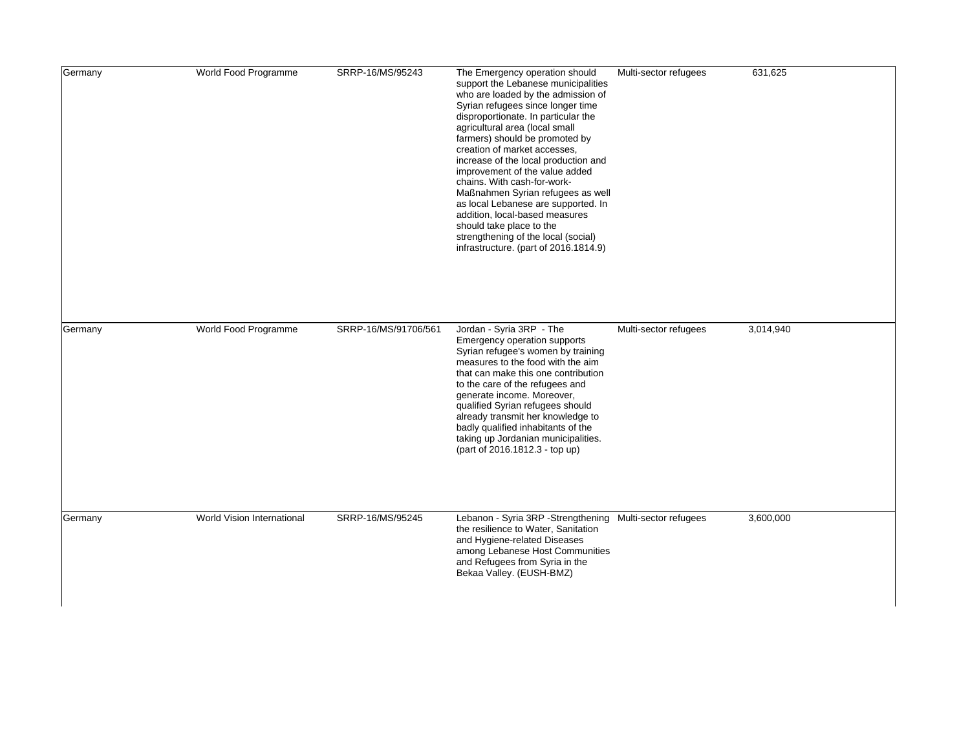| Germany | World Food Programme       | SRRP-16/MS/95243     | The Emergency operation should<br>support the Lebanese municipalities<br>who are loaded by the admission of<br>Syrian refugees since longer time<br>disproportionate. In particular the<br>agricultural area (local small<br>farmers) should be promoted by<br>creation of market accesses,<br>increase of the local production and<br>improvement of the value added<br>chains. With cash-for-work-<br>Maßnahmen Syrian refugees as well<br>as local Lebanese are supported. In<br>addition, local-based measures<br>should take place to the<br>strengthening of the local (social)<br>infrastructure. (part of 2016.1814.9) | Multi-sector refugees | 631,625   |
|---------|----------------------------|----------------------|--------------------------------------------------------------------------------------------------------------------------------------------------------------------------------------------------------------------------------------------------------------------------------------------------------------------------------------------------------------------------------------------------------------------------------------------------------------------------------------------------------------------------------------------------------------------------------------------------------------------------------|-----------------------|-----------|
| Germany | World Food Programme       | SRRP-16/MS/91706/561 | Jordan - Syria 3RP - The<br>Emergency operation supports<br>Syrian refugee's women by training<br>measures to the food with the aim<br>that can make this one contribution<br>to the care of the refugees and<br>generate income. Moreover,<br>qualified Syrian refugees should<br>already transmit her knowledge to<br>badly qualified inhabitants of the<br>taking up Jordanian municipalities.<br>(part of 2016.1812.3 - top up)                                                                                                                                                                                            | Multi-sector refugees | 3,014,940 |
| Germany | World Vision International | SRRP-16/MS/95245     | Lebanon - Syria 3RP - Strengthening Multi-sector refugees<br>the resilience to Water, Sanitation<br>and Hygiene-related Diseases<br>among Lebanese Host Communities<br>and Refugees from Syria in the<br>Bekaa Valley. (EUSH-BMZ)                                                                                                                                                                                                                                                                                                                                                                                              |                       | 3,600,000 |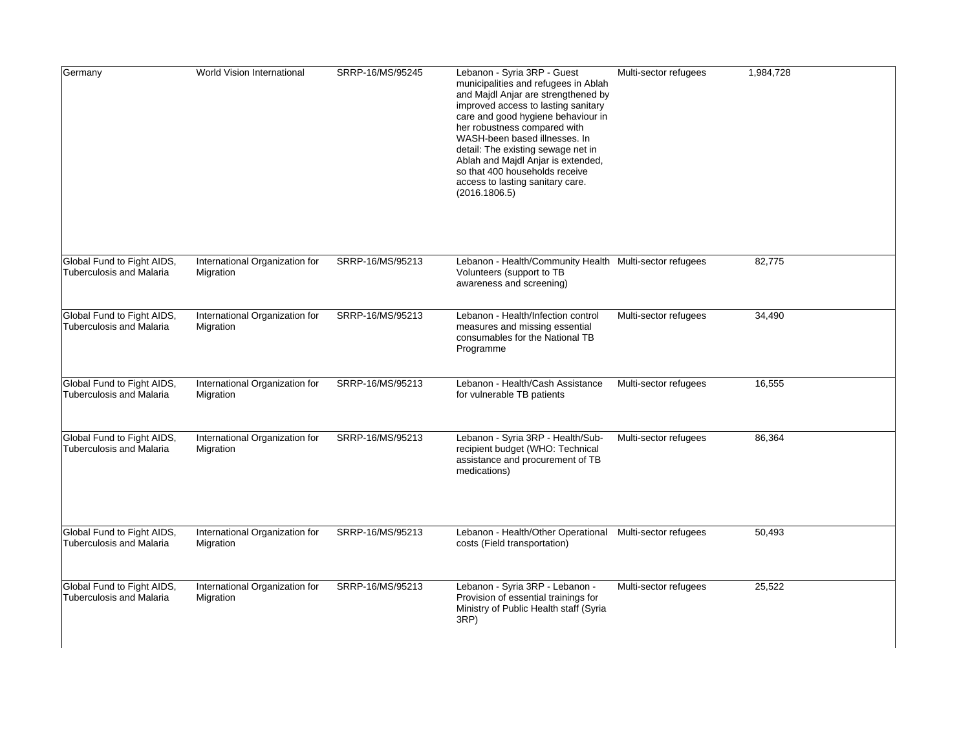| Germany                                                       | World Vision International                  | SRRP-16/MS/95245 | Lebanon - Syria 3RP - Guest<br>municipalities and refugees in Ablah<br>and Majdl Anjar are strengthened by<br>improved access to lasting sanitary<br>care and good hygiene behaviour in<br>her robustness compared with<br>WASH-been based illnesses. In<br>detail: The existing sewage net in<br>Ablah and Majdl Anjar is extended,<br>so that 400 households receive<br>access to lasting sanitary care.<br>(2016.1806.5) | Multi-sector refugees | 1,984,728 |
|---------------------------------------------------------------|---------------------------------------------|------------------|-----------------------------------------------------------------------------------------------------------------------------------------------------------------------------------------------------------------------------------------------------------------------------------------------------------------------------------------------------------------------------------------------------------------------------|-----------------------|-----------|
| Global Fund to Fight AIDS,<br><b>Tuberculosis and Malaria</b> | International Organization for<br>Migration | SRRP-16/MS/95213 | Lebanon - Health/Community Health Multi-sector refugees<br>Volunteers (support to TB<br>awareness and screening)                                                                                                                                                                                                                                                                                                            |                       | 82,775    |
| Global Fund to Fight AIDS,<br><b>Tuberculosis and Malaria</b> | International Organization for<br>Migration | SRRP-16/MS/95213 | Lebanon - Health/Infection control<br>measures and missing essential<br>consumables for the National TB<br>Programme                                                                                                                                                                                                                                                                                                        | Multi-sector refugees | 34,490    |
| Global Fund to Fight AIDS,<br><b>Tuberculosis and Malaria</b> | International Organization for<br>Migration | SRRP-16/MS/95213 | Lebanon - Health/Cash Assistance<br>for vulnerable TB patients                                                                                                                                                                                                                                                                                                                                                              | Multi-sector refugees | 16,555    |
| Global Fund to Fight AIDS,<br><b>Tuberculosis and Malaria</b> | International Organization for<br>Migration | SRRP-16/MS/95213 | Lebanon - Syria 3RP - Health/Sub-<br>recipient budget (WHO: Technical<br>assistance and procurement of TB<br>medications)                                                                                                                                                                                                                                                                                                   | Multi-sector refugees | 86,364    |
| Global Fund to Fight AIDS,<br><b>Tuberculosis and Malaria</b> | International Organization for<br>Migration | SRRP-16/MS/95213 | Lebanon - Health/Other Operational Multi-sector refugees<br>costs (Field transportation)                                                                                                                                                                                                                                                                                                                                    |                       | 50,493    |
| Global Fund to Fight AIDS,<br><b>Tuberculosis and Malaria</b> | International Organization for<br>Migration | SRRP-16/MS/95213 | Lebanon - Syria 3RP - Lebanon -<br>Provision of essential trainings for<br>Ministry of Public Health staff (Syria<br>3RP)                                                                                                                                                                                                                                                                                                   | Multi-sector refugees | 25,522    |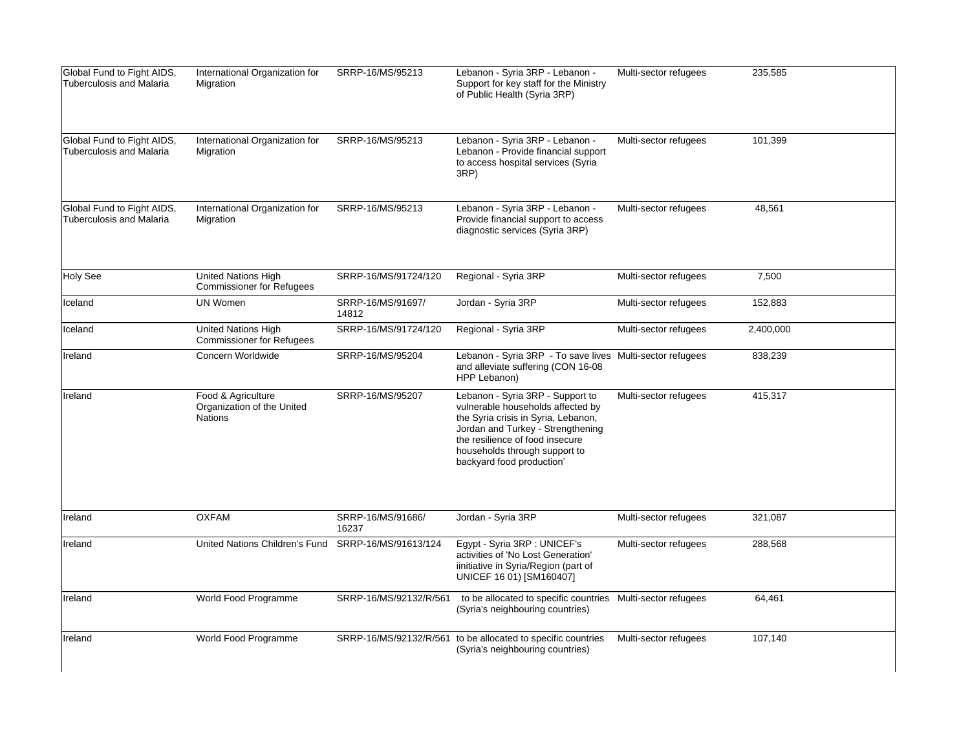| Global Fund to Fight AIDS,<br><b>Tuberculosis and Malaria</b> | International Organization for<br>Migration                        | SRRP-16/MS/95213           | Lebanon - Syria 3RP - Lebanon -<br>Support for key staff for the Ministry<br>of Public Health (Syria 3RP)                                                                                                                                          | Multi-sector refugees | 235,585   |
|---------------------------------------------------------------|--------------------------------------------------------------------|----------------------------|----------------------------------------------------------------------------------------------------------------------------------------------------------------------------------------------------------------------------------------------------|-----------------------|-----------|
| Global Fund to Fight AIDS,<br><b>Tuberculosis and Malaria</b> | International Organization for<br>Migration                        | SRRP-16/MS/95213           | Lebanon - Syria 3RP - Lebanon -<br>Lebanon - Provide financial support<br>to access hospital services (Syria<br>3RP)                                                                                                                               | Multi-sector refugees | 101,399   |
| Global Fund to Fight AIDS,<br><b>Tuberculosis and Malaria</b> | International Organization for<br>Migration                        | SRRP-16/MS/95213           | Lebanon - Syria 3RP - Lebanon -<br>Provide financial support to access<br>diagnostic services (Syria 3RP)                                                                                                                                          | Multi-sector refugees | 48,561    |
| Holy See                                                      | <b>United Nations High</b><br><b>Commissioner for Refugees</b>     | SRRP-16/MS/91724/120       | Regional - Syria 3RP                                                                                                                                                                                                                               | Multi-sector refugees | 7,500     |
| Iceland                                                       | <b>UN Women</b>                                                    | SRRP-16/MS/91697/<br>14812 | Jordan - Syria 3RP                                                                                                                                                                                                                                 | Multi-sector refugees | 152,883   |
| Iceland                                                       | <b>United Nations High</b><br><b>Commissioner for Refugees</b>     | SRRP-16/MS/91724/120       | Regional - Syria 3RP                                                                                                                                                                                                                               | Multi-sector refugees | 2,400,000 |
| Ireland                                                       | Concern Worldwide                                                  | SRRP-16/MS/95204           | Lebanon - Syria 3RP - To save lives Multi-sector refugees<br>and alleviate suffering (CON 16-08<br>HPP Lebanon)                                                                                                                                    |                       | 838,239   |
| lIreland                                                      | Food & Agriculture<br>Organization of the United<br><b>Nations</b> | SRRP-16/MS/95207           | Lebanon - Syria 3RP - Support to<br>vulnerable households affected by<br>the Syria crisis in Syria, Lebanon,<br>Jordan and Turkey - Strengthening<br>the resilience of food insecure<br>households through support to<br>backyard food production' | Multi-sector refugees | 415,317   |
| Ireland                                                       | <b>OXFAM</b>                                                       | SRRP-16/MS/91686/<br>16237 | Jordan - Syria 3RP                                                                                                                                                                                                                                 | Multi-sector refugees | 321,087   |
| Ireland                                                       | United Nations Children's Fund                                     | SRRP-16/MS/91613/124       | Egypt - Syria 3RP : UNICEF's<br>activities of 'No Lost Generation'<br>iinitiative in Syria/Region (part of<br>UNICEF 16 01) [SM160407]                                                                                                             | Multi-sector refugees | 288,568   |
| Ireland                                                       | World Food Programme                                               | SRRP-16/MS/92132/R/561     | to be allocated to specific countries  Multi-sector refugees<br>(Syria's neighbouring countries)                                                                                                                                                   |                       | 64,461    |
| Ireland                                                       | World Food Programme                                               |                            | SRRP-16/MS/92132/R/561 to be allocated to specific countries<br>(Syria's neighbouring countries)                                                                                                                                                   | Multi-sector refugees | 107,140   |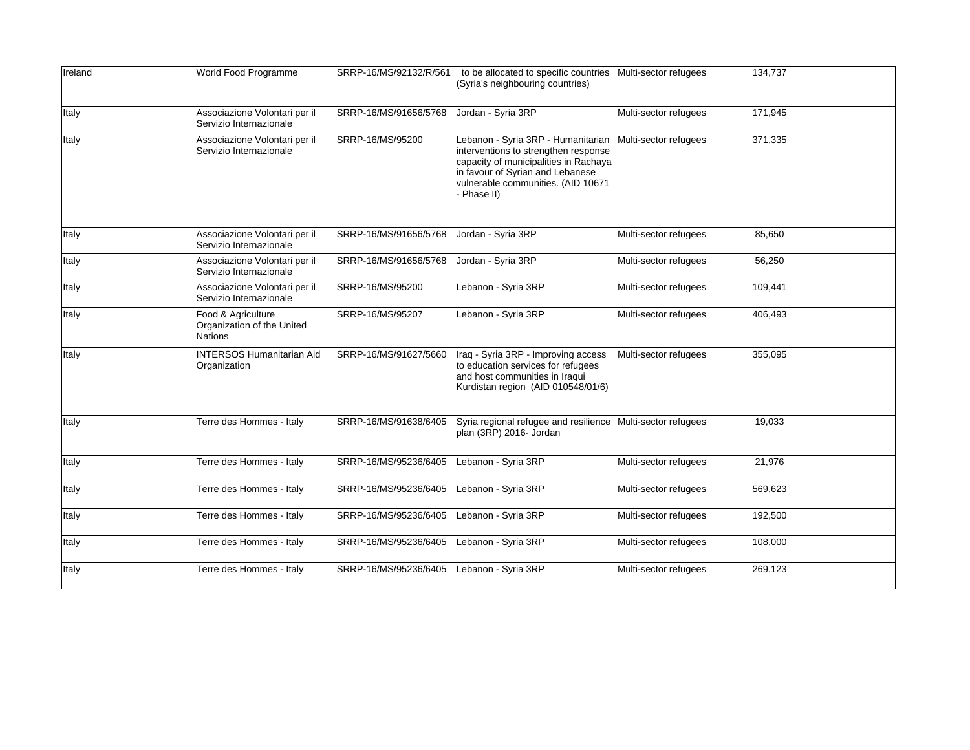| Ireland      | World Food Programme                                               | SRRP-16/MS/92132/R/561 | to be allocated to specific countries Multi-sector refugees<br>(Syria's neighbouring countries)                                                                                                              |                       | 134,737 |
|--------------|--------------------------------------------------------------------|------------------------|--------------------------------------------------------------------------------------------------------------------------------------------------------------------------------------------------------------|-----------------------|---------|
| <b>Italy</b> | Associazione Volontari per il<br>Servizio Internazionale           | SRRP-16/MS/91656/5768  | Jordan - Syria 3RP                                                                                                                                                                                           | Multi-sector refugees | 171,945 |
| <b>Italy</b> | Associazione Volontari per il<br>Servizio Internazionale           | SRRP-16/MS/95200       | Lebanon - Syria 3RP - Humanitarian<br>interventions to strengthen response<br>capacity of municipalities in Rachaya<br>in favour of Syrian and Lebanese<br>vulnerable communities. (AID 10671<br>- Phase II) | Multi-sector refugees | 371,335 |
| <b>Italy</b> | Associazione Volontari per il<br>Servizio Internazionale           | SRRP-16/MS/91656/5768  | Jordan - Syria 3RP                                                                                                                                                                                           | Multi-sector refugees | 85,650  |
| <b>Italy</b> | Associazione Volontari per il<br>Servizio Internazionale           | SRRP-16/MS/91656/5768  | Jordan - Syria 3RP                                                                                                                                                                                           | Multi-sector refugees | 56,250  |
| <b>Italy</b> | Associazione Volontari per il<br>Servizio Internazionale           | SRRP-16/MS/95200       | Lebanon - Syria 3RP                                                                                                                                                                                          | Multi-sector refugees | 109,441 |
| <b>Italy</b> | Food & Agriculture<br>Organization of the United<br><b>Nations</b> | SRRP-16/MS/95207       | Lebanon - Syria 3RP                                                                                                                                                                                          | Multi-sector refugees | 406,493 |
| <b>Italy</b> | <b>INTERSOS Humanitarian Aid</b><br>Organization                   | SRRP-16/MS/91627/5660  | Iraq - Syria 3RP - Improving access<br>to education services for refugees<br>and host communities in Iraqui<br>Kurdistan region (AID 010548/01/6)                                                            | Multi-sector refugees | 355,095 |
| <b>Italy</b> | Terre des Hommes - Italy                                           | SRRP-16/MS/91638/6405  | Syria regional refugee and resilience Multi-sector refugees<br>plan (3RP) 2016- Jordan                                                                                                                       |                       | 19,033  |
| <b>Italy</b> | Terre des Hommes - Italy                                           | SRRP-16/MS/95236/6405  | Lebanon - Syria 3RP                                                                                                                                                                                          | Multi-sector refugees | 21,976  |
| <b>Italy</b> | Terre des Hommes - Italy                                           | SRRP-16/MS/95236/6405  | Lebanon - Syria 3RP                                                                                                                                                                                          | Multi-sector refugees | 569,623 |
| <b>Italy</b> | Terre des Hommes - Italy                                           | SRRP-16/MS/95236/6405  | Lebanon - Syria 3RP                                                                                                                                                                                          | Multi-sector refugees | 192,500 |
| Italy        | Terre des Hommes - Italy                                           | SRRP-16/MS/95236/6405  | Lebanon - Syria 3RP                                                                                                                                                                                          | Multi-sector refugees | 108,000 |
| <b>Italy</b> | Terre des Hommes - Italy                                           | SRRP-16/MS/95236/6405  | Lebanon - Syria 3RP                                                                                                                                                                                          | Multi-sector refugees | 269,123 |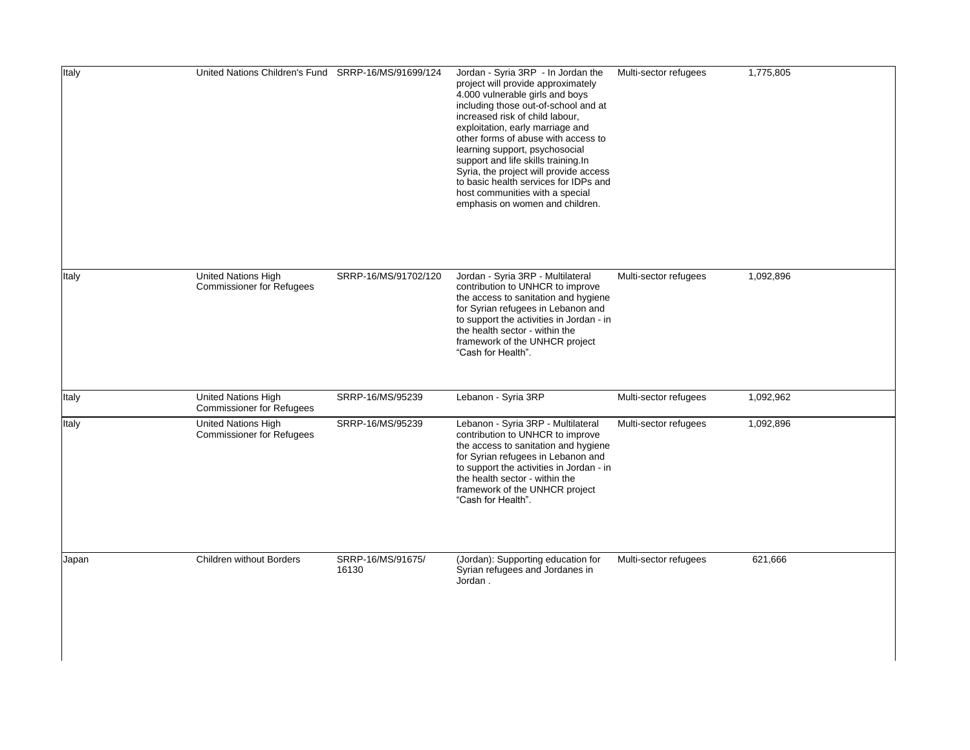| <b>Italy</b> | United Nations Children's Fund SRRP-16/MS/91699/124     |                            | Jordan - Syria 3RP - In Jordan the<br>project will provide approximately<br>4.000 vulnerable girls and boys<br>including those out-of-school and at<br>increased risk of child labour,<br>exploitation, early marriage and<br>other forms of abuse with access to<br>learning support, psychosocial<br>support and life skills training.In<br>Syria, the project will provide access<br>to basic health services for IDPs and<br>host communities with a special<br>emphasis on women and children. | Multi-sector refugees | 1,775,805 |
|--------------|---------------------------------------------------------|----------------------------|-----------------------------------------------------------------------------------------------------------------------------------------------------------------------------------------------------------------------------------------------------------------------------------------------------------------------------------------------------------------------------------------------------------------------------------------------------------------------------------------------------|-----------------------|-----------|
| Italy        | United Nations High<br><b>Commissioner for Refugees</b> | SRRP-16/MS/91702/120       | Jordan - Syria 3RP - Multilateral<br>contribution to UNHCR to improve<br>the access to sanitation and hygiene<br>for Syrian refugees in Lebanon and<br>to support the activities in Jordan - in<br>the health sector - within the<br>framework of the UNHCR project<br>"Cash for Health".                                                                                                                                                                                                           | Multi-sector refugees | 1,092,896 |
| Italy        | United Nations High<br><b>Commissioner for Refugees</b> | SRRP-16/MS/95239           | Lebanon - Syria 3RP                                                                                                                                                                                                                                                                                                                                                                                                                                                                                 | Multi-sector refugees | 1,092,962 |
| Italy        | United Nations High<br><b>Commissioner for Refugees</b> | SRRP-16/MS/95239           | Lebanon - Syria 3RP - Multilateral<br>contribution to UNHCR to improve<br>the access to sanitation and hygiene<br>for Syrian refugees in Lebanon and<br>to support the activities in Jordan - in<br>the health sector - within the<br>framework of the UNHCR project<br>"Cash for Health".                                                                                                                                                                                                          | Multi-sector refugees | 1,092,896 |
| Japan        | Children without Borders                                | SRRP-16/MS/91675/<br>16130 | (Jordan): Supporting education for<br>Syrian refugees and Jordanes in<br>Jordan.                                                                                                                                                                                                                                                                                                                                                                                                                    | Multi-sector refugees | 621,666   |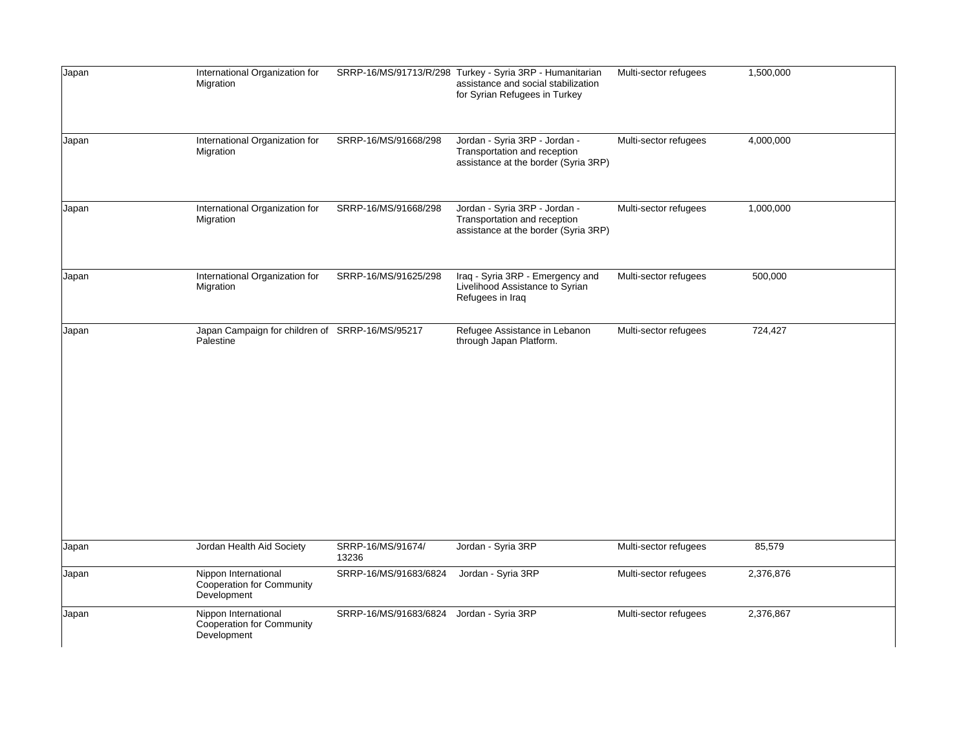| Japan | International Organization for<br>Migration                             |                                          | SRRP-16/MS/91713/R/298 Turkey - Syria 3RP - Humanitarian<br>assistance and social stabilization<br>for Syrian Refugees in Turkey | Multi-sector refugees | 1,500,000 |
|-------|-------------------------------------------------------------------------|------------------------------------------|----------------------------------------------------------------------------------------------------------------------------------|-----------------------|-----------|
| Japan | International Organization for<br>Migration                             | SRRP-16/MS/91668/298                     | Jordan - Syria 3RP - Jordan -<br>Transportation and reception<br>assistance at the border (Syria 3RP)                            | Multi-sector refugees | 4,000,000 |
| Japan | International Organization for<br>Migration                             | SRRP-16/MS/91668/298                     | Jordan - Syria 3RP - Jordan -<br>Transportation and reception<br>assistance at the border (Syria 3RP)                            | Multi-sector refugees | 1,000,000 |
| Japan | International Organization for<br>Migration                             | SRRP-16/MS/91625/298                     | Iraq - Syria 3RP - Emergency and<br>Livelihood Assistance to Syrian<br>Refugees in Iraq                                          | Multi-sector refugees | 500,000   |
| Japan | Japan Campaign for children of SRRP-16/MS/95217<br>Palestine            |                                          | Refugee Assistance in Lebanon<br>through Japan Platform.                                                                         | Multi-sector refugees | 724,427   |
| Japan | Jordan Health Aid Society                                               | SRRP-16/MS/91674/<br>13236               | Jordan - Syria 3RP                                                                                                               | Multi-sector refugees | 85,579    |
| Japan | Nippon International<br><b>Cooperation for Community</b><br>Development | SRRP-16/MS/91683/6824                    | Jordan - Syria 3RP                                                                                                               | Multi-sector refugees | 2,376,876 |
| Japan | Nippon International<br><b>Cooperation for Community</b><br>Development | SRRP-16/MS/91683/6824 Jordan - Syria 3RP |                                                                                                                                  | Multi-sector refugees | 2,376,867 |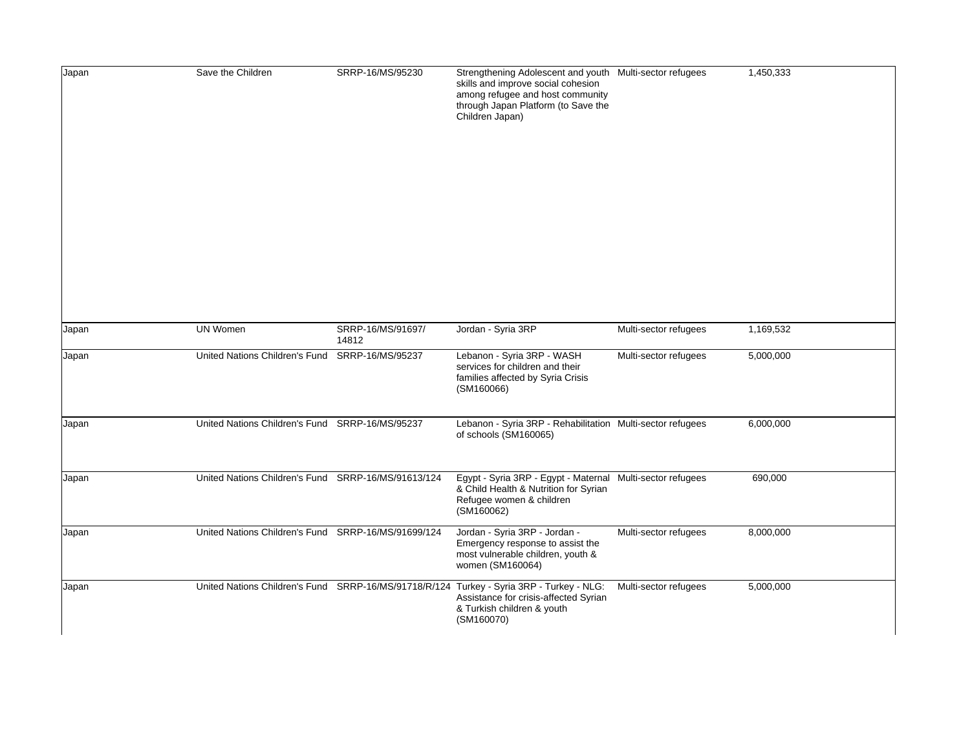| Japan          | Save the Children                                                  | SRRP-16/MS/95230           | Strengthening Adolescent and youth Multi-sector refugees<br>skills and improve social cohesion<br>among refugee and host community<br>through Japan Platform (to Save the<br>Children Japan) |                                                | 1,450,333              |
|----------------|--------------------------------------------------------------------|----------------------------|----------------------------------------------------------------------------------------------------------------------------------------------------------------------------------------------|------------------------------------------------|------------------------|
| Japan<br>Japan | <b>UN Women</b><br>United Nations Children's Fund SRRP-16/MS/95237 | SRRP-16/MS/91697/<br>14812 | Jordan - Syria 3RP<br>Lebanon - Syria 3RP - WASH                                                                                                                                             | Multi-sector refugees<br>Multi-sector refugees | 1,169,532<br>5,000,000 |
| Japan          | United Nations Children's Fund SRRP-16/MS/95237                    |                            | services for children and their<br>families affected by Syria Crisis<br>(SM160066)<br>Lebanon - Syria 3RP - Rehabilitation Multi-sector refugees<br>of schools (SM160065)                    |                                                | 6,000,000              |
| Japan          | United Nations Children's Fund SRRP-16/MS/91613/124                |                            | Egypt - Syria 3RP - Egypt - Maternal Multi-sector refugees<br>& Child Health & Nutrition for Syrian<br>Refugee women & children<br>(SM160062)                                                |                                                | 690,000                |
| Japan          | United Nations Children's Fund SRRP-16/MS/91699/124                |                            | Jordan - Syria 3RP - Jordan -<br>Emergency response to assist the<br>most vulnerable children, youth &<br>women (SM160064)                                                                   | Multi-sector refugees                          | 8,000,000              |
| Japan          |                                                                    |                            | United Nations Children's Fund SRRP-16/MS/91718/R/124 Turkey - Syria 3RP - Turkey - NLG:<br>Assistance for crisis-affected Syrian<br>& Turkish children & youth<br>(SM160070)                | Multi-sector refugees                          | 5,000,000              |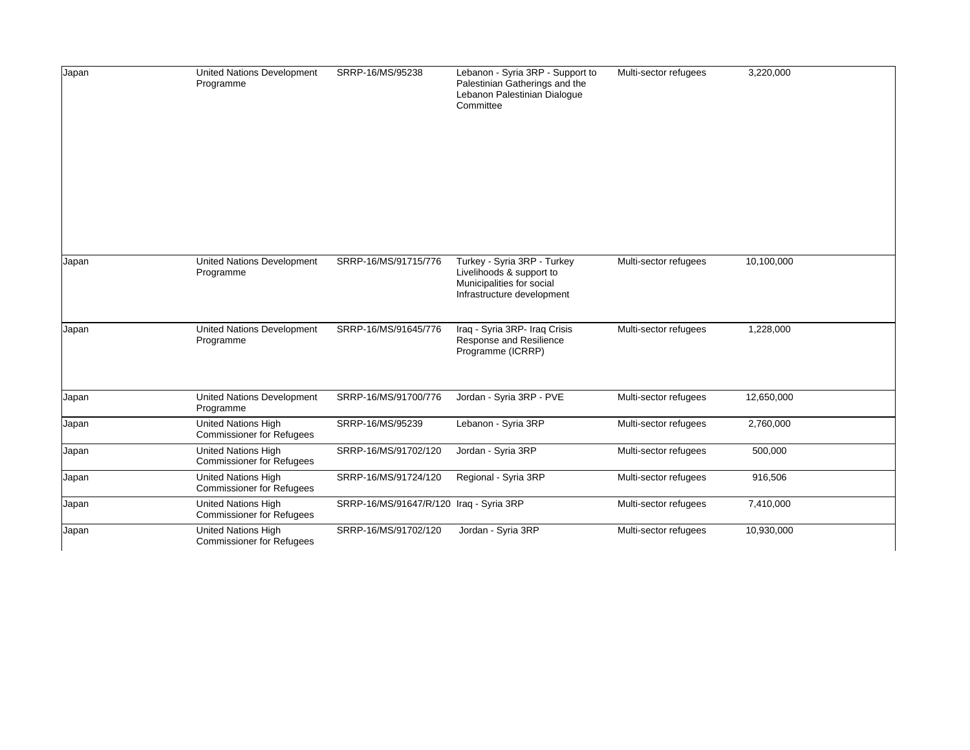| Japan | <b>United Nations Development</b><br>Programme                 | SRRP-16/MS/95238                        | Lebanon - Syria 3RP - Support to<br>Palestinian Gatherings and the<br>Lebanon Palestinian Dialogue<br>Committee    | Multi-sector refugees | 3,220,000  |
|-------|----------------------------------------------------------------|-----------------------------------------|--------------------------------------------------------------------------------------------------------------------|-----------------------|------------|
|       |                                                                |                                         |                                                                                                                    |                       |            |
| Japan | <b>United Nations Development</b><br>Programme                 | SRRP-16/MS/91715/776                    | Turkey - Syria 3RP - Turkey<br>Livelihoods & support to<br>Municipalities for social<br>Infrastructure development | Multi-sector refugees | 10,100,000 |
| Japan | <b>United Nations Development</b><br>Programme                 | SRRP-16/MS/91645/776                    | Iraq - Syria 3RP- Iraq Crisis<br>Response and Resilience<br>Programme (ICRRP)                                      | Multi-sector refugees | 1,228,000  |
| Japan | <b>United Nations Development</b><br>Programme                 | SRRP-16/MS/91700/776                    | Jordan - Syria 3RP - PVE                                                                                           | Multi-sector refugees | 12,650,000 |
| Japan | United Nations High<br><b>Commissioner for Refugees</b>        | SRRP-16/MS/95239                        | Lebanon - Syria 3RP                                                                                                | Multi-sector refugees | 2,760,000  |
| Japan | United Nations High<br><b>Commissioner for Refugees</b>        | SRRP-16/MS/91702/120                    | Jordan - Syria 3RP                                                                                                 | Multi-sector refugees | 500,000    |
| Japan | <b>United Nations High</b><br><b>Commissioner for Refugees</b> | SRRP-16/MS/91724/120                    | Regional - Syria 3RP                                                                                               | Multi-sector refugees | 916,506    |
| Japan | <b>United Nations High</b><br><b>Commissioner for Refugees</b> | SRRP-16/MS/91647/R/120 Iraq - Syria 3RP |                                                                                                                    | Multi-sector refugees | 7,410,000  |
| Japan | United Nations High<br><b>Commissioner for Refugees</b>        | SRRP-16/MS/91702/120                    | Jordan - Syria 3RP                                                                                                 | Multi-sector refugees | 10,930,000 |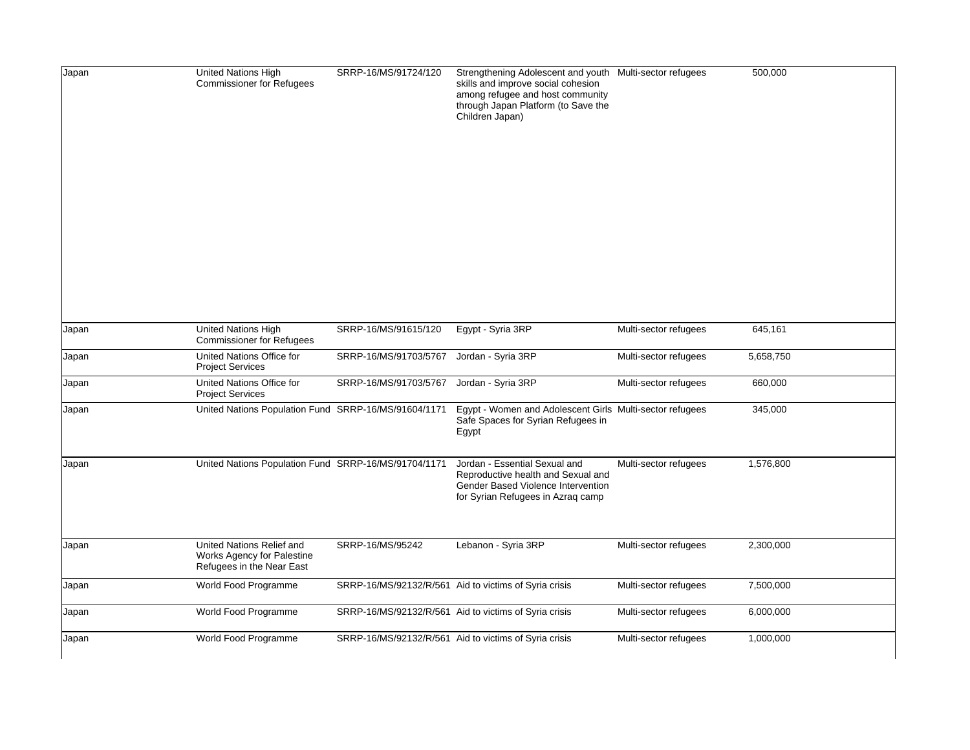| Japan | United Nations High<br><b>Commissioner for Refugees</b>                              | SRRP-16/MS/91724/120  | Strengthening Adolescent and youth Multi-sector refugees<br>skills and improve social cohesion<br>among refugee and host community<br>through Japan Platform (to Save the<br>Children Japan) |                       | 500,000   |
|-------|--------------------------------------------------------------------------------------|-----------------------|----------------------------------------------------------------------------------------------------------------------------------------------------------------------------------------------|-----------------------|-----------|
| Japan | United Nations High<br><b>Commissioner for Refugees</b>                              | SRRP-16/MS/91615/120  | Egypt - Syria 3RP                                                                                                                                                                            | Multi-sector refugees | 645,161   |
| Japan | United Nations Office for<br><b>Project Services</b>                                 | SRRP-16/MS/91703/5767 | Jordan - Syria 3RP                                                                                                                                                                           | Multi-sector refugees | 5,658,750 |
| Japan | United Nations Office for<br><b>Project Services</b>                                 | SRRP-16/MS/91703/5767 | Jordan - Syria 3RP                                                                                                                                                                           | Multi-sector refugees | 660,000   |
| Japan | United Nations Population Fund SRRP-16/MS/91604/1171                                 |                       | Egypt - Women and Adolescent Girls Multi-sector refugees<br>Safe Spaces for Syrian Refugees in<br>Egypt                                                                                      |                       | 345,000   |
| Japan | United Nations Population Fund SRRP-16/MS/91704/1171                                 |                       | Jordan - Essential Sexual and<br>Reproductive health and Sexual and<br>Gender Based Violence Intervention<br>for Syrian Refugees in Azraq camp                                               | Multi-sector refugees | 1,576,800 |
| Japan | United Nations Relief and<br>Works Agency for Palestine<br>Refugees in the Near East | SRRP-16/MS/95242      | Lebanon - Syria 3RP                                                                                                                                                                          | Multi-sector refugees | 2,300,000 |
| Japan | World Food Programme                                                                 |                       | SRRP-16/MS/92132/R/561 Aid to victims of Syria crisis                                                                                                                                        | Multi-sector refugees | 7,500,000 |
| Japan | World Food Programme                                                                 |                       | SRRP-16/MS/92132/R/561 Aid to victims of Syria crisis                                                                                                                                        | Multi-sector refugees | 6,000,000 |
| Japan | World Food Programme                                                                 |                       | SRRP-16/MS/92132/R/561 Aid to victims of Syria crisis                                                                                                                                        | Multi-sector refugees | 1,000,000 |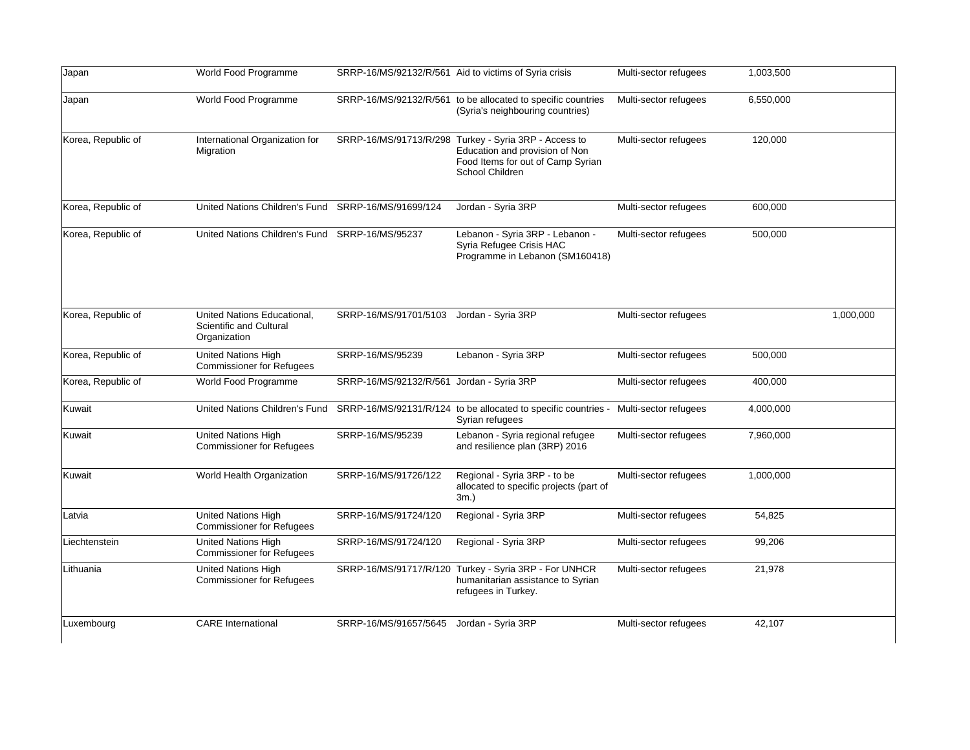| Japan              | World Food Programme                                                   |                                           | SRRP-16/MS/92132/R/561 Aid to victims of Syria crisis                                                                                           | Multi-sector refugees | 1,003,500 |           |
|--------------------|------------------------------------------------------------------------|-------------------------------------------|-------------------------------------------------------------------------------------------------------------------------------------------------|-----------------------|-----------|-----------|
| Japan              | World Food Programme                                                   |                                           | SRRP-16/MS/92132/R/561 to be allocated to specific countries<br>(Syria's neighbouring countries)                                                | Multi-sector refugees | 6,550,000 |           |
| Korea, Republic of | International Organization for<br>Migration                            |                                           | SRRP-16/MS/91713/R/298 Turkey - Syria 3RP - Access to<br>Education and provision of Non<br>Food Items for out of Camp Syrian<br>School Children | Multi-sector refugees | 120,000   |           |
| Korea, Republic of | United Nations Children's Fund SRRP-16/MS/91699/124                    |                                           | Jordan - Syria 3RP                                                                                                                              | Multi-sector refugees | 600,000   |           |
| Korea, Republic of | United Nations Children's Fund                                         | SRRP-16/MS/95237                          | Lebanon - Syria 3RP - Lebanon -<br>Syria Refugee Crisis HAC<br>Programme in Lebanon (SM160418)                                                  | Multi-sector refugees | 500,000   |           |
| Korea, Republic of | United Nations Educational.<br>Scientific and Cultural<br>Organization | SRRP-16/MS/91701/5103                     | Jordan - Syria 3RP                                                                                                                              | Multi-sector refugees |           | 1,000,000 |
| Korea, Republic of | <b>United Nations High</b><br><b>Commissioner for Refugees</b>         | SRRP-16/MS/95239                          | Lebanon - Syria 3RP                                                                                                                             | Multi-sector refugees | 500,000   |           |
| Korea, Republic of | World Food Programme                                                   | SRRP-16/MS/92132/R/561 Jordan - Syria 3RP |                                                                                                                                                 | Multi-sector refugees | 400,000   |           |
| Kuwait             | United Nations Children's Fund                                         |                                           | SRRP-16/MS/92131/R/124 to be allocated to specific countries -<br>Syrian refugees                                                               | Multi-sector refugees | 4,000,000 |           |
| Kuwait             | <b>United Nations High</b><br><b>Commissioner for Refugees</b>         | SRRP-16/MS/95239                          | Lebanon - Syria regional refugee<br>and resilience plan (3RP) 2016                                                                              | Multi-sector refugees | 7,960,000 |           |
| Kuwait             | World Health Organization                                              | SRRP-16/MS/91726/122                      | Regional - Syria 3RP - to be<br>allocated to specific projects (part of<br>$3m.$ )                                                              | Multi-sector refugees | 1,000,000 |           |
| Latvia             | United Nations High<br><b>Commissioner for Refugees</b>                | SRRP-16/MS/91724/120                      | Regional - Syria 3RP                                                                                                                            | Multi-sector refugees | 54,825    |           |
| Liechtenstein      | <b>United Nations High</b><br><b>Commissioner for Refugees</b>         | SRRP-16/MS/91724/120                      | Regional - Syria 3RP                                                                                                                            | Multi-sector refugees | 99,206    |           |
| Lithuania          | <b>United Nations High</b><br><b>Commissioner for Refugees</b>         | SRRP-16/MS/91717/R/120                    | Turkey - Syria 3RP - For UNHCR<br>humanitarian assistance to Syrian<br>refugees in Turkey.                                                      | Multi-sector refugees | 21,978    |           |
| Luxembourg         | <b>CARE</b> International                                              | SRRP-16/MS/91657/5645                     | Jordan - Syria 3RP                                                                                                                              | Multi-sector refugees | 42,107    |           |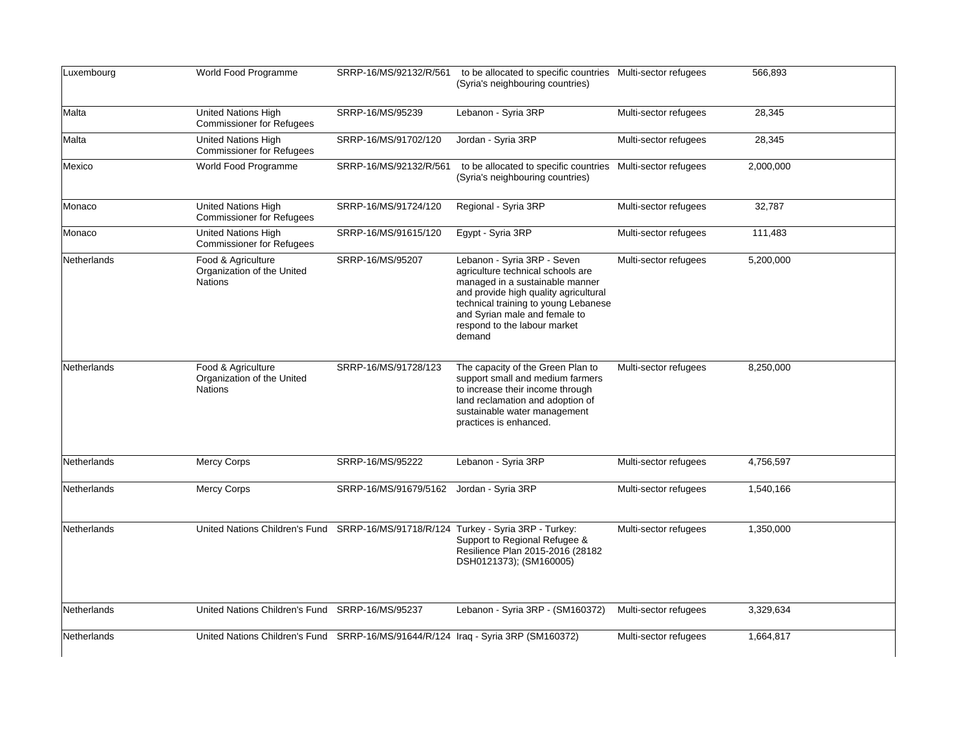| Luxembourg  | World Food Programme                                                              |                        | SRRP-16/MS/92132/R/561 to be allocated to specific countries Multi-sector refugees<br>(Syria's neighbouring countries)                                                                                                                                          |                       | 566,893   |
|-------------|-----------------------------------------------------------------------------------|------------------------|-----------------------------------------------------------------------------------------------------------------------------------------------------------------------------------------------------------------------------------------------------------------|-----------------------|-----------|
| Malta       | United Nations High<br><b>Commissioner for Refugees</b>                           | SRRP-16/MS/95239       | Lebanon - Syria 3RP                                                                                                                                                                                                                                             | Multi-sector refugees | 28,345    |
| Malta       | <b>United Nations High</b><br><b>Commissioner for Refugees</b>                    | SRRP-16/MS/91702/120   | Jordan - Syria 3RP                                                                                                                                                                                                                                              | Multi-sector refugees | 28,345    |
| Mexico      | World Food Programme                                                              | SRRP-16/MS/92132/R/561 | to be allocated to specific countries Multi-sector refugees<br>(Syria's neighbouring countries)                                                                                                                                                                 |                       | 2,000,000 |
| Monaco      | <b>United Nations High</b><br><b>Commissioner for Refugees</b>                    | SRRP-16/MS/91724/120   | Regional - Syria 3RP                                                                                                                                                                                                                                            | Multi-sector refugees | 32,787    |
| Monaco      | United Nations High<br><b>Commissioner for Refugees</b>                           | SRRP-16/MS/91615/120   | Egypt - Syria 3RP                                                                                                                                                                                                                                               | Multi-sector refugees | 111,483   |
| Netherlands | Food & Agriculture<br>Organization of the United<br><b>Nations</b>                | SRRP-16/MS/95207       | Lebanon - Syria 3RP - Seven<br>agriculture technical schools are<br>managed in a sustainable manner<br>and provide high quality agricultural<br>technical training to young Lebanese<br>and Syrian male and female to<br>respond to the labour market<br>demand | Multi-sector refugees | 5,200,000 |
| Netherlands | Food & Agriculture<br>Organization of the United<br><b>Nations</b>                | SRRP-16/MS/91728/123   | The capacity of the Green Plan to<br>support small and medium farmers<br>to increase their income through<br>land reclamation and adoption of<br>sustainable water management<br>practices is enhanced.                                                         | Multi-sector refugees | 8,250,000 |
| Netherlands | <b>Mercy Corps</b>                                                                | SRRP-16/MS/95222       | Lebanon - Syria 3RP                                                                                                                                                                                                                                             | Multi-sector refugees | 4,756,597 |
| Netherlands | Mercy Corps                                                                       | SRRP-16/MS/91679/5162  | Jordan - Syria 3RP                                                                                                                                                                                                                                              | Multi-sector refugees | 1,540,166 |
| Netherlands | United Nations Children's Fund                                                    |                        | SRRP-16/MS/91718/R/124 Turkey - Syria 3RP - Turkey:<br>Support to Regional Refugee &<br>Resilience Plan 2015-2016 (28182<br>DSH0121373); (SM160005)                                                                                                             | Multi-sector refugees | 1,350,000 |
| Netherlands | United Nations Children's Fund SRRP-16/MS/95237                                   |                        | Lebanon - Syria 3RP - (SM160372)                                                                                                                                                                                                                                | Multi-sector refugees | 3,329,634 |
| Netherlands | United Nations Children's Fund SRRP-16/MS/91644/R/124 Iraq - Syria 3RP (SM160372) |                        |                                                                                                                                                                                                                                                                 | Multi-sector refugees | 1,664,817 |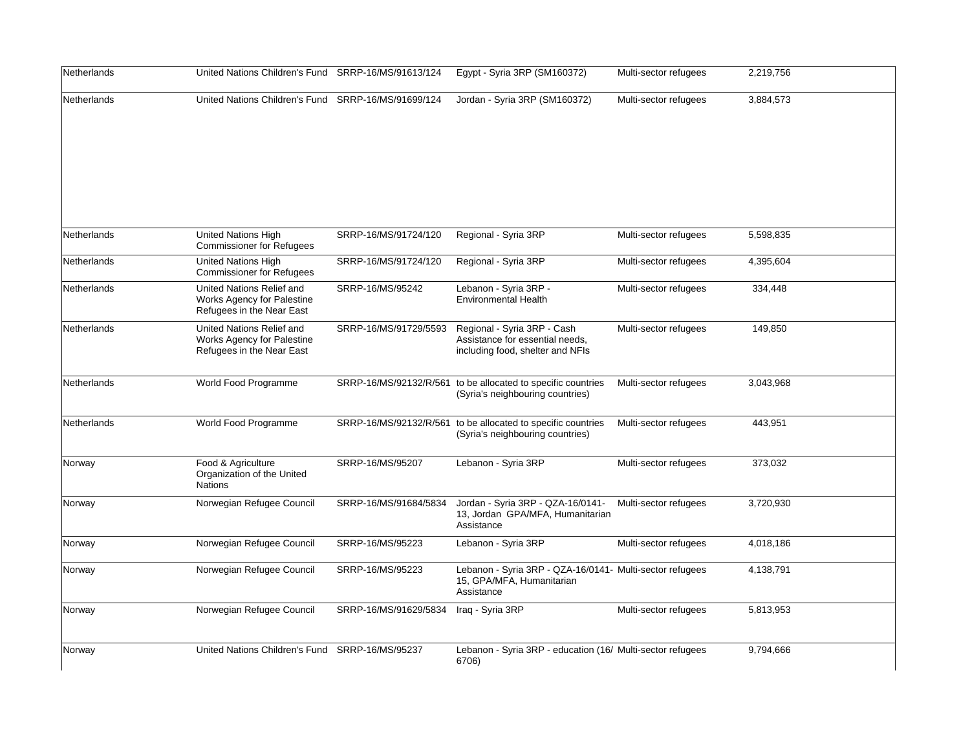| Netherlands        | United Nations Children's Fund SRRP-16/MS/91613/124                                  |                       | Egypt - Syria 3RP (SM160372)                                                                        | Multi-sector refugees | 2,219,756 |
|--------------------|--------------------------------------------------------------------------------------|-----------------------|-----------------------------------------------------------------------------------------------------|-----------------------|-----------|
| Netherlands        | United Nations Children's Fund SRRP-16/MS/91699/124                                  |                       | Jordan - Syria 3RP (SM160372)                                                                       | Multi-sector refugees | 3,884,573 |
| Netherlands        | <b>United Nations High</b><br><b>Commissioner for Refugees</b>                       | SRRP-16/MS/91724/120  | Regional - Syria 3RP                                                                                | Multi-sector refugees | 5,598,835 |
| <b>Netherlands</b> | <b>United Nations High</b><br><b>Commissioner for Refugees</b>                       | SRRP-16/MS/91724/120  | Regional - Syria 3RP                                                                                | Multi-sector refugees | 4,395,604 |
| Netherlands        | United Nations Relief and<br>Works Agency for Palestine<br>Refugees in the Near East | SRRP-16/MS/95242      | Lebanon - Syria 3RP -<br><b>Environmental Health</b>                                                | Multi-sector refugees | 334,448   |
| <b>Netherlands</b> | United Nations Relief and<br>Works Agency for Palestine<br>Refugees in the Near East | SRRP-16/MS/91729/5593 | Regional - Syria 3RP - Cash<br>Assistance for essential needs.<br>including food, shelter and NFIs  | Multi-sector refugees | 149,850   |
| Netherlands        | World Food Programme                                                                 |                       | SRRP-16/MS/92132/R/561 to be allocated to specific countries<br>(Syria's neighbouring countries)    | Multi-sector refugees | 3,043,968 |
| Netherlands        | World Food Programme                                                                 |                       | SRRP-16/MS/92132/R/561 to be allocated to specific countries<br>(Syria's neighbouring countries)    | Multi-sector refugees | 443,951   |
| Norway             | Food & Agriculture<br>Organization of the United<br>Nations                          | SRRP-16/MS/95207      | Lebanon - Syria 3RP                                                                                 | Multi-sector refugees | 373,032   |
| Norway             | Norwegian Refugee Council                                                            | SRRP-16/MS/91684/5834 | Jordan - Syria 3RP - QZA-16/0141-<br>13, Jordan GPA/MFA, Humanitarian<br>Assistance                 | Multi-sector refugees | 3,720,930 |
| Norway             | Norwegian Refugee Council                                                            | SRRP-16/MS/95223      | Lebanon - Syria 3RP                                                                                 | Multi-sector refugees | 4,018,186 |
| Norway             | Norwegian Refugee Council                                                            | SRRP-16/MS/95223      | Lebanon - Syria 3RP - QZA-16/0141- Multi-sector refugees<br>15, GPA/MFA, Humanitarian<br>Assistance |                       | 4,138,791 |
| Norway             | Norwegian Refugee Council                                                            | SRRP-16/MS/91629/5834 | Iraq - Syria 3RP                                                                                    | Multi-sector refugees | 5,813,953 |
| Norway             | United Nations Children's Fund SRRP-16/MS/95237                                      |                       | Lebanon - Syria 3RP - education (16/ Multi-sector refugees<br>6706)                                 |                       | 9,794,666 |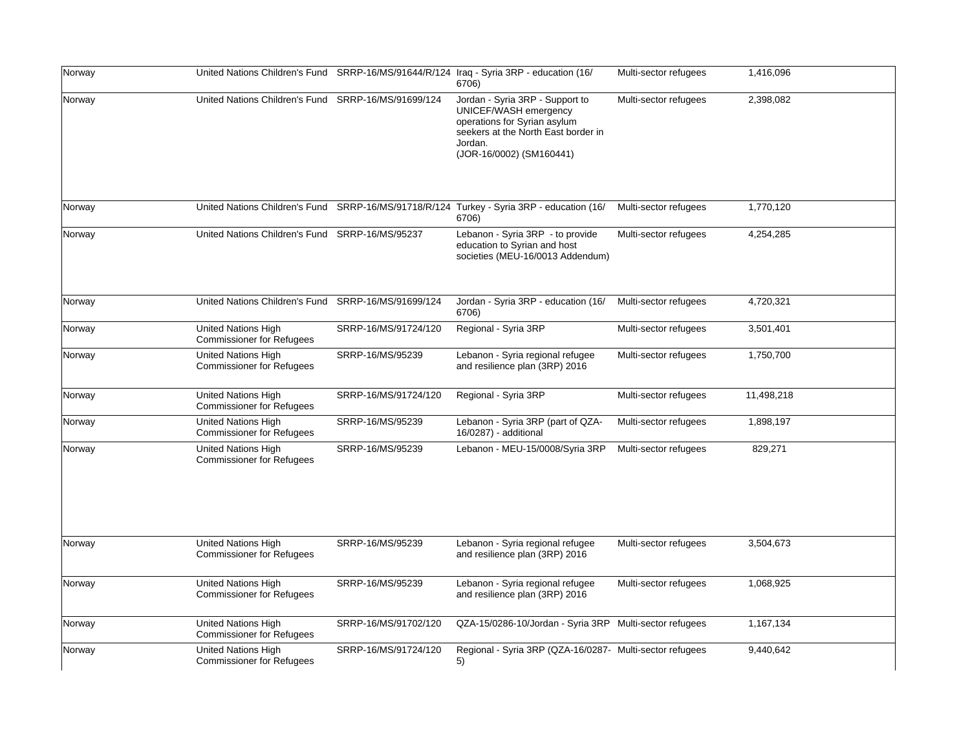| Norway |                                                                |                      | United Nations Children's Fund SRRP-16/MS/91644/R/124 Iraq - Syria 3RP - education (16/<br>6706)                                                                       | Multi-sector refugees | 1,416,096  |
|--------|----------------------------------------------------------------|----------------------|------------------------------------------------------------------------------------------------------------------------------------------------------------------------|-----------------------|------------|
| Norway | United Nations Children's Fund SRRP-16/MS/91699/124            |                      | Jordan - Syria 3RP - Support to<br>UNICEF/WASH emergency<br>operations for Syrian asylum<br>seekers at the North East border in<br>Jordan.<br>(JOR-16/0002) (SM160441) | Multi-sector refugees | 2,398,082  |
| Norway |                                                                |                      | United Nations Children's Fund SRRP-16/MS/91718/R/124 Turkey - Syria 3RP - education (16/<br>6706)                                                                     | Multi-sector refugees | 1,770,120  |
| Norway | United Nations Children's Fund SRRP-16/MS/95237                |                      | Lebanon - Syria 3RP - to provide<br>education to Syrian and host<br>societies (MEU-16/0013 Addendum)                                                                   | Multi-sector refugees | 4,254,285  |
| Norway | United Nations Children's Fund SRRP-16/MS/91699/124            |                      | Jordan - Syria 3RP - education (16/<br>6706)                                                                                                                           | Multi-sector refugees | 4,720,321  |
| Norway | United Nations High<br><b>Commissioner for Refugees</b>        | SRRP-16/MS/91724/120 | Regional - Syria 3RP                                                                                                                                                   | Multi-sector refugees | 3,501,401  |
| Norway | <b>United Nations High</b><br><b>Commissioner for Refugees</b> | SRRP-16/MS/95239     | Lebanon - Syria regional refugee<br>and resilience plan (3RP) 2016                                                                                                     | Multi-sector refugees | 1,750,700  |
| Norway | <b>United Nations High</b><br><b>Commissioner for Refugees</b> | SRRP-16/MS/91724/120 | Regional - Syria 3RP                                                                                                                                                   | Multi-sector refugees | 11,498,218 |
| Norway | <b>United Nations High</b><br><b>Commissioner for Refugees</b> | SRRP-16/MS/95239     | Lebanon - Syria 3RP (part of QZA-<br>16/0287) - additional                                                                                                             | Multi-sector refugees | 1,898,197  |
| Norway | <b>United Nations High</b><br><b>Commissioner for Refugees</b> | SRRP-16/MS/95239     | Lebanon - MEU-15/0008/Syria 3RP                                                                                                                                        | Multi-sector refugees | 829,271    |
| Norway | <b>United Nations High</b><br><b>Commissioner for Refugees</b> | SRRP-16/MS/95239     | Lebanon - Syria regional refugee<br>and resilience plan (3RP) 2016                                                                                                     | Multi-sector refugees | 3,504,673  |
| Norway | <b>United Nations High</b><br><b>Commissioner for Refugees</b> | SRRP-16/MS/95239     | Lebanon - Syria regional refugee<br>and resilience plan (3RP) 2016                                                                                                     | Multi-sector refugees | 1,068,925  |
| Norway | United Nations High<br><b>Commissioner for Refugees</b>        | SRRP-16/MS/91702/120 | QZA-15/0286-10/Jordan - Syria 3RP Multi-sector refugees                                                                                                                |                       | 1,167,134  |
| Norway | <b>United Nations High</b><br><b>Commissioner for Refugees</b> | SRRP-16/MS/91724/120 | Regional - Syria 3RP (QZA-16/0287- Multi-sector refugees<br>5)                                                                                                         |                       | 9,440,642  |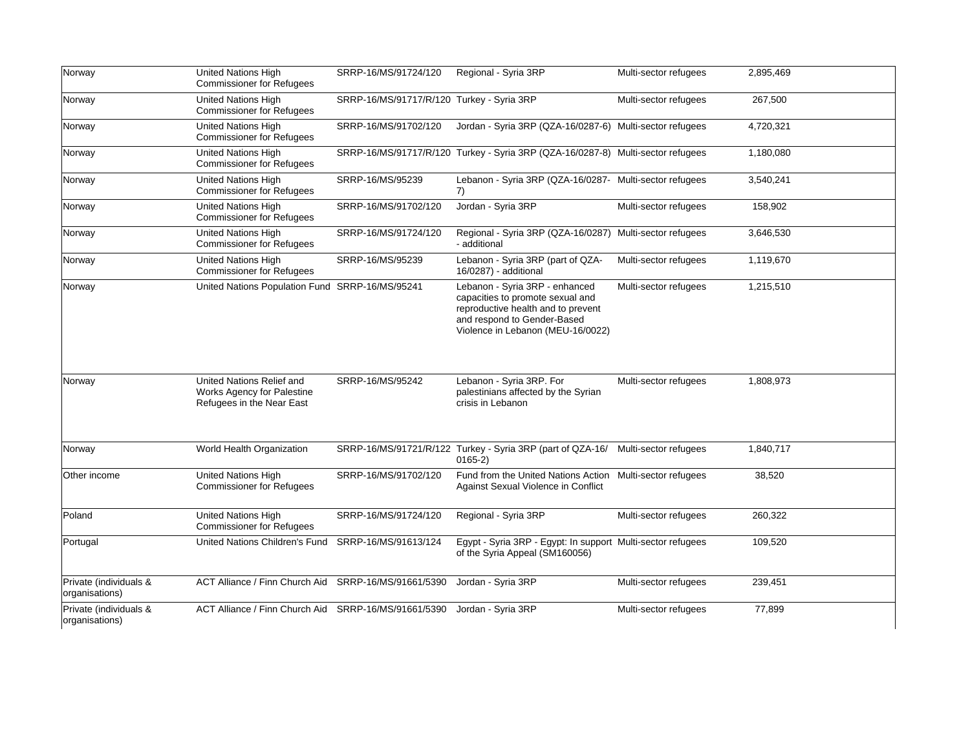| Norway                                   | United Nations High<br><b>Commissioner for Refugees</b>                              | SRRP-16/MS/91724/120                      | Regional - Syria 3RP                                                                                                                                                         | Multi-sector refugees | 2,895,469 |
|------------------------------------------|--------------------------------------------------------------------------------------|-------------------------------------------|------------------------------------------------------------------------------------------------------------------------------------------------------------------------------|-----------------------|-----------|
| Norway                                   | <b>United Nations High</b><br><b>Commissioner for Refugees</b>                       | SRRP-16/MS/91717/R/120 Turkey - Syria 3RP |                                                                                                                                                                              | Multi-sector refugees | 267,500   |
| Norway                                   | United Nations High<br><b>Commissioner for Refugees</b>                              | SRRP-16/MS/91702/120                      | Jordan - Syria 3RP (QZA-16/0287-6) Multi-sector refugees                                                                                                                     |                       | 4,720,321 |
| Norway                                   | United Nations High<br><b>Commissioner for Refugees</b>                              |                                           | SRRP-16/MS/91717/R/120 Turkey - Syria 3RP (QZA-16/0287-8) Multi-sector refugees                                                                                              |                       | 1,180,080 |
| Norway                                   | <b>United Nations High</b><br><b>Commissioner for Refugees</b>                       | SRRP-16/MS/95239                          | Lebanon - Syria 3RP (QZA-16/0287- Multi-sector refugees<br>7)                                                                                                                |                       | 3,540,241 |
| Norway                                   | United Nations High<br><b>Commissioner for Refugees</b>                              | SRRP-16/MS/91702/120                      | Jordan - Syria 3RP                                                                                                                                                           | Multi-sector refugees | 158,902   |
| Norway                                   | United Nations High<br><b>Commissioner for Refugees</b>                              | SRRP-16/MS/91724/120                      | Regional - Syria 3RP (QZA-16/0287) Multi-sector refugees<br>- additional                                                                                                     |                       | 3,646,530 |
| Norway                                   | United Nations High<br><b>Commissioner for Refugees</b>                              | SRRP-16/MS/95239                          | Lebanon - Syria 3RP (part of QZA-<br>16/0287) - additional                                                                                                                   | Multi-sector refugees | 1,119,670 |
| Norway                                   | United Nations Population Fund SRRP-16/MS/95241                                      |                                           | Lebanon - Syria 3RP - enhanced<br>capacities to promote sexual and<br>reproductive health and to prevent<br>and respond to Gender-Based<br>Violence in Lebanon (MEU-16/0022) | Multi-sector refugees | 1,215,510 |
| Norway                                   | United Nations Relief and<br>Works Agency for Palestine<br>Refugees in the Near East | SRRP-16/MS/95242                          | Lebanon - Syria 3RP. For<br>palestinians affected by the Syrian<br>crisis in Lebanon                                                                                         | Multi-sector refugees | 1,808,973 |
| Norway                                   | World Health Organization                                                            |                                           | SRRP-16/MS/91721/R/122 Turkey - Syria 3RP (part of QZA-16/ Multi-sector refugees<br>$0165-2)$                                                                                |                       | 1.840.717 |
| Other income                             | <b>United Nations High</b><br><b>Commissioner for Refugees</b>                       | SRRP-16/MS/91702/120                      | Fund from the United Nations Action Multi-sector refugees<br>Against Sexual Violence in Conflict                                                                             |                       | 38,520    |
| Poland                                   | <b>United Nations High</b><br><b>Commissioner for Refugees</b>                       | SRRP-16/MS/91724/120                      | Regional - Syria 3RP                                                                                                                                                         | Multi-sector refugees | 260,322   |
| Portugal                                 | United Nations Children's Fund                                                       | SRRP-16/MS/91613/124                      | Egypt - Syria 3RP - Egypt: In support Multi-sector refugees<br>of the Syria Appeal (SM160056)                                                                                |                       | 109,520   |
| Private (individuals &<br>organisations) | ACT Alliance / Finn Church Aid                                                       | SRRP-16/MS/91661/5390                     | Jordan - Syria 3RP                                                                                                                                                           | Multi-sector refugees | 239,451   |
| Private (individuals &<br>organisations) | ACT Alliance / Finn Church Aid                                                       | SRRP-16/MS/91661/5390                     | Jordan - Syria 3RP                                                                                                                                                           | Multi-sector refugees | 77,899    |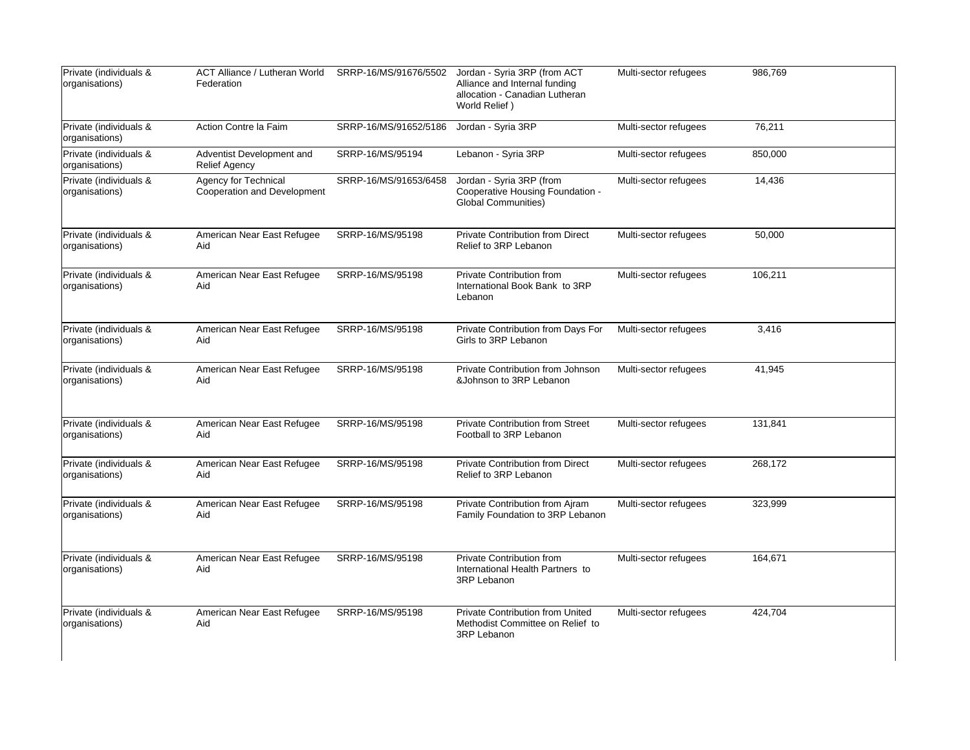| Private (individuals &<br>organisations) | <b>ACT Alliance / Lutheran World</b><br>Federation  | SRRP-16/MS/91676/5502 | Jordan - Syria 3RP (from ACT<br>Alliance and Internal funding<br>allocation - Canadian Lutheran<br>World Relief) | Multi-sector refugees | 986,769 |
|------------------------------------------|-----------------------------------------------------|-----------------------|------------------------------------------------------------------------------------------------------------------|-----------------------|---------|
| Private (individuals &<br>organisations) | Action Contre la Faim                               | SRRP-16/MS/91652/5186 | Jordan - Syria 3RP                                                                                               | Multi-sector refugees | 76,211  |
| Private (individuals &<br>organisations) | Adventist Development and<br><b>Relief Agency</b>   | SRRP-16/MS/95194      | Lebanon - Syria 3RP                                                                                              | Multi-sector refugees | 850,000 |
| Private (individuals &<br>organisations) | Agency for Technical<br>Cooperation and Development | SRRP-16/MS/91653/6458 | Jordan - Syria 3RP (from<br>Cooperative Housing Foundation -<br><b>Global Communities)</b>                       | Multi-sector refugees | 14,436  |
| Private (individuals &<br>organisations) | American Near East Refugee<br>Aid                   | SRRP-16/MS/95198      | <b>Private Contribution from Direct</b><br>Relief to 3RP Lebanon                                                 | Multi-sector refugees | 50,000  |
| Private (individuals &<br>organisations) | American Near East Refugee<br>Aid                   | SRRP-16/MS/95198      | Private Contribution from<br>International Book Bank to 3RP<br>Lebanon                                           | Multi-sector refugees | 106,211 |
| Private (individuals &<br>organisations) | American Near East Refugee<br>Aid                   | SRRP-16/MS/95198      | Private Contribution from Days For<br>Girls to 3RP Lebanon                                                       | Multi-sector refugees | 3,416   |
| Private (individuals &<br>organisations) | American Near East Refugee<br>Aid                   | SRRP-16/MS/95198      | Private Contribution from Johnson<br>&Johnson to 3RP Lebanon                                                     | Multi-sector refugees | 41,945  |
| Private (individuals &<br>organisations) | American Near East Refugee<br>Aid                   | SRRP-16/MS/95198      | <b>Private Contribution from Street</b><br>Football to 3RP Lebanon                                               | Multi-sector refugees | 131,841 |
| Private (individuals &<br>organisations) | American Near East Refugee<br>Aid                   | SRRP-16/MS/95198      | <b>Private Contribution from Direct</b><br>Relief to 3RP Lebanon                                                 | Multi-sector refugees | 268,172 |
| Private (individuals &<br>organisations) | American Near East Refugee<br>Aid                   | SRRP-16/MS/95198      | Private Contribution from Ajram<br>Family Foundation to 3RP Lebanon                                              | Multi-sector refugees | 323,999 |
| Private (individuals &<br>organisations) | American Near East Refugee<br>Aid                   | SRRP-16/MS/95198      | <b>Private Contribution from</b><br>International Health Partners to<br>3RP Lebanon                              | Multi-sector refugees | 164,671 |
| Private (individuals &<br>organisations) | American Near East Refugee<br>Aid                   | SRRP-16/MS/95198      | <b>Private Contribution from United</b><br>Methodist Committee on Relief to<br>3RP Lebanon                       | Multi-sector refugees | 424,704 |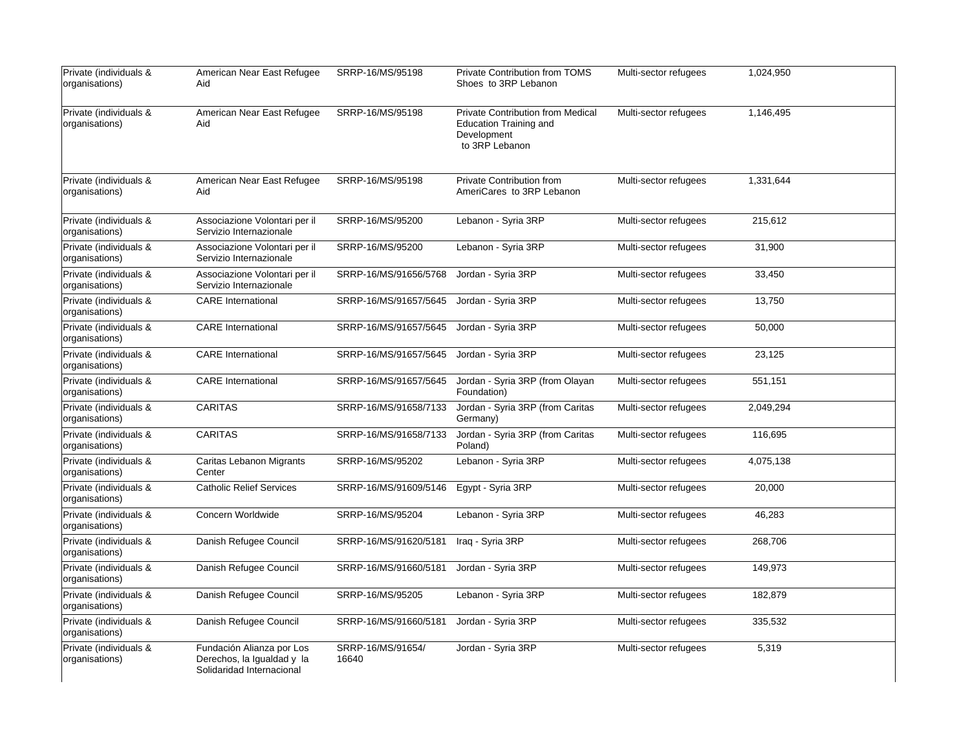| Private (individuals &<br>organisations) | American Near East Refugee<br>Aid                                                    | SRRP-16/MS/95198           | Private Contribution from TOMS<br>Shoes to 3RP Lebanon                                                     | Multi-sector refugees | 1,024,950 |
|------------------------------------------|--------------------------------------------------------------------------------------|----------------------------|------------------------------------------------------------------------------------------------------------|-----------------------|-----------|
| Private (individuals &<br>organisations) | American Near East Refugee<br>Aid                                                    | SRRP-16/MS/95198           | <b>Private Contribution from Medical</b><br><b>Education Training and</b><br>Development<br>to 3RP Lebanon | Multi-sector refugees | 1.146.495 |
| Private (individuals &<br>organisations) | American Near East Refugee<br>Aid                                                    | SRRP-16/MS/95198           | Private Contribution from<br>AmeriCares to 3RP Lebanon                                                     | Multi-sector refugees | 1,331,644 |
| Private (individuals &<br>organisations) | Associazione Volontari per il<br>Servizio Internazionale                             | SRRP-16/MS/95200           | Lebanon - Syria 3RP                                                                                        | Multi-sector refugees | 215,612   |
| Private (individuals &<br>organisations) | Associazione Volontari per il<br>Servizio Internazionale                             | SRRP-16/MS/95200           | Lebanon - Syria 3RP                                                                                        | Multi-sector refugees | 31,900    |
| Private (individuals &<br>organisations) | Associazione Volontari per il<br>Servizio Internazionale                             | SRRP-16/MS/91656/5768      | Jordan - Syria 3RP                                                                                         | Multi-sector refugees | 33,450    |
| Private (individuals &<br>organisations) | <b>CARE</b> International                                                            | SRRP-16/MS/91657/5645      | Jordan - Syria 3RP                                                                                         | Multi-sector refugees | 13,750    |
| Private (individuals &<br>organisations) | <b>CARE</b> International                                                            | SRRP-16/MS/91657/5645      | Jordan - Syria 3RP                                                                                         | Multi-sector refugees | 50,000    |
| Private (individuals &<br>organisations) | <b>CARE</b> International                                                            | SRRP-16/MS/91657/5645      | Jordan - Syria 3RP                                                                                         | Multi-sector refugees | 23,125    |
| Private (individuals &<br>organisations) | <b>CARE</b> International                                                            | SRRP-16/MS/91657/5645      | Jordan - Syria 3RP (from Olayan<br>Foundation)                                                             | Multi-sector refugees | 551,151   |
| Private (individuals &<br>organisations) | <b>CARITAS</b>                                                                       | SRRP-16/MS/91658/7133      | Jordan - Syria 3RP (from Caritas<br>Germany)                                                               | Multi-sector refugees | 2,049,294 |
| Private (individuals &<br>organisations) | <b>CARITAS</b>                                                                       | SRRP-16/MS/91658/7133      | Jordan - Syria 3RP (from Caritas<br>Poland)                                                                | Multi-sector refugees | 116,695   |
| Private (individuals &<br>organisations) | Caritas Lebanon Migrants<br>Center                                                   | SRRP-16/MS/95202           | Lebanon - Syria 3RP                                                                                        | Multi-sector refugees | 4,075,138 |
| Private (individuals &<br>organisations) | <b>Catholic Relief Services</b>                                                      | SRRP-16/MS/91609/5146      | Egypt - Syria 3RP                                                                                          | Multi-sector refugees | 20,000    |
| Private (individuals &<br>organisations) | Concern Worldwide                                                                    | SRRP-16/MS/95204           | Lebanon - Syria 3RP                                                                                        | Multi-sector refugees | 46,283    |
| Private (individuals &<br>organisations) | Danish Refugee Council                                                               | SRRP-16/MS/91620/5181      | Iraq - Syria 3RP                                                                                           | Multi-sector refugees | 268,706   |
| Private (individuals &<br>organisations) | Danish Refugee Council                                                               | SRRP-16/MS/91660/5181      | Jordan - Syria 3RP                                                                                         | Multi-sector refugees | 149,973   |
| Private (individuals &<br>organisations) | Danish Refugee Council                                                               | SRRP-16/MS/95205           | Lebanon - Syria 3RP                                                                                        | Multi-sector refugees | 182,879   |
| Private (individuals &<br>organisations) | Danish Refugee Council                                                               | SRRP-16/MS/91660/5181      | Jordan - Syria 3RP                                                                                         | Multi-sector refugees | 335,532   |
| Private (individuals &<br>organisations) | Fundación Alianza por Los<br>Derechos, la Igualdad y la<br>Solidaridad Internacional | SRRP-16/MS/91654/<br>16640 | Jordan - Syria 3RP                                                                                         | Multi-sector refugees | 5,319     |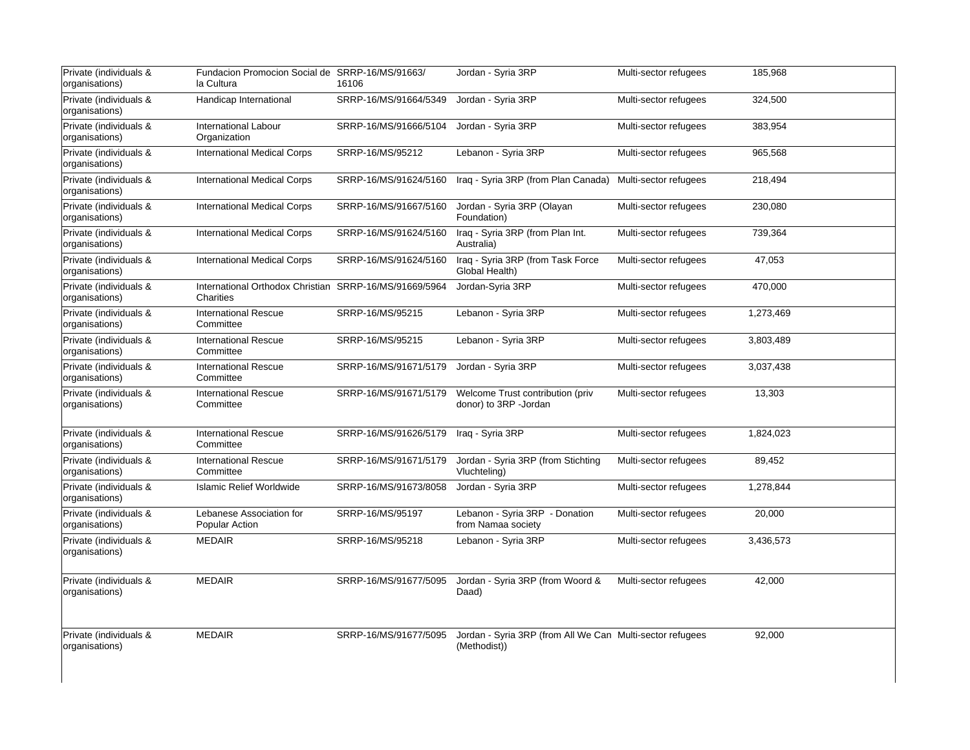| Private (individuals &<br>organisations) | Fundacion Promocion Social de SRRP-16/MS/91663/<br>la Cultura       | 16106                 | Jordan - Syria 3RP                                                        | Multi-sector refugees | 185,968   |
|------------------------------------------|---------------------------------------------------------------------|-----------------------|---------------------------------------------------------------------------|-----------------------|-----------|
| Private (individuals &<br>organisations) | Handicap International                                              | SRRP-16/MS/91664/5349 | Jordan - Syria 3RP                                                        | Multi-sector refugees | 324,500   |
| Private (individuals &<br>organisations) | <b>International Labour</b><br>Organization                         | SRRP-16/MS/91666/5104 | Jordan - Syria 3RP                                                        | Multi-sector refugees | 383,954   |
| Private (individuals &<br>organisations) | <b>International Medical Corps</b>                                  | SRRP-16/MS/95212      | Lebanon - Syria 3RP                                                       | Multi-sector refugees | 965,568   |
| Private (individuals &<br>organisations) | <b>International Medical Corps</b>                                  | SRRP-16/MS/91624/5160 | Iraq - Syria 3RP (from Plan Canada)                                       | Multi-sector refugees | 218,494   |
| Private (individuals &<br>organisations) | <b>International Medical Corps</b>                                  | SRRP-16/MS/91667/5160 | Jordan - Syria 3RP (Olayan<br>Foundation)                                 | Multi-sector refugees | 230,080   |
| Private (individuals &<br>organisations) | <b>International Medical Corps</b>                                  | SRRP-16/MS/91624/5160 | Iraq - Syria 3RP (from Plan Int.<br>Australia)                            | Multi-sector refugees | 739,364   |
| Private (individuals &<br>organisations) | <b>International Medical Corps</b>                                  | SRRP-16/MS/91624/5160 | Iraq - Syria 3RP (from Task Force<br>Global Health)                       | Multi-sector refugees | 47,053    |
| Private (individuals &<br>organisations) | International Orthodox Christian SRRP-16/MS/91669/5964<br>Charities |                       | Jordan-Syria 3RP                                                          | Multi-sector refugees | 470,000   |
| Private (individuals &<br>organisations) | <b>International Rescue</b><br>Committee                            | SRRP-16/MS/95215      | Lebanon - Syria 3RP                                                       | Multi-sector refugees | 1,273,469 |
| Private (individuals &<br>organisations) | <b>International Rescue</b><br>Committee                            | SRRP-16/MS/95215      | Lebanon - Syria 3RP                                                       | Multi-sector refugees | 3,803,489 |
| Private (individuals &<br>organisations) | <b>International Rescue</b><br>Committee                            | SRRP-16/MS/91671/5179 | Jordan - Syria 3RP                                                        | Multi-sector refugees | 3,037,438 |
| Private (individuals &<br>organisations) | <b>International Rescue</b><br>Committee                            | SRRP-16/MS/91671/5179 | Welcome Trust contribution (priv<br>donor) to 3RP -Jordan                 | Multi-sector refugees | 13,303    |
| Private (individuals &<br>organisations) | <b>International Rescue</b><br>Committee                            | SRRP-16/MS/91626/5179 | Iraq - Syria 3RP                                                          | Multi-sector refugees | 1,824,023 |
| Private (individuals &<br>organisations) | <b>International Rescue</b><br>Committee                            | SRRP-16/MS/91671/5179 | Jordan - Syria 3RP (from Stichting<br>Vluchteling)                        | Multi-sector refugees | 89,452    |
| Private (individuals &<br>organisations) | <b>Islamic Relief Worldwide</b>                                     | SRRP-16/MS/91673/8058 | Jordan - Syria 3RP                                                        | Multi-sector refugees | 1,278,844 |
| Private (individuals &<br>organisations) | Lebanese Association for<br>Popular Action                          | SRRP-16/MS/95197      | Lebanon - Syria 3RP - Donation<br>from Namaa society                      | Multi-sector refugees | 20,000    |
| Private (individuals &<br>organisations) | <b>MEDAIR</b>                                                       | SRRP-16/MS/95218      | Lebanon - Syria 3RP                                                       | Multi-sector refugees | 3,436,573 |
| Private (individuals &<br>organisations) | <b>MEDAIR</b>                                                       | SRRP-16/MS/91677/5095 | Jordan - Syria 3RP (from Woord &<br>Daad)                                 | Multi-sector refugees | 42,000    |
| Private (individuals &<br>organisations) | <b>MEDAIR</b>                                                       | SRRP-16/MS/91677/5095 | Jordan - Syria 3RP (from All We Can Multi-sector refugees<br>(Methodist)) |                       | 92,000    |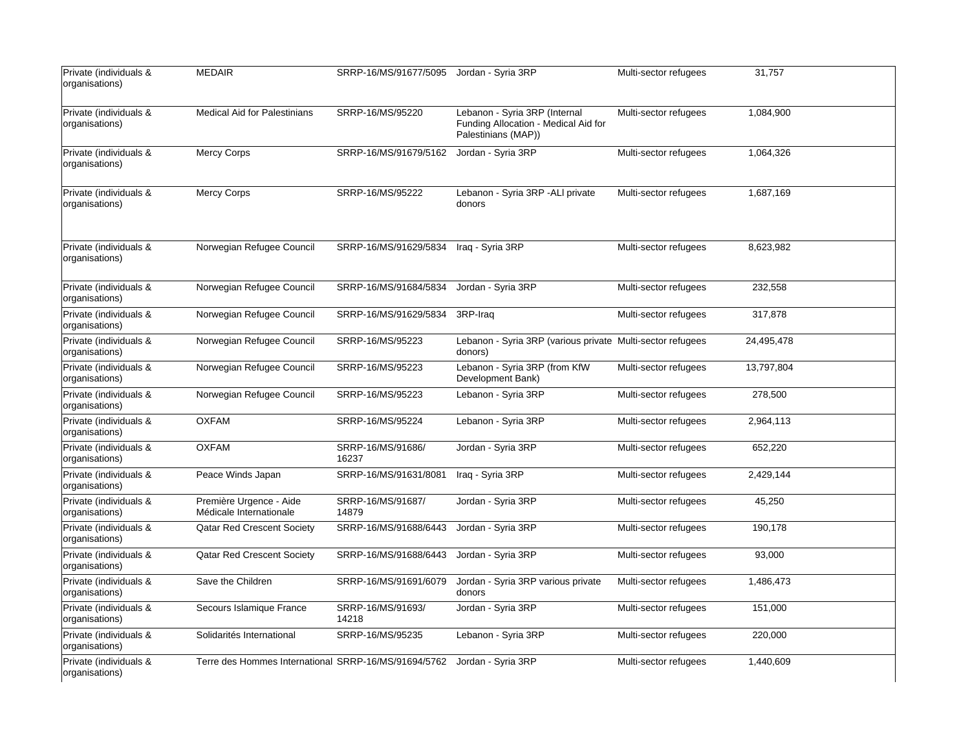| Private (individuals &<br>organisations) | <b>MEDAIR</b>                                        | SRRP-16/MS/91677/5095 Jordan - Syria 3RP |                                                                                              | Multi-sector refugees | 31,757     |
|------------------------------------------|------------------------------------------------------|------------------------------------------|----------------------------------------------------------------------------------------------|-----------------------|------------|
| Private (individuals &<br>organisations) | <b>Medical Aid for Palestinians</b>                  | SRRP-16/MS/95220                         | Lebanon - Syria 3RP (Internal<br>Funding Allocation - Medical Aid for<br>Palestinians (MAP)) | Multi-sector refugees | 1,084,900  |
| Private (individuals &<br>organisations) | <b>Mercy Corps</b>                                   | SRRP-16/MS/91679/5162                    | Jordan - Syria 3RP                                                                           | Multi-sector refugees | 1,064,326  |
| Private (individuals &<br>organisations) | <b>Mercy Corps</b>                                   | SRRP-16/MS/95222                         | Lebanon - Syria 3RP - ALI private<br>donors                                                  | Multi-sector refugees | 1,687,169  |
| Private (individuals &<br>organisations) | Norwegian Refugee Council                            | SRRP-16/MS/91629/5834                    | Iraq - Syria 3RP                                                                             | Multi-sector refugees | 8,623,982  |
| Private (individuals &<br>organisations) | Norwegian Refugee Council                            | SRRP-16/MS/91684/5834                    | Jordan - Syria 3RP                                                                           | Multi-sector refugees | 232,558    |
| Private (individuals &<br>organisations) | Norwegian Refugee Council                            | SRRP-16/MS/91629/5834                    | 3RP-Iraq                                                                                     | Multi-sector refugees | 317,878    |
| Private (individuals &<br>organisations) | Norwegian Refugee Council                            | SRRP-16/MS/95223                         | Lebanon - Syria 3RP (various private Multi-sector refugees<br>donors)                        |                       | 24,495,478 |
| Private (individuals &<br>organisations) | Norwegian Refugee Council                            | SRRP-16/MS/95223                         | Lebanon - Syria 3RP (from KfW<br>Development Bank)                                           | Multi-sector refugees | 13,797,804 |
| Private (individuals &<br>organisations) | Norwegian Refugee Council                            | SRRP-16/MS/95223                         | Lebanon - Syria 3RP                                                                          | Multi-sector refugees | 278,500    |
| Private (individuals &<br>organisations) | <b>OXFAM</b>                                         | SRRP-16/MS/95224                         | Lebanon - Syria 3RP                                                                          | Multi-sector refugees | 2,964,113  |
| Private (individuals &<br>organisations) | <b>OXFAM</b>                                         | SRRP-16/MS/91686/<br>16237               | Jordan - Syria 3RP                                                                           | Multi-sector refugees | 652,220    |
| Private (individuals &<br>organisations) | Peace Winds Japan                                    | SRRP-16/MS/91631/8081                    | Iraq - Syria 3RP                                                                             | Multi-sector refugees | 2,429,144  |
| Private (individuals &<br>organisations) | Première Urgence - Aide<br>Médicale Internationale   | SRRP-16/MS/91687/<br>14879               | Jordan - Syria 3RP                                                                           | Multi-sector refugees | 45,250     |
| Private (individuals &<br>organisations) | Qatar Red Crescent Society                           | SRRP-16/MS/91688/6443                    | Jordan - Syria 3RP                                                                           | Multi-sector refugees | 190,178    |
| Private (individuals &<br>organisations) | Qatar Red Crescent Society                           | SRRP-16/MS/91688/6443                    | Jordan - Syria 3RP                                                                           | Multi-sector refugees | 93,000     |
| Private (individuals &<br>organisations) | Save the Children                                    | SRRP-16/MS/91691/6079                    | Jordan - Syria 3RP various private<br>donors                                                 | Multi-sector refugees | 1,486,473  |
| Private (individuals &<br>organisations) | Secours Islamique France                             | SRRP-16/MS/91693/<br>14218               | Jordan - Syria 3RP                                                                           | Multi-sector refugees | 151,000    |
| Private (individuals &<br>organisations) | Solidarités International                            | SRRP-16/MS/95235                         | Lebanon - Syria 3RP                                                                          | Multi-sector refugees | 220,000    |
| Private (individuals &<br>organisations) | Terre des Hommes International SRRP-16/MS/91694/5762 |                                          | Jordan - Syria 3RP                                                                           | Multi-sector refugees | 1,440,609  |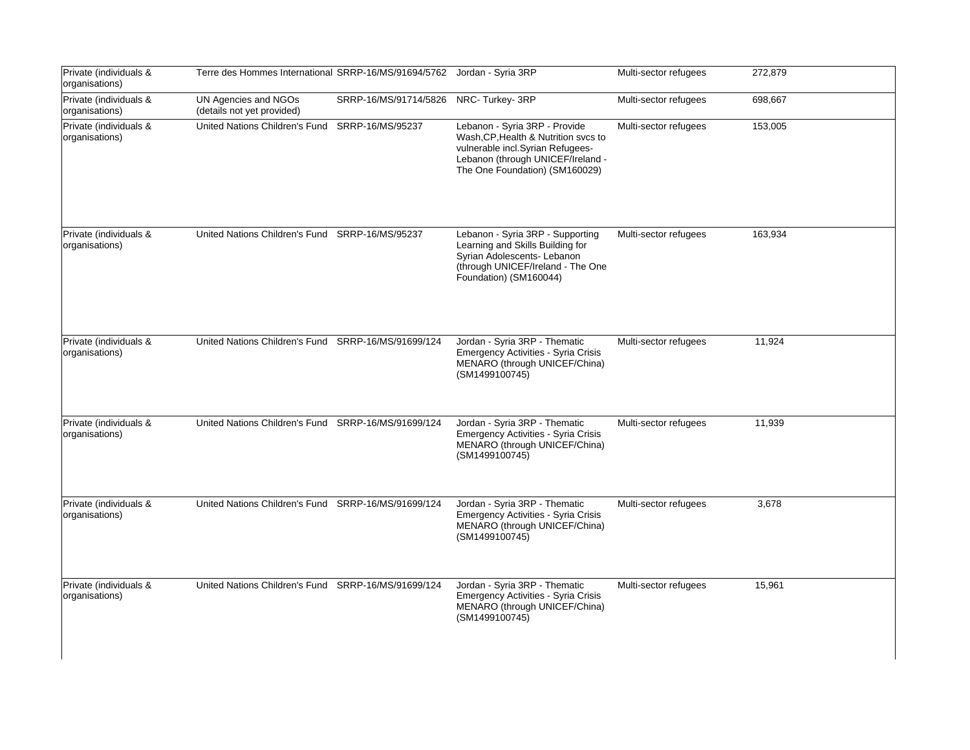| Private (individuals &<br>organisations) | Terre des Hommes International SRRP-16/MS/91694/5762 Jordan - Syria 3RP |                       |                                                                                                                                                                                  | Multi-sector refugees | 272,879 |
|------------------------------------------|-------------------------------------------------------------------------|-----------------------|----------------------------------------------------------------------------------------------------------------------------------------------------------------------------------|-----------------------|---------|
| Private (individuals &<br>organisations) | UN Agencies and NGOs<br>(details not yet provided)                      | SRRP-16/MS/91714/5826 | NRC-Turkey-3RP                                                                                                                                                                   | Multi-sector refugees | 698,667 |
| Private (individuals &<br>organisations) | United Nations Children's Fund                                          | SRRP-16/MS/95237      | Lebanon - Syria 3RP - Provide<br>Wash, CP, Health & Nutrition svcs to<br>vulnerable incl.Syrian Refugees-<br>Lebanon (through UNICEF/Ireland -<br>The One Foundation) (SM160029) | Multi-sector refugees | 153,005 |
| Private (individuals &<br>organisations) | United Nations Children's Fund SRRP-16/MS/95237                         |                       | Lebanon - Syria 3RP - Supporting<br>Learning and Skills Building for<br>Syrian Adolescents- Lebanon<br>(through UNICEF/Ireland - The One<br>Foundation) (SM160044)               | Multi-sector refugees | 163,934 |
| Private (individuals &<br>organisations) | United Nations Children's Fund SRRP-16/MS/91699/124                     |                       | Jordan - Syria 3RP - Thematic<br>Emergency Activities - Syria Crisis<br>MENARO (through UNICEF/China)<br>(SM1499100745)                                                          | Multi-sector refugees | 11,924  |
| Private (individuals &<br>organisations) | United Nations Children's Fund SRRP-16/MS/91699/124                     |                       | Jordan - Syria 3RP - Thematic<br>Emergency Activities - Syria Crisis<br>MENARO (through UNICEF/China)<br>(SM1499100745)                                                          | Multi-sector refugees | 11,939  |
| Private (individuals &<br>organisations) | United Nations Children's Fund SRRP-16/MS/91699/124                     |                       | Jordan - Syria 3RP - Thematic<br>Emergency Activities - Syria Crisis<br>MENARO (through UNICEF/China)<br>(SM1499100745)                                                          | Multi-sector refugees | 3,678   |
| Private (individuals &<br>organisations) | United Nations Children's Fund SRRP-16/MS/91699/124                     |                       | Jordan - Syria 3RP - Thematic<br><b>Emergency Activities - Syria Crisis</b><br>MENARO (through UNICEF/China)<br>(SM1499100745)                                                   | Multi-sector refugees | 15,961  |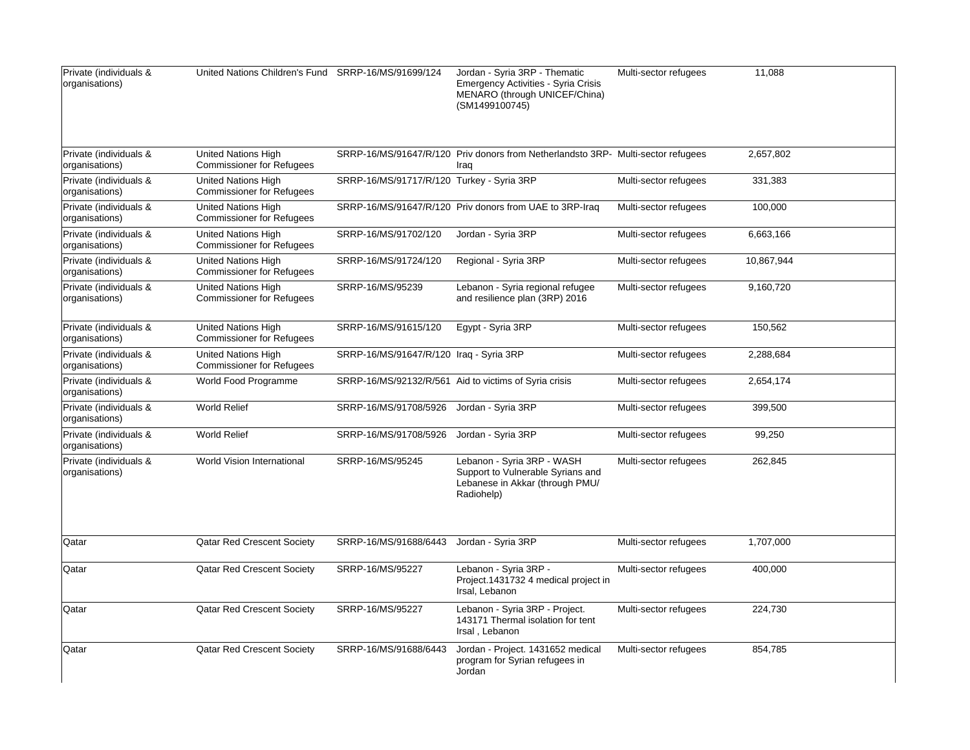| Private (individuals &<br>organisations) | United Nations Children's Fund SRRP-16/MS/91699/124            |                                           | Jordan - Syria 3RP - Thematic<br>Emergency Activities - Syria Crisis<br>MENARO (through UNICEF/China)<br>(SM1499100745) | Multi-sector refugees | 11,088     |
|------------------------------------------|----------------------------------------------------------------|-------------------------------------------|-------------------------------------------------------------------------------------------------------------------------|-----------------------|------------|
| Private (individuals &<br>organisations) | <b>United Nations High</b><br><b>Commissioner for Refugees</b> |                                           | SRRP-16/MS/91647/R/120 Priv donors from Netherlandsto 3RP- Multi-sector refugees<br>Iraq                                |                       | 2,657,802  |
| Private (individuals &<br>organisations) | <b>United Nations High</b><br><b>Commissioner for Refugees</b> | SRRP-16/MS/91717/R/120 Turkey - Syria 3RP |                                                                                                                         | Multi-sector refugees | 331,383    |
| Private (individuals &<br>organisations) | <b>United Nations High</b><br><b>Commissioner for Refugees</b> |                                           | SRRP-16/MS/91647/R/120 Priv donors from UAE to 3RP-Iraq                                                                 | Multi-sector refugees | 100,000    |
| Private (individuals &<br>organisations) | <b>United Nations High</b><br><b>Commissioner for Refugees</b> | SRRP-16/MS/91702/120                      | Jordan - Syria 3RP                                                                                                      | Multi-sector refugees | 6,663,166  |
| Private (individuals &<br>organisations) | United Nations High<br><b>Commissioner for Refugees</b>        | SRRP-16/MS/91724/120                      | Regional - Syria 3RP                                                                                                    | Multi-sector refugees | 10,867,944 |
| Private (individuals &<br>organisations) | United Nations High<br><b>Commissioner for Refugees</b>        | SRRP-16/MS/95239                          | Lebanon - Syria regional refugee<br>and resilience plan (3RP) 2016                                                      | Multi-sector refugees | 9,160,720  |
| Private (individuals &<br>organisations) | United Nations High<br><b>Commissioner for Refugees</b>        | SRRP-16/MS/91615/120                      | Egypt - Syria 3RP                                                                                                       | Multi-sector refugees | 150,562    |
| Private (individuals &<br>organisations) | <b>United Nations High</b><br><b>Commissioner for Refugees</b> | SRRP-16/MS/91647/R/120 Iraq - Syria 3RP   |                                                                                                                         | Multi-sector refugees | 2,288,684  |
| Private (individuals &<br>organisations) | World Food Programme                                           |                                           | SRRP-16/MS/92132/R/561 Aid to victims of Syria crisis                                                                   | Multi-sector refugees | 2,654,174  |
| Private (individuals &<br>organisations) | <b>World Relief</b>                                            | SRRP-16/MS/91708/5926                     | Jordan - Syria 3RP                                                                                                      | Multi-sector refugees | 399,500    |
| Private (individuals &<br>organisations) | <b>World Relief</b>                                            | SRRP-16/MS/91708/5926                     | Jordan - Syria 3RP                                                                                                      | Multi-sector refugees | 99,250     |
| Private (individuals &<br>organisations) | World Vision International                                     | SRRP-16/MS/95245                          | Lebanon - Syria 3RP - WASH<br>Support to Vulnerable Syrians and<br>Lebanese in Akkar (through PMU/<br>Radiohelp)        | Multi-sector refugees | 262,845    |
| Qatar                                    | Qatar Red Crescent Society                                     | SRRP-16/MS/91688/6443                     | Jordan - Syria 3RP                                                                                                      | Multi-sector refugees | 1,707,000  |
| Qatar                                    | Qatar Red Crescent Society                                     | SRRP-16/MS/95227                          | Lebanon - Syria 3RP -<br>Project.1431732 4 medical project in<br>Irsal, Lebanon                                         | Multi-sector refugees | 400,000    |
| Qatar                                    | <b>Qatar Red Crescent Society</b>                              | SRRP-16/MS/95227                          | Lebanon - Syria 3RP - Project.<br>143171 Thermal isolation for tent<br>Irsal, Lebanon                                   | Multi-sector refugees | 224,730    |
| Qatar                                    | Qatar Red Crescent Society                                     | SRRP-16/MS/91688/6443                     | Jordan - Project. 1431652 medical<br>program for Syrian refugees in<br>Jordan                                           | Multi-sector refugees | 854,785    |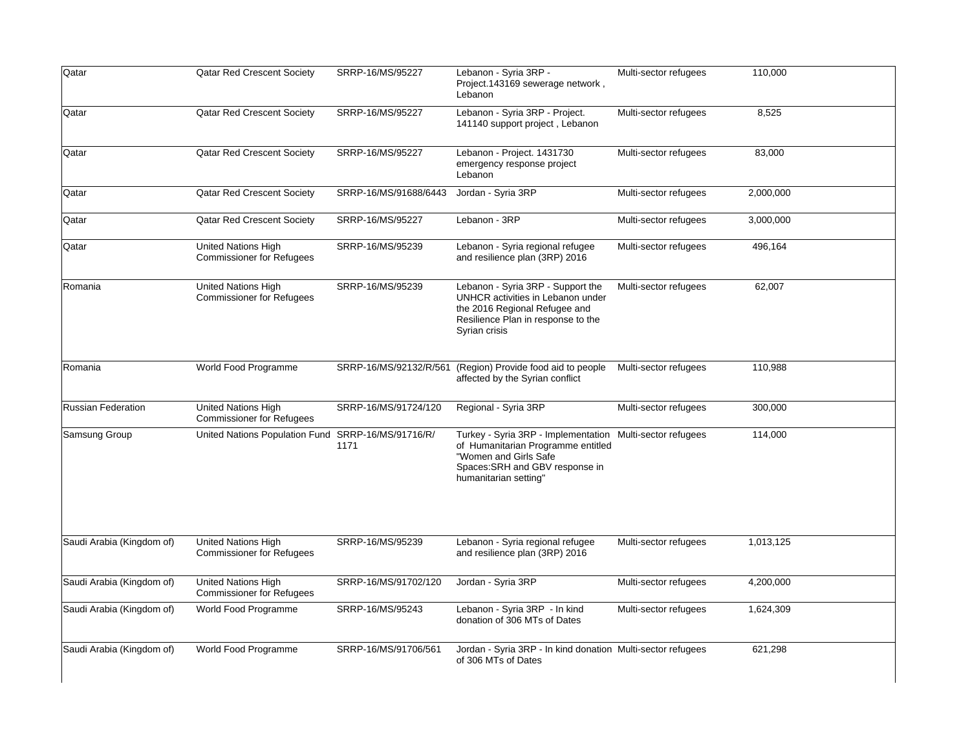| Qatar                     | <b>Qatar Red Crescent Society</b>                              | SRRP-16/MS/95227            | Lebanon - Syria 3RP -<br>Project.143169 sewerage network,<br>Lebanon                                                                                                                 | Multi-sector refugees | 110,000   |
|---------------------------|----------------------------------------------------------------|-----------------------------|--------------------------------------------------------------------------------------------------------------------------------------------------------------------------------------|-----------------------|-----------|
| Qatar                     | Qatar Red Crescent Society                                     | SRRP-16/MS/95227            | Lebanon - Syria 3RP - Project.<br>141140 support project, Lebanon                                                                                                                    | Multi-sector refugees | 8,525     |
| Qatar                     | Qatar Red Crescent Society                                     | SRRP-16/MS/95227            | Lebanon - Project. 1431730<br>emergency response project<br>Lebanon                                                                                                                  | Multi-sector refugees | 83,000    |
| Qatar                     | Qatar Red Crescent Society                                     | SRRP-16/MS/91688/6443       | Jordan - Syria 3RP                                                                                                                                                                   | Multi-sector refugees | 2,000,000 |
| Qatar                     | <b>Qatar Red Crescent Society</b>                              | SRRP-16/MS/95227            | Lebanon - 3RP                                                                                                                                                                        | Multi-sector refugees | 3,000,000 |
| Qatar                     | <b>United Nations High</b><br><b>Commissioner for Refugees</b> | SRRP-16/MS/95239            | Lebanon - Syria regional refugee<br>and resilience plan (3RP) 2016                                                                                                                   | Multi-sector refugees | 496,164   |
| Romania                   | <b>United Nations High</b><br><b>Commissioner for Refugees</b> | SRRP-16/MS/95239            | Lebanon - Syria 3RP - Support the<br>UNHCR activities in Lebanon under<br>the 2016 Regional Refugee and<br>Resilience Plan in response to the<br>Syrian crisis                       | Multi-sector refugees | 62,007    |
| Romania                   | World Food Programme                                           | SRRP-16/MS/92132/R/561      | (Region) Provide food aid to people<br>affected by the Syrian conflict                                                                                                               | Multi-sector refugees | 110,988   |
| <b>Russian Federation</b> | <b>United Nations High</b><br><b>Commissioner for Refugees</b> | SRRP-16/MS/91724/120        | Regional - Syria 3RP                                                                                                                                                                 | Multi-sector refugees | 300,000   |
| Samsung Group             | United Nations Population Fund                                 | SRRP-16/MS/91716/R/<br>1171 | Turkey - Syria 3RP - Implementation Multi-sector refugees<br>of Humanitarian Programme entitled<br>"Women and Girls Safe<br>Spaces: SRH and GBV response in<br>humanitarian setting" |                       | 114,000   |
| Saudi Arabia (Kingdom of) | <b>United Nations High</b><br><b>Commissioner for Refugees</b> | SRRP-16/MS/95239            | Lebanon - Syria regional refugee<br>and resilience plan (3RP) 2016                                                                                                                   | Multi-sector refugees | 1,013,125 |
| Saudi Arabia (Kingdom of) | United Nations High<br><b>Commissioner for Refugees</b>        | SRRP-16/MS/91702/120        | Jordan - Syria 3RP                                                                                                                                                                   | Multi-sector refugees | 4,200,000 |
| Saudi Arabia (Kingdom of) | World Food Programme                                           | SRRP-16/MS/95243            | Lebanon - Syria 3RP - In kind<br>donation of 306 MTs of Dates                                                                                                                        | Multi-sector refugees | 1,624,309 |
| Saudi Arabia (Kingdom of) | World Food Programme                                           | SRRP-16/MS/91706/561        | Jordan - Syria 3RP - In kind donation Multi-sector refugees<br>of 306 MTs of Dates                                                                                                   |                       | 621,298   |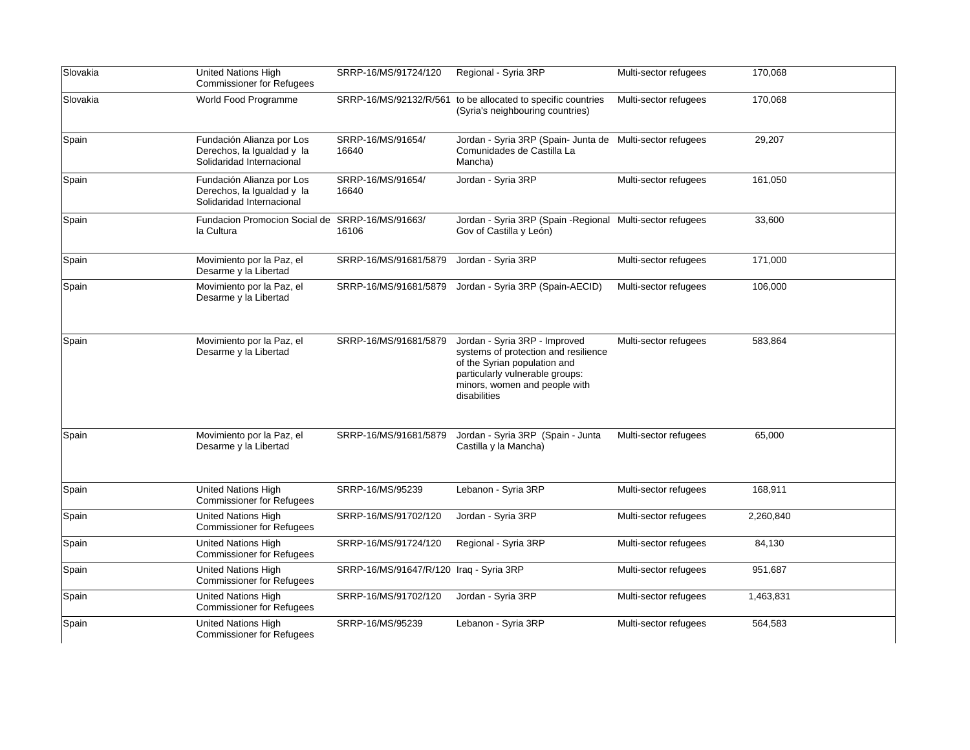| Slovakia | <b>United Nations High</b><br><b>Commissioner for Refugees</b>                       | SRRP-16/MS/91724/120                    | Regional - Syria 3RP                                                                                                                                                                      | Multi-sector refugees | 170,068   |
|----------|--------------------------------------------------------------------------------------|-----------------------------------------|-------------------------------------------------------------------------------------------------------------------------------------------------------------------------------------------|-----------------------|-----------|
| Slovakia | World Food Programme                                                                 |                                         | SRRP-16/MS/92132/R/561 to be allocated to specific countries<br>(Syria's neighbouring countries)                                                                                          | Multi-sector refugees | 170,068   |
| Spain    | Fundación Alianza por Los<br>Derechos, la Igualdad y la<br>Solidaridad Internacional | SRRP-16/MS/91654/<br>16640              | Jordan - Syria 3RP (Spain- Junta de Multi-sector refugees<br>Comunidades de Castilla La<br>Mancha)                                                                                        |                       | 29,207    |
| Spain    | Fundación Alianza por Los<br>Derechos, la Igualdad y la<br>Solidaridad Internacional | SRRP-16/MS/91654/<br>16640              | Jordan - Syria 3RP                                                                                                                                                                        | Multi-sector refugees | 161,050   |
| Spain    | Fundacion Promocion Social de SRRP-16/MS/91663/<br>la Cultura                        | 16106                                   | Jordan - Syria 3RP (Spain - Regional Multi-sector refugees<br>Gov of Castilla y León)                                                                                                     |                       | 33,600    |
| Spain    | Movimiento por la Paz, el<br>Desarme y la Libertad                                   | SRRP-16/MS/91681/5879                   | Jordan - Syria 3RP                                                                                                                                                                        | Multi-sector refugees | 171,000   |
| Spain    | Movimiento por la Paz, el<br>Desarme y la Libertad                                   | SRRP-16/MS/91681/5879                   | Jordan - Syria 3RP (Spain-AECID)                                                                                                                                                          | Multi-sector refugees | 106,000   |
| Spain    | Movimiento por la Paz, el<br>Desarme y la Libertad                                   | SRRP-16/MS/91681/5879                   | Jordan - Syria 3RP - Improved<br>systems of protection and resilience<br>of the Syrian population and<br>particularly vulnerable groups:<br>minors, women and people with<br>disabilities | Multi-sector refugees | 583,864   |
| Spain    | Movimiento por la Paz, el<br>Desarme y la Libertad                                   | SRRP-16/MS/91681/5879                   | Jordan - Syria 3RP (Spain - Junta<br>Castilla y la Mancha)                                                                                                                                | Multi-sector refugees | 65,000    |
| Spain    | United Nations High<br><b>Commissioner for Refugees</b>                              | SRRP-16/MS/95239                        | Lebanon - Syria 3RP                                                                                                                                                                       | Multi-sector refugees | 168,911   |
| Spain    | <b>United Nations High</b><br><b>Commissioner for Refugees</b>                       | SRRP-16/MS/91702/120                    | Jordan - Syria 3RP                                                                                                                                                                        | Multi-sector refugees | 2,260,840 |
| Spain    | <b>United Nations High</b><br><b>Commissioner for Refugees</b>                       | SRRP-16/MS/91724/120                    | Regional - Syria 3RP                                                                                                                                                                      | Multi-sector refugees | 84,130    |
| Spain    | <b>United Nations High</b><br><b>Commissioner for Refugees</b>                       | SRRP-16/MS/91647/R/120 Iraq - Syria 3RP |                                                                                                                                                                                           | Multi-sector refugees | 951,687   |
| Spain    | United Nations High<br><b>Commissioner for Refugees</b>                              | SRRP-16/MS/91702/120                    | Jordan - Syria 3RP                                                                                                                                                                        | Multi-sector refugees | 1,463,831 |
| Spain    | United Nations High<br><b>Commissioner for Refugees</b>                              | SRRP-16/MS/95239                        | Lebanon - Syria 3RP                                                                                                                                                                       | Multi-sector refugees | 564,583   |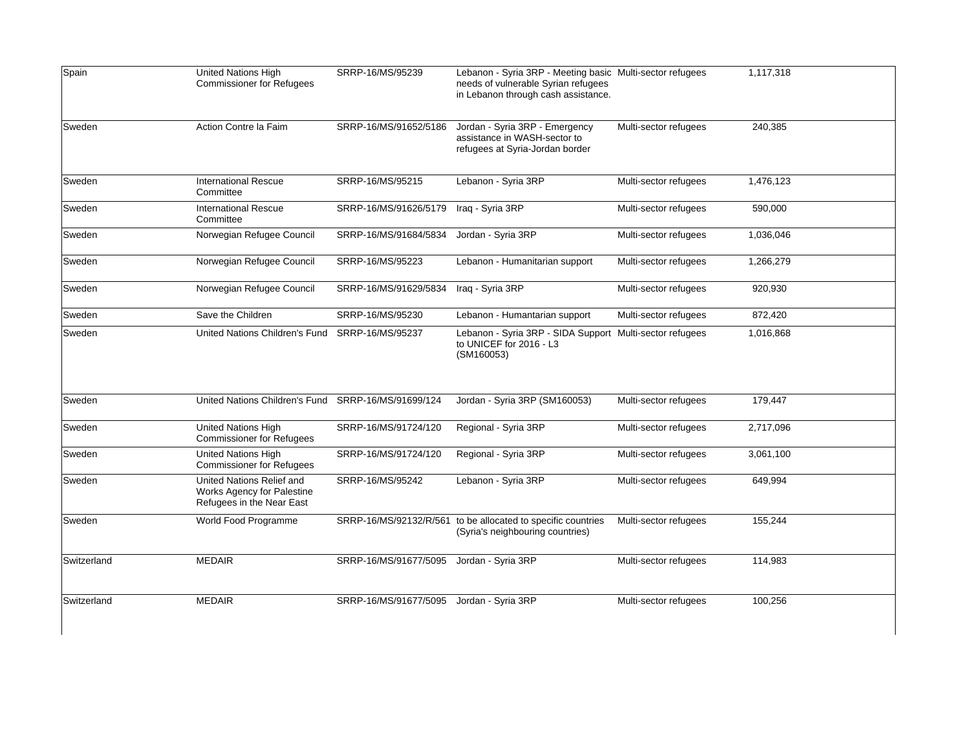| Spain       | United Nations High<br><b>Commissioner for Refugees</b>                              | SRRP-16/MS/95239       | Lebanon - Syria 3RP - Meeting basic Multi-sector refugees<br>needs of vulnerable Syrian refugees<br>in Lebanon through cash assistance. |                       | 1,117,318 |
|-------------|--------------------------------------------------------------------------------------|------------------------|-----------------------------------------------------------------------------------------------------------------------------------------|-----------------------|-----------|
| Sweden      | Action Contre la Faim                                                                | SRRP-16/MS/91652/5186  | Jordan - Syria 3RP - Emergency<br>assistance in WASH-sector to<br>refugees at Syria-Jordan border                                       | Multi-sector refugees | 240,385   |
| Sweden      | <b>International Rescue</b><br>Committee                                             | SRRP-16/MS/95215       | Lebanon - Syria 3RP                                                                                                                     | Multi-sector refugees | 1,476,123 |
| Sweden      | <b>International Rescue</b><br>Committee                                             | SRRP-16/MS/91626/5179  | Iraq - Syria 3RP                                                                                                                        | Multi-sector refugees | 590,000   |
| Sweden      | Norwegian Refugee Council                                                            | SRRP-16/MS/91684/5834  | Jordan - Syria 3RP                                                                                                                      | Multi-sector refugees | 1,036,046 |
| Sweden      | Norwegian Refugee Council                                                            | SRRP-16/MS/95223       | Lebanon - Humanitarian support                                                                                                          | Multi-sector refugees | 1,266,279 |
| Sweden      | Norwegian Refugee Council                                                            | SRRP-16/MS/91629/5834  | Iraq - Syria 3RP                                                                                                                        | Multi-sector refugees | 920,930   |
| Sweden      | Save the Children                                                                    | SRRP-16/MS/95230       | Lebanon - Humantarian support                                                                                                           | Multi-sector refugees | 872,420   |
| Sweden      | United Nations Children's Fund                                                       | SRRP-16/MS/95237       | Lebanon - Syria 3RP - SIDA Support Multi-sector refugees<br>to UNICEF for 2016 - L3<br>(SM160053)                                       |                       | 1,016,868 |
| Sweden      | United Nations Children's Fund SRRP-16/MS/91699/124                                  |                        | Jordan - Syria 3RP (SM160053)                                                                                                           | Multi-sector refugees | 179,447   |
| Sweden      | United Nations High<br><b>Commissioner for Refugees</b>                              | SRRP-16/MS/91724/120   | Regional - Syria 3RP                                                                                                                    | Multi-sector refugees | 2,717,096 |
| Sweden      | <b>United Nations High</b><br><b>Commissioner for Refugees</b>                       | SRRP-16/MS/91724/120   | Regional - Syria 3RP                                                                                                                    | Multi-sector refugees | 3,061,100 |
| Sweden      | United Nations Relief and<br>Works Agency for Palestine<br>Refugees in the Near East | SRRP-16/MS/95242       | Lebanon - Syria 3RP                                                                                                                     | Multi-sector refugees | 649,994   |
| Sweden      | World Food Programme                                                                 | SRRP-16/MS/92132/R/561 | to be allocated to specific countries<br>(Syria's neighbouring countries)                                                               | Multi-sector refugees | 155,244   |
| Switzerland | <b>MEDAIR</b>                                                                        | SRRP-16/MS/91677/5095  | Jordan - Syria 3RP                                                                                                                      | Multi-sector refugees | 114,983   |
| Switzerland | <b>MEDAIR</b>                                                                        | SRRP-16/MS/91677/5095  | Jordan - Syria 3RP                                                                                                                      | Multi-sector refugees | 100,256   |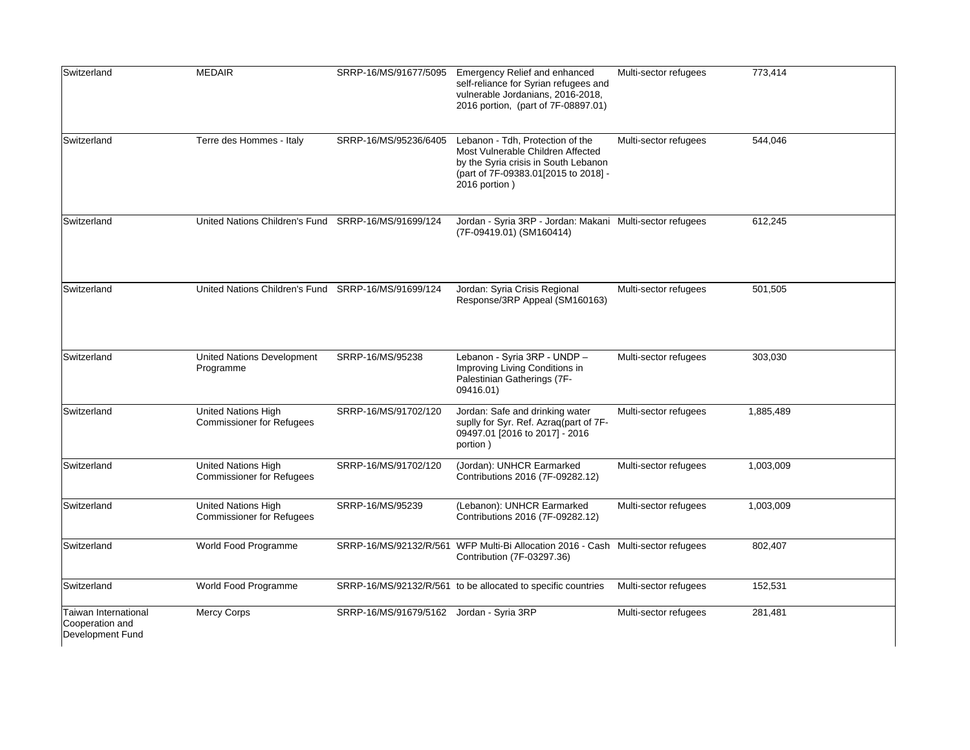| Switzerland                                                 | <b>MEDAIR</b>                                           | SRRP-16/MS/91677/5095                    | Emergency Relief and enhanced<br>self-reliance for Syrian refugees and<br>vulnerable Jordanians, 2016-2018,<br>2016 portion, (part of 7F-08897.01)                     | Multi-sector refugees | 773,414   |
|-------------------------------------------------------------|---------------------------------------------------------|------------------------------------------|------------------------------------------------------------------------------------------------------------------------------------------------------------------------|-----------------------|-----------|
| Switzerland                                                 | Terre des Hommes - Italy                                | SRRP-16/MS/95236/6405                    | Lebanon - Tdh, Protection of the<br>Most Vulnerable Children Affected<br>by the Syria crisis in South Lebanon<br>(part of 7F-09383.01[2015 to 2018] -<br>2016 portion) | Multi-sector refugees | 544.046   |
| Switzerland                                                 | United Nations Children's Fund SRRP-16/MS/91699/124     |                                          | Jordan - Syria 3RP - Jordan: Makani Multi-sector refugees<br>(7F-09419.01) (SM160414)                                                                                  |                       | 612,245   |
| Switzerland                                                 | United Nations Children's Fund SRRP-16/MS/91699/124     |                                          | Jordan: Syria Crisis Regional<br>Response/3RP Appeal (SM160163)                                                                                                        | Multi-sector refugees | 501,505   |
| Switzerland                                                 | United Nations Development<br>Programme                 | SRRP-16/MS/95238                         | Lebanon - Syria 3RP - UNDP -<br>Improving Living Conditions in<br>Palestinian Gatherings (7F-<br>09416.01)                                                             | Multi-sector refugees | 303,030   |
| Switzerland                                                 | United Nations High<br><b>Commissioner for Refugees</b> | SRRP-16/MS/91702/120                     | Jordan: Safe and drinking water<br>suplly for Syr. Ref. Azraq(part of 7F-<br>09497.01 [2016 to 2017] - 2016<br>portion)                                                | Multi-sector refugees | 1,885,489 |
| Switzerland                                                 | United Nations High<br><b>Commissioner for Refugees</b> | SRRP-16/MS/91702/120                     | (Jordan): UNHCR Earmarked<br>Contributions 2016 (7F-09282.12)                                                                                                          | Multi-sector refugees | 1,003,009 |
| Switzerland                                                 | United Nations High<br><b>Commissioner for Refugees</b> | SRRP-16/MS/95239                         | (Lebanon): UNHCR Earmarked<br>Contributions 2016 (7F-09282.12)                                                                                                         | Multi-sector refugees | 1,003,009 |
| Switzerland                                                 | World Food Programme                                    |                                          | SRRP-16/MS/92132/R/561 WFP Multi-Bi Allocation 2016 - Cash Multi-sector refugees<br>Contribution (7F-03297.36)                                                         |                       | 802,407   |
| Switzerland                                                 | World Food Programme                                    |                                          | SRRP-16/MS/92132/R/561 to be allocated to specific countries                                                                                                           | Multi-sector refugees | 152,531   |
| Taiwan International<br>Cooperation and<br>Development Fund | Mercy Corps                                             | SRRP-16/MS/91679/5162 Jordan - Syria 3RP |                                                                                                                                                                        | Multi-sector refugees | 281,481   |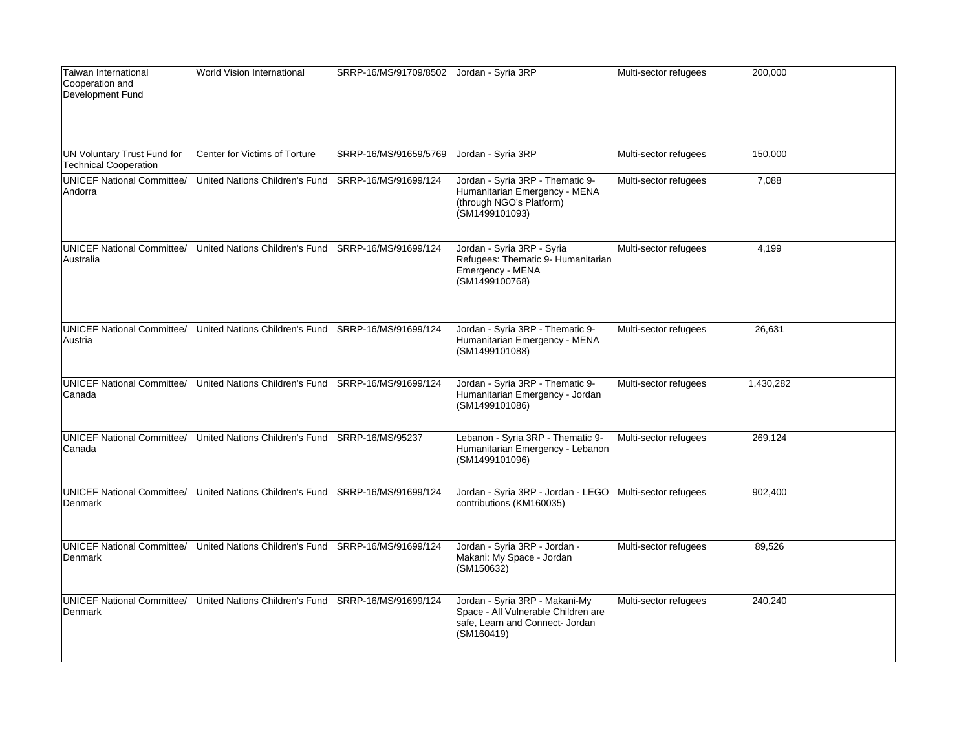| Taiwan International<br>Cooperation and<br>Development Fund | World Vision International                                                     | SRRP-16/MS/91709/8502 Jordan - Syria 3RP |                                                                                                                        | Multi-sector refugees | 200,000   |
|-------------------------------------------------------------|--------------------------------------------------------------------------------|------------------------------------------|------------------------------------------------------------------------------------------------------------------------|-----------------------|-----------|
| UN Voluntary Trust Fund for<br>Technical Cooperation        | Center for Victims of Torture                                                  | SRRP-16/MS/91659/5769                    | Jordan - Syria 3RP                                                                                                     | Multi-sector refugees | 150,000   |
| Andorra                                                     | UNICEF National Committee/ United Nations Children's Fund SRRP-16/MS/91699/124 |                                          | Jordan - Syria 3RP - Thematic 9-<br>Humanitarian Emergency - MENA<br>(through NGO's Platform)<br>(SM1499101093)        | Multi-sector refugees | 7,088     |
| <b>UNICEF National Committee/</b><br>Australia              | United Nations Children's Fund SRRP-16/MS/91699/124                            |                                          | Jordan - Syria 3RP - Syria<br>Refugees: Thematic 9- Humanitarian<br>Emergency - MENA<br>(SM1499100768)                 | Multi-sector refugees | 4,199     |
| Austria                                                     | UNICEF National Committee/ United Nations Children's Fund SRRP-16/MS/91699/124 |                                          | Jordan - Syria 3RP - Thematic 9-<br>Humanitarian Emergency - MENA<br>(SM1499101088)                                    | Multi-sector refugees | 26,631    |
| Canada                                                      | UNICEF National Committee/ United Nations Children's Fund SRRP-16/MS/91699/124 |                                          | Jordan - Syria 3RP - Thematic 9-<br>Humanitarian Emergency - Jordan<br>(SM1499101086)                                  | Multi-sector refugees | 1,430,282 |
| Canada                                                      | UNICEF National Committee/ United Nations Children's Fund SRRP-16/MS/95237     |                                          | Lebanon - Syria 3RP - Thematic 9-<br>Humanitarian Emergency - Lebanon<br>(SM1499101096)                                | Multi-sector refugees | 269,124   |
| Denmark                                                     | UNICEF National Committee/ United Nations Children's Fund SRRP-16/MS/91699/124 |                                          | Jordan - Syria 3RP - Jordan - LEGO Multi-sector refugees<br>contributions (KM160035)                                   |                       | 902,400   |
| Denmark                                                     | UNICEF National Committee/ United Nations Children's Fund SRRP-16/MS/91699/124 |                                          | Jordan - Syria 3RP - Jordan -<br>Makani: My Space - Jordan<br>(SM150632)                                               | Multi-sector refugees | 89,526    |
| <b>UNICEF National Committee/</b><br>Denmark                | United Nations Children's Fund SRRP-16/MS/91699/124                            |                                          | Jordan - Syria 3RP - Makani-My<br>Space - All Vulnerable Children are<br>safe, Learn and Connect- Jordan<br>(SM160419) | Multi-sector refugees | 240,240   |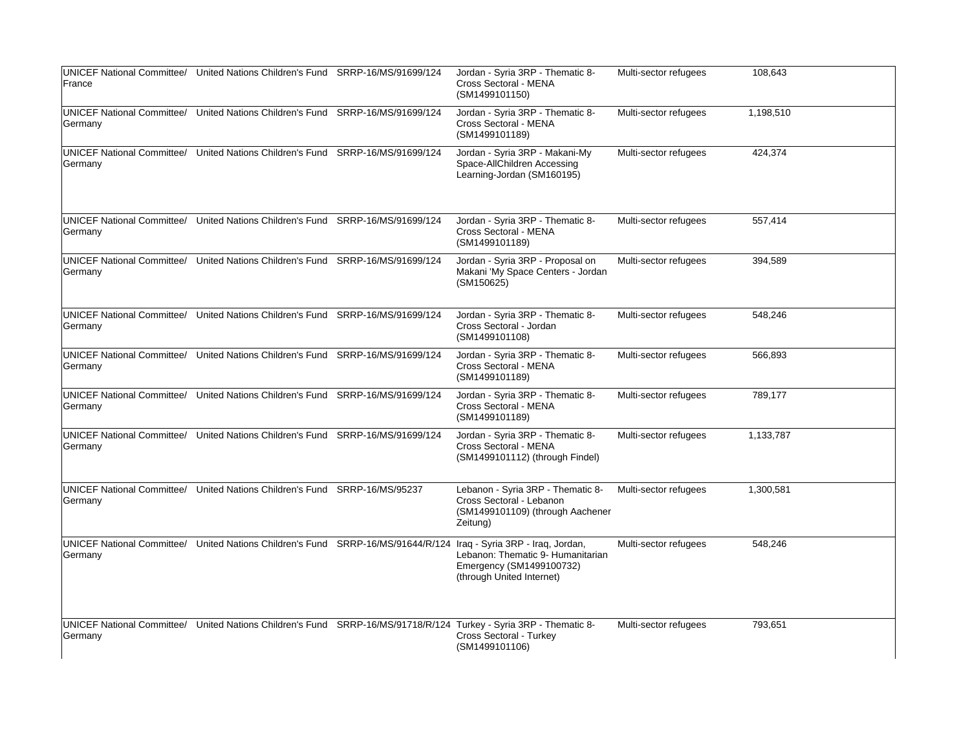|                                              | UNICEF National Committee/ United Nations Children's Fund SRRP-16/MS/91699/124 | Jordan - Syria 3RP - Thematic 8-                                                                                                                               | Multi-sector refugees | 108,643   |
|----------------------------------------------|--------------------------------------------------------------------------------|----------------------------------------------------------------------------------------------------------------------------------------------------------------|-----------------------|-----------|
| France                                       |                                                                                | Cross Sectoral - MENA<br>(SM1499101150)                                                                                                                        |                       |           |
| <b>UNICEF National Committee/</b><br>Germany | United Nations Children's Fund SRRP-16/MS/91699/124                            | Jordan - Syria 3RP - Thematic 8-<br>Cross Sectoral - MENA<br>(SM1499101189)                                                                                    | Multi-sector refugees | 1,198,510 |
| Germany                                      | UNICEF National Committee/ United Nations Children's Fund SRRP-16/MS/91699/124 | Jordan - Syria 3RP - Makani-My<br>Space-AllChildren Accessing<br>Learning-Jordan (SM160195)                                                                    | Multi-sector refugees | 424,374   |
| <b>UNICEF National Committee/</b><br>Germany | United Nations Children's Fund SRRP-16/MS/91699/124                            | Jordan - Syria 3RP - Thematic 8-<br>Cross Sectoral - MENA<br>(SM1499101189)                                                                                    | Multi-sector refugees | 557,414   |
| <b>UNICEF National Committee/</b><br>Germany | United Nations Children's Fund SRRP-16/MS/91699/124                            | Jordan - Syria 3RP - Proposal on<br>Makani 'My Space Centers - Jordan<br>(SM150625)                                                                            | Multi-sector refugees | 394,589   |
| Germany                                      | UNICEF National Committee/ United Nations Children's Fund SRRP-16/MS/91699/124 | Jordan - Syria 3RP - Thematic 8-<br>Cross Sectoral - Jordan<br>(SM1499101108)                                                                                  | Multi-sector refugees | 548,246   |
| <b>UNICEF National Committee/</b><br>Germany | United Nations Children's Fund SRRP-16/MS/91699/124                            | Jordan - Syria 3RP - Thematic 8-<br>Cross Sectoral - MENA<br>(SM1499101189)                                                                                    | Multi-sector refugees | 566,893   |
| Germany                                      | UNICEF National Committee/ United Nations Children's Fund SRRP-16/MS/91699/124 | Jordan - Syria 3RP - Thematic 8-<br>Cross Sectoral - MENA<br>(SM1499101189)                                                                                    | Multi-sector refugees | 789,177   |
| Germany                                      | UNICEF National Committee/ United Nations Children's Fund SRRP-16/MS/91699/124 | Jordan - Syria 3RP - Thematic 8-<br>Cross Sectoral - MENA<br>(SM1499101112) (through Findel)                                                                   | Multi-sector refugees | 1,133,787 |
| <b>UNICEF National Committee/</b><br>Germany | United Nations Children's Fund SRRP-16/MS/95237                                | Lebanon - Syria 3RP - Thematic 8-<br>Cross Sectoral - Lebanon<br>(SM1499101109) (through Aachener<br>Zeitung)                                                  | Multi-sector refugees | 1,300,581 |
| <b>UNICEF National Committee/</b><br>Germany | United Nations Children's Fund SRRP-16/MS/91644/R/124                          | Iraq - Syria 3RP - Iraq, Jordan,<br>Lebanon: Thematic 9- Humanitarian<br>Emergency (SM1499100732)<br>(through United Internet)                                 | Multi-sector refugees | 548,246   |
| Germany                                      |                                                                                | UNICEF National Committee/ United Nations Children's Fund SRRP-16/MS/91718/R/124 Turkey - Syria 3RP - Thematic 8-<br>Cross Sectoral - Turkey<br>(SM1499101106) | Multi-sector refugees | 793,651   |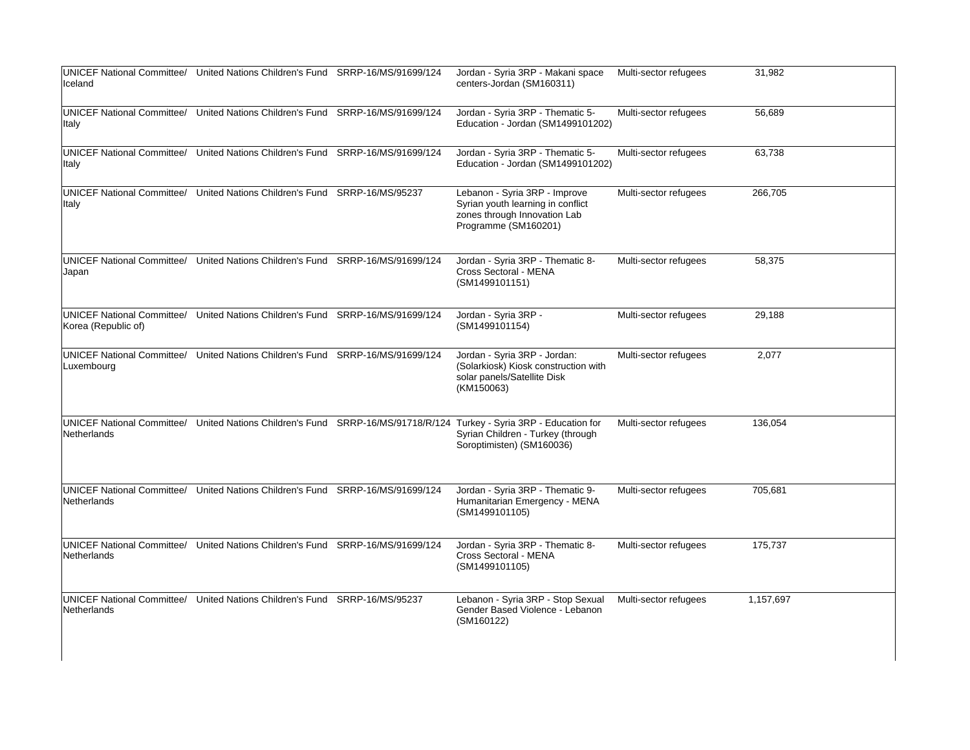| Iceland                                           | UNICEF National Committee/ United Nations Children's Fund SRRP-16/MS/91699/124 |                  | Jordan - Syria 3RP - Makani space<br>centers-Jordan (SM160311)                                                                                             | Multi-sector refugees | 31,982    |
|---------------------------------------------------|--------------------------------------------------------------------------------|------------------|------------------------------------------------------------------------------------------------------------------------------------------------------------|-----------------------|-----------|
| <b>Italy</b>                                      | UNICEF National Committee/ United Nations Children's Fund SRRP-16/MS/91699/124 |                  | Jordan - Syria 3RP - Thematic 5-<br>Education - Jordan (SM1499101202)                                                                                      | Multi-sector refugees | 56,689    |
| UNICEF National Committee/<br>lltaly              | United Nations Children's Fund SRRP-16/MS/91699/124                            |                  | Jordan - Syria 3RP - Thematic 5-<br>Education - Jordan (SM1499101202)                                                                                      | Multi-sector refugees | 63,738    |
| UNICEF National Committee/<br> Italy              | United Nations Children's Fund                                                 | SRRP-16/MS/95237 | Lebanon - Syria 3RP - Improve<br>Syrian youth learning in conflict<br>zones through Innovation Lab<br>Programme (SM160201)                                 | Multi-sector refugees | 266,705   |
| <b>UNICEF National Committee/</b><br>Japan        | United Nations Children's Fund SRRP-16/MS/91699/124                            |                  | Jordan - Syria 3RP - Thematic 8-<br>Cross Sectoral - MENA<br>(SM1499101151)                                                                                | Multi-sector refugees | 58,375    |
| UNICEF National Committee/<br>Korea (Republic of) | United Nations Children's Fund SRRP-16/MS/91699/124                            |                  | Jordan - Syria 3RP -<br>(SM1499101154)                                                                                                                     | Multi-sector refugees | 29,188    |
| Luxembourg                                        | UNICEF National Committee/ United Nations Children's Fund SRRP-16/MS/91699/124 |                  | Jordan - Syria 3RP - Jordan:<br>(Solarkiosk) Kiosk construction with<br>solar panels/Satellite Disk<br>(KM150063)                                          | Multi-sector refugees | 2,077     |
| UNICEF National Committee/<br>Netherlands         |                                                                                |                  | United Nations Children's Fund SRRP-16/MS/91718/R/124 Turkey - Syria 3RP - Education for<br>Syrian Children - Turkey (through<br>Soroptimisten) (SM160036) | Multi-sector refugees | 136,054   |
| Netherlands                                       | UNICEF National Committee/ United Nations Children's Fund SRRP-16/MS/91699/124 |                  | Jordan - Syria 3RP - Thematic 9-<br>Humanitarian Emergency - MENA<br>(SM1499101105)                                                                        | Multi-sector refugees | 705,681   |
| Netherlands                                       | UNICEF National Committee/ United Nations Children's Fund SRRP-16/MS/91699/124 |                  | Jordan - Syria 3RP - Thematic 8-<br>Cross Sectoral - MENA<br>(SM1499101105)                                                                                | Multi-sector refugees | 175,737   |
| Netherlands                                       | UNICEF National Committee/ United Nations Children's Fund SRRP-16/MS/95237     |                  | Lebanon - Syria 3RP - Stop Sexual<br>Gender Based Violence - Lebanon<br>(SM160122)                                                                         | Multi-sector refugees | 1,157,697 |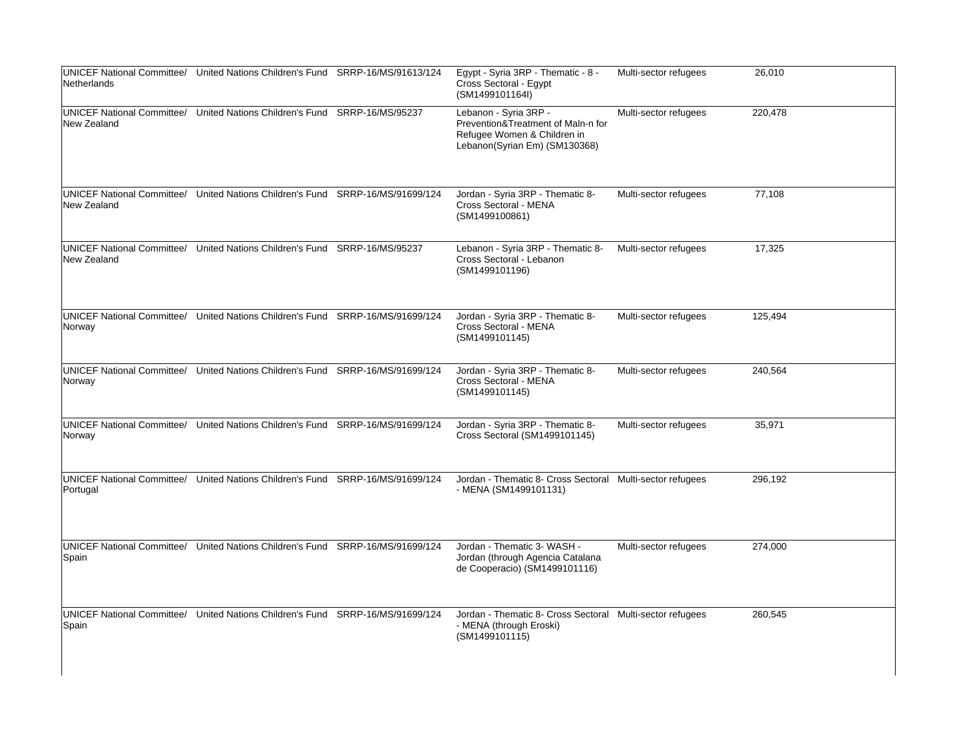| Netherlands                                 | UNICEF National Committee/ United Nations Children's Fund SRRP-16/MS/91613/124 | Egypt - Syria 3RP - Thematic - 8 -<br>Cross Sectoral - Egypt<br>(SM1499101164I)                                             | Multi-sector refugees | 26,010  |
|---------------------------------------------|--------------------------------------------------------------------------------|-----------------------------------------------------------------------------------------------------------------------------|-----------------------|---------|
| <b>New Zealand</b>                          | UNICEF National Committee/ United Nations Children's Fund SRRP-16/MS/95237     | Lebanon - Syria 3RP -<br>Prevention&Treatment of Maln-n for<br>Refugee Women & Children in<br>Lebanon(Syrian Em) (SM130368) | Multi-sector refugees | 220,478 |
| <b>New Zealand</b>                          | UNICEF National Committee/ United Nations Children's Fund SRRP-16/MS/91699/124 | Jordan - Syria 3RP - Thematic 8-<br>Cross Sectoral - MENA<br>(SM1499100861)                                                 | Multi-sector refugees | 77,108  |
| New Zealand                                 | UNICEF National Committee/ United Nations Children's Fund SRRP-16/MS/95237     | Lebanon - Syria 3RP - Thematic 8-<br>Cross Sectoral - Lebanon<br>(SM1499101196)                                             | Multi-sector refugees | 17,325  |
| Norway                                      | UNICEF National Committee/ United Nations Children's Fund SRRP-16/MS/91699/124 | Jordan - Syria 3RP - Thematic 8-<br>Cross Sectoral - MENA<br>(SM1499101145)                                                 | Multi-sector refugees | 125,494 |
| <b>UNICEF National Committee/</b><br>Norway | United Nations Children's Fund SRRP-16/MS/91699/124                            | Jordan - Syria 3RP - Thematic 8-<br>Cross Sectoral - MENA<br>(SM1499101145)                                                 | Multi-sector refugees | 240,564 |
| Norway                                      | UNICEF National Committee/ United Nations Children's Fund SRRP-16/MS/91699/124 | Jordan - Syria 3RP - Thematic 8-<br>Cross Sectoral (SM1499101145)                                                           | Multi-sector refugees | 35,971  |
| Portugal                                    | UNICEF National Committee/ United Nations Children's Fund SRRP-16/MS/91699/124 | Jordan - Thematic 8- Cross Sectoral Multi-sector refugees<br>- MENA (SM1499101131)                                          |                       | 296,192 |
| Spain                                       | UNICEF National Committee/ United Nations Children's Fund SRRP-16/MS/91699/124 | Jordan - Thematic 3- WASH -<br>Jordan (through Agencia Catalana<br>de Cooperacio) (SM1499101116)                            | Multi-sector refugees | 274,000 |
| Spain                                       | UNICEF National Committee/ United Nations Children's Fund SRRP-16/MS/91699/124 | Jordan - Thematic 8- Cross Sectoral Multi-sector refugees<br>- MENA (through Eroski)<br>(SM1499101115)                      |                       | 260,545 |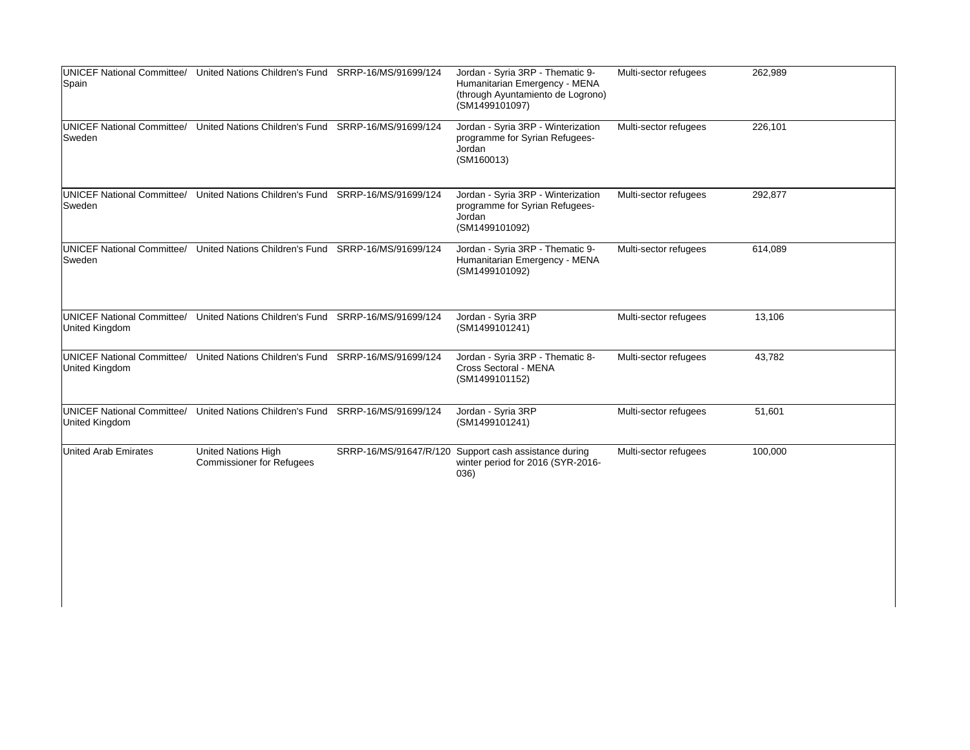| Spain                       | UNICEF National Committee/ United Nations Children's Fund SRRP-16/MS/91699/124 | Jordan - Syria 3RP - Thematic 9-<br>Humanitarian Emergency - MENA<br>(through Ayuntamiento de Logrono)<br>(SM1499101097) | Multi-sector refugees | 262,989 |
|-----------------------------|--------------------------------------------------------------------------------|--------------------------------------------------------------------------------------------------------------------------|-----------------------|---------|
| Sweden                      | UNICEF National Committee/ United Nations Children's Fund SRRP-16/MS/91699/124 | Jordan - Syria 3RP - Winterization<br>programme for Syrian Refugees-<br>Jordan<br>(SM160013)                             | Multi-sector refugees | 226,101 |
| Sweden                      | UNICEF National Committee/ United Nations Children's Fund SRRP-16/MS/91699/124 | Jordan - Syria 3RP - Winterization<br>programme for Syrian Refugees-<br>Jordan<br>(SM1499101092)                         | Multi-sector refugees | 292,877 |
| Sweden                      | UNICEF National Committee/ United Nations Children's Fund SRRP-16/MS/91699/124 | Jordan - Syria 3RP - Thematic 9-<br>Humanitarian Emergency - MENA<br>(SM1499101092)                                      | Multi-sector refugees | 614,089 |
| United Kingdom              | UNICEF National Committee/ United Nations Children's Fund SRRP-16/MS/91699/124 | Jordan - Syria 3RP<br>(SM1499101241)                                                                                     | Multi-sector refugees | 13,106  |
| United Kingdom              | UNICEF National Committee/ United Nations Children's Fund SRRP-16/MS/91699/124 | Jordan - Syria 3RP - Thematic 8-<br>Cross Sectoral - MENA<br>(SM1499101152)                                              | Multi-sector refugees | 43,782  |
| United Kingdom              | UNICEF National Committee/ United Nations Children's Fund SRRP-16/MS/91699/124 | Jordan - Syria 3RP<br>(SM1499101241)                                                                                     | Multi-sector refugees | 51,601  |
| <b>United Arab Emirates</b> | United Nations High<br><b>Commissioner for Refugees</b>                        | SRRP-16/MS/91647/R/120 Support cash assistance during<br>winter period for 2016 (SYR-2016-<br>036)                       | Multi-sector refugees | 100,000 |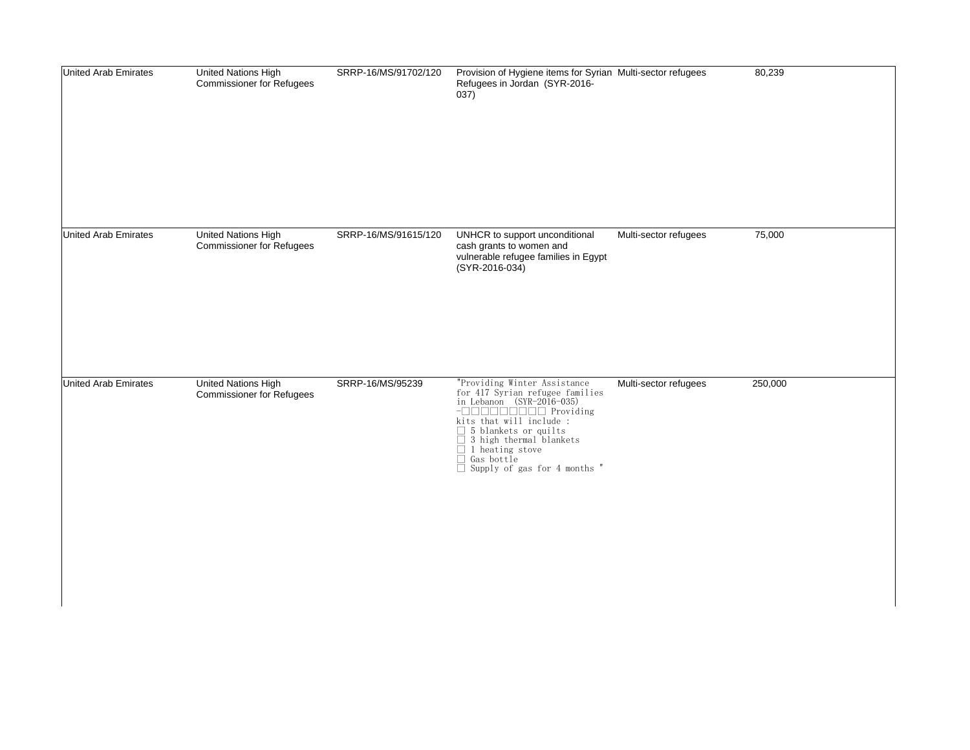| <b>United Arab Emirates</b> | United Nations High<br>Commissioner for Refugees               | SRRP-16/MS/91702/120 | Provision of Hygiene items for Syrian Multi-sector refugees<br>Refugees in Jordan (SYR-2016-<br>037)                   |                       | 80,239  |
|-----------------------------|----------------------------------------------------------------|----------------------|------------------------------------------------------------------------------------------------------------------------|-----------------------|---------|
| United Arab Emirates        | <b>United Nations High</b><br><b>Commissioner for Refugees</b> | SRRP-16/MS/91615/120 | UNHCR to support unconditional<br>cash grants to women and<br>vulnerable refugee families in Egypt<br>$(SYR-2016-034)$ | Multi-sector refugees | 75,000  |
| United Arab Emirates        | United Nations High<br>Commissioner for Refugees               | SRRP-16/MS/95239     | $\Box$ Gas bottle<br>$\Box$ Supply of gas for 4 months "                                                               | Multi-sector refugees | 250,000 |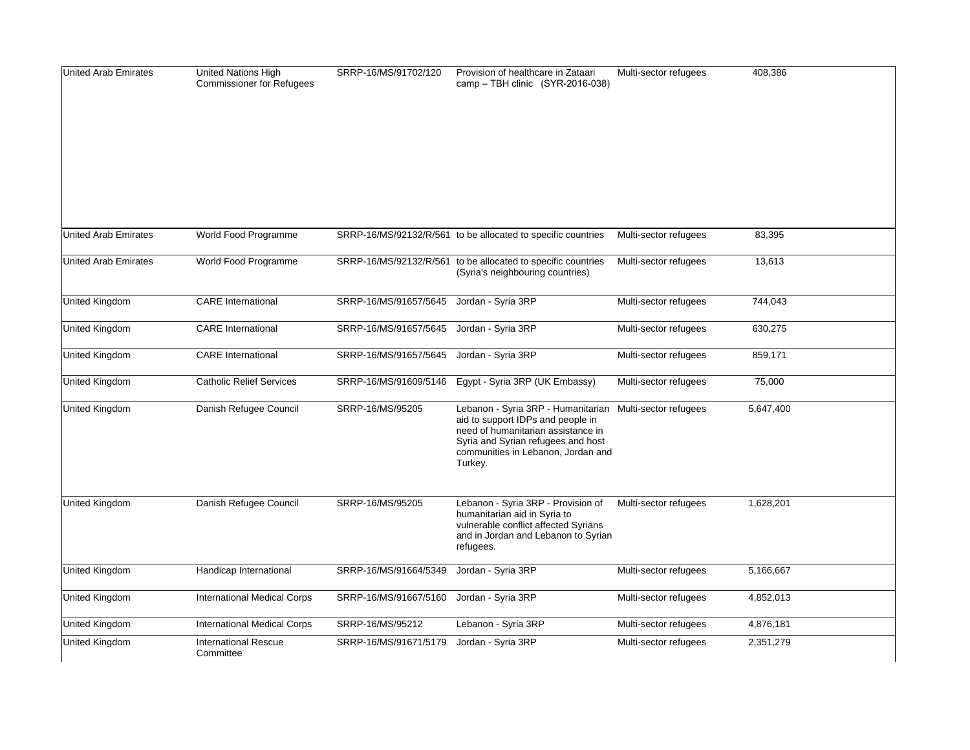| <b>United Arab Emirates</b> | <b>United Nations High</b><br><b>Commissioner for Refugees</b> | SRRP-16/MS/91702/120  | Provision of healthcare in Zataari<br>camp - TBH clinic (SYR-2016-038)                                                                                                                               | Multi-sector refugees | 408,386   |
|-----------------------------|----------------------------------------------------------------|-----------------------|------------------------------------------------------------------------------------------------------------------------------------------------------------------------------------------------------|-----------------------|-----------|
|                             |                                                                |                       |                                                                                                                                                                                                      |                       |           |
| <b>United Arab Emirates</b> | World Food Programme                                           |                       | SRRP-16/MS/92132/R/561 to be allocated to specific countries                                                                                                                                         | Multi-sector refugees | 83,395    |
| <b>United Arab Emirates</b> | World Food Programme                                           |                       | SRRP-16/MS/92132/R/561 to be allocated to specific countries<br>(Syria's neighbouring countries)                                                                                                     | Multi-sector refugees | 13,613    |
| United Kingdom              | <b>CARE</b> International                                      | SRRP-16/MS/91657/5645 | Jordan - Syria 3RP                                                                                                                                                                                   | Multi-sector refugees | 744,043   |
| United Kingdom              | <b>CARE</b> International                                      | SRRP-16/MS/91657/5645 | Jordan - Syria 3RP                                                                                                                                                                                   | Multi-sector refugees | 630,275   |
| United Kingdom              | <b>CARE</b> International                                      | SRRP-16/MS/91657/5645 | Jordan - Syria 3RP                                                                                                                                                                                   | Multi-sector refugees | 859,171   |
| United Kingdom              | <b>Catholic Relief Services</b>                                | SRRP-16/MS/91609/5146 | Egypt - Syria 3RP (UK Embassy)                                                                                                                                                                       | Multi-sector refugees | 75,000    |
| United Kingdom              | Danish Refugee Council                                         | SRRP-16/MS/95205      | Lebanon - Syria 3RP - Humanitarian<br>aid to support IDPs and people in<br>need of humanitarian assistance in<br>Syria and Syrian refugees and host<br>communities in Lebanon, Jordan and<br>Turkey. | Multi-sector refugees | 5,647,400 |
| United Kingdom              | Danish Refugee Council                                         | SRRP-16/MS/95205      | Lebanon - Syria 3RP - Provision of<br>humanitarian aid in Syria to<br>vulnerable conflict affected Syrians<br>and in Jordan and Lebanon to Syrian<br>refugees.                                       | Multi-sector refugees | 1,628,201 |
| United Kingdom              | Handicap International                                         | SRRP-16/MS/91664/5349 | Jordan - Syria 3RP                                                                                                                                                                                   | Multi-sector refugees | 5,166,667 |
| United Kingdom              | <b>International Medical Corps</b>                             | SRRP-16/MS/91667/5160 | Jordan - Syria 3RP                                                                                                                                                                                   | Multi-sector refugees | 4,852,013 |
| United Kingdom              | <b>International Medical Corps</b>                             | SRRP-16/MS/95212      | Lebanon - Syria 3RP                                                                                                                                                                                  | Multi-sector refugees | 4,876,181 |
| United Kingdom              | <b>International Rescue</b><br>Committee                       | SRRP-16/MS/91671/5179 | Jordan - Syria 3RP                                                                                                                                                                                   | Multi-sector refugees | 2,351,279 |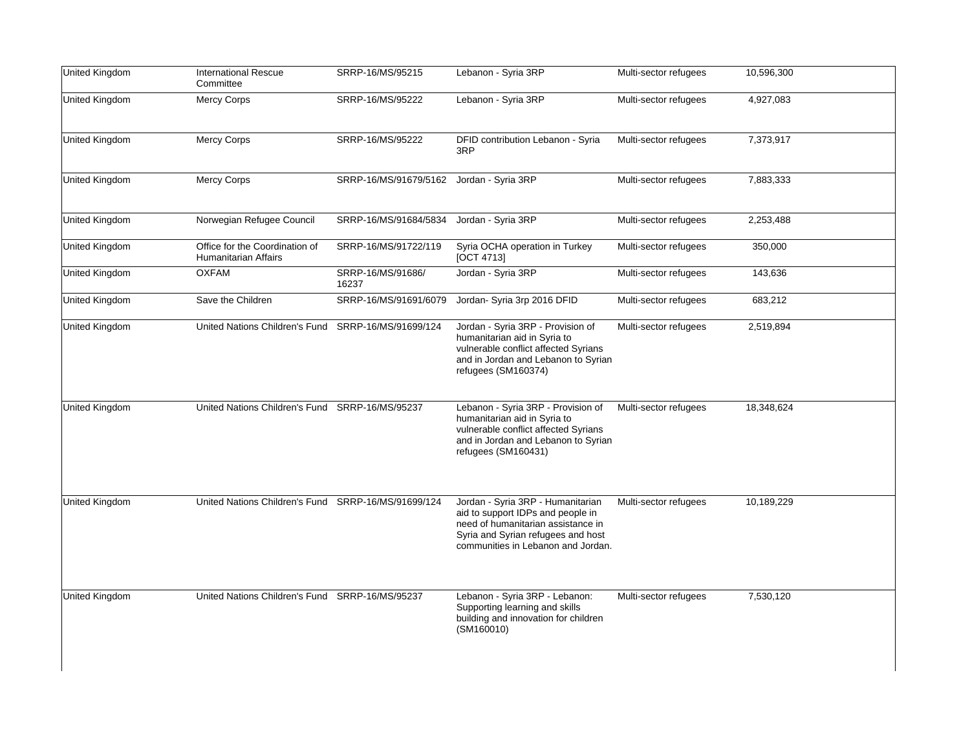| United Kingdom | <b>International Rescue</b><br>Committee                      | SRRP-16/MS/95215           | Lebanon - Syria 3RP                                                                                                                                                                      | Multi-sector refugees | 10,596,300 |
|----------------|---------------------------------------------------------------|----------------------------|------------------------------------------------------------------------------------------------------------------------------------------------------------------------------------------|-----------------------|------------|
| United Kingdom | <b>Mercy Corps</b>                                            | SRRP-16/MS/95222           | Lebanon - Syria 3RP                                                                                                                                                                      | Multi-sector refugees | 4,927,083  |
| United Kingdom | <b>Mercy Corps</b>                                            | SRRP-16/MS/95222           | DFID contribution Lebanon - Syria<br>3RP                                                                                                                                                 | Multi-sector refugees | 7,373,917  |
| United Kingdom | <b>Mercy Corps</b>                                            | SRRP-16/MS/91679/5162      | Jordan - Syria 3RP                                                                                                                                                                       | Multi-sector refugees | 7,883,333  |
| United Kingdom | Norwegian Refugee Council                                     | SRRP-16/MS/91684/5834      | Jordan - Syria 3RP                                                                                                                                                                       | Multi-sector refugees | 2,253,488  |
| United Kingdom | Office for the Coordination of<br><b>Humanitarian Affairs</b> | SRRP-16/MS/91722/119       | Syria OCHA operation in Turkey<br>[OCT 4713]                                                                                                                                             | Multi-sector refugees | 350,000    |
| United Kingdom | <b>OXFAM</b>                                                  | SRRP-16/MS/91686/<br>16237 | Jordan - Syria 3RP                                                                                                                                                                       | Multi-sector refugees | 143,636    |
| United Kingdom | Save the Children                                             | SRRP-16/MS/91691/6079      | Jordan- Syria 3rp 2016 DFID                                                                                                                                                              | Multi-sector refugees | 683,212    |
| United Kingdom | United Nations Children's Fund SRRP-16/MS/91699/124           |                            | Jordan - Syria 3RP - Provision of<br>humanitarian aid in Syria to<br>vulnerable conflict affected Syrians<br>and in Jordan and Lebanon to Syrian<br>refugees (SM160374)                  | Multi-sector refugees | 2,519,894  |
| United Kingdom | United Nations Children's Fund SRRP-16/MS/95237               |                            | Lebanon - Syria 3RP - Provision of<br>humanitarian aid in Syria to<br>vulnerable conflict affected Syrians<br>and in Jordan and Lebanon to Syrian<br>refugees (SM160431)                 | Multi-sector refugees | 18,348,624 |
| United Kingdom | United Nations Children's Fund SRRP-16/MS/91699/124           |                            | Jordan - Syria 3RP - Humanitarian<br>aid to support IDPs and people in<br>need of humanitarian assistance in<br>Syria and Syrian refugees and host<br>communities in Lebanon and Jordan. | Multi-sector refugees | 10,189,229 |
| United Kingdom | United Nations Children's Fund SRRP-16/MS/95237               |                            | Lebanon - Syria 3RP - Lebanon:<br>Supporting learning and skills<br>building and innovation for children<br>(SM160010)                                                                   | Multi-sector refugees | 7,530,120  |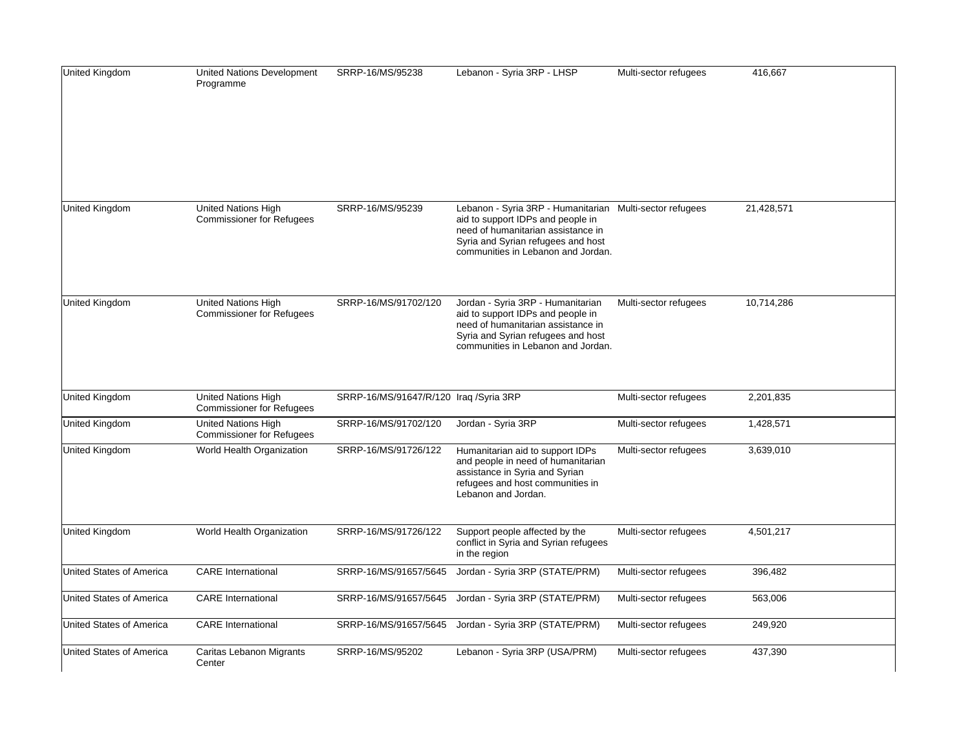| United Kingdom                  | <b>United Nations Development</b><br>Programme                 | SRRP-16/MS/95238                       | Lebanon - Syria 3RP - LHSP                                                                                                                                                                                      | Multi-sector refugees | 416,667    |
|---------------------------------|----------------------------------------------------------------|----------------------------------------|-----------------------------------------------------------------------------------------------------------------------------------------------------------------------------------------------------------------|-----------------------|------------|
| United Kingdom                  | <b>United Nations High</b><br><b>Commissioner for Refugees</b> | SRRP-16/MS/95239                       | Lebanon - Syria 3RP - Humanitarian Multi-sector refugees<br>aid to support IDPs and people in<br>need of humanitarian assistance in<br>Syria and Syrian refugees and host<br>communities in Lebanon and Jordan. |                       | 21,428,571 |
| United Kingdom                  | United Nations High<br><b>Commissioner for Refugees</b>        | SRRP-16/MS/91702/120                   | Jordan - Syria 3RP - Humanitarian<br>aid to support IDPs and people in<br>need of humanitarian assistance in<br>Syria and Syrian refugees and host<br>communities in Lebanon and Jordan.                        | Multi-sector refugees | 10,714,286 |
| United Kingdom                  | <b>United Nations High</b><br><b>Commissioner for Refugees</b> | SRRP-16/MS/91647/R/120 Iraq /Syria 3RP |                                                                                                                                                                                                                 | Multi-sector refugees | 2,201,835  |
| United Kingdom                  | United Nations High<br><b>Commissioner for Refugees</b>        | SRRP-16/MS/91702/120                   | Jordan - Syria 3RP                                                                                                                                                                                              | Multi-sector refugees | 1,428,571  |
| United Kingdom                  | World Health Organization                                      | SRRP-16/MS/91726/122                   | Humanitarian aid to support IDPs<br>and people in need of humanitarian<br>assistance in Syria and Syrian<br>refugees and host communities in<br>Lebanon and Jordan.                                             | Multi-sector refugees | 3,639,010  |
| <b>United Kingdom</b>           | World Health Organization                                      | SRRP-16/MS/91726/122                   | Support people affected by the<br>conflict in Syria and Syrian refugees<br>in the region                                                                                                                        | Multi-sector refugees | 4,501,217  |
| United States of America        | <b>CARE</b> International                                      | SRRP-16/MS/91657/5645                  | Jordan - Syria 3RP (STATE/PRM)                                                                                                                                                                                  | Multi-sector refugees | 396,482    |
| <b>United States of America</b> | <b>CARE</b> International                                      | SRRP-16/MS/91657/5645                  | Jordan - Syria 3RP (STATE/PRM)                                                                                                                                                                                  | Multi-sector refugees | 563,006    |
| United States of America        | <b>CARE</b> International                                      | SRRP-16/MS/91657/5645                  | Jordan - Syria 3RP (STATE/PRM)                                                                                                                                                                                  | Multi-sector refugees | 249,920    |
| United States of America        | Caritas Lebanon Migrants<br>Center                             | SRRP-16/MS/95202                       | Lebanon - Syria 3RP (USA/PRM)                                                                                                                                                                                   | Multi-sector refugees | 437,390    |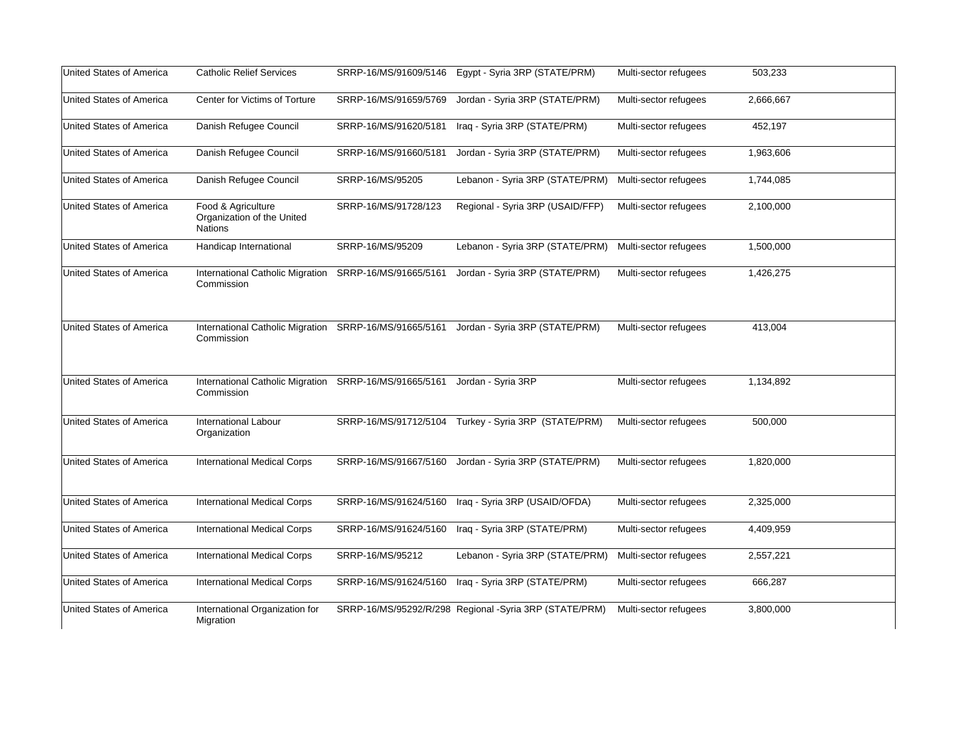| United States of America | <b>Catholic Relief Services</b>                                    | SRRP-16/MS/91609/5146 | Egypt - Syria 3RP (STATE/PRM)                          | Multi-sector refugees | 503,233   |  |
|--------------------------|--------------------------------------------------------------------|-----------------------|--------------------------------------------------------|-----------------------|-----------|--|
| United States of America | Center for Victims of Torture                                      | SRRP-16/MS/91659/5769 | Jordan - Syria 3RP (STATE/PRM)                         | Multi-sector refugees | 2,666,667 |  |
| United States of America | Danish Refugee Council                                             | SRRP-16/MS/91620/5181 | Iraq - Syria 3RP (STATE/PRM)                           | Multi-sector refugees | 452,197   |  |
| United States of America | Danish Refugee Council                                             | SRRP-16/MS/91660/5181 | Jordan - Syria 3RP (STATE/PRM)                         | Multi-sector refugees | 1,963,606 |  |
| United States of America | Danish Refugee Council                                             | SRRP-16/MS/95205      | Lebanon - Syria 3RP (STATE/PRM)                        | Multi-sector refugees | 1,744,085 |  |
| United States of America | Food & Agriculture<br>Organization of the United<br><b>Nations</b> | SRRP-16/MS/91728/123  | Regional - Syria 3RP (USAID/FFP)                       | Multi-sector refugees | 2,100,000 |  |
| United States of America | Handicap International                                             | SRRP-16/MS/95209      | Lebanon - Syria 3RP (STATE/PRM)                        | Multi-sector refugees | 1,500,000 |  |
| United States of America | International Catholic Migration<br>Commission                     | SRRP-16/MS/91665/5161 | Jordan - Syria 3RP (STATE/PRM)                         | Multi-sector refugees | 1,426,275 |  |
| United States of America | International Catholic Migration<br>Commission                     | SRRP-16/MS/91665/5161 | Jordan - Syria 3RP (STATE/PRM)                         | Multi-sector refugees | 413,004   |  |
| United States of America | International Catholic Migration<br>Commission                     | SRRP-16/MS/91665/5161 | Jordan - Syria 3RP                                     | Multi-sector refugees | 1,134,892 |  |
| United States of America | <b>International Labour</b><br>Organization                        | SRRP-16/MS/91712/5104 | Turkey - Syria 3RP (STATE/PRM)                         | Multi-sector refugees | 500,000   |  |
| United States of America | <b>International Medical Corps</b>                                 | SRRP-16/MS/91667/5160 | Jordan - Syria 3RP (STATE/PRM)                         | Multi-sector refugees | 1,820,000 |  |
| United States of America | <b>International Medical Corps</b>                                 | SRRP-16/MS/91624/5160 | Iraq - Syria 3RP (USAID/OFDA)                          | Multi-sector refugees | 2,325,000 |  |
| United States of America | <b>International Medical Corps</b>                                 | SRRP-16/MS/91624/5160 | Iraq - Syria 3RP (STATE/PRM)                           | Multi-sector refugees | 4,409,959 |  |
| United States of America | <b>International Medical Corps</b>                                 | SRRP-16/MS/95212      | Lebanon - Syria 3RP (STATE/PRM)                        | Multi-sector refugees | 2,557,221 |  |
| United States of America | <b>International Medical Corps</b>                                 | SRRP-16/MS/91624/5160 | Iraq - Syria 3RP (STATE/PRM)                           | Multi-sector refugees | 666,287   |  |
| United States of America | International Organization for<br>Migration                        |                       | SRRP-16/MS/95292/R/298 Regional -Syria 3RP (STATE/PRM) | Multi-sector refugees | 3,800,000 |  |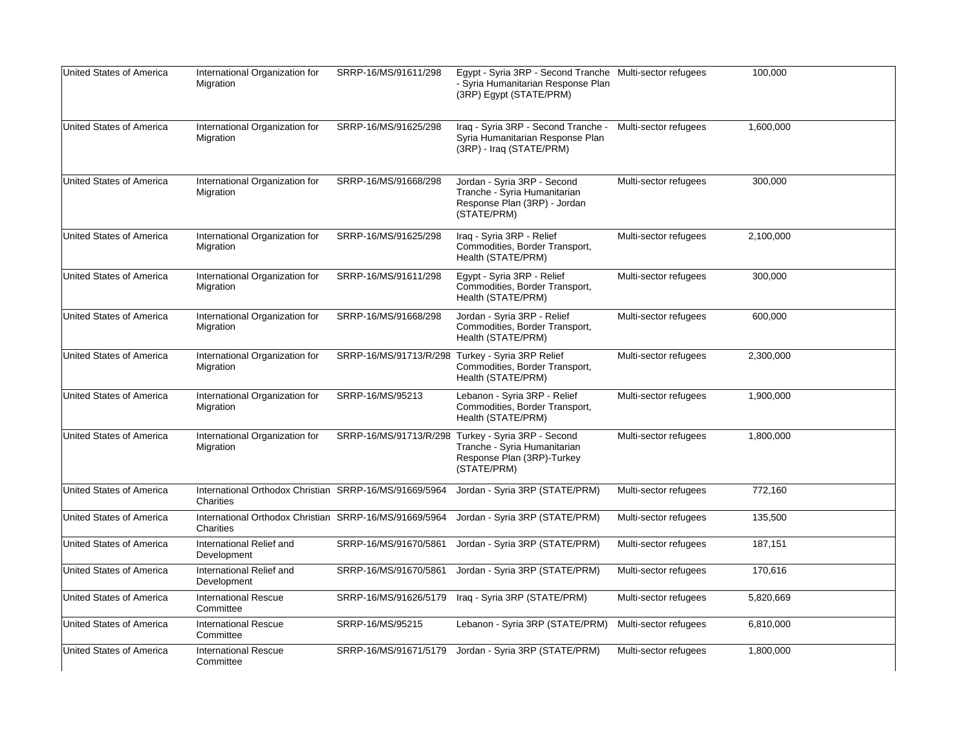| United States of America | International Organization for<br>Migration                         | SRRP-16/MS/91611/298                             | Egypt - Syria 3RP - Second Tranche Multi-sector refugees<br>- Syria Humanitarian Response Plan<br>(3RP) Egypt (STATE/PRM) |                       | 100,000   |
|--------------------------|---------------------------------------------------------------------|--------------------------------------------------|---------------------------------------------------------------------------------------------------------------------------|-----------------------|-----------|
| United States of America | International Organization for<br>Migration                         | SRRP-16/MS/91625/298                             | Iraq - Syria 3RP - Second Tranche -<br>Syria Humanitarian Response Plan<br>(3RP) - Iraq (STATE/PRM)                       | Multi-sector refugees | 1,600,000 |
| United States of America | International Organization for<br>Migration                         | SRRP-16/MS/91668/298                             | Jordan - Syria 3RP - Second<br>Tranche - Syria Humanitarian<br>Response Plan (3RP) - Jordan<br>(STATE/PRM)                | Multi-sector refugees | 300,000   |
| United States of America | International Organization for<br>Migration                         | SRRP-16/MS/91625/298                             | Iraq - Syria 3RP - Relief<br>Commodities, Border Transport,<br>Health (STATE/PRM)                                         | Multi-sector refugees | 2,100,000 |
| United States of America | International Organization for<br>Migration                         | SRRP-16/MS/91611/298                             | Egypt - Syria 3RP - Relief<br>Commodities, Border Transport,<br>Health (STATE/PRM)                                        | Multi-sector refugees | 300,000   |
| United States of America | International Organization for<br>Migration                         | SRRP-16/MS/91668/298                             | Jordan - Syria 3RP - Relief<br>Commodities, Border Transport,<br>Health (STATE/PRM)                                       | Multi-sector refugees | 600.000   |
| United States of America | International Organization for<br>Migration                         | SRRP-16/MS/91713/R/298 Turkey - Syria 3RP Relief | Commodities, Border Transport,<br>Health (STATE/PRM)                                                                      | Multi-sector refugees | 2,300,000 |
| United States of America | International Organization for<br>Migration                         | SRRP-16/MS/95213                                 | Lebanon - Syria 3RP - Relief<br>Commodities, Border Transport,<br>Health (STATE/PRM)                                      | Multi-sector refugees | 1,900,000 |
| United States of America | International Organization for<br>Migration                         | SRRP-16/MS/91713/R/298                           | Turkey - Syria 3RP - Second<br>Tranche - Syria Humanitarian<br>Response Plan (3RP)-Turkey<br>(STATE/PRM)                  | Multi-sector refugees | 1,800,000 |
| United States of America | International Orthodox Christian SRRP-16/MS/91669/5964<br>Charities |                                                  | Jordan - Syria 3RP (STATE/PRM)                                                                                            | Multi-sector refugees | 772,160   |
| United States of America | International Orthodox Christian SRRP-16/MS/91669/5964<br>Charities |                                                  | Jordan - Syria 3RP (STATE/PRM)                                                                                            | Multi-sector refugees | 135,500   |
| United States of America | International Relief and<br>Development                             | SRRP-16/MS/91670/5861                            | Jordan - Syria 3RP (STATE/PRM)                                                                                            | Multi-sector refugees | 187,151   |
| United States of America | International Relief and<br>Development                             | SRRP-16/MS/91670/5861                            | Jordan - Syria 3RP (STATE/PRM)                                                                                            | Multi-sector refugees | 170,616   |
| United States of America | <b>International Rescue</b><br>Committee                            |                                                  | SRRP-16/MS/91626/5179 Iraq - Syria 3RP (STATE/PRM)                                                                        | Multi-sector refugees | 5,820,669 |
| United States of America | International Rescue<br>Committee                                   | SRRP-16/MS/95215                                 | Lebanon - Syria 3RP (STATE/PRM)                                                                                           | Multi-sector refugees | 6,810,000 |
| United States of America | <b>International Rescue</b><br>Committee                            | SRRP-16/MS/91671/5179                            | Jordan - Syria 3RP (STATE/PRM)                                                                                            | Multi-sector refugees | 1,800,000 |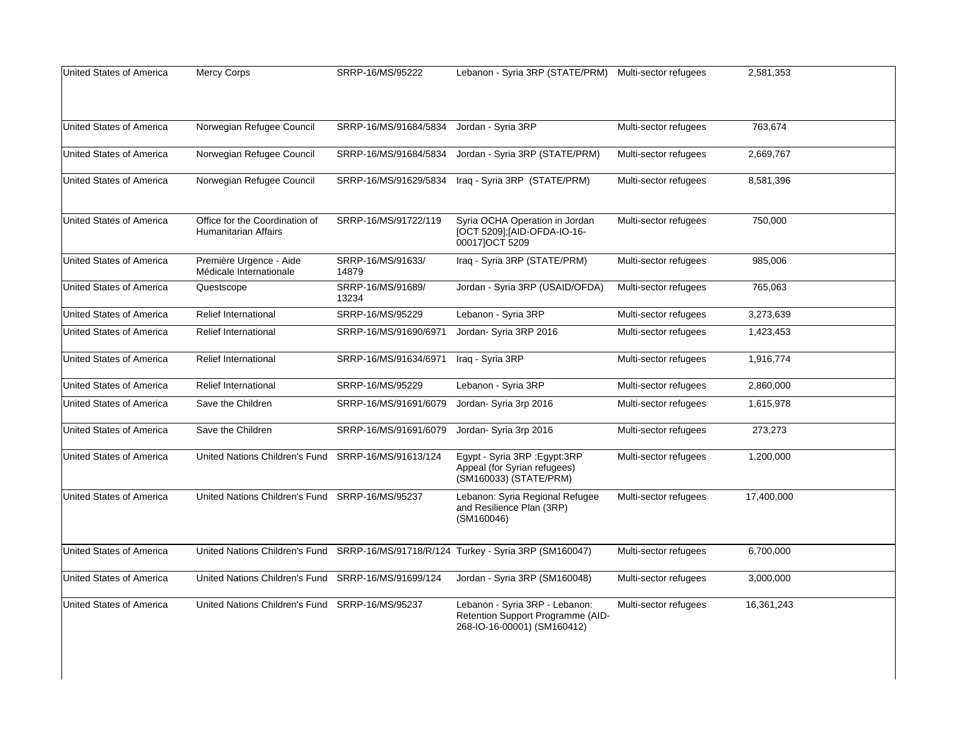| United States of America | <b>Mercy Corps</b>                                            | SRRP-16/MS/95222           | Lebanon - Syria 3RP (STATE/PRM) Multi-sector refugees                                              |                       | 2,581,353  |  |
|--------------------------|---------------------------------------------------------------|----------------------------|----------------------------------------------------------------------------------------------------|-----------------------|------------|--|
|                          |                                                               |                            |                                                                                                    |                       |            |  |
| United States of America | Norwegian Refugee Council                                     | SRRP-16/MS/91684/5834      | Jordan - Syria 3RP                                                                                 | Multi-sector refugees | 763,674    |  |
|                          |                                                               |                            |                                                                                                    |                       |            |  |
| United States of America | Norwegian Refugee Council                                     | SRRP-16/MS/91684/5834      | Jordan - Syria 3RP (STATE/PRM)                                                                     | Multi-sector refugees | 2,669,767  |  |
| United States of America | Norwegian Refugee Council                                     | SRRP-16/MS/91629/5834      | Iraq - Syria 3RP (STATE/PRM)                                                                       | Multi-sector refugees | 8,581,396  |  |
|                          |                                                               |                            |                                                                                                    |                       |            |  |
| United States of America | Office for the Coordination of<br><b>Humanitarian Affairs</b> | SRRP-16/MS/91722/119       | Syria OCHA Operation in Jordan<br>[OCT 5209]; [AID-OFDA-IO-16-<br>00017]OCT 5209                   | Multi-sector refugees | 750,000    |  |
| United States of America | Première Urgence - Aide<br>Médicale Internationale            | SRRP-16/MS/91633/<br>14879 | Iraq - Syria 3RP (STATE/PRM)                                                                       | Multi-sector refugees | 985,006    |  |
| United States of America | Questscope                                                    | SRRP-16/MS/91689/<br>13234 | Jordan - Syria 3RP (USAID/OFDA)                                                                    | Multi-sector refugees | 765,063    |  |
| United States of America | Relief International                                          | SRRP-16/MS/95229           | Lebanon - Syria 3RP                                                                                | Multi-sector refugees | 3,273,639  |  |
| United States of America | <b>Relief International</b>                                   | SRRP-16/MS/91690/6971      | Jordan- Syria 3RP 2016                                                                             | Multi-sector refugees | 1,423,453  |  |
| United States of America | <b>Relief International</b>                                   | SRRP-16/MS/91634/6971      | Iraq - Syria 3RP                                                                                   | Multi-sector refugees | 1,916,774  |  |
| United States of America | <b>Relief International</b>                                   | SRRP-16/MS/95229           | Lebanon - Syria 3RP                                                                                | Multi-sector refugees | 2,860,000  |  |
| United States of America | Save the Children                                             | SRRP-16/MS/91691/6079      | Jordan- Syria 3rp 2016                                                                             | Multi-sector refugees | 1,615,978  |  |
| United States of America | Save the Children                                             | SRRP-16/MS/91691/6079      | Jordan- Syria 3rp 2016                                                                             | Multi-sector refugees | 273,273    |  |
| United States of America | United Nations Children's Fund                                | SRRP-16/MS/91613/124       | Egypt - Syria 3RP : Egypt: 3RP<br>Appeal (for Syrian refugees)<br>(SM160033) (STATE/PRM)           | Multi-sector refugees | 1,200,000  |  |
| United States of America | United Nations Children's Fund SRRP-16/MS/95237               |                            | Lebanon: Syria Regional Refugee<br>and Resilience Plan (3RP)<br>(SM160046)                         | Multi-sector refugees | 17,400,000 |  |
| United States of America | United Nations Children's Fund                                |                            | SRRP-16/MS/91718/R/124 Turkey - Syria 3RP (SM160047)                                               | Multi-sector refugees | 6,700,000  |  |
| United States of America | United Nations Children's Fund                                | SRRP-16/MS/91699/124       | Jordan - Syria 3RP (SM160048)                                                                      | Multi-sector refugees | 3,000,000  |  |
| United States of America | United Nations Children's Fund                                | SRRP-16/MS/95237           | Lebanon - Syria 3RP - Lebanon:<br>Retention Support Programme (AID-<br>268-IO-16-00001) (SM160412) | Multi-sector refugees | 16,361,243 |  |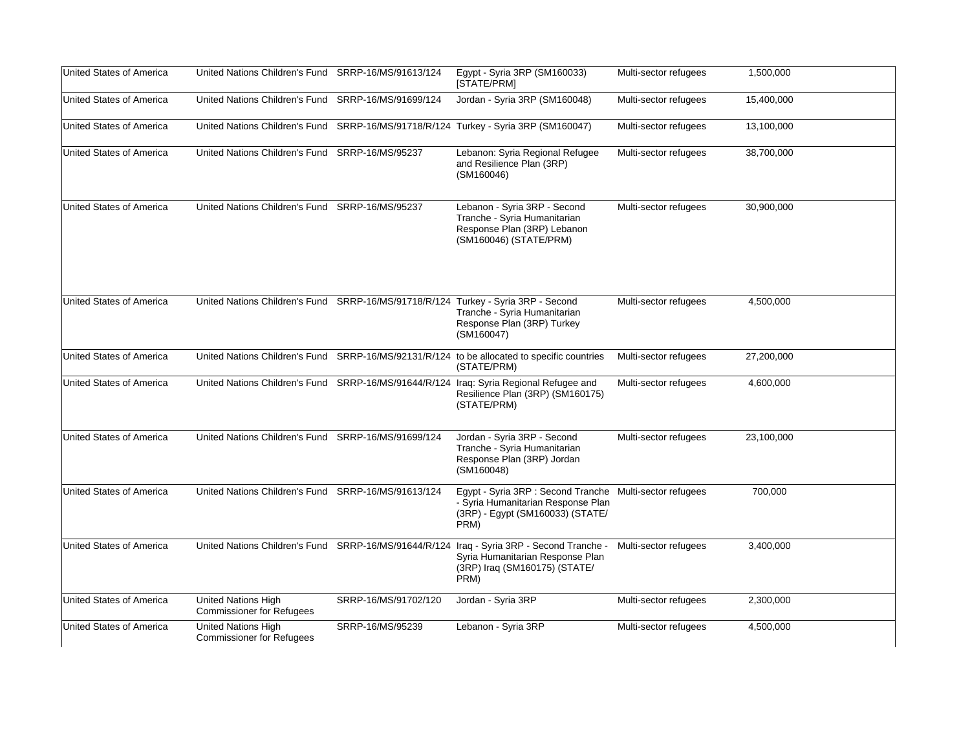| United States of America        | United Nations Children's Fund SRRP-16/MS/91613/124                               |                      | Egypt - Syria 3RP (SM160033)<br>[STATE/PRM]                                                                                                | Multi-sector refugees | 1,500,000  |
|---------------------------------|-----------------------------------------------------------------------------------|----------------------|--------------------------------------------------------------------------------------------------------------------------------------------|-----------------------|------------|
| United States of America        | United Nations Children's Fund SRRP-16/MS/91699/124                               |                      | Jordan - Syria 3RP (SM160048)                                                                                                              | Multi-sector refugees | 15,400,000 |
| United States of America        |                                                                                   |                      | United Nations Children's Fund SRRP-16/MS/91718/R/124 Turkey - Syria 3RP (SM160047)                                                        | Multi-sector refugees | 13,100,000 |
| <b>United States of America</b> | United Nations Children's Fund SRRP-16/MS/95237                                   |                      | Lebanon: Syria Regional Refugee<br>and Resilience Plan (3RP)<br>(SM160046)                                                                 | Multi-sector refugees | 38,700,000 |
| <b>United States of America</b> | United Nations Children's Fund SRRP-16/MS/95237                                   |                      | Lebanon - Syria 3RP - Second<br>Tranche - Syria Humanitarian<br>Response Plan (3RP) Lebanon<br>(SM160046) (STATE/PRM)                      | Multi-sector refugees | 30,900,000 |
| <b>United States of America</b> | United Nations Children's Fund SRRP-16/MS/91718/R/124 Turkey - Syria 3RP - Second |                      | Tranche - Syria Humanitarian<br>Response Plan (3RP) Turkey<br>(SM160047)                                                                   | Multi-sector refugees | 4,500,000  |
| <b>United States of America</b> |                                                                                   |                      | United Nations Children's Fund SRRP-16/MS/92131/R/124 to be allocated to specific countries<br>(STATE/PRM)                                 | Multi-sector refugees | 27,200,000 |
| United States of America        |                                                                                   |                      | United Nations Children's Fund SRRP-16/MS/91644/R/124 Iraq: Syria Regional Refugee and<br>Resilience Plan (3RP) (SM160175)<br>(STATE/PRM)  | Multi-sector refugees | 4,600,000  |
| United States of America        | United Nations Children's Fund SRRP-16/MS/91699/124                               |                      | Jordan - Syria 3RP - Second<br>Tranche - Syria Humanitarian<br>Response Plan (3RP) Jordan<br>(SM160048)                                    | Multi-sector refugees | 23,100,000 |
| United States of America        | United Nations Children's Fund SRRP-16/MS/91613/124                               |                      | Egypt - Syria 3RP : Second Tranche Multi-sector refugees<br>- Syria Humanitarian Response Plan<br>(3RP) - Egypt (SM160033) (STATE/<br>PRM) |                       | 700,000    |
| United States of America        | United Nations Children's Fund SRRP-16/MS/91644/R/124                             |                      | Iraq - Syria 3RP - Second Tranche -<br>Syria Humanitarian Response Plan<br>(3RP) Iraq (SM160175) (STATE/<br>PRM)                           | Multi-sector refugees | 3,400,000  |
| United States of America        | <b>United Nations High</b><br><b>Commissioner for Refugees</b>                    | SRRP-16/MS/91702/120 | Jordan - Syria 3RP                                                                                                                         | Multi-sector refugees | 2,300,000  |
| United States of America        | United Nations High<br><b>Commissioner for Refugees</b>                           | SRRP-16/MS/95239     | Lebanon - Syria 3RP                                                                                                                        | Multi-sector refugees | 4,500,000  |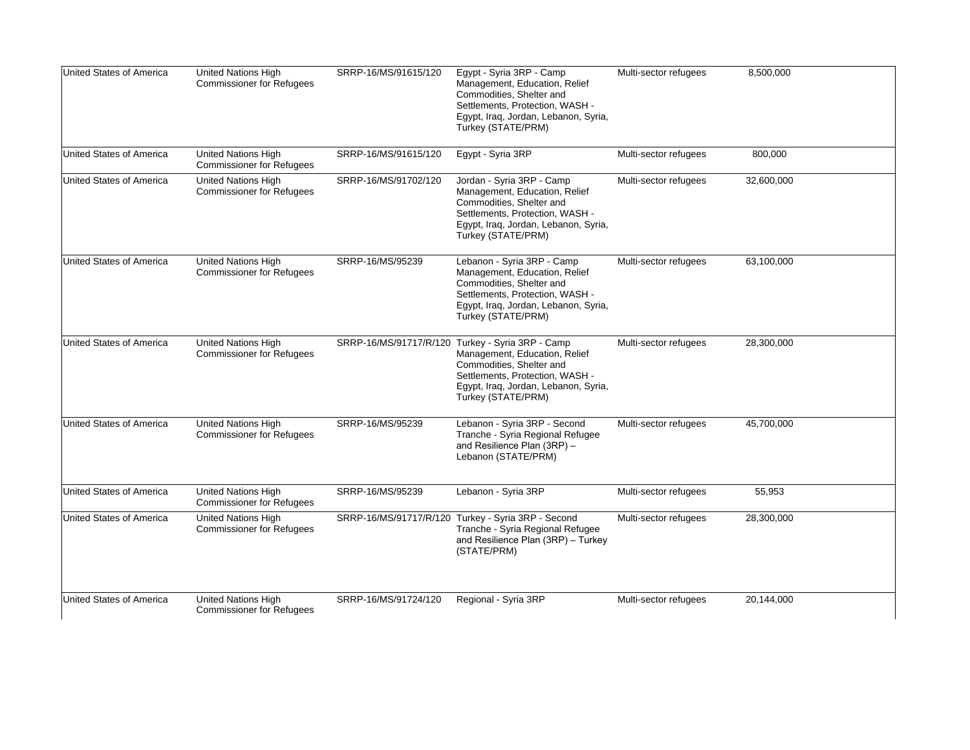| <b>United States of America</b> | <b>United Nations High</b><br><b>Commissioner for Refugees</b> | SRRP-16/MS/91615/120 | Egypt - Syria 3RP - Camp<br>Management, Education, Relief<br>Commodities, Shelter and<br>Settlements, Protection, WASH -<br>Egypt, Iraq, Jordan, Lebanon, Syria,<br>Turkey (STATE/PRM)                         | Multi-sector refugees | 8,500,000  |
|---------------------------------|----------------------------------------------------------------|----------------------|----------------------------------------------------------------------------------------------------------------------------------------------------------------------------------------------------------------|-----------------------|------------|
| <b>United States of America</b> | <b>United Nations High</b><br><b>Commissioner for Refugees</b> | SRRP-16/MS/91615/120 | Egypt - Syria 3RP                                                                                                                                                                                              | Multi-sector refugees | 800,000    |
| United States of America        | <b>United Nations High</b><br><b>Commissioner for Refugees</b> | SRRP-16/MS/91702/120 | Jordan - Syria 3RP - Camp<br>Management, Education, Relief<br>Commodities, Shelter and<br>Settlements, Protection, WASH -<br>Egypt, Iraq, Jordan, Lebanon, Syria,<br>Turkey (STATE/PRM)                        | Multi-sector refugees | 32,600,000 |
| <b>United States of America</b> | United Nations High<br><b>Commissioner for Refugees</b>        | SRRP-16/MS/95239     | Lebanon - Syria 3RP - Camp<br>Management, Education, Relief<br>Commodities, Shelter and<br>Settlements, Protection, WASH -<br>Egypt, Iraq, Jordan, Lebanon, Syria,<br>Turkey (STATE/PRM)                       | Multi-sector refugees | 63,100,000 |
| <b>United States of America</b> | <b>United Nations High</b><br><b>Commissioner for Refugees</b> |                      | SRRP-16/MS/91717/R/120 Turkey - Syria 3RP - Camp<br>Management, Education, Relief<br>Commodities, Shelter and<br>Settlements, Protection, WASH -<br>Egypt, Iraq, Jordan, Lebanon, Syria,<br>Turkey (STATE/PRM) | Multi-sector refugees | 28,300,000 |
| United States of America        | <b>United Nations High</b><br><b>Commissioner for Refugees</b> | SRRP-16/MS/95239     | Lebanon - Syria 3RP - Second<br>Tranche - Syria Regional Refugee<br>and Resilience Plan (3RP) -<br>Lebanon (STATE/PRM)                                                                                         | Multi-sector refugees | 45,700,000 |
| <b>United States of America</b> | United Nations High<br><b>Commissioner for Refugees</b>        | SRRP-16/MS/95239     | Lebanon - Syria 3RP                                                                                                                                                                                            | Multi-sector refugees | 55,953     |
| United States of America        | United Nations High<br><b>Commissioner for Refugees</b>        |                      | SRRP-16/MS/91717/R/120 Turkey - Syria 3RP - Second<br>Tranche - Syria Regional Refugee<br>and Resilience Plan (3RP) - Turkey<br>(STATE/PRM)                                                                    | Multi-sector refugees | 28,300,000 |
| <b>United States of America</b> | United Nations High<br><b>Commissioner for Refugees</b>        | SRRP-16/MS/91724/120 | Regional - Syria 3RP                                                                                                                                                                                           | Multi-sector refugees | 20,144,000 |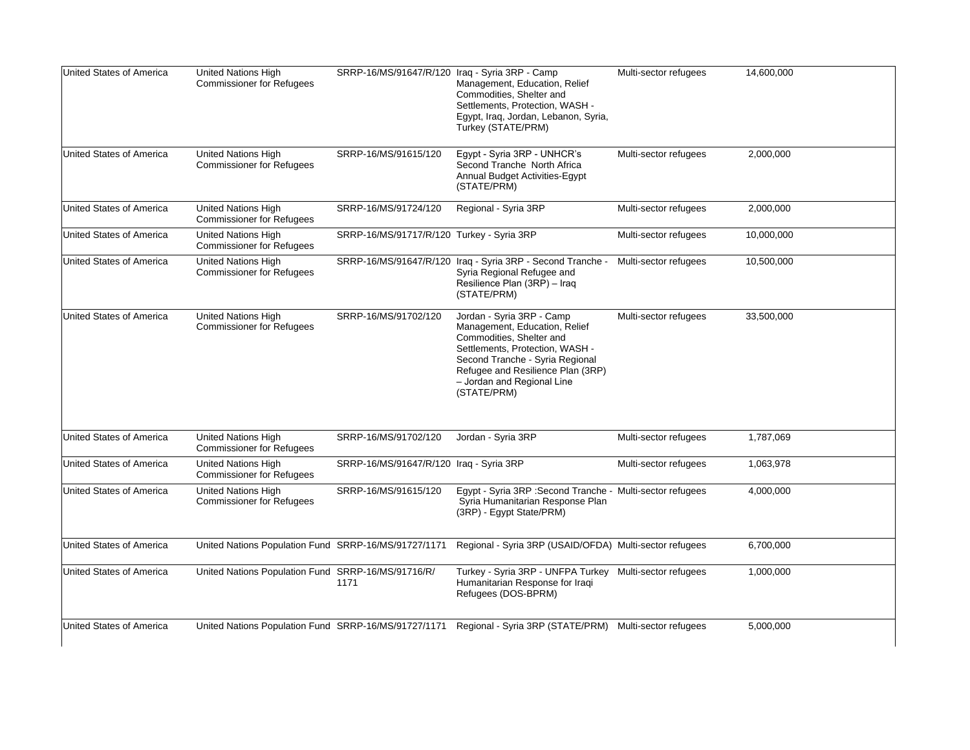| <b>United States of America</b> | United Nations High<br><b>Commissioner for Refugees</b>        | SRRP-16/MS/91647/R/120 Iraq - Syria 3RP - Camp | Management, Education, Relief<br>Commodities, Shelter and<br>Settlements, Protection, WASH -<br>Egypt, Iraq, Jordan, Lebanon, Syria,<br>Turkey (STATE/PRM)                                                                                     | Multi-sector refugees | 14,600,000 |
|---------------------------------|----------------------------------------------------------------|------------------------------------------------|------------------------------------------------------------------------------------------------------------------------------------------------------------------------------------------------------------------------------------------------|-----------------------|------------|
| <b>United States of America</b> | United Nations High<br><b>Commissioner for Refugees</b>        | SRRP-16/MS/91615/120                           | Egypt - Syria 3RP - UNHCR's<br>Second Tranche North Africa<br>Annual Budget Activities-Egypt<br>(STATE/PRM)                                                                                                                                    | Multi-sector refugees | 2,000,000  |
| United States of America        | <b>United Nations High</b><br><b>Commissioner for Refugees</b> | SRRP-16/MS/91724/120                           | Regional - Syria 3RP                                                                                                                                                                                                                           | Multi-sector refugees | 2,000,000  |
| <b>United States of America</b> | United Nations High<br><b>Commissioner for Refugees</b>        | SRRP-16/MS/91717/R/120 Turkey - Syria 3RP      |                                                                                                                                                                                                                                                | Multi-sector refugees | 10,000,000 |
| <b>United States of America</b> | <b>United Nations High</b><br><b>Commissioner for Refugees</b> |                                                | SRRP-16/MS/91647/R/120 Iraq - Syria 3RP - Second Tranche -<br>Syria Regional Refugee and<br>Resilience Plan (3RP) - Iraq<br>(STATE/PRM)                                                                                                        | Multi-sector refugees | 10,500,000 |
| <b>United States of America</b> | <b>United Nations High</b><br><b>Commissioner for Refugees</b> | SRRP-16/MS/91702/120                           | Jordan - Syria 3RP - Camp<br>Management, Education, Relief<br>Commodities, Shelter and<br>Settlements, Protection, WASH -<br>Second Tranche - Syria Regional<br>Refugee and Resilience Plan (3RP)<br>- Jordan and Regional Line<br>(STATE/PRM) | Multi-sector refugees | 33,500,000 |
| <b>United States of America</b> | United Nations High<br><b>Commissioner for Refugees</b>        | SRRP-16/MS/91702/120                           | Jordan - Syria 3RP                                                                                                                                                                                                                             | Multi-sector refugees | 1,787,069  |
| <b>United States of America</b> | <b>United Nations High</b><br><b>Commissioner for Refugees</b> | SRRP-16/MS/91647/R/120 Iraq - Syria 3RP        |                                                                                                                                                                                                                                                | Multi-sector refugees | 1,063,978  |
| United States of America        | United Nations High<br><b>Commissioner for Refugees</b>        | SRRP-16/MS/91615/120                           | Egypt - Syria 3RP : Second Tranche - Multi-sector refugees<br>Syria Humanitarian Response Plan<br>(3RP) - Egypt State/PRM)                                                                                                                     |                       | 4,000,000  |
| United States of America        | United Nations Population Fund SRRP-16/MS/91727/1171           |                                                | Regional - Syria 3RP (USAID/OFDA) Multi-sector refugees                                                                                                                                                                                        |                       | 6,700,000  |
| United States of America        | United Nations Population Fund SRRP-16/MS/91716/R/             | 1171                                           | Turkey - Syria 3RP - UNFPA Turkey Multi-sector refugees<br>Humanitarian Response for Iraqi<br>Refugees (DOS-BPRM)                                                                                                                              |                       | 1,000,000  |
| <b>United States of America</b> |                                                                |                                                | United Nations Population Fund SRRP-16/MS/91727/1171 Regional - Syria 3RP (STATE/PRM) Multi-sector refugees                                                                                                                                    |                       | 5,000,000  |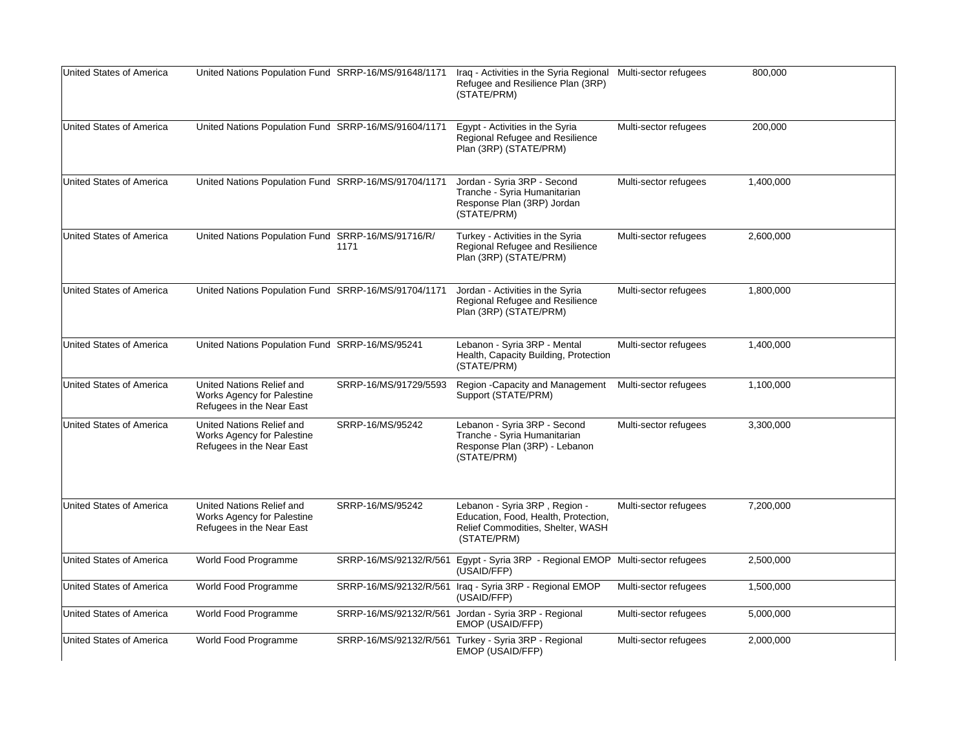| United States of America        | United Nations Population Fund SRRP-16/MS/91648/1171                                        |                        | Iraq - Activities in the Syria Regional Multi-sector refugees<br>Refugee and Resilience Plan (3RP)<br>(STATE/PRM)         |                       | 800,000   |
|---------------------------------|---------------------------------------------------------------------------------------------|------------------------|---------------------------------------------------------------------------------------------------------------------------|-----------------------|-----------|
| United States of America        | United Nations Population Fund SRRP-16/MS/91604/1171                                        |                        | Egypt - Activities in the Syria<br>Regional Refugee and Resilience<br>Plan (3RP) (STATE/PRM)                              | Multi-sector refugees | 200,000   |
| <b>United States of America</b> | United Nations Population Fund SRRP-16/MS/91704/1171                                        |                        | Jordan - Syria 3RP - Second<br>Tranche - Syria Humanitarian<br>Response Plan (3RP) Jordan<br>(STATE/PRM)                  | Multi-sector refugees | 1,400,000 |
| United States of America        | United Nations Population Fund SRRP-16/MS/91716/R/                                          | 1171                   | Turkey - Activities in the Syria<br>Regional Refugee and Resilience<br>Plan (3RP) (STATE/PRM)                             | Multi-sector refugees | 2,600,000 |
| <b>United States of America</b> | United Nations Population Fund SRRP-16/MS/91704/1171                                        |                        | Jordan - Activities in the Syria<br>Regional Refugee and Resilience<br>Plan (3RP) (STATE/PRM)                             | Multi-sector refugees | 1,800,000 |
| United States of America        | United Nations Population Fund SRRP-16/MS/95241                                             |                        | Lebanon - Syria 3RP - Mental<br>Health, Capacity Building, Protection<br>(STATE/PRM)                                      | Multi-sector refugees | 1,400,000 |
| <b>United States of America</b> | United Nations Relief and<br><b>Works Agency for Palestine</b><br>Refugees in the Near East | SRRP-16/MS/91729/5593  | Region -Capacity and Management Multi-sector refugees<br>Support (STATE/PRM)                                              |                       | 1,100,000 |
| United States of America        | United Nations Relief and<br>Works Agency for Palestine<br>Refugees in the Near East        | SRRP-16/MS/95242       | Lebanon - Syria 3RP - Second<br>Tranche - Syria Humanitarian<br>Response Plan (3RP) - Lebanon<br>(STATE/PRM)              | Multi-sector refugees | 3,300,000 |
| United States of America        | United Nations Relief and<br>Works Agency for Palestine<br>Refugees in the Near East        | SRRP-16/MS/95242       | Lebanon - Syria 3RP, Region -<br>Education, Food, Health, Protection,<br>Relief Commodities, Shelter, WASH<br>(STATE/PRM) | Multi-sector refugees | 7,200,000 |
| United States of America        | World Food Programme                                                                        | SRRP-16/MS/92132/R/561 | Egypt - Syria 3RP - Regional EMOP Multi-sector refugees<br>(USAID/FFP)                                                    |                       | 2,500,000 |
| United States of America        | World Food Programme                                                                        |                        | SRRP-16/MS/92132/R/561 Iraq - Syria 3RP - Regional EMOP<br>(USAID/FFP)                                                    | Multi-sector refugees | 1,500,000 |
| United States of America        | World Food Programme                                                                        |                        | SRRP-16/MS/92132/R/561 Jordan - Syria 3RP - Regional<br>EMOP (USAID/FFP)                                                  | Multi-sector refugees | 5,000,000 |
| United States of America        | World Food Programme                                                                        |                        | SRRP-16/MS/92132/R/561 Turkey - Syria 3RP - Regional<br>EMOP (USAID/FFP)                                                  | Multi-sector refugees | 2,000,000 |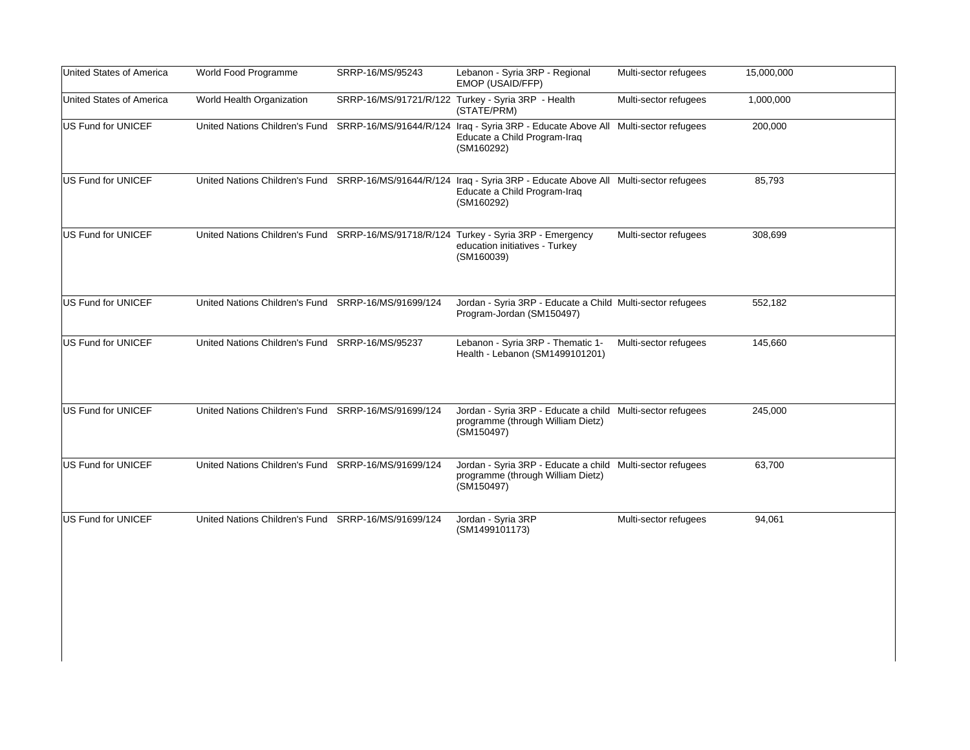| United States of America | World Food Programme                                | SRRP-16/MS/95243     | Lebanon - Syria 3RP - Regional<br>EMOP (USAID/FFP)                                                                                   | Multi-sector refugees | 15,000,000 |
|--------------------------|-----------------------------------------------------|----------------------|--------------------------------------------------------------------------------------------------------------------------------------|-----------------------|------------|
| United States of America | World Health Organization                           |                      | SRRP-16/MS/91721/R/122 Turkey - Syria 3RP - Health<br>(STATE/PRM)                                                                    | Multi-sector refugees | 1,000,000  |
| US Fund for UNICEF       | United Nations Children's Fund                      |                      | SRRP-16/MS/91644/R/124 Iraq - Syria 3RP - Educate Above All Multi-sector refugees<br>Educate a Child Program-Iraq<br>(SM160292)      |                       | 200,000    |
| US Fund for UNICEF       | United Nations Children's Fund                      |                      | SRRP-16/MS/91644/R/124 Iraq - Syria 3RP - Educate Above All Multi-sector refugees<br>Educate a Child Program-Iraq<br>(SM160292)      |                       | 85,793     |
| US Fund for UNICEF       |                                                     |                      | United Nations Children's Fund SRRP-16/MS/91718/R/124 Turkey - Syria 3RP - Emergency<br>education initiatives - Turkey<br>(SM160039) | Multi-sector refugees | 308,699    |
| US Fund for UNICEF       | United Nations Children's Fund SRRP-16/MS/91699/124 |                      | Jordan - Syria 3RP - Educate a Child Multi-sector refugees<br>Program-Jordan (SM150497)                                              |                       | 552,182    |
| US Fund for UNICEF       | United Nations Children's Fund SRRP-16/MS/95237     |                      | Lebanon - Syria 3RP - Thematic 1-<br>Health - Lebanon (SM1499101201)                                                                 | Multi-sector refugees | 145,660    |
| US Fund for UNICEF       | United Nations Children's Fund SRRP-16/MS/91699/124 |                      | Jordan - Syria 3RP - Educate a child Multi-sector refugees<br>programme (through William Dietz)<br>(SM150497)                        |                       | 245,000    |
| US Fund for UNICEF       | United Nations Children's Fund SRRP-16/MS/91699/124 |                      | Jordan - Syria 3RP - Educate a child Multi-sector refugees<br>programme (through William Dietz)<br>(SM150497)                        |                       | 63,700     |
| US Fund for UNICEF       | United Nations Children's Fund                      | SRRP-16/MS/91699/124 | Jordan - Syria 3RP<br>(SM1499101173)                                                                                                 | Multi-sector refugees | 94,061     |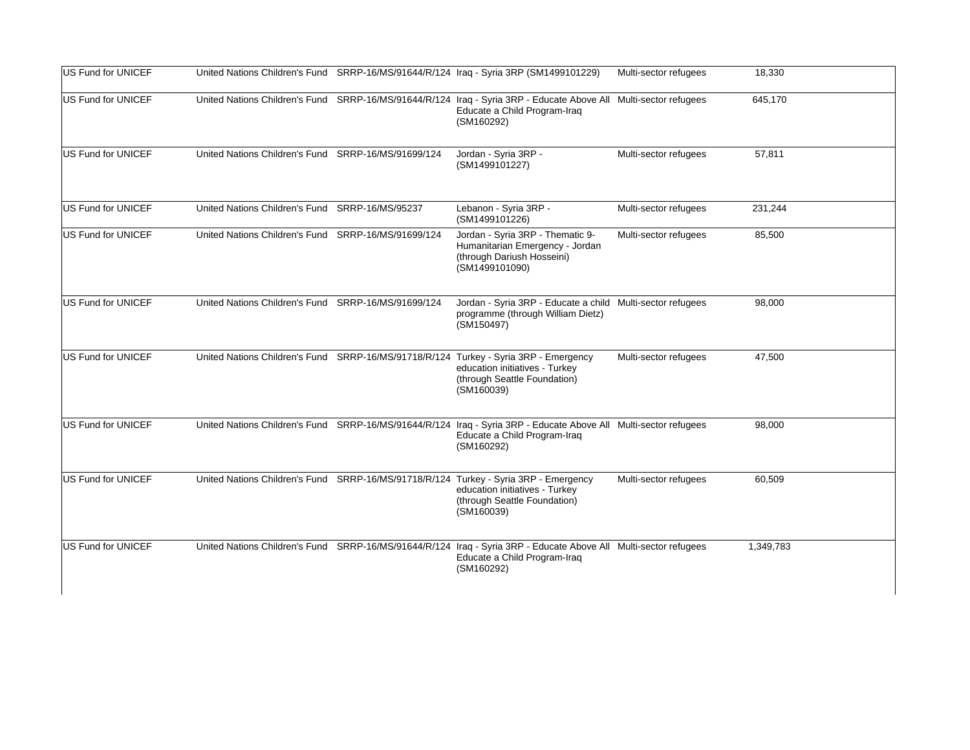| US Fund for UNICEF |                                                     |                      | United Nations Children's Fund SRRP-16/MS/91644/R/124 Iraq - Syria 3RP (SM1499101229)                                                                                | Multi-sector refugees | 18,330    |
|--------------------|-----------------------------------------------------|----------------------|----------------------------------------------------------------------------------------------------------------------------------------------------------------------|-----------------------|-----------|
| US Fund for UNICEF |                                                     |                      | United Nations Children's Fund SRRP-16/MS/91644/R/124 Iraq - Syria 3RP - Educate Above All Multi-sector refugees<br>Educate a Child Program-Iraq<br>(SM160292)       |                       | 645,170   |
| US Fund for UNICEF | United Nations Children's Fund                      | SRRP-16/MS/91699/124 | Jordan - Syria 3RP -<br>(SM1499101227)                                                                                                                               | Multi-sector refugees | 57,811    |
| US Fund for UNICEF | United Nations Children's Fund SRRP-16/MS/95237     |                      | Lebanon - Syria 3RP -<br>(SM1499101226)                                                                                                                              | Multi-sector refugees | 231,244   |
| US Fund for UNICEF | United Nations Children's Fund SRRP-16/MS/91699/124 |                      | Jordan - Syria 3RP - Thematic 9-<br>Humanitarian Emergency - Jordan<br>(through Dariush Hosseini)<br>(SM1499101090)                                                  | Multi-sector refugees | 85,500    |
| US Fund for UNICEF | United Nations Children's Fund SRRP-16/MS/91699/124 |                      | Jordan - Syria 3RP - Educate a child Multi-sector refugees<br>programme (through William Dietz)<br>(SM150497)                                                        |                       | 98,000    |
| US Fund for UNICEF |                                                     |                      | United Nations Children's Fund SRRP-16/MS/91718/R/124 Turkey - Syria 3RP - Emergency<br>education initiatives - Turkey<br>(through Seattle Foundation)<br>(SM160039) | Multi-sector refugees | 47,500    |
| US Fund for UNICEF |                                                     |                      | United Nations Children's Fund SRRP-16/MS/91644/R/124 Iraq - Syria 3RP - Educate Above All Multi-sector refugees<br>Educate a Child Program-Iraq<br>(SM160292)       |                       | 98,000    |
| US Fund for UNICEF |                                                     |                      | United Nations Children's Fund SRRP-16/MS/91718/R/124 Turkey - Syria 3RP - Emergency<br>education initiatives - Turkey<br>(through Seattle Foundation)<br>(SM160039) | Multi-sector refugees | 60.509    |
| US Fund for UNICEF |                                                     |                      | United Nations Children's Fund SRRP-16/MS/91644/R/124 Iraq - Syria 3RP - Educate Above All Multi-sector refugees<br>Educate a Child Program-Iraq<br>(SM160292)       |                       | 1,349,783 |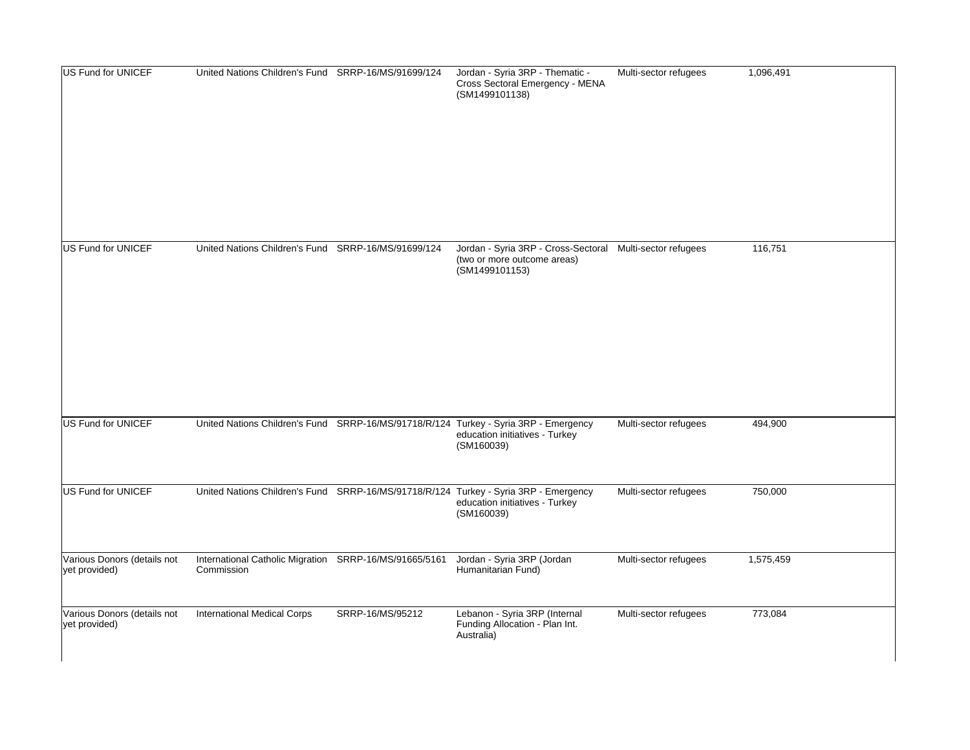| US Fund for UNICEF                           | United Nations Children's Fund SRRP-16/MS/91699/124                  |                  | Jordan - Syria 3RP - Thematic -<br>Cross Sectoral Emergency - MENA<br>(SM1499101138)                                                 | Multi-sector refugees | 1,096,491 |
|----------------------------------------------|----------------------------------------------------------------------|------------------|--------------------------------------------------------------------------------------------------------------------------------------|-----------------------|-----------|
| US Fund for UNICEF                           | United Nations Children's Fund SRRP-16/MS/91699/124                  |                  | Jordan - Syria 3RP - Cross-Sectoral Multi-sector refugees<br>(two or more outcome areas)<br>(SM1499101153)                           |                       | 116,751   |
| US Fund for UNICEF                           |                                                                      |                  | United Nations Children's Fund SRRP-16/MS/91718/R/124 Turkey - Syria 3RP - Emergency<br>education initiatives - Turkey<br>(SM160039) | Multi-sector refugees | 494,900   |
| US Fund for UNICEF                           |                                                                      |                  | United Nations Children's Fund SRRP-16/MS/91718/R/124 Turkey - Syria 3RP - Emergency<br>education initiatives - Turkey<br>(SM160039) | Multi-sector refugees | 750,000   |
| Various Donors (details not<br>yet provided) | International Catholic Migration SRRP-16/MS/91665/5161<br>Commission |                  | Jordan - Syria 3RP (Jordan<br>Humanitarian Fund)                                                                                     | Multi-sector refugees | 1,575,459 |
| Various Donors (details not<br>yet provided) | <b>International Medical Corps</b>                                   | SRRP-16/MS/95212 | Lebanon - Syria 3RP (Internal<br>Funding Allocation - Plan Int.<br>Australia)                                                        | Multi-sector refugees | 773,084   |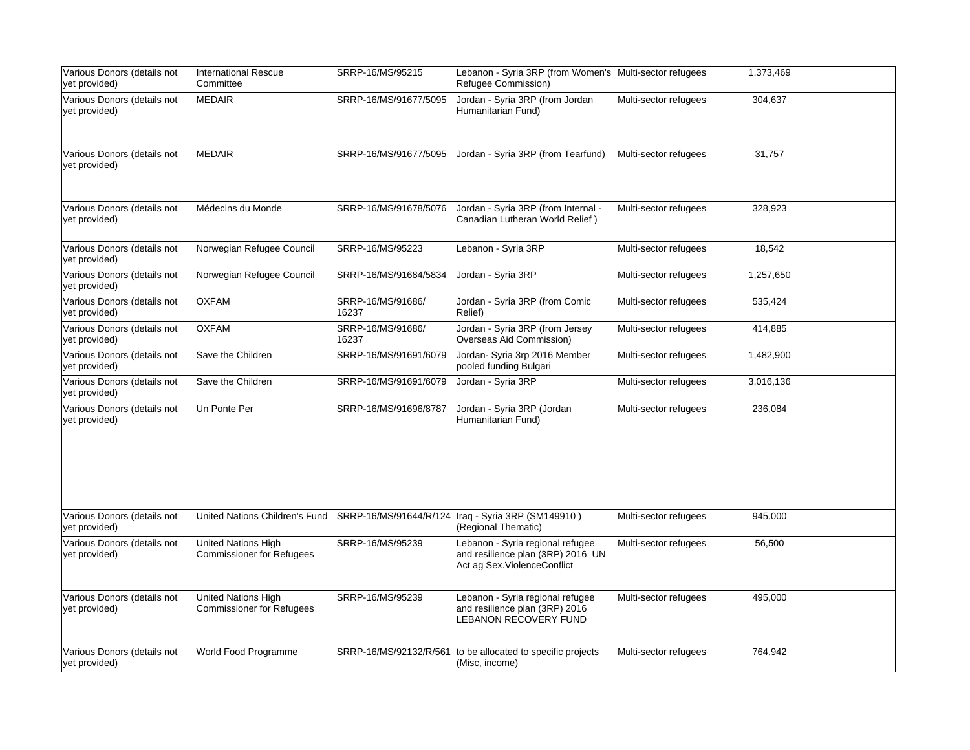| Various Donors (details not<br>yet provided) | <b>International Rescue</b><br>Committee                                          | SRRP-16/MS/95215           | Lebanon - Syria 3RP (from Women's Multi-sector refugees<br>Refugee Commission)                         |                       | 1,373,469 |
|----------------------------------------------|-----------------------------------------------------------------------------------|----------------------------|--------------------------------------------------------------------------------------------------------|-----------------------|-----------|
| Various Donors (details not<br>yet provided) | <b>MEDAIR</b>                                                                     | SRRP-16/MS/91677/5095      | Jordan - Syria 3RP (from Jordan<br>Humanitarian Fund)                                                  | Multi-sector refugees | 304,637   |
| Various Donors (details not<br>yet provided) | <b>MEDAIR</b>                                                                     | SRRP-16/MS/91677/5095      | Jordan - Syria 3RP (from Tearfund)                                                                     | Multi-sector refugees | 31,757    |
| Various Donors (details not<br>yet provided) | Médecins du Monde                                                                 | SRRP-16/MS/91678/5076      | Jordan - Syria 3RP (from Internal -<br>Canadian Lutheran World Relief)                                 | Multi-sector refugees | 328,923   |
| Various Donors (details not<br>yet provided) | Norwegian Refugee Council                                                         | SRRP-16/MS/95223           | Lebanon - Syria 3RP                                                                                    | Multi-sector refugees | 18,542    |
| Various Donors (details not<br>yet provided) | Norwegian Refugee Council                                                         | SRRP-16/MS/91684/5834      | Jordan - Syria 3RP                                                                                     | Multi-sector refugees | 1,257,650 |
| Various Donors (details not<br>yet provided) | <b>OXFAM</b>                                                                      | SRRP-16/MS/91686/<br>16237 | Jordan - Syria 3RP (from Comic<br>Relief)                                                              | Multi-sector refugees | 535,424   |
| Various Donors (details not<br>yet provided) | <b>OXFAM</b>                                                                      | SRRP-16/MS/91686/<br>16237 | Jordan - Syria 3RP (from Jersey<br>Overseas Aid Commission)                                            | Multi-sector refugees | 414,885   |
| Various Donors (details not<br>yet provided) | Save the Children                                                                 | SRRP-16/MS/91691/6079      | Jordan- Syria 3rp 2016 Member<br>pooled funding Bulgari                                                | Multi-sector refugees | 1,482,900 |
| Various Donors (details not<br>yet provided) | Save the Children                                                                 | SRRP-16/MS/91691/6079      | Jordan - Syria 3RP                                                                                     | Multi-sector refugees | 3,016,136 |
| Various Donors (details not<br>yet provided) | Un Ponte Per                                                                      | SRRP-16/MS/91696/8787      | Jordan - Syria 3RP (Jordan<br>Humanitarian Fund)                                                       | Multi-sector refugees | 236,084   |
| Various Donors (details not<br>yet provided) | United Nations Children's Fund SRRP-16/MS/91644/R/124 Iraq - Syria 3RP (SM149910) |                            | (Regional Thematic)                                                                                    | Multi-sector refugees | 945,000   |
| Various Donors (details not<br>yet provided) | <b>United Nations High</b><br><b>Commissioner for Refugees</b>                    | SRRP-16/MS/95239           | Lebanon - Syria regional refugee<br>and resilience plan (3RP) 2016 UN<br>Act ag Sex. Violence Conflict | Multi-sector refugees | 56,500    |
| Various Donors (details not<br>yet provided) | <b>United Nations High</b><br><b>Commissioner for Refugees</b>                    | SRRP-16/MS/95239           | Lebanon - Syria regional refugee<br>and resilience plan (3RP) 2016<br><b>LEBANON RECOVERY FUND</b>     | Multi-sector refugees | 495,000   |
| Various Donors (details not<br>yet provided) | World Food Programme                                                              | SRRP-16/MS/92132/R/561     | to be allocated to specific projects<br>(Misc, income)                                                 | Multi-sector refugees | 764,942   |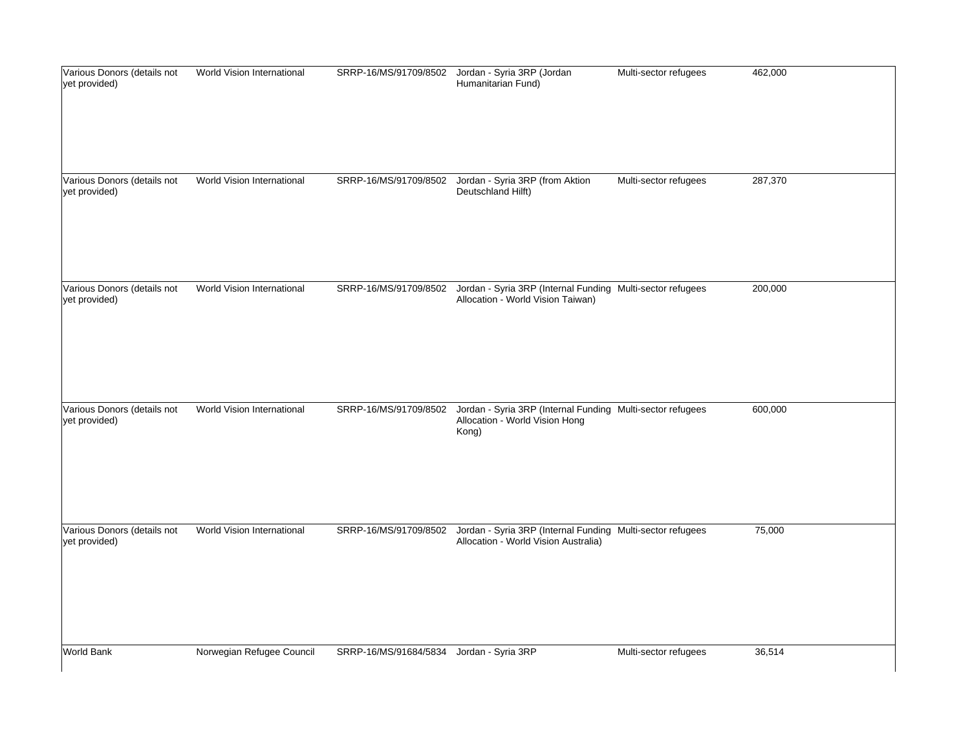| Various Donors (details not<br>yet provided) | World Vision International |                                          | SRRP-16/MS/91709/8502 Jordan - Syria 3RP (Jordan<br>Humanitarian Fund)                                                   | Multi-sector refugees | 462,000 |
|----------------------------------------------|----------------------------|------------------------------------------|--------------------------------------------------------------------------------------------------------------------------|-----------------------|---------|
| Various Donors (details not<br>yet provided) | World Vision International | SRRP-16/MS/91709/8502                    | Jordan - Syria 3RP (from Aktion<br>Deutschland Hilft)                                                                    | Multi-sector refugees | 287,370 |
| Various Donors (details not<br>yet provided) | World Vision International | SRRP-16/MS/91709/8502                    | Jordan - Syria 3RP (Internal Funding Multi-sector refugees<br>Allocation - World Vision Taiwan)                          |                       | 200,000 |
| Various Donors (details not<br>yet provided) | World Vision International | SRRP-16/MS/91709/8502                    | Jordan - Syria 3RP (Internal Funding Multi-sector refugees<br>Allocation - World Vision Hong<br>Kong)                    |                       | 600,000 |
| Various Donors (details not<br>yet provided) | World Vision International |                                          | SRRP-16/MS/91709/8502 Jordan - Syria 3RP (Internal Funding Multi-sector refugees<br>Allocation - World Vision Australia) |                       | 75,000  |
| World Bank                                   | Norwegian Refugee Council  | SRRP-16/MS/91684/5834 Jordan - Syria 3RP |                                                                                                                          | Multi-sector refugees | 36,514  |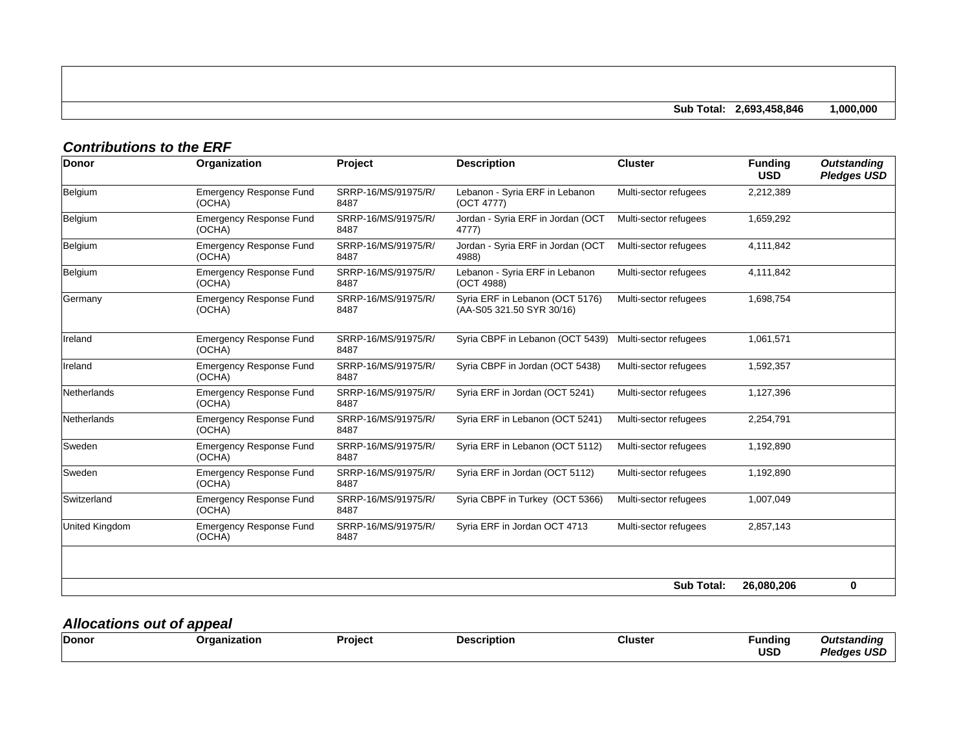**Sub Total: 2,693,458,846 1,000,000**

## *Contributions to the ERF*

| Donor          | Organization                             | <b>Project</b>              | <b>Description</b>                                           | <b>Cluster</b>        | <b>Funding</b><br><b>USD</b> | <b>Outstanding</b><br><b>Pledges USD</b> |
|----------------|------------------------------------------|-----------------------------|--------------------------------------------------------------|-----------------------|------------------------------|------------------------------------------|
| Belgium        | <b>Emergency Response Fund</b><br>(OCHA) | SRRP-16/MS/91975/R/<br>8487 | Lebanon - Syria ERF in Lebanon<br>(OCT 4777)                 | Multi-sector refugees | 2,212,389                    |                                          |
| Belgium        | <b>Emergency Response Fund</b><br>(OCHA) | SRRP-16/MS/91975/R/<br>8487 | Jordan - Syria ERF in Jordan (OCT<br>4777)                   | Multi-sector refugees | 1,659,292                    |                                          |
| Belgium        | <b>Emergency Response Fund</b><br>(OCHA) | SRRP-16/MS/91975/R/<br>8487 | Jordan - Syria ERF in Jordan (OCT<br>4988)                   | Multi-sector refugees | 4,111,842                    |                                          |
| Belgium        | <b>Emergency Response Fund</b><br>(OCHA) | SRRP-16/MS/91975/R/<br>8487 | Lebanon - Syria ERF in Lebanon<br>(OCT 4988)                 | Multi-sector refugees | 4,111,842                    |                                          |
| Germany        | <b>Emergency Response Fund</b><br>(OCHA) | SRRP-16/MS/91975/R/<br>8487 | Syria ERF in Lebanon (OCT 5176)<br>(AA-S05 321.50 SYR 30/16) | Multi-sector refugees | 1,698,754                    |                                          |
| Ireland        | <b>Emergency Response Fund</b><br>(OCHA) | SRRP-16/MS/91975/R/<br>8487 | Syria CBPF in Lebanon (OCT 5439)                             | Multi-sector refugees | 1,061,571                    |                                          |
| Ireland        | <b>Emergency Response Fund</b><br>(OCHA) | SRRP-16/MS/91975/R/<br>8487 | Syria CBPF in Jordan (OCT 5438)                              | Multi-sector refugees | 1,592,357                    |                                          |
| Netherlands    | <b>Emergency Response Fund</b><br>(OCHA) | SRRP-16/MS/91975/R/<br>8487 | Syria ERF in Jordan (OCT 5241)                               | Multi-sector refugees | 1,127,396                    |                                          |
| Netherlands    | <b>Emergency Response Fund</b><br>(OCHA) | SRRP-16/MS/91975/R/<br>8487 | Syria ERF in Lebanon (OCT 5241)                              | Multi-sector refugees | 2,254,791                    |                                          |
| lSweden        | <b>Emergency Response Fund</b><br>(OCHA) | SRRP-16/MS/91975/R/<br>8487 | Syria ERF in Lebanon (OCT 5112)                              | Multi-sector refugees | 1,192,890                    |                                          |
| <b>Sweden</b>  | <b>Emergency Response Fund</b><br>(OCHA) | SRRP-16/MS/91975/R/<br>8487 | Syria ERF in Jordan (OCT 5112)                               | Multi-sector refugees | 1,192,890                    |                                          |
| Switzerland    | <b>Emergency Response Fund</b><br>(OCHA) | SRRP-16/MS/91975/R/<br>8487 | Syria CBPF in Turkey (OCT 5366)                              | Multi-sector refugees | 1,007,049                    |                                          |
| United Kingdom | <b>Emergency Response Fund</b><br>(OCHA) | SRRP-16/MS/91975/R/<br>8487 | Syria ERF in Jordan OCT 4713                                 | Multi-sector refugees | 2,857,143                    |                                          |
|                |                                          |                             |                                                              |                       |                              |                                          |
|                |                                          |                             |                                                              | <b>Sub Total:</b>     | 26,080,206                   | 0                                        |

## *Allocations out of appeal*

| Dono<br>Cluste<br>Funding<br>Project<br>untion<br>atıon<br>ء 10<br>USD<br>- -<br>$ -$ | aını<br>$\overline{\phantom{a}}$<br> |
|---------------------------------------------------------------------------------------|--------------------------------------|
|---------------------------------------------------------------------------------------|--------------------------------------|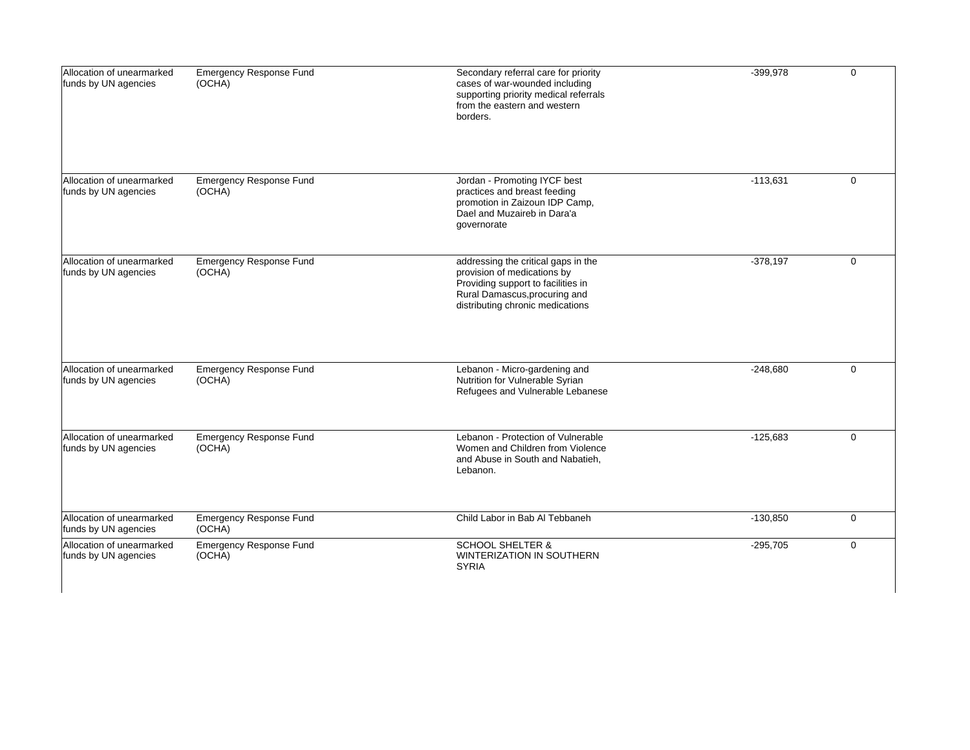| Allocation of unearmarked<br>funds by UN agencies | <b>Emergency Response Fund</b><br>(OCHA) | Secondary referral care for priority<br>cases of war-wounded including<br>supporting priority medical referrals<br>from the eastern and western<br>borders.                   | $-399,978$ | $\Omega$    |
|---------------------------------------------------|------------------------------------------|-------------------------------------------------------------------------------------------------------------------------------------------------------------------------------|------------|-------------|
| Allocation of unearmarked<br>funds by UN agencies | <b>Emergency Response Fund</b><br>(OCHA) | Jordan - Promoting IYCF best<br>practices and breast feeding<br>promotion in Zaizoun IDP Camp,<br>Dael and Muzaireb in Dara'a<br>governorate                                  | $-113,631$ | $\mathbf 0$ |
| Allocation of unearmarked<br>funds by UN agencies | <b>Emergency Response Fund</b><br>(OCHA) | addressing the critical gaps in the<br>provision of medications by<br>Providing support to facilities in<br>Rural Damascus, procuring and<br>distributing chronic medications | $-378,197$ | $\mathbf 0$ |
| Allocation of unearmarked<br>funds by UN agencies | <b>Emergency Response Fund</b><br>(OCHA) | Lebanon - Micro-gardening and<br>Nutrition for Vulnerable Syrian<br>Refugees and Vulnerable Lebanese                                                                          | $-248,680$ | $\Omega$    |
| Allocation of unearmarked<br>funds by UN agencies | <b>Emergency Response Fund</b><br>(OCHA) | Lebanon - Protection of Vulnerable<br>Women and Children from Violence<br>and Abuse in South and Nabatieh,<br>Lebanon.                                                        | $-125,683$ | $\mathbf 0$ |
| Allocation of unearmarked<br>funds by UN agencies | <b>Emergency Response Fund</b><br>(OCHA) | Child Labor in Bab Al Tebbaneh                                                                                                                                                | $-130,850$ | $\mathbf 0$ |
| Allocation of unearmarked<br>funds by UN agencies | <b>Emergency Response Fund</b><br>(OCHA) | <b>SCHOOL SHELTER &amp;</b><br><b>WINTERIZATION IN SOUTHERN</b><br><b>SYRIA</b>                                                                                               | $-295,705$ | $\mathbf 0$ |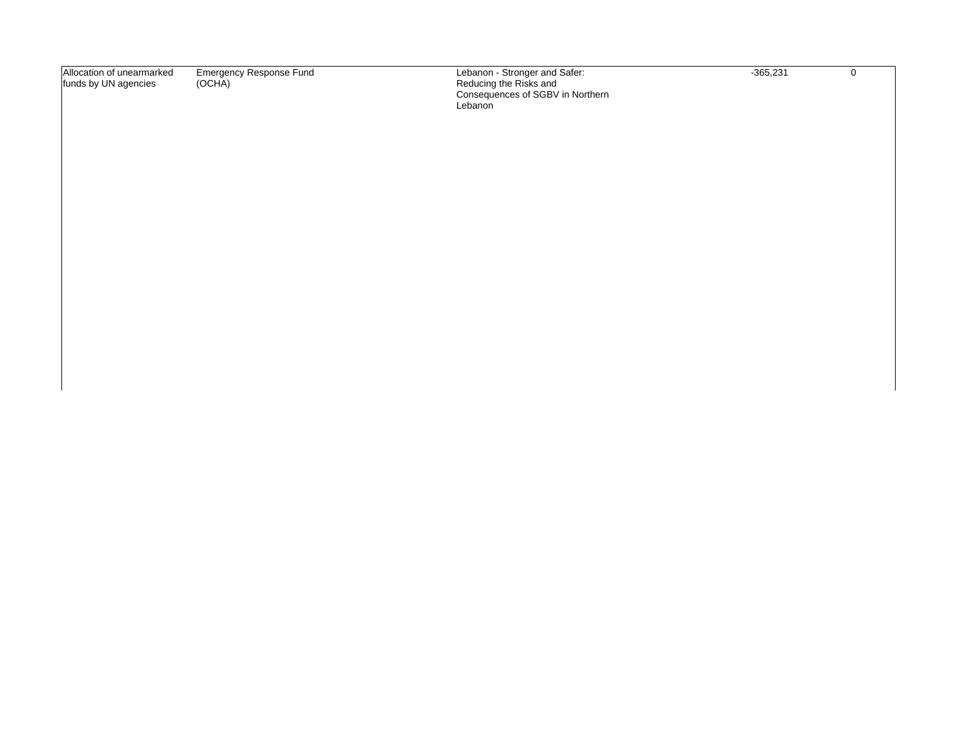| Allocation of unearmarked | Emergency Response Fund | Lebanon - Stronger and Safer:    | $-365.234$ |  |
|---------------------------|-------------------------|----------------------------------|------------|--|
| funds by UN agencies      | (OCHA)                  | Reducing the Risks and           |            |  |
|                           |                         | Consequences of SGBV in Northern |            |  |
|                           |                         | Lebanon                          |            |  |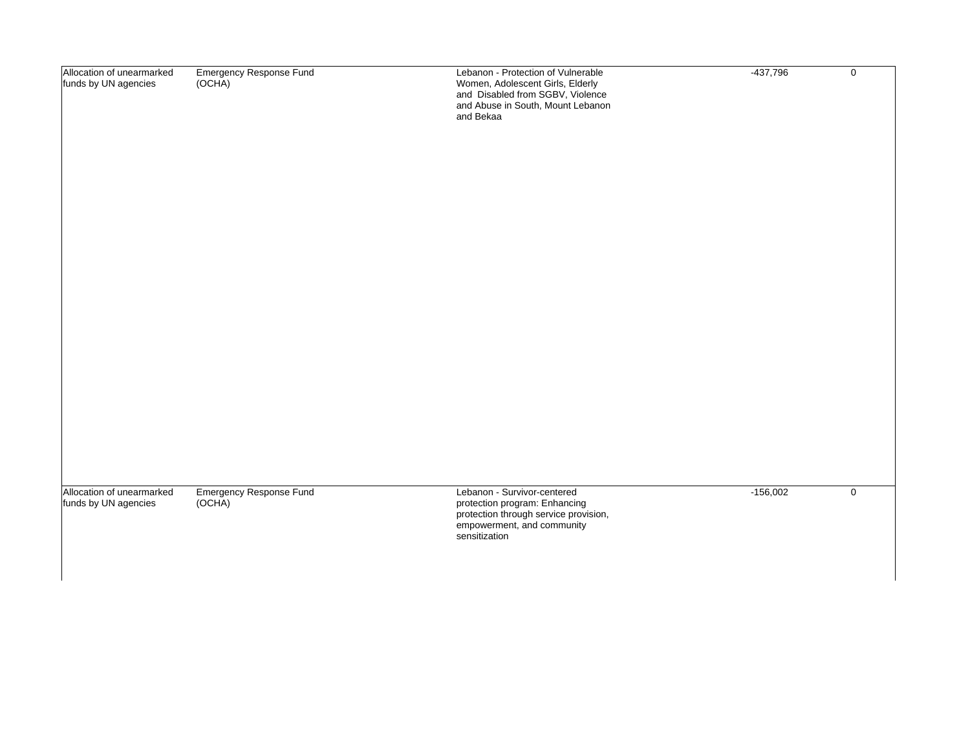| Allocation of unearmarked                         | Emergency Response Fund           | Lebanon - Protection of Vulnerable                                                                    | $-437,796$ | $\mathbf 0$ |
|---------------------------------------------------|-----------------------------------|-------------------------------------------------------------------------------------------------------|------------|-------------|
| funds by UN agencies                              | (OCHA)                            | Women, Adolescent Girls, Elderly<br>and Disabled from SGBV, Violence                                  |            |             |
|                                                   |                                   | and Abuse in South, Mount Lebanon<br>and Bekaa                                                        |            |             |
|                                                   |                                   |                                                                                                       |            |             |
|                                                   |                                   |                                                                                                       |            |             |
|                                                   |                                   |                                                                                                       |            |             |
|                                                   |                                   |                                                                                                       |            |             |
|                                                   |                                   |                                                                                                       |            |             |
|                                                   |                                   |                                                                                                       |            |             |
|                                                   |                                   |                                                                                                       |            |             |
|                                                   |                                   |                                                                                                       |            |             |
|                                                   |                                   |                                                                                                       |            |             |
|                                                   |                                   |                                                                                                       |            |             |
|                                                   |                                   |                                                                                                       |            |             |
|                                                   |                                   |                                                                                                       |            |             |
|                                                   |                                   |                                                                                                       |            |             |
|                                                   |                                   |                                                                                                       |            |             |
|                                                   |                                   |                                                                                                       |            |             |
| Allocation of unearmarked<br>funds by UN agencies | Emergency Response Fund<br>(OCHA) | Lebanon - Survivor-centered<br>protection program: Enhancing<br>protection through service provision, | $-156,002$ | $\mathbf 0$ |
|                                                   |                                   | empowerment, and community<br>sensitization                                                           |            |             |
|                                                   |                                   |                                                                                                       |            |             |
|                                                   |                                   |                                                                                                       |            |             |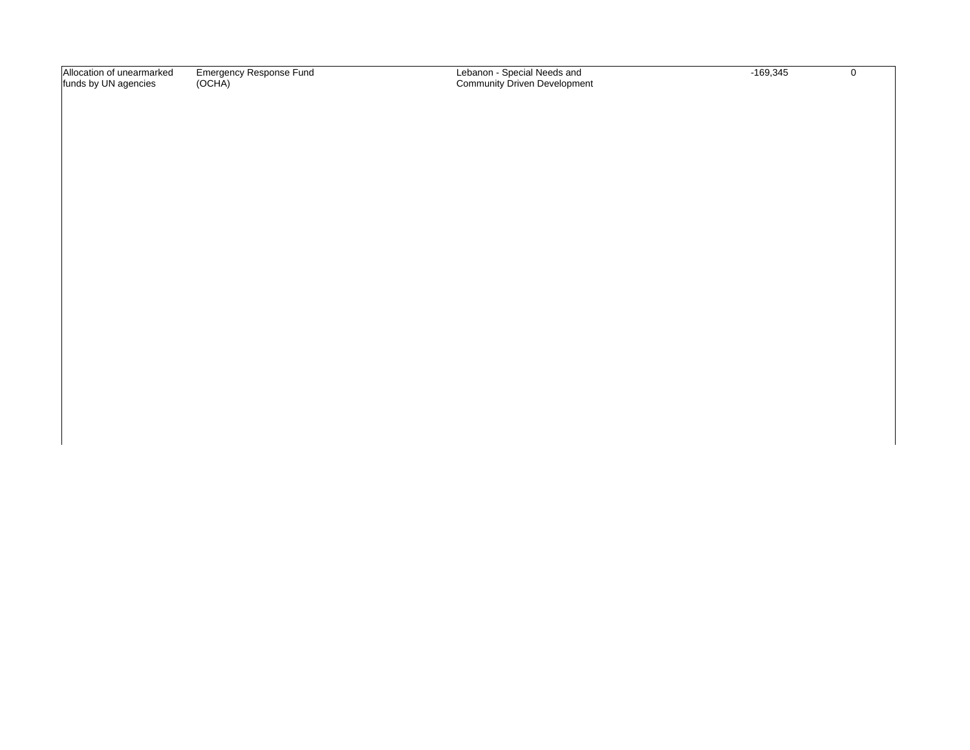Allocation of unearmarked funds by UN agencies Emergency Response Fund (OCHA)

Lebanon - Special Needs and Community Driven Development -169,345

 $\overline{0}$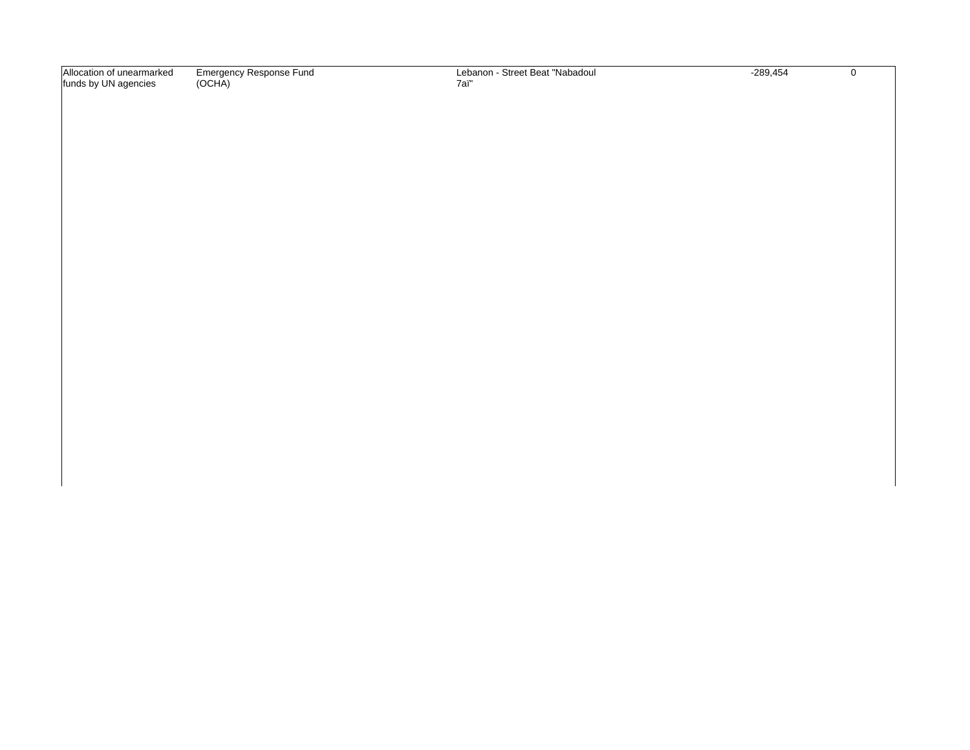| Allocation<br>unearmarked | Emergency Response Fund | - Street Beat "Nabadour<br>Lebanon - \ | $-289,454$ |  |
|---------------------------|-------------------------|----------------------------------------|------------|--|
| funds by UN agencies      | (OCHA)                  | -<br>7a                                |            |  |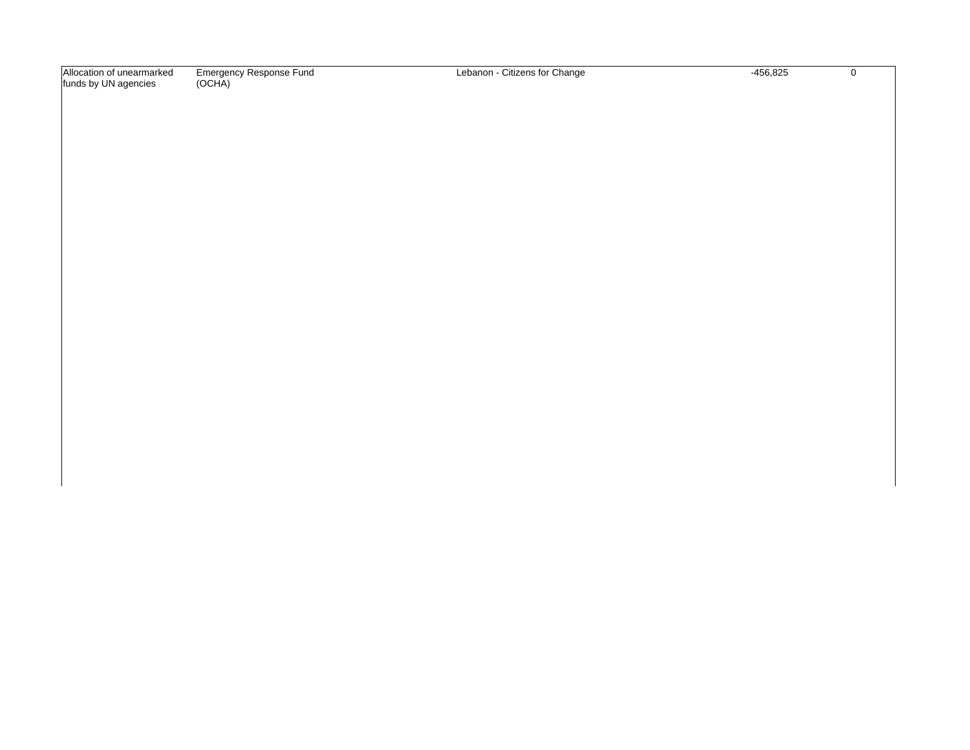Allocation of unearmarked funds by UN agencies Emergency Response Fund (OCHA)

Lebanon - Citizens for Change -456,825

 $\overline{0}$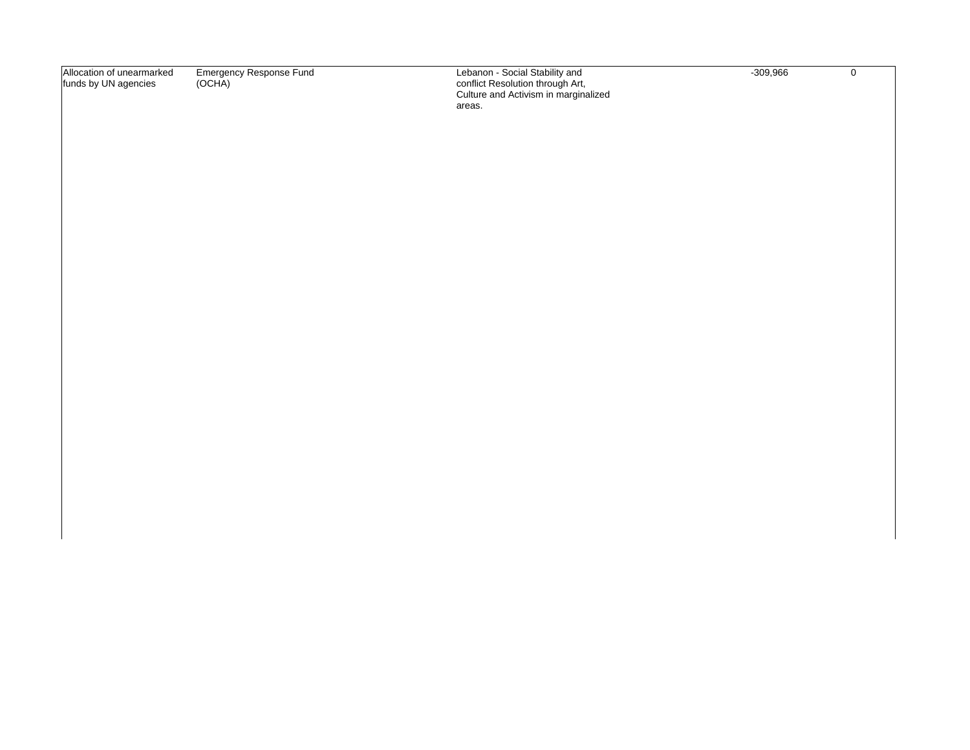| Allocation of unearmarked | Emergency Response Fund | Lebanon - Social Stability and       | -309.966 |  |
|---------------------------|-------------------------|--------------------------------------|----------|--|
| funds by UN agencies      | (OCHA)                  | conflict Resolution through Art,     |          |  |
|                           |                         | Culture and Activism in marginalized |          |  |
|                           |                         | areas.                               |          |  |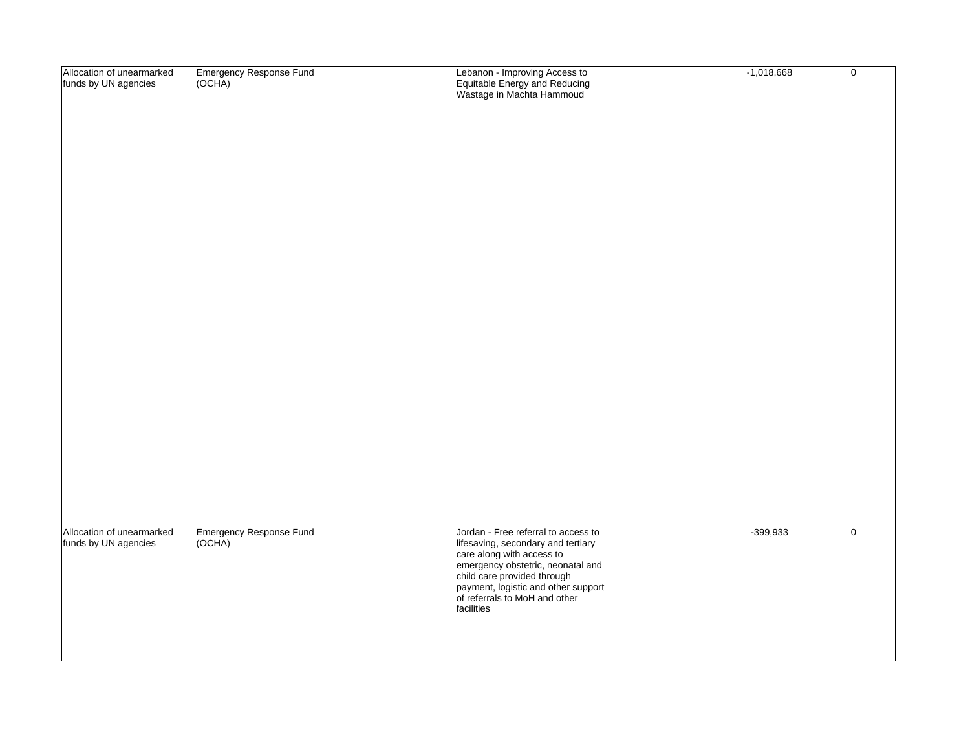| Allocation of unearmarked<br>funds by UN agencies | <b>Emergency Response Fund</b><br>(OCHA) | Lebanon - Improving Access to<br>Equitable Energy and Reducing<br>Wastage in Machta Hammoud                                                                                                                                                                      | $-1,018,668$ | $\boldsymbol{0}$ |
|---------------------------------------------------|------------------------------------------|------------------------------------------------------------------------------------------------------------------------------------------------------------------------------------------------------------------------------------------------------------------|--------------|------------------|
| Allocation of unearmarked<br>funds by UN agencies | <b>Emergency Response Fund</b><br>(OCHA) | Jordan - Free referral to access to<br>lifesaving, secondary and tertiary<br>care along with access to<br>emergency obstetric, neonatal and<br>child care provided through<br>payment, logistic and other support<br>of referrals to MoH and other<br>facilities | $-399,933$   | $\pmb{0}$        |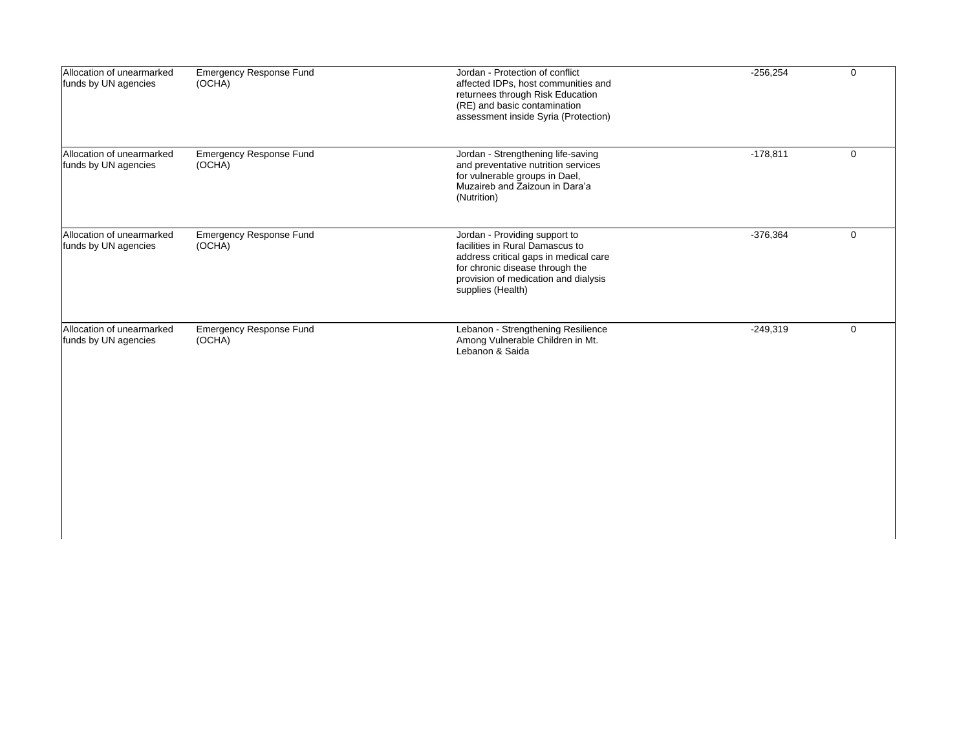| Allocation of unearmarked<br>funds by UN agencies | <b>Emergency Response Fund</b><br>(OCHA) | Jordan - Protection of conflict<br>affected IDPs, host communities and<br>returnees through Risk Education<br>(RE) and basic contamination<br>assessment inside Syria (Protection)                        | $-256,254$ | $\mathbf 0$ |
|---------------------------------------------------|------------------------------------------|-----------------------------------------------------------------------------------------------------------------------------------------------------------------------------------------------------------|------------|-------------|
| Allocation of unearmarked<br>funds by UN agencies | <b>Emergency Response Fund</b><br>(OCHA) | Jordan - Strengthening life-saving<br>and preventative nutrition services<br>for vulnerable groups in Dael,<br>Muzaireb and Zaizoun in Dara'a<br>(Nutrition)                                              | $-178,811$ | 0           |
| Allocation of unearmarked<br>funds by UN agencies | <b>Emergency Response Fund</b><br>(OCHA) | Jordan - Providing support to<br>facilities in Rural Damascus to<br>address critical gaps in medical care<br>for chronic disease through the<br>provision of medication and dialysis<br>supplies (Health) | $-376,364$ | 0           |
| Allocation of unearmarked<br>funds by UN agencies | <b>Emergency Response Fund</b><br>(OCHA) | Lebanon - Strengthening Resilience<br>Among Vulnerable Children in Mt.<br>Lebanon & Saida                                                                                                                 | $-249,319$ | $\mathbf 0$ |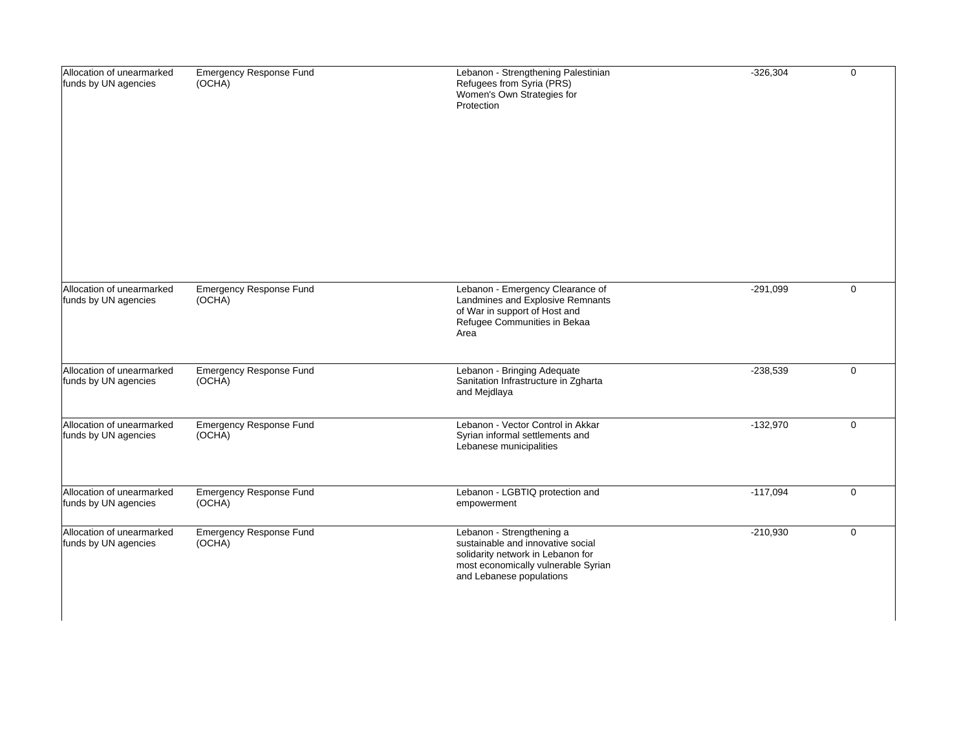| Allocation of unearmarked<br>funds by UN agencies | <b>Emergency Response Fund</b><br>(OCHA) | Lebanon - Strengthening Palestinian<br>Refugees from Syria (PRS)<br>Women's Own Strategies for<br>Protection                                                           | $-326,304$ | $\mathbf 0$ |
|---------------------------------------------------|------------------------------------------|------------------------------------------------------------------------------------------------------------------------------------------------------------------------|------------|-------------|
| Allocation of unearmarked<br>funds by UN agencies | <b>Emergency Response Fund</b><br>(OCHA) | Lebanon - Emergency Clearance of<br>Landmines and Explosive Remnants<br>of War in support of Host and<br>Refugee Communities in Bekaa<br>Area                          | $-291,099$ | $\mathbf 0$ |
| Allocation of unearmarked<br>funds by UN agencies | <b>Emergency Response Fund</b><br>(OCHA) | Lebanon - Bringing Adequate<br>Sanitation Infrastructure in Zgharta<br>and Mejdlaya                                                                                    | $-238,539$ | $\mathbf 0$ |
| Allocation of unearmarked<br>funds by UN agencies | <b>Emergency Response Fund</b><br>(OCHA) | Lebanon - Vector Control in Akkar<br>Syrian informal settlements and<br>Lebanese municipalities                                                                        | $-132,970$ | $\mathbf 0$ |
| Allocation of unearmarked<br>funds by UN agencies | <b>Emergency Response Fund</b><br>(OCHA) | Lebanon - LGBTIQ protection and<br>empowerment                                                                                                                         | $-117,094$ | $\mathbf 0$ |
| Allocation of unearmarked<br>funds by UN agencies | <b>Emergency Response Fund</b><br>(OCHA) | Lebanon - Strengthening a<br>sustainable and innovative social<br>solidarity network in Lebanon for<br>most economically vulnerable Syrian<br>and Lebanese populations | $-210,930$ | $\mathbf 0$ |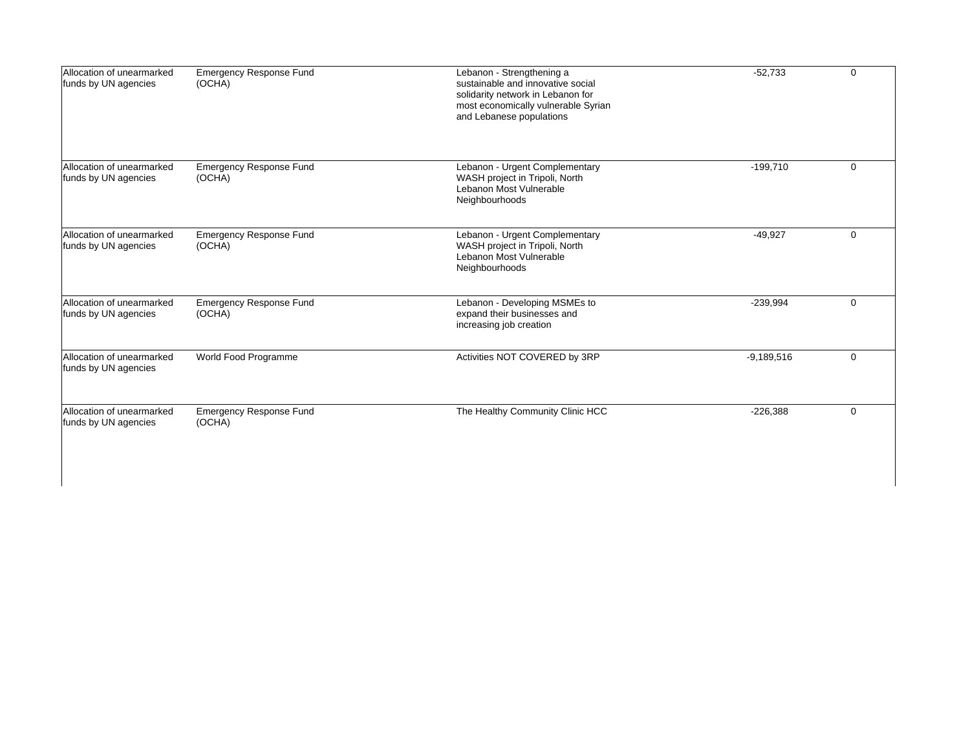| Allocation of unearmarked<br>funds by UN agencies | <b>Emergency Response Fund</b><br>(OCHA) | Lebanon - Strengthening a<br>sustainable and innovative social<br>solidarity network in Lebanon for<br>most economically vulnerable Syrian<br>and Lebanese populations | $-52,733$    | $\Omega$    |
|---------------------------------------------------|------------------------------------------|------------------------------------------------------------------------------------------------------------------------------------------------------------------------|--------------|-------------|
| Allocation of unearmarked<br>funds by UN agencies | <b>Emergency Response Fund</b><br>(OCHA) | Lebanon - Urgent Complementary<br>WASH project in Tripoli, North<br>Lebanon Most Vulnerable<br>Neighbourhoods                                                          | $-199,710$   | $\mathbf 0$ |
| Allocation of unearmarked<br>funds by UN agencies | <b>Emergency Response Fund</b><br>(OCHA) | Lebanon - Urgent Complementary<br>WASH project in Tripoli, North<br>Lebanon Most Vulnerable<br>Neighbourhoods                                                          | $-49.927$    | $\Omega$    |
| Allocation of unearmarked<br>funds by UN agencies | <b>Emergency Response Fund</b><br>(OCHA) | Lebanon - Developing MSMEs to<br>expand their businesses and<br>increasing job creation                                                                                | $-239,994$   | $\mathbf 0$ |
| Allocation of unearmarked<br>funds by UN agencies | World Food Programme                     | Activities NOT COVERED by 3RP                                                                                                                                          | $-9,189,516$ | $\Omega$    |
| Allocation of unearmarked<br>funds by UN agencies | <b>Emergency Response Fund</b><br>(OCHA) | The Healthy Community Clinic HCC                                                                                                                                       | $-226,388$   | $\Omega$    |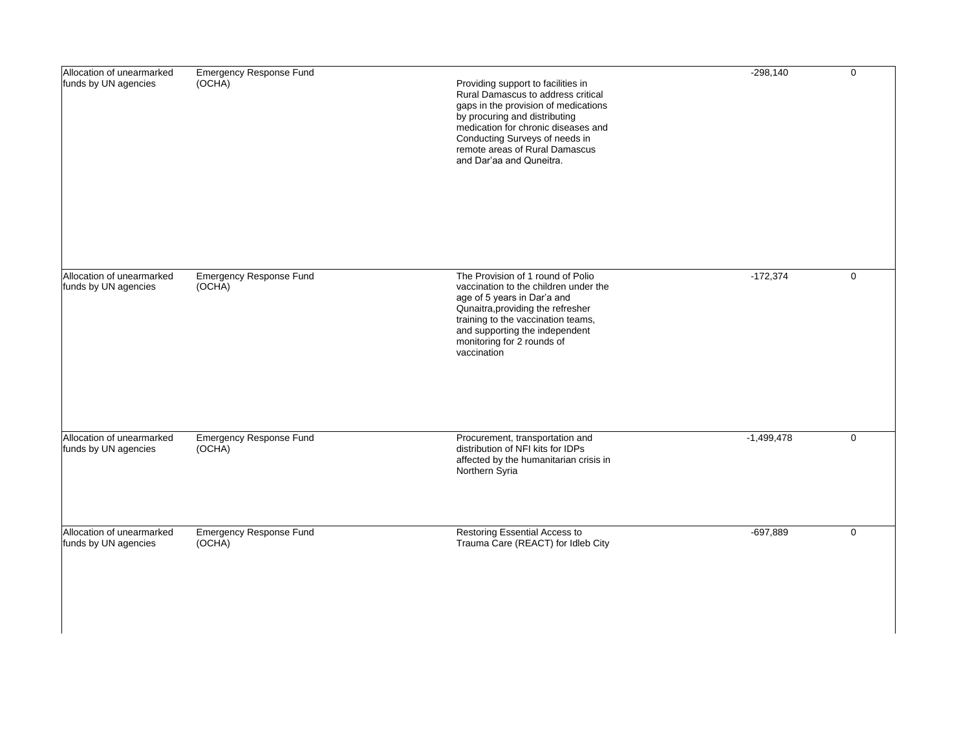| Allocation of unearmarked<br>funds by UN agencies | <b>Emergency Response Fund</b><br>(OCHA) | Providing support to facilities in<br>Rural Damascus to address critical<br>gaps in the provision of medications<br>by procuring and distributing<br>medication for chronic diseases and<br>Conducting Surveys of needs in<br>remote areas of Rural Damascus<br>and Dar'aa and Quneitra. | $-298,140$   | $\mathbf 0$ |
|---------------------------------------------------|------------------------------------------|------------------------------------------------------------------------------------------------------------------------------------------------------------------------------------------------------------------------------------------------------------------------------------------|--------------|-------------|
| Allocation of unearmarked<br>funds by UN agencies | <b>Emergency Response Fund</b><br>(OCHA) | The Provision of 1 round of Polio<br>vaccination to the children under the<br>age of 5 years in Dar'a and<br>Qunaitra, providing the refresher<br>training to the vaccination teams,<br>and supporting the independent<br>monitoring for 2 rounds of<br>vaccination                      | $-172,374$   | $\mathbf 0$ |
| Allocation of unearmarked<br>funds by UN agencies | <b>Emergency Response Fund</b><br>(OCHA) | Procurement, transportation and<br>distribution of NFI kits for IDPs<br>affected by the humanitarian crisis in<br>Northern Syria                                                                                                                                                         | $-1,499,478$ | $\mathbf 0$ |
| Allocation of unearmarked<br>funds by UN agencies | <b>Emergency Response Fund</b><br>(OCHA) | Restoring Essential Access to<br>Trauma Care (REACT) for Idleb City                                                                                                                                                                                                                      | $-697,889$   | $\mathbf 0$ |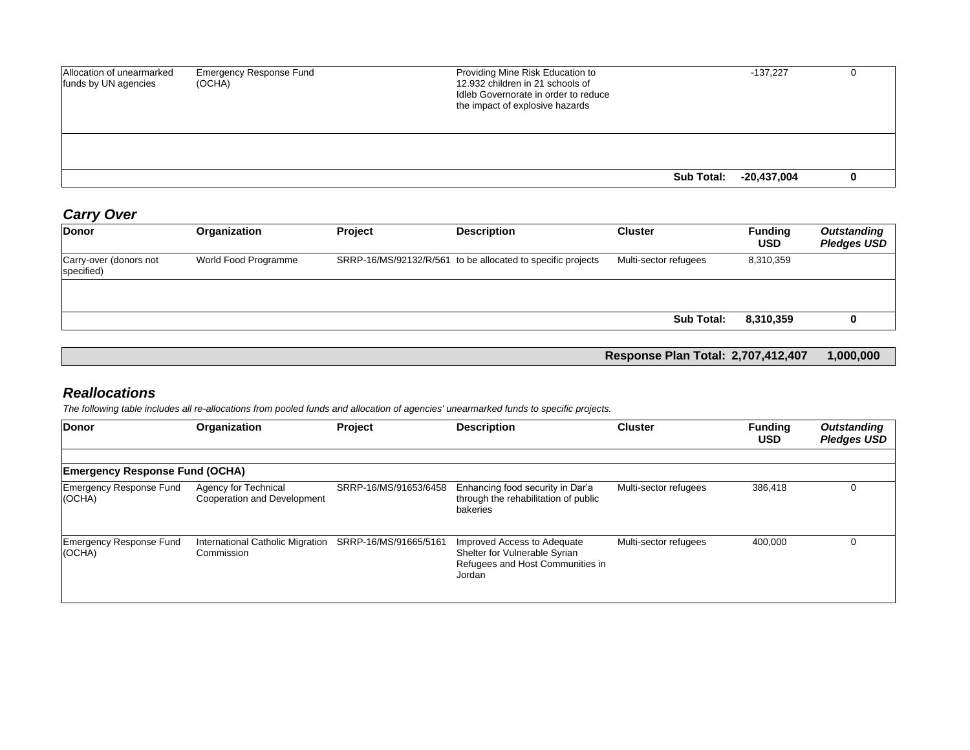| Allocation of unearmarked<br>funds by UN agencies | <b>Emergency Response Fund</b><br>(OCHA) | Providing Mine Risk Education to<br>12.932 children in 21 schools of<br>Idleb Governorate in order to reduce<br>the impact of explosive hazards |            | $-137.227$  |  |
|---------------------------------------------------|------------------------------------------|-------------------------------------------------------------------------------------------------------------------------------------------------|------------|-------------|--|
|                                                   |                                          |                                                                                                                                                 |            |             |  |
|                                                   |                                          |                                                                                                                                                 | Sub Total: | -20,437,004 |  |

## *Carry Over*

| 8,310,359 |  |
|-----------|--|
|           |  |
|           |  |
| 8,310,359 |  |
|           |  |

**Response Plan Total: 2,707,412,407 1,000,000**

## *Reallocations*

*The following table includes all re-allocations from pooled funds and allocation of agencies' unearmarked funds to specific projects.*

| Donor                                 | Organization                                        | Project               | <b>Description</b>                                                                                         | <b>Cluster</b>        | <b>Funding</b><br><b>USD</b> | <b>Outstanding</b><br><b>Pledges USD</b> |
|---------------------------------------|-----------------------------------------------------|-----------------------|------------------------------------------------------------------------------------------------------------|-----------------------|------------------------------|------------------------------------------|
|                                       |                                                     |                       |                                                                                                            |                       |                              |                                          |
| <b>Emergency Response Fund (OCHA)</b> |                                                     |                       |                                                                                                            |                       |                              |                                          |
| Emergency Response Fund<br>(OCHA)     | Agency for Technical<br>Cooperation and Development | SRRP-16/MS/91653/6458 | Enhancing food security in Dar'a<br>through the rehabilitation of public<br>bakeries                       | Multi-sector refugees | 386,418                      |                                          |
| Emergency Response Fund<br>(OCHA)     | International Catholic Migration<br>Commission      | SRRP-16/MS/91665/5161 | Improved Access to Adequate<br>Shelter for Vulnerable Syrian<br>Refugees and Host Communities in<br>Jordan | Multi-sector refugees | 400,000                      |                                          |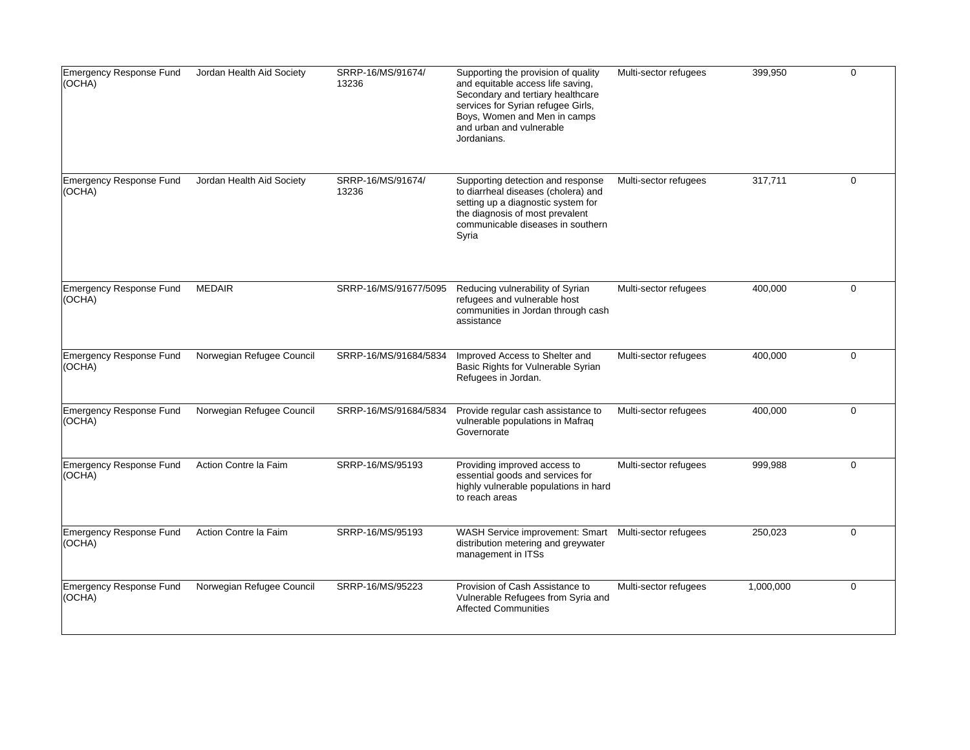| Emergency Response Fund<br>(OCHA) | Jordan Health Aid Society | SRRP-16/MS/91674/<br>13236 | Supporting the provision of quality<br>and equitable access life saving,<br>Secondary and tertiary healthcare<br>services for Syrian refugee Girls,<br>Boys, Women and Men in camps<br>and urban and vulnerable<br>Jordanians. | Multi-sector refugees | 399,950   | $\Omega$    |
|-----------------------------------|---------------------------|----------------------------|--------------------------------------------------------------------------------------------------------------------------------------------------------------------------------------------------------------------------------|-----------------------|-----------|-------------|
| Emergency Response Fund<br>(OCHA) | Jordan Health Aid Society | SRRP-16/MS/91674/<br>13236 | Supporting detection and response<br>to diarrheal diseases (cholera) and<br>setting up a diagnostic system for<br>the diagnosis of most prevalent<br>communicable diseases in southern<br>Syria                                | Multi-sector refugees | 317,711   | $\mathbf 0$ |
| Emergency Response Fund<br>(OCHA) | <b>MEDAIR</b>             | SRRP-16/MS/91677/5095      | Reducing vulnerability of Syrian<br>refugees and vulnerable host<br>communities in Jordan through cash<br>assistance                                                                                                           | Multi-sector refugees | 400,000   | $\mathbf 0$ |
| Emergency Response Fund<br>(OCHA) | Norwegian Refugee Council | SRRP-16/MS/91684/5834      | Improved Access to Shelter and<br>Basic Rights for Vulnerable Syrian<br>Refugees in Jordan.                                                                                                                                    | Multi-sector refugees | 400,000   | $\mathbf 0$ |
| Emergency Response Fund<br>(OCHA) | Norwegian Refugee Council | SRRP-16/MS/91684/5834      | Provide regular cash assistance to<br>vulnerable populations in Mafraq<br>Governorate                                                                                                                                          | Multi-sector refugees | 400,000   | $\mathbf 0$ |
| Emergency Response Fund<br>(OCHA) | Action Contre la Faim     | SRRP-16/MS/95193           | Providing improved access to<br>essential goods and services for<br>highly vulnerable populations in hard<br>to reach areas                                                                                                    | Multi-sector refugees | 999,988   | $\Omega$    |
| Emergency Response Fund<br>(OCHA) | Action Contre la Faim     | SRRP-16/MS/95193           | WASH Service improvement: Smart<br>distribution metering and greywater<br>management in ITSs                                                                                                                                   | Multi-sector refugees | 250,023   | $\mathbf 0$ |
| Emergency Response Fund<br>(OCHA) | Norwegian Refugee Council | SRRP-16/MS/95223           | Provision of Cash Assistance to<br>Vulnerable Refugees from Syria and<br><b>Affected Communities</b>                                                                                                                           | Multi-sector refugees | 1,000,000 | $\mathbf 0$ |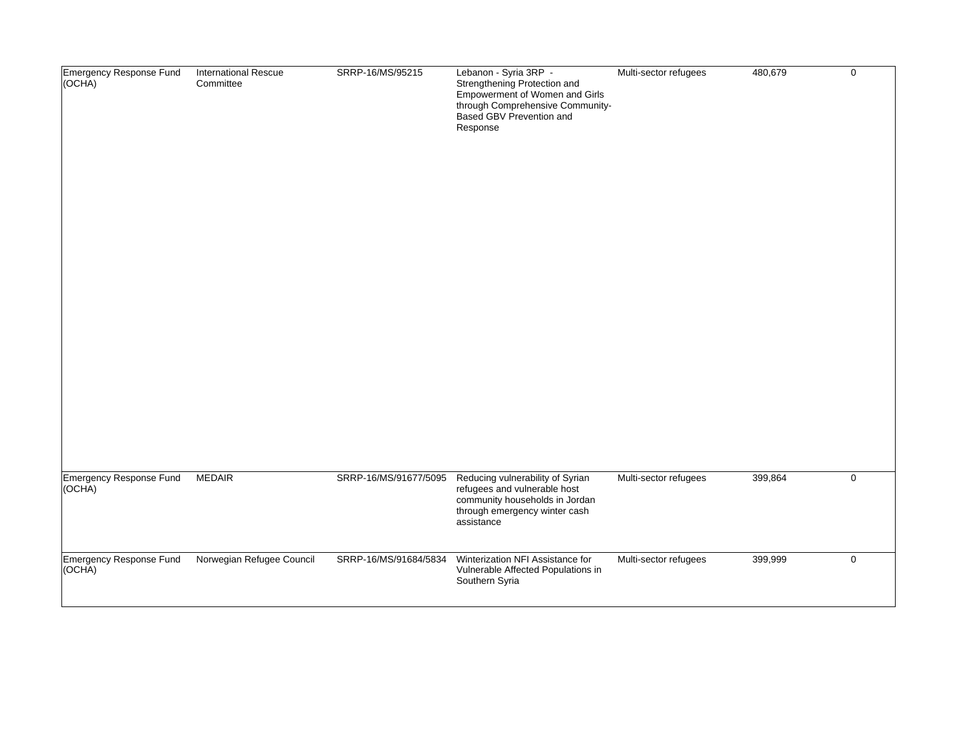| Emergency Response Fund<br>(OCHA)<br>Emergency Response Fund | <b>International Rescue</b><br>Committee<br><b>MEDAIR</b> | SRRP-16/MS/95215<br>SRRP-16/MS/91677/5095 | Lebanon - Syria 3RP -<br>Strengthening Protection and<br>Empowerment of Women and Girls<br>through Comprehensive Community-<br>Based GBV Prevention and<br>Response<br>Reducing vulnerability of Syrian | Multi-sector refugees<br>Multi-sector refugees | 480,679<br>399,864 | $\mathsf{O}\xspace$<br>$\mathsf{O}\xspace$ |
|--------------------------------------------------------------|-----------------------------------------------------------|-------------------------------------------|---------------------------------------------------------------------------------------------------------------------------------------------------------------------------------------------------------|------------------------------------------------|--------------------|--------------------------------------------|
| (OCHA)                                                       |                                                           |                                           | refugees and vulnerable host<br>community households in Jordan<br>through emergency winter cash<br>assistance                                                                                           |                                                |                    |                                            |
| Emergency Response Fund<br>(OCHA)                            | Norwegian Refugee Council                                 | SRRP-16/MS/91684/5834                     | Winterization NFI Assistance for<br>Vulnerable Affected Populations in<br>Southern Syria                                                                                                                | Multi-sector refugees                          | 399,999            | $\mathbf 0$                                |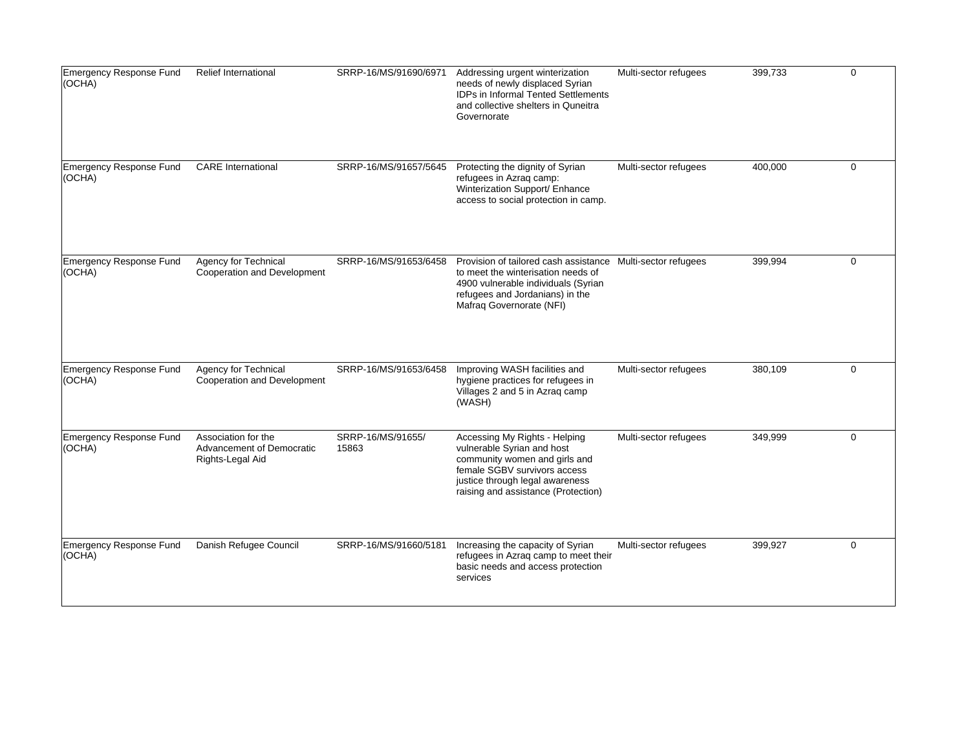| Emergency Response Fund<br>(OCHA)        | <b>Relief International</b>                                          | SRRP-16/MS/91690/6971      | Addressing urgent winterization<br>needs of newly displaced Syrian<br>IDPs in Informal Tented Settlements<br>and collective shelters in Quneitra<br>Governorate                                         | Multi-sector refugees | 399,733 | $\mathbf 0$ |
|------------------------------------------|----------------------------------------------------------------------|----------------------------|---------------------------------------------------------------------------------------------------------------------------------------------------------------------------------------------------------|-----------------------|---------|-------------|
| Emergency Response Fund<br>(OCHA)        | <b>CARE</b> International                                            | SRRP-16/MS/91657/5645      | Protecting the dignity of Syrian<br>refugees in Azrag camp:<br>Winterization Support/ Enhance<br>access to social protection in camp.                                                                   | Multi-sector refugees | 400,000 | 0           |
| Emergency Response Fund<br>(OCHA)        | Agency for Technical<br><b>Cooperation and Development</b>           | SRRP-16/MS/91653/6458      | Provision of tailored cash assistance Multi-sector refugees<br>to meet the winterisation needs of<br>4900 vulnerable individuals (Syrian<br>refugees and Jordanians) in the<br>Mafraq Governorate (NFI) |                       | 399,994 | $\mathbf 0$ |
| Emergency Response Fund<br>(OCHA)        | Agency for Technical<br>Cooperation and Development                  | SRRP-16/MS/91653/6458      | Improving WASH facilities and<br>hygiene practices for refugees in<br>Villages 2 and 5 in Azrag camp<br>(WASH)                                                                                          | Multi-sector refugees | 380,109 | $\mathbf 0$ |
| <b>Emergency Response Fund</b><br>(OCHA) | Association for the<br>Advancement of Democratic<br>Rights-Legal Aid | SRRP-16/MS/91655/<br>15863 | Accessing My Rights - Helping<br>vulnerable Syrian and host<br>community women and girls and<br>female SGBV survivors access<br>justice through legal awareness<br>raising and assistance (Protection)  | Multi-sector refugees | 349,999 | $\mathbf 0$ |
| <b>Emergency Response Fund</b><br>(OCHA) | Danish Refugee Council                                               | SRRP-16/MS/91660/5181      | Increasing the capacity of Syrian<br>refugees in Azraq camp to meet their<br>basic needs and access protection<br>services                                                                              | Multi-sector refugees | 399,927 | $\mathbf 0$ |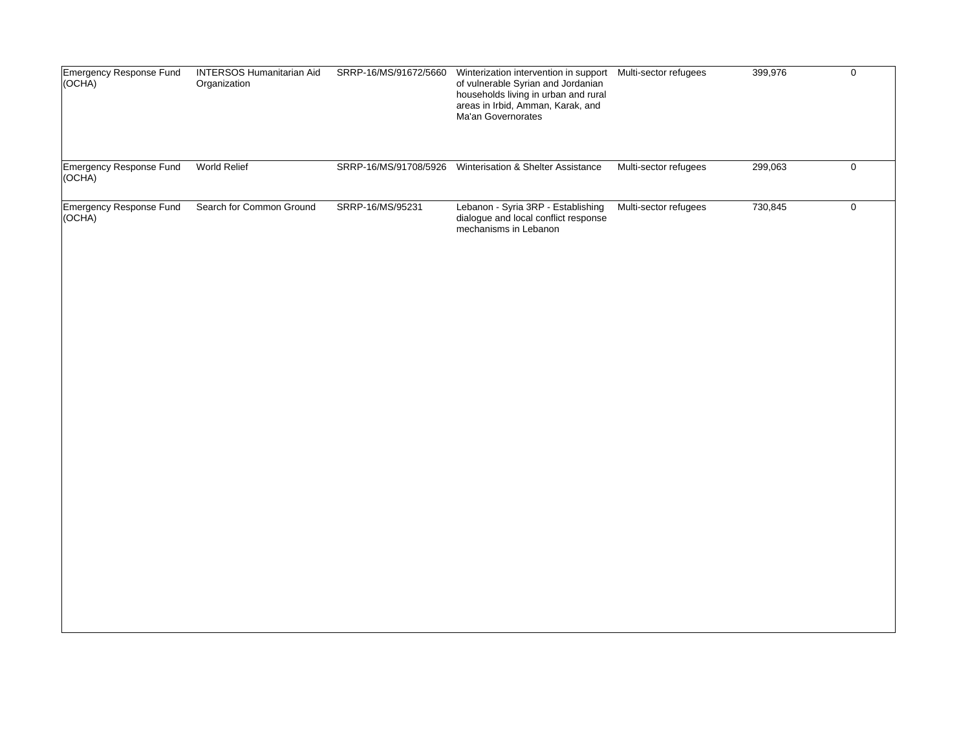| Emergency Response Fund<br>(OCHA) | <b>INTERSOS Humanitarian Aid</b><br>Organization | SRRP-16/MS/91672/5660 | Winterization intervention in support    Multi-sector refugees<br>of vulnerable Syrian and Jordanian<br>households living in urban and rural<br>areas in Irbid, Amman, Karak, and<br>Ma'an Governorates |                       | 399,976 | $\mathsf 0$ |
|-----------------------------------|--------------------------------------------------|-----------------------|---------------------------------------------------------------------------------------------------------------------------------------------------------------------------------------------------------|-----------------------|---------|-------------|
| Emergency Response Fund<br>(OCHĂ) | World Relief                                     |                       | SRRP-16/MS/91708/5926 Winterisation & Shelter Assistance                                                                                                                                                | Multi-sector refugees | 299,063 | $\mathbf 0$ |
| Emergency Response Fund<br>(OCHA) | Search for Common Ground                         | SRRP-16/MS/95231      | Lebanon - Syria 3RP - Establishing<br>dialogue and local conflict response<br>mechanisms in Lebanon                                                                                                     | Multi-sector refugees | 730,845 | $\mathbf 0$ |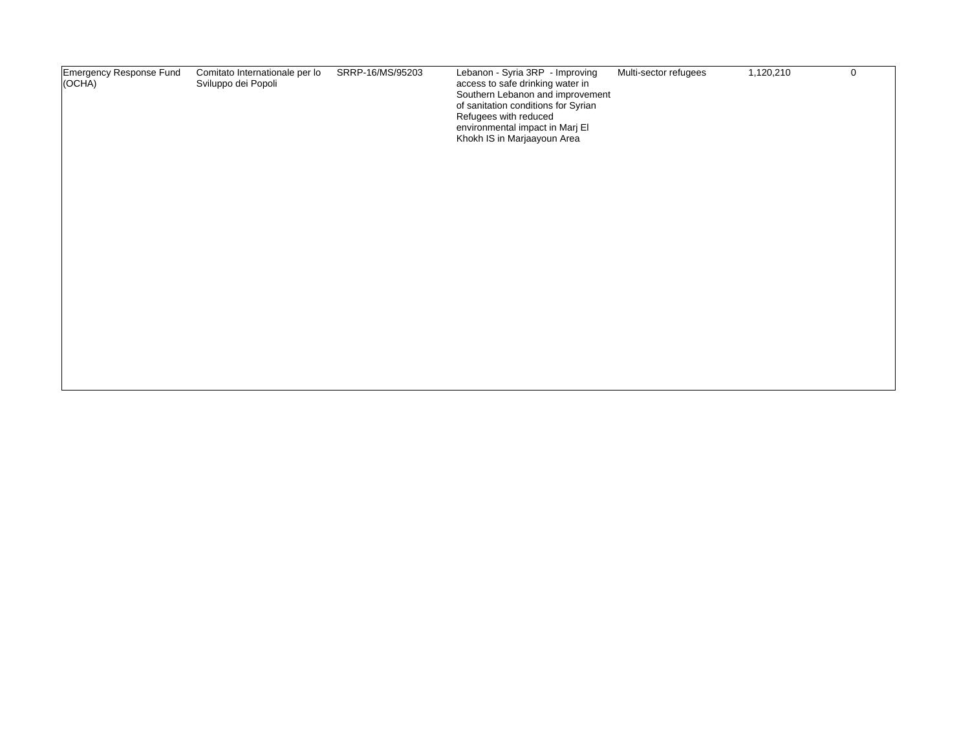|  | Emergency Response Fund<br>(OCHA) | Comitato Internationale per lo<br>Sviluppo dei Popoli | SRRP-16/MS/95203 | Lebanon - Syria 3RP - Improving<br>access to safe drinking water in<br>Southern Lebanon and improvement<br>of sanitation conditions for Syrian<br>Refugees with reduced<br>environmental impact in Marj El<br>Khokh IS in Marjaayoun Area | Multi-sector refugees | 1,120,210 | $\mathbf 0$ |
|--|-----------------------------------|-------------------------------------------------------|------------------|-------------------------------------------------------------------------------------------------------------------------------------------------------------------------------------------------------------------------------------------|-----------------------|-----------|-------------|
|--|-----------------------------------|-------------------------------------------------------|------------------|-------------------------------------------------------------------------------------------------------------------------------------------------------------------------------------------------------------------------------------------|-----------------------|-----------|-------------|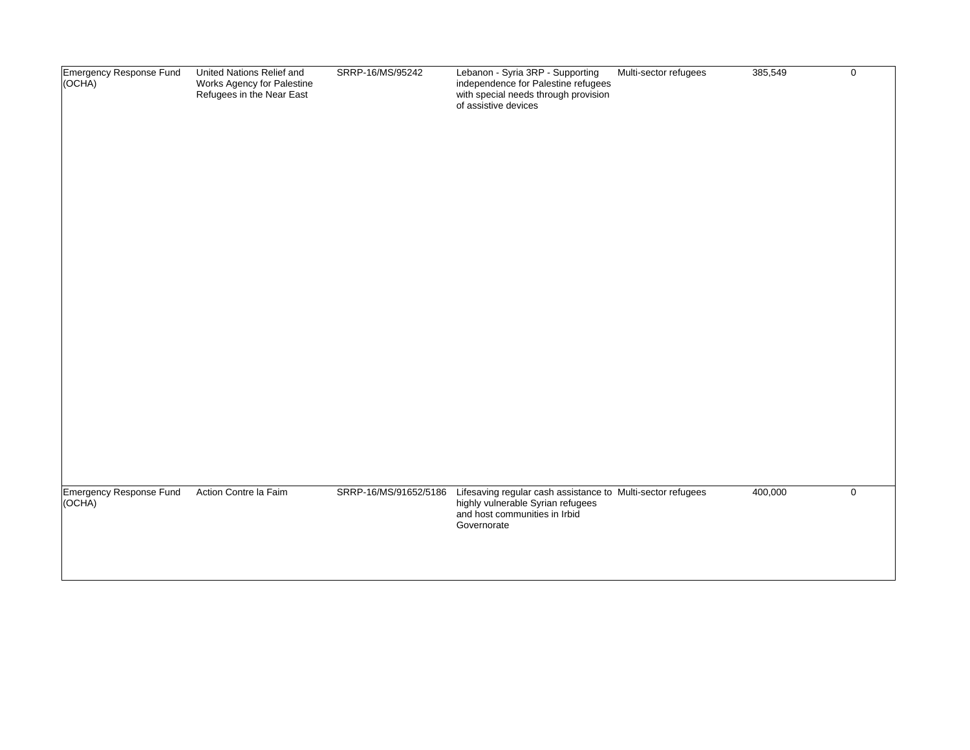| Emergency Response Fund<br>(OCHA)<br>Emergency Response Fund<br>(OCHA) | United Nations Relief and<br>Works Agency for Palestine<br>Refugees in the Near East<br>Action Contre la Faim | SRRP-16/MS/95242<br>SRRP-16/MS/91652/5186 | Lebanon - Syria 3RP - Supporting<br>independence for Palestine refugees<br>with special needs through provision<br>of assistive devices<br>Lifesaving regular cash assistance to Multi-sector refugees | Multi-sector refugees | 385,549<br>400,000 | $\mathbf 0$<br>$\mathbf 0$ |
|------------------------------------------------------------------------|---------------------------------------------------------------------------------------------------------------|-------------------------------------------|--------------------------------------------------------------------------------------------------------------------------------------------------------------------------------------------------------|-----------------------|--------------------|----------------------------|
|                                                                        |                                                                                                               |                                           | highly vulnerable Syrian refugees<br>and host communities in Irbid<br>Governorate                                                                                                                      |                       |                    |                            |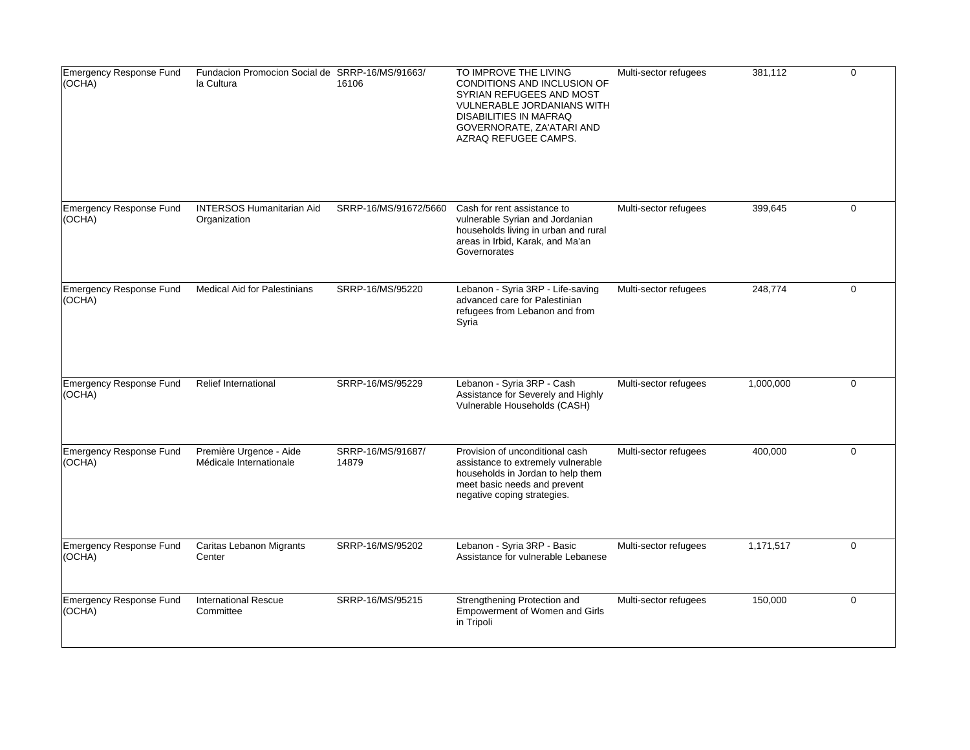| Emergency Response Fund<br>(OCHA) | Fundacion Promocion Social de SRRP-16/MS/91663/<br>la Cultura | 16106                      | TO IMPROVE THE LIVING<br><b>CONDITIONS AND INCLUSION OF</b><br>SYRIAN REFUGEES AND MOST<br>VULNERABLE JORDANIANS WITH<br><b>DISABILITIES IN MAFRAQ</b><br>GOVERNORATE, ZA'ATARI AND<br>AZRAQ REFUGEE CAMPS. | Multi-sector refugees | 381,112   | $\mathbf 0$ |
|-----------------------------------|---------------------------------------------------------------|----------------------------|-------------------------------------------------------------------------------------------------------------------------------------------------------------------------------------------------------------|-----------------------|-----------|-------------|
| Emergency Response Fund<br>(OCHA) | <b>INTERSOS Humanitarian Aid</b><br>Organization              | SRRP-16/MS/91672/5660      | Cash for rent assistance to<br>vulnerable Syrian and Jordanian<br>households living in urban and rural<br>areas in Irbid, Karak, and Ma'an<br>Governorates                                                  | Multi-sector refugees | 399,645   | $\mathbf 0$ |
| Emergency Response Fund<br>(OCHA) | <b>Medical Aid for Palestinians</b>                           | SRRP-16/MS/95220           | Lebanon - Syria 3RP - Life-saving<br>advanced care for Palestinian<br>refugees from Lebanon and from<br>Syria                                                                                               | Multi-sector refugees | 248,774   | $\Omega$    |
| Emergency Response Fund<br>(OCHA) | <b>Relief International</b>                                   | SRRP-16/MS/95229           | Lebanon - Syria 3RP - Cash<br>Assistance for Severely and Highly<br>Vulnerable Households (CASH)                                                                                                            | Multi-sector refugees | 1,000,000 | $\mathbf 0$ |
| Emergency Response Fund<br>(OCHA) | Première Urgence - Aide<br>Médicale Internationale            | SRRP-16/MS/91687/<br>14879 | Provision of unconditional cash<br>assistance to extremely vulnerable<br>households in Jordan to help them<br>meet basic needs and prevent<br>negative coping strategies.                                   | Multi-sector refugees | 400,000   | $\mathbf 0$ |
| Emergency Response Fund<br>(OCHA) | Caritas Lebanon Migrants<br>Center                            | SRRP-16/MS/95202           | Lebanon - Syria 3RP - Basic<br>Assistance for vulnerable Lebanese                                                                                                                                           | Multi-sector refugees | 1,171,517 | $\mathbf 0$ |
| Emergency Response Fund<br>(OCHA) | <b>International Rescue</b><br>Committee                      | SRRP-16/MS/95215           | Strengthening Protection and<br><b>Empowerment of Women and Girls</b><br>in Tripoli                                                                                                                         | Multi-sector refugees | 150,000   | $\Omega$    |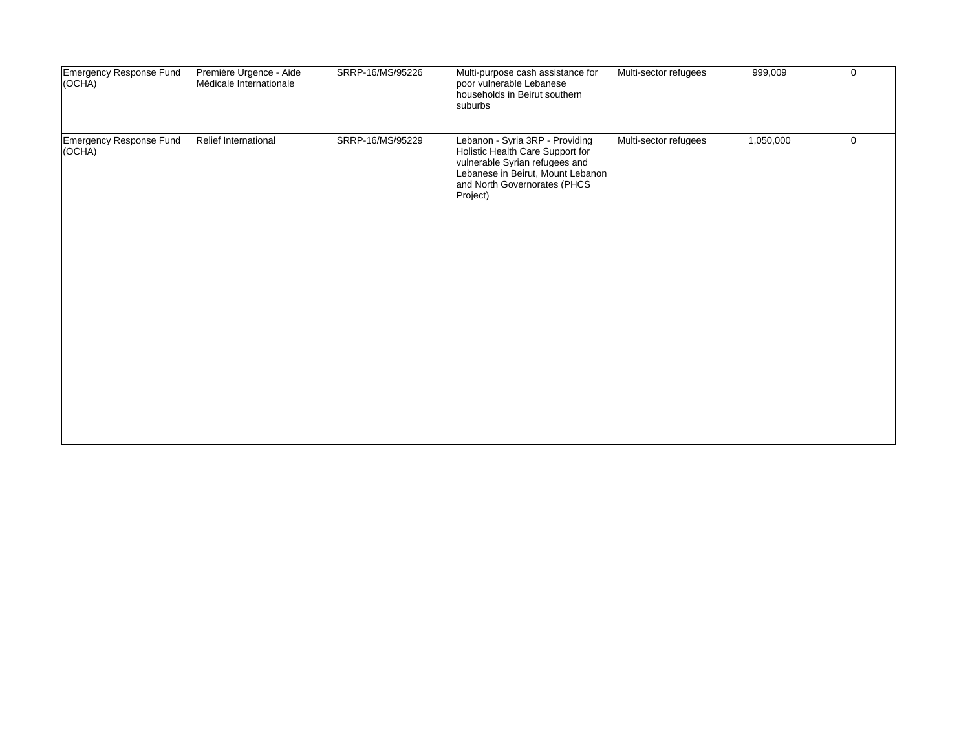| Emergency Response Fund<br>(OCHA) | Première Urgence - Aide<br>Médicale Internationale | SRRP-16/MS/95226 | Multi-purpose cash assistance for<br>poor vulnerable Lebanese<br>households in Beirut southern<br>suburbs                                                                              | Multi-sector refugees | 999,009   | $\mathbf 0$ |
|-----------------------------------|----------------------------------------------------|------------------|----------------------------------------------------------------------------------------------------------------------------------------------------------------------------------------|-----------------------|-----------|-------------|
| Emergency Response Fund<br>(OCHA) | <b>Relief International</b>                        | SRRP-16/MS/95229 | Lebanon - Syria 3RP - Providing<br>Holistic Health Care Support for<br>vulnerable Syrian refugees and<br>Lebanese in Beirut, Mount Lebanon<br>and North Governorates (PHCS<br>Project) | Multi-sector refugees | 1,050,000 | $\mathbf 0$ |
|                                   |                                                    |                  |                                                                                                                                                                                        |                       |           |             |
|                                   |                                                    |                  |                                                                                                                                                                                        |                       |           |             |
|                                   |                                                    |                  |                                                                                                                                                                                        |                       |           |             |
|                                   |                                                    |                  |                                                                                                                                                                                        |                       |           |             |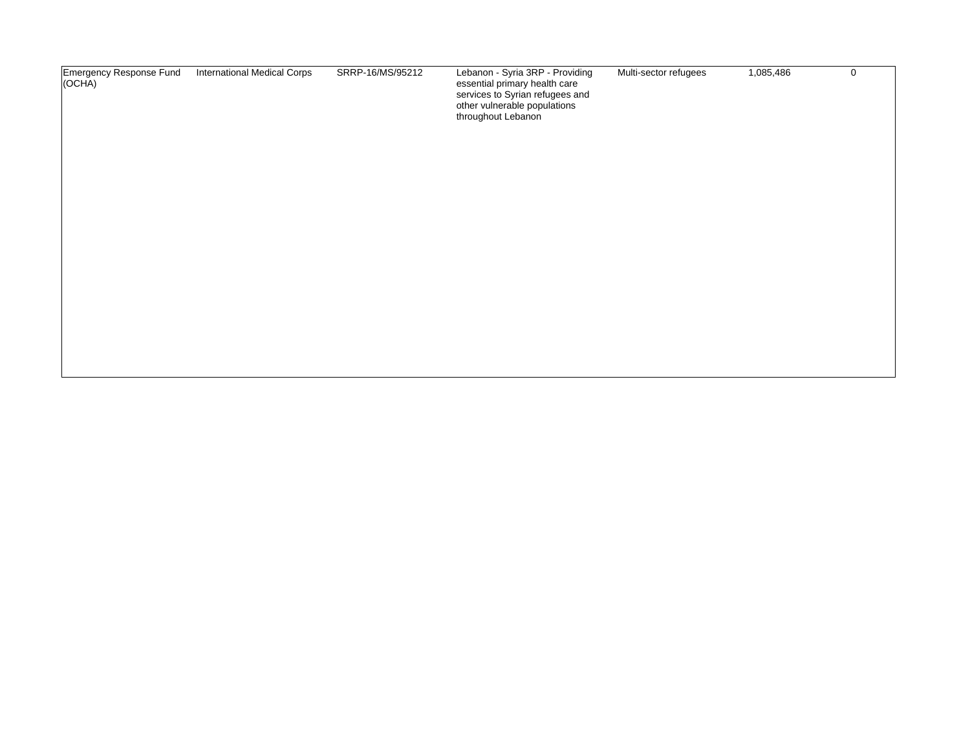| Emergency Response Fund<br>$ OCHA\rangle$ | <b>International Medical Corps</b> | SRRP-16/MS/95212 | Lebanon - Syria 3RP - Providing<br>essential primary health care<br>services to Syrian refugees and<br>other vulnerable populations<br>throughout Lebanon | Multi-sector refugees | 1,085,486 | 0 |
|-------------------------------------------|------------------------------------|------------------|-----------------------------------------------------------------------------------------------------------------------------------------------------------|-----------------------|-----------|---|
|                                           |                                    |                  |                                                                                                                                                           |                       |           |   |
|                                           |                                    |                  |                                                                                                                                                           |                       |           |   |
|                                           |                                    |                  |                                                                                                                                                           |                       |           |   |
|                                           |                                    |                  |                                                                                                                                                           |                       |           |   |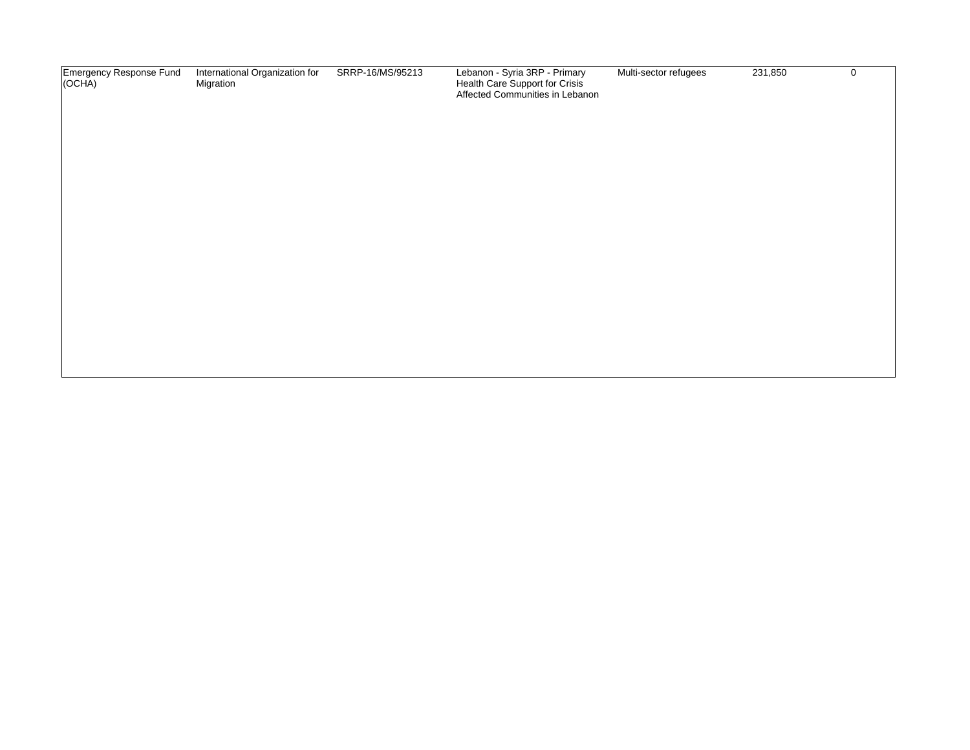| Emergency Response Fund<br>(OCHA) | International Organization for<br>Migration | SRRP-16/MS/95213 | Lebanon - Syria 3RP - Primary<br>Health Care Support for Crisis<br>Affected Communities in Lebanon | Multi-sector refugees | 231,850 | $\mathbf 0$ |
|-----------------------------------|---------------------------------------------|------------------|----------------------------------------------------------------------------------------------------|-----------------------|---------|-------------|
|                                   |                                             |                  |                                                                                                    |                       |         |             |
|                                   |                                             |                  |                                                                                                    |                       |         |             |
|                                   |                                             |                  |                                                                                                    |                       |         |             |
|                                   |                                             |                  |                                                                                                    |                       |         |             |
|                                   |                                             |                  |                                                                                                    |                       |         |             |
|                                   |                                             |                  |                                                                                                    |                       |         |             |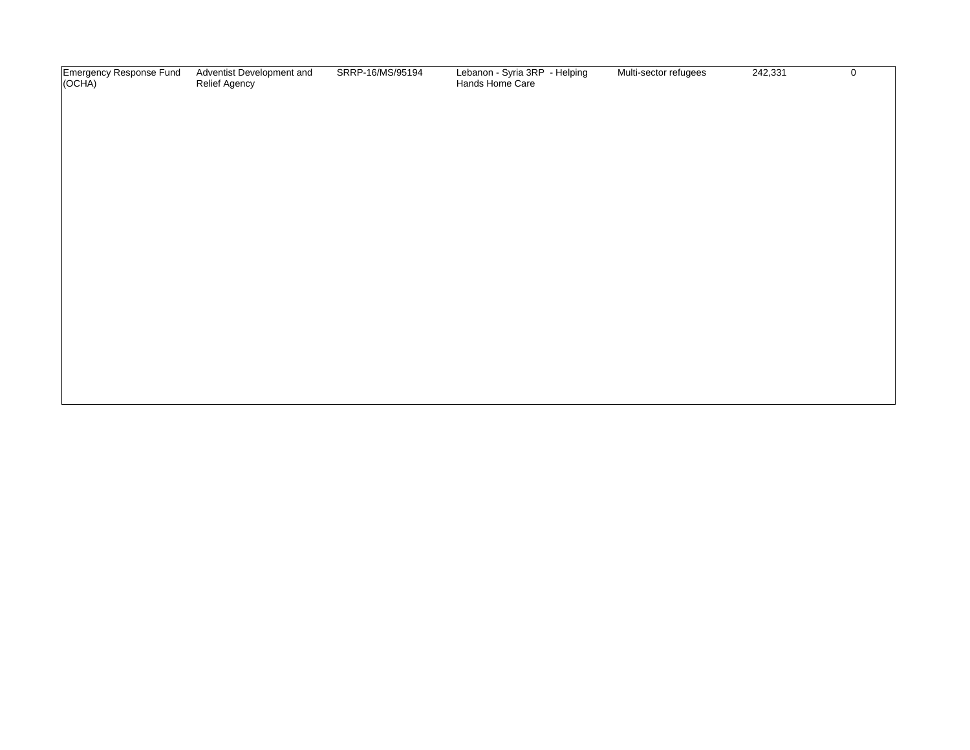| Emergency Response Fund<br>(OCHA) | Adventist Development and<br>Relief Agency | SRRP-16/MS/95194 | Lebanon - Syria 3RP - Helping<br>Hands Home Care | Multi-sector refugees | 242,331 | $\mathbf 0$ |
|-----------------------------------|--------------------------------------------|------------------|--------------------------------------------------|-----------------------|---------|-------------|
|                                   |                                            |                  |                                                  |                       |         |             |
|                                   |                                            |                  |                                                  |                       |         |             |
|                                   |                                            |                  |                                                  |                       |         |             |
|                                   |                                            |                  |                                                  |                       |         |             |
|                                   |                                            |                  |                                                  |                       |         |             |
|                                   |                                            |                  |                                                  |                       |         |             |
|                                   |                                            |                  |                                                  |                       |         |             |
|                                   |                                            |                  |                                                  |                       |         |             |
|                                   |                                            |                  |                                                  |                       |         |             |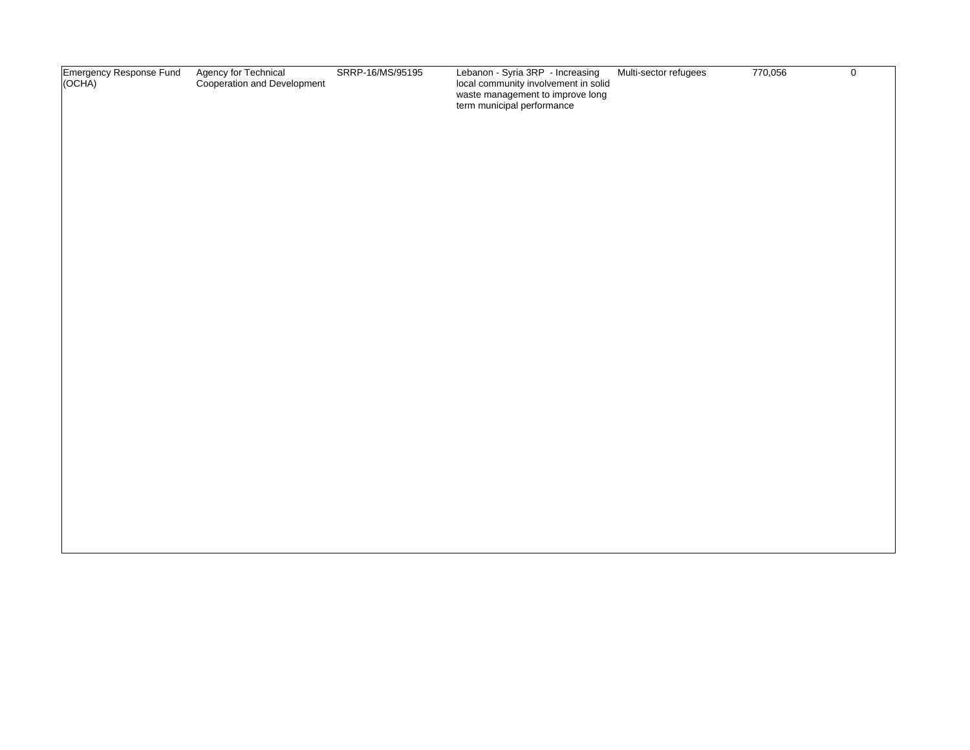| Emergency Response Fund<br>(OCHA) | Agency for Technical<br>Cooperation and Development | SRRP-16/MS/95195 | Lebanon - Syria 3RP - Increasing<br>local community involvement in solid<br>waste management to improve long<br>term municipal performance | Multi-sector refugees | 770,056 | $\mathbf 0$ |
|-----------------------------------|-----------------------------------------------------|------------------|--------------------------------------------------------------------------------------------------------------------------------------------|-----------------------|---------|-------------|
|                                   |                                                     |                  |                                                                                                                                            |                       |         |             |
|                                   |                                                     |                  |                                                                                                                                            |                       |         |             |
|                                   |                                                     |                  |                                                                                                                                            |                       |         |             |
|                                   |                                                     |                  |                                                                                                                                            |                       |         |             |
|                                   |                                                     |                  |                                                                                                                                            |                       |         |             |
|                                   |                                                     |                  |                                                                                                                                            |                       |         |             |
|                                   |                                                     |                  |                                                                                                                                            |                       |         |             |
|                                   |                                                     |                  |                                                                                                                                            |                       |         |             |
|                                   |                                                     |                  |                                                                                                                                            |                       |         |             |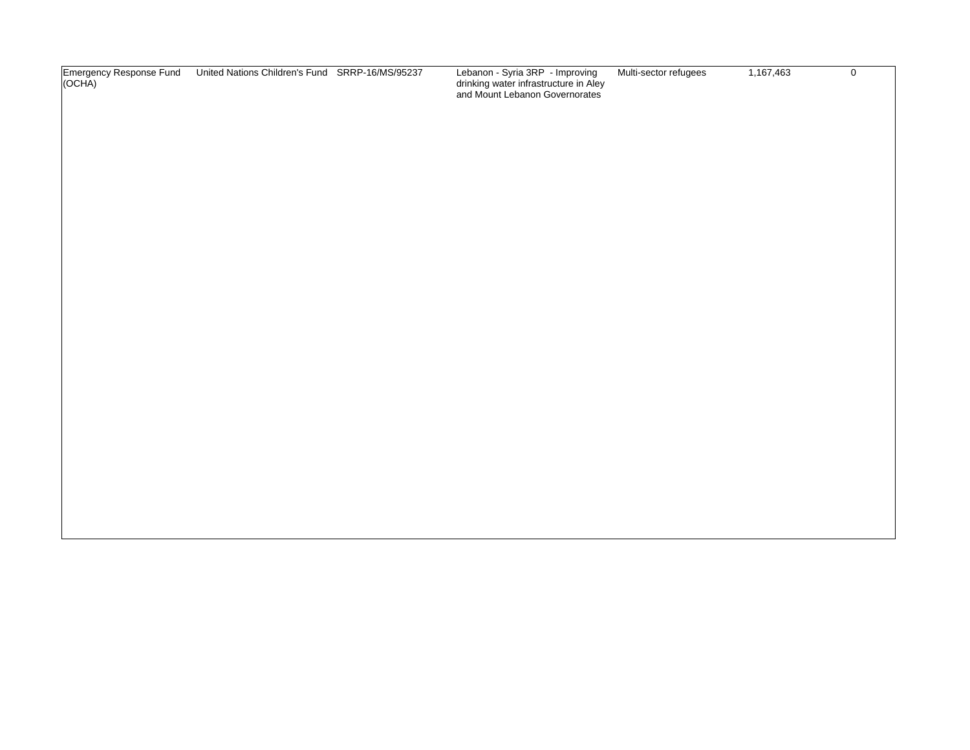| Emergency Response Fund<br>(OCHA) | United Nations Children's Fund SRRP-16/MS/95237 | Lebanon - Syria 3RP - Improving<br>drinking water infrastructure in Aley<br>and Mount Lebanon Governorates | Multi-sector refugees | 1,167,463 | $\mathbf 0$ |
|-----------------------------------|-------------------------------------------------|------------------------------------------------------------------------------------------------------------|-----------------------|-----------|-------------|
|                                   |                                                 |                                                                                                            |                       |           |             |
|                                   |                                                 |                                                                                                            |                       |           |             |
|                                   |                                                 |                                                                                                            |                       |           |             |
|                                   |                                                 |                                                                                                            |                       |           |             |
|                                   |                                                 |                                                                                                            |                       |           |             |
|                                   |                                                 |                                                                                                            |                       |           |             |
|                                   |                                                 |                                                                                                            |                       |           |             |
|                                   |                                                 |                                                                                                            |                       |           |             |
|                                   |                                                 |                                                                                                            |                       |           |             |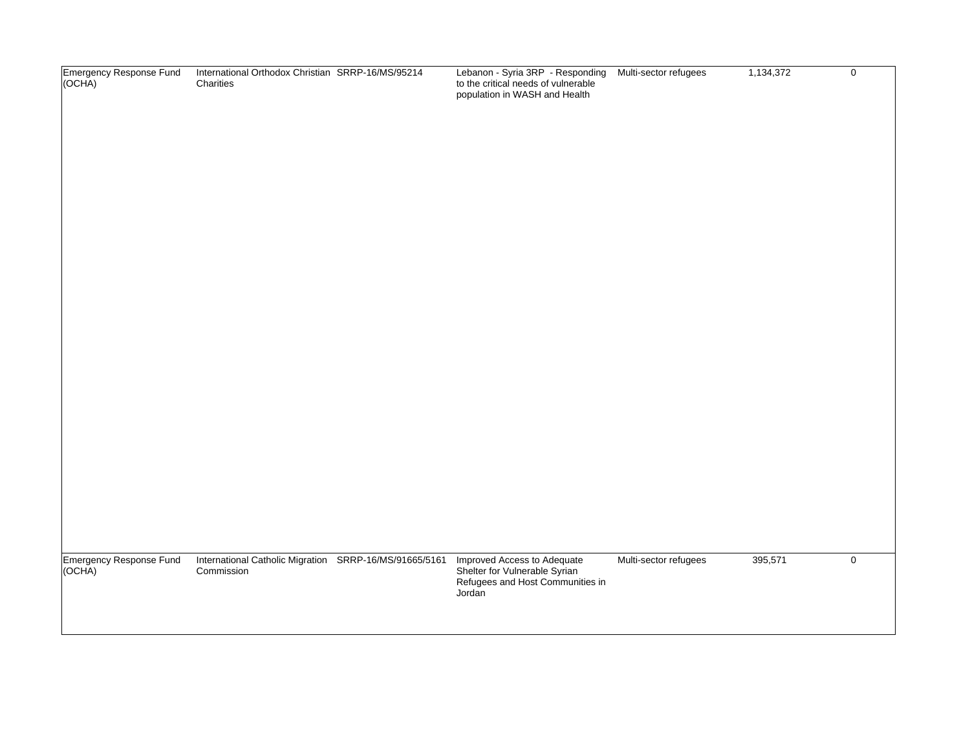| Emergency Response Fund<br>(OCHA) | International Orthodox Christian SRRP-16/MS/95214<br>Charities       | Lebanon - Syria 3RP - Responding Multi-sector refugees<br>to the critical needs of vulnerable<br>population in WASH and Health |                       | 1,134,372 | $\mathsf 0$ |
|-----------------------------------|----------------------------------------------------------------------|--------------------------------------------------------------------------------------------------------------------------------|-----------------------|-----------|-------------|
| Emergency Response Fund<br>(OCHA) | International Catholic Migration SRRP-16/MS/91665/5161<br>Commission | Improved Access to Adequate<br>Shelter for Vulnerable Syrian<br>Refugees and Host Communities in<br>Jordan                     | Multi-sector refugees | 395,571   | $\mathbf 0$ |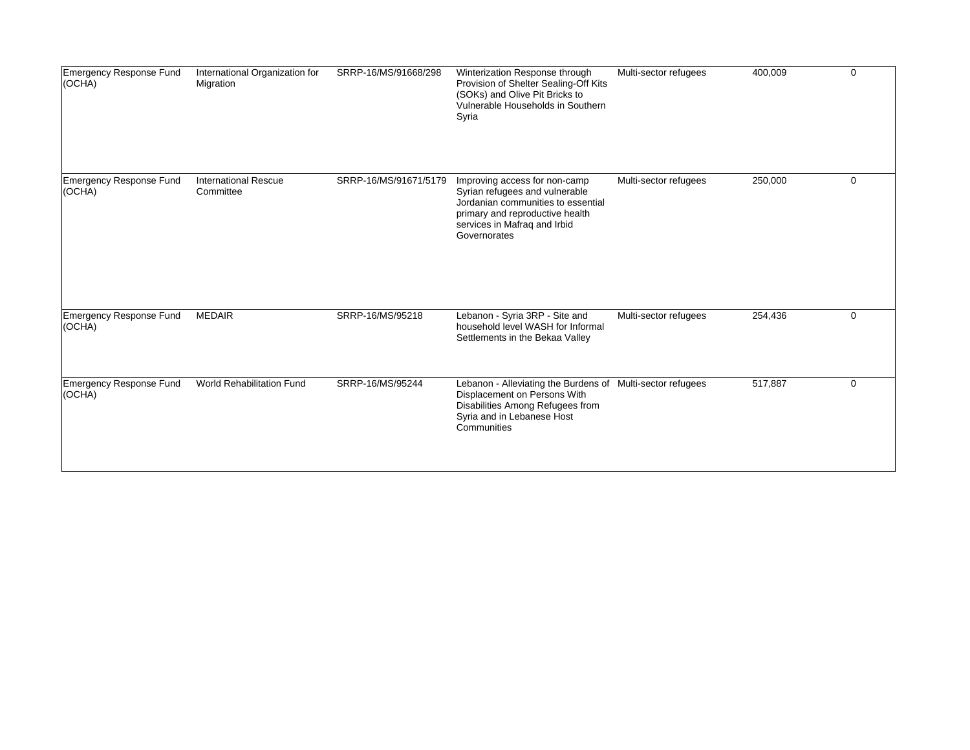| Emergency Response Fund<br>(OCHA)     | International Organization for<br>Migration | SRRP-16/MS/91668/298  | Winterization Response through<br>Provision of Shelter Sealing-Off Kits<br>(SOKs) and Olive Pit Bricks to<br>Vulnerable Households in Southern<br>Syria                                  | Multi-sector refugees | 400,009 | $\mathbf 0$ |
|---------------------------------------|---------------------------------------------|-----------------------|------------------------------------------------------------------------------------------------------------------------------------------------------------------------------------------|-----------------------|---------|-------------|
| Emergency Response Fund<br>(OCHA)     | <b>International Rescue</b><br>Committee    | SRRP-16/MS/91671/5179 | Improving access for non-camp<br>Syrian refugees and vulnerable<br>Jordanian communities to essential<br>primary and reproductive health<br>services in Mafraq and Irbid<br>Governorates | Multi-sector refugees | 250,000 | $\mathbf 0$ |
| Emergency Response Fund<br>$ $ (OCHA) | <b>MEDAIR</b>                               | SRRP-16/MS/95218      | Lebanon - Syria 3RP - Site and<br>household level WASH for Informal<br>Settlements in the Bekaa Valley                                                                                   | Multi-sector refugees | 254,436 | $\mathbf 0$ |
| Emergency Response Fund<br>$ $ (OCHA) | <b>World Rehabilitation Fund</b>            | SRRP-16/MS/95244      | Lebanon - Alleviating the Burdens of Multi-sector refugees<br>Displacement on Persons With<br>Disabilities Among Refugees from<br>Syria and in Lebanese Host<br>Communities              |                       | 517,887 | $\mathbf 0$ |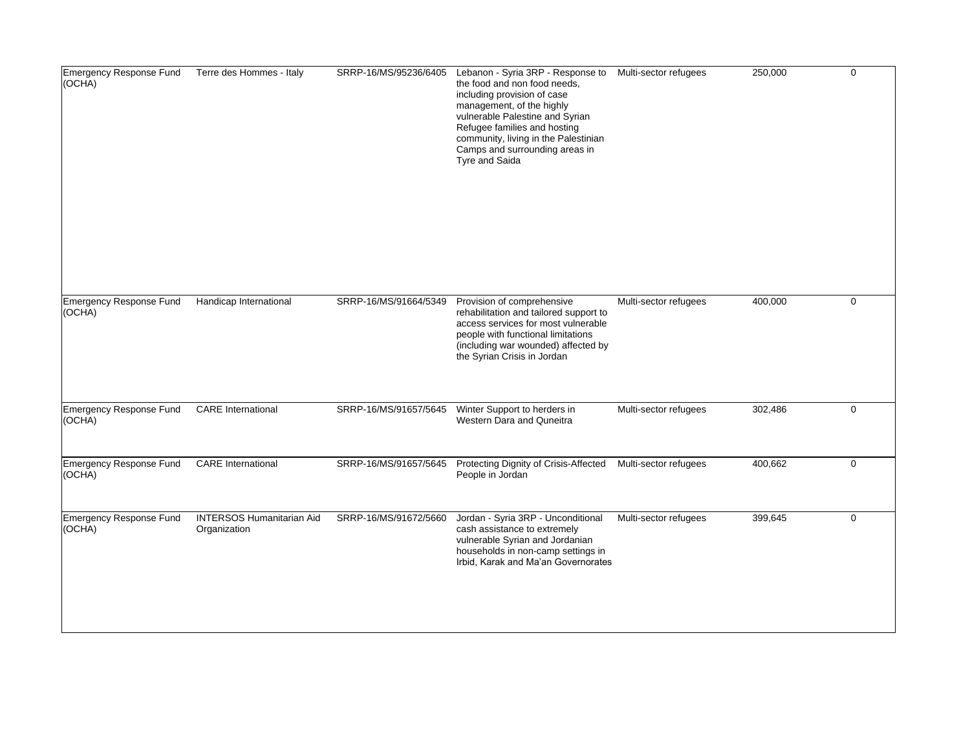| Emergency Response Fund<br>(OCHA) | Terre des Hommes - Italy                         | SRRP-16/MS/95236/6405 | Lebanon - Syria 3RP - Response to<br>the food and non food needs,<br>including provision of case<br>management, of the highly<br>vulnerable Palestine and Syrian<br>Refugee families and hosting<br>community, living in the Palestinian<br>Camps and surrounding areas in<br><b>Tyre and Saida</b> | Multi-sector refugees | 250,000 | $\mathbf 0$ |
|-----------------------------------|--------------------------------------------------|-----------------------|-----------------------------------------------------------------------------------------------------------------------------------------------------------------------------------------------------------------------------------------------------------------------------------------------------|-----------------------|---------|-------------|
| Emergency Response Fund<br>(OCHA) | Handicap International                           | SRRP-16/MS/91664/5349 | Provision of comprehensive<br>rehabilitation and tailored support to<br>access services for most vulnerable<br>people with functional limitations<br>(including war wounded) affected by<br>the Syrian Crisis in Jordan                                                                             | Multi-sector refugees | 400,000 | $\mathbf 0$ |
| Emergency Response Fund<br>(OCHA) | <b>CARE</b> International                        | SRRP-16/MS/91657/5645 | Winter Support to herders in<br>Western Dara and Quneitra                                                                                                                                                                                                                                           | Multi-sector refugees | 302,486 | $\mathbf 0$ |
| Emergency Response Fund<br>(OCHA) | <b>CARE</b> International                        | SRRP-16/MS/91657/5645 | Protecting Dignity of Crisis-Affected<br>People in Jordan                                                                                                                                                                                                                                           | Multi-sector refugees | 400,662 | $\mathbf 0$ |
| Emergency Response Fund<br>(OCHA) | <b>INTERSOS Humanitarian Aid</b><br>Organization | SRRP-16/MS/91672/5660 | Jordan - Syria 3RP - Unconditional<br>cash assistance to extremely<br>vulnerable Syrian and Jordanian<br>households in non-camp settings in<br>Irbid, Karak and Ma'an Governorates                                                                                                                  | Multi-sector refugees | 399,645 | $\mathbf 0$ |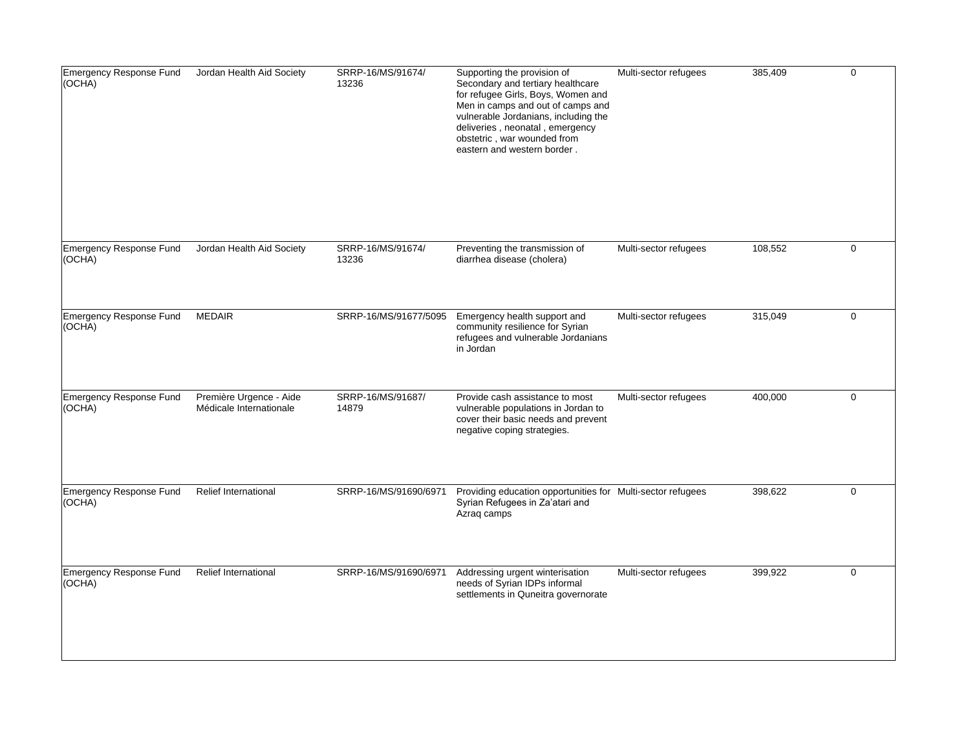| Emergency Response Fund<br>(OCHA) | Jordan Health Aid Society                          | SRRP-16/MS/91674/<br>13236 | Supporting the provision of<br>Secondary and tertiary healthcare<br>for refugee Girls, Boys, Women and<br>Men in camps and out of camps and<br>vulnerable Jordanians, including the<br>deliveries, neonatal, emergency<br>obstetric, war wounded from<br>eastern and western border. | Multi-sector refugees | 385,409 | $\Omega$    |
|-----------------------------------|----------------------------------------------------|----------------------------|--------------------------------------------------------------------------------------------------------------------------------------------------------------------------------------------------------------------------------------------------------------------------------------|-----------------------|---------|-------------|
| Emergency Response Fund<br>(OCHA) | Jordan Health Aid Society                          | SRRP-16/MS/91674/<br>13236 | Preventing the transmission of<br>diarrhea disease (cholera)                                                                                                                                                                                                                         | Multi-sector refugees | 108,552 | $\mathbf 0$ |
| Emergency Response Fund<br>(OCHA) | <b>MEDAIR</b>                                      | SRRP-16/MS/91677/5095      | Emergency health support and<br>community resilience for Syrian<br>refugees and vulnerable Jordanians<br>in Jordan                                                                                                                                                                   | Multi-sector refugees | 315,049 | $\mathbf 0$ |
| Emergency Response Fund<br>(OCHA) | Première Urgence - Aide<br>Médicale Internationale | SRRP-16/MS/91687/<br>14879 | Provide cash assistance to most<br>vulnerable populations in Jordan to<br>cover their basic needs and prevent<br>negative coping strategies.                                                                                                                                         | Multi-sector refugees | 400,000 | $\mathbf 0$ |
| Emergency Response Fund<br>(OCHA) | <b>Relief International</b>                        | SRRP-16/MS/91690/6971      | Providing education opportunities for Multi-sector refugees<br>Syrian Refugees in Za'atari and<br>Azrag camps                                                                                                                                                                        |                       | 398,622 | $\Omega$    |
| Emergency Response Fund<br>(OCHA) | <b>Relief International</b>                        | SRRP-16/MS/91690/6971      | Addressing urgent winterisation<br>needs of Syrian IDPs informal<br>settlements in Quneitra governorate                                                                                                                                                                              | Multi-sector refugees | 399,922 | $\mathbf 0$ |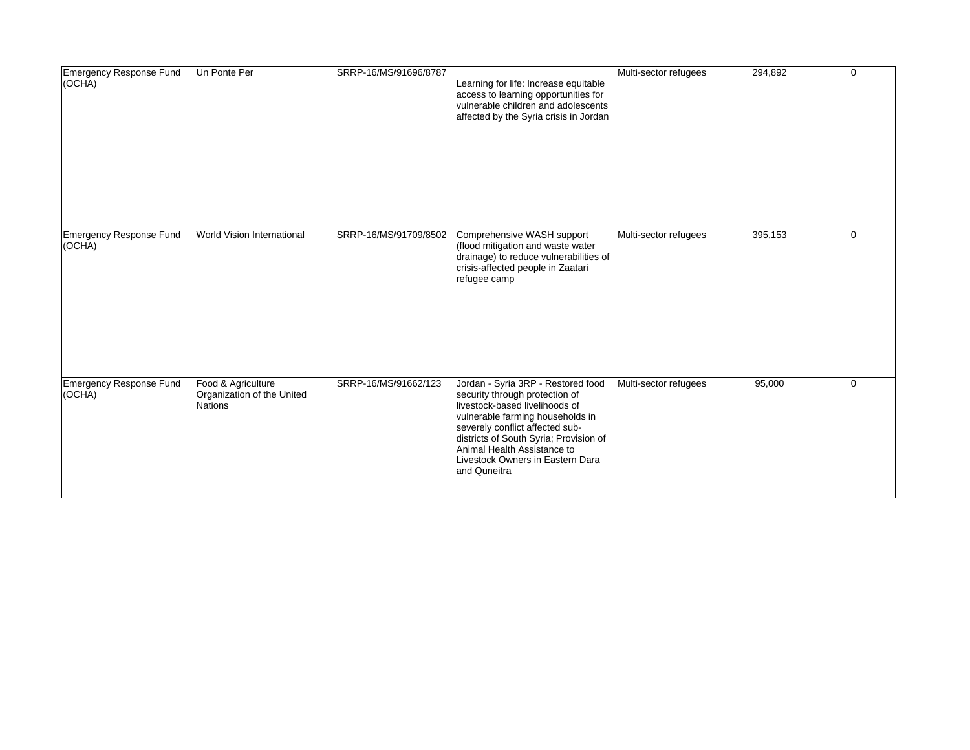| Emergency Response Fund<br>$ $ (OCHA) | Un Ponte Per                                                       | SRRP-16/MS/91696/8787 | Learning for life: Increase equitable<br>access to learning opportunities for<br>vulnerable children and adolescents<br>affected by the Syria crisis in Jordan                                                                                                                                             | Multi-sector refugees | 294,892 | $\mathbf 0$ |
|---------------------------------------|--------------------------------------------------------------------|-----------------------|------------------------------------------------------------------------------------------------------------------------------------------------------------------------------------------------------------------------------------------------------------------------------------------------------------|-----------------------|---------|-------------|
| Emergency Response Fund<br>  (OCHA)   | World Vision International                                         | SRRP-16/MS/91709/8502 | Comprehensive WASH support<br>(flood mitigation and waste water<br>drainage) to reduce vulnerabilities of<br>crisis-affected people in Zaatari<br>refugee camp                                                                                                                                             | Multi-sector refugees | 395,153 | $\mathbf 0$ |
| Emergency Response Fund<br>  (OCHA)   | Food & Agriculture<br>Organization of the United<br><b>Nations</b> | SRRP-16/MS/91662/123  | Jordan - Syria 3RP - Restored food<br>security through protection of<br>livestock-based livelihoods of<br>vulnerable farming households in<br>severely conflict affected sub-<br>districts of South Syria; Provision of<br>Animal Health Assistance to<br>Livestock Owners in Eastern Dara<br>and Quneitra | Multi-sector refugees | 95,000  | $\mathbf 0$ |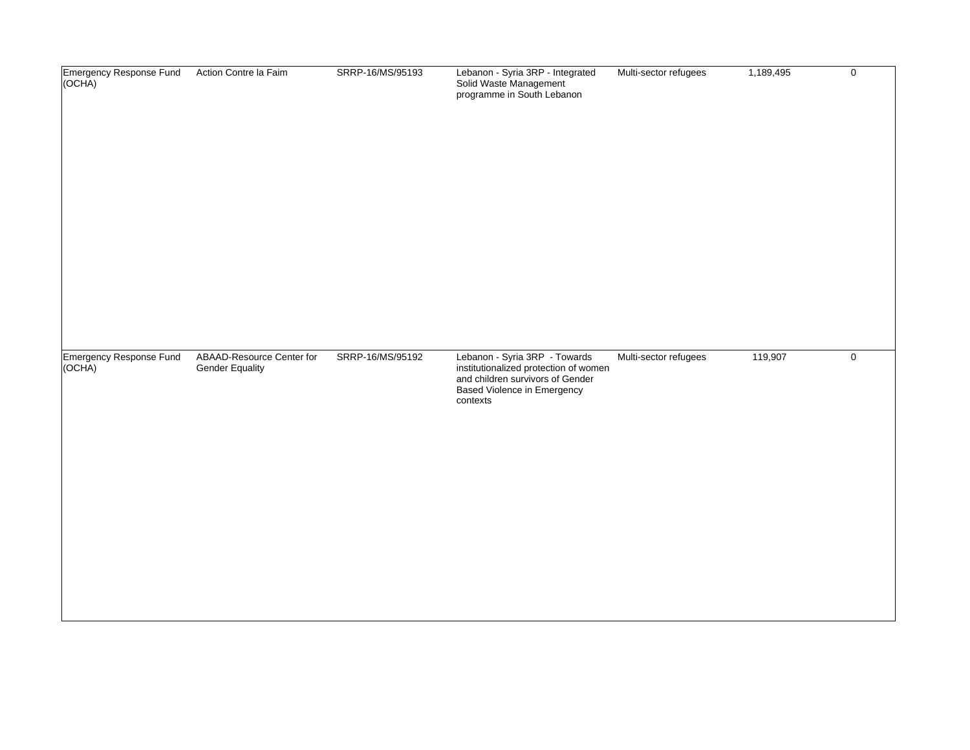| Emergency Response Fund<br>(OCHA) | Action Contre la Faim                               | SRRP-16/MS/95193 | Lebanon - Syria 3RP - Integrated<br>Solid Waste Management<br>programme in South Lebanon                                                                     | Multi-sector refugees | 1,189,495 | $\mathbf 0$ |
|-----------------------------------|-----------------------------------------------------|------------------|--------------------------------------------------------------------------------------------------------------------------------------------------------------|-----------------------|-----------|-------------|
| Emergency Response Fund<br>(OCHA) | ABAAD-Resource Center for<br><b>Gender Equality</b> | SRRP-16/MS/95192 | Lebanon - Syria 3RP - Towards<br>institutionalized protection of women<br>and children survivors of Gender<br><b>Based Violence in Emergency</b><br>contexts | Multi-sector refugees | 119,907   | $\mathbf 0$ |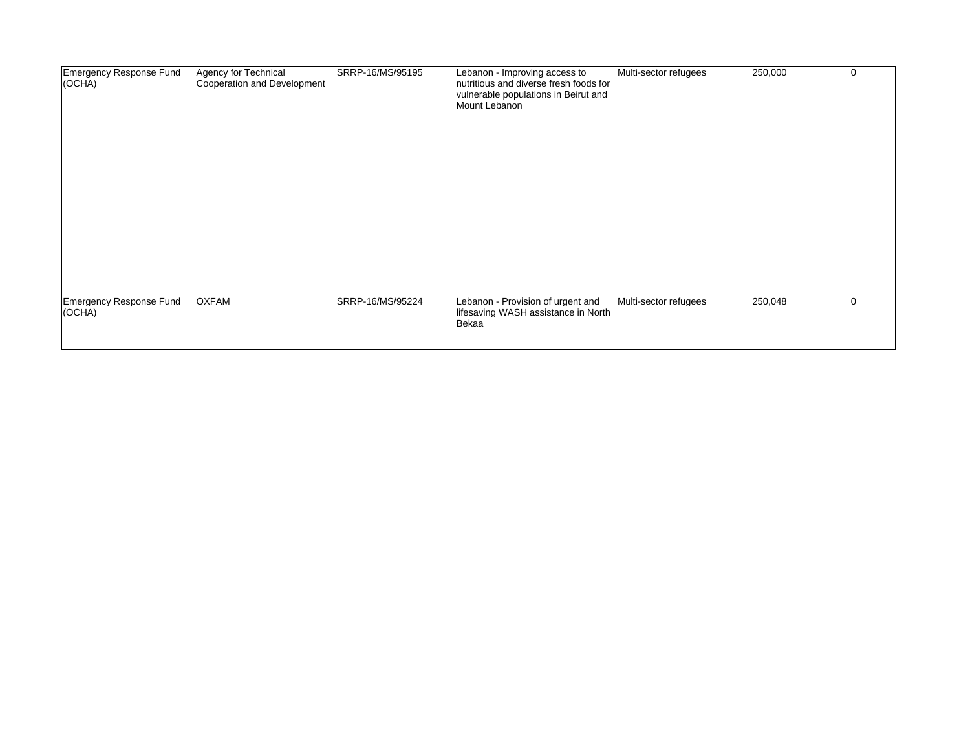| Emergency Response Fund<br>(OCHA)     | Agency for Technical<br>Cooperation and Development | SRRP-16/MS/95195 | Lebanon - Improving access to<br>nutritious and diverse fresh foods for<br>vulnerable populations in Beirut and<br>Mount Lebanon | Multi-sector refugees | 250,000 | $\mathbf 0$ |
|---------------------------------------|-----------------------------------------------------|------------------|----------------------------------------------------------------------------------------------------------------------------------|-----------------------|---------|-------------|
| Emergency Response Fund<br>$ $ (OCHA) | <b>OXFAM</b>                                        | SRRP-16/MS/95224 | Lebanon - Provision of urgent and<br>lifesaving WASH assistance in North<br>Bekaa                                                | Multi-sector refugees | 250,048 | $\Omega$    |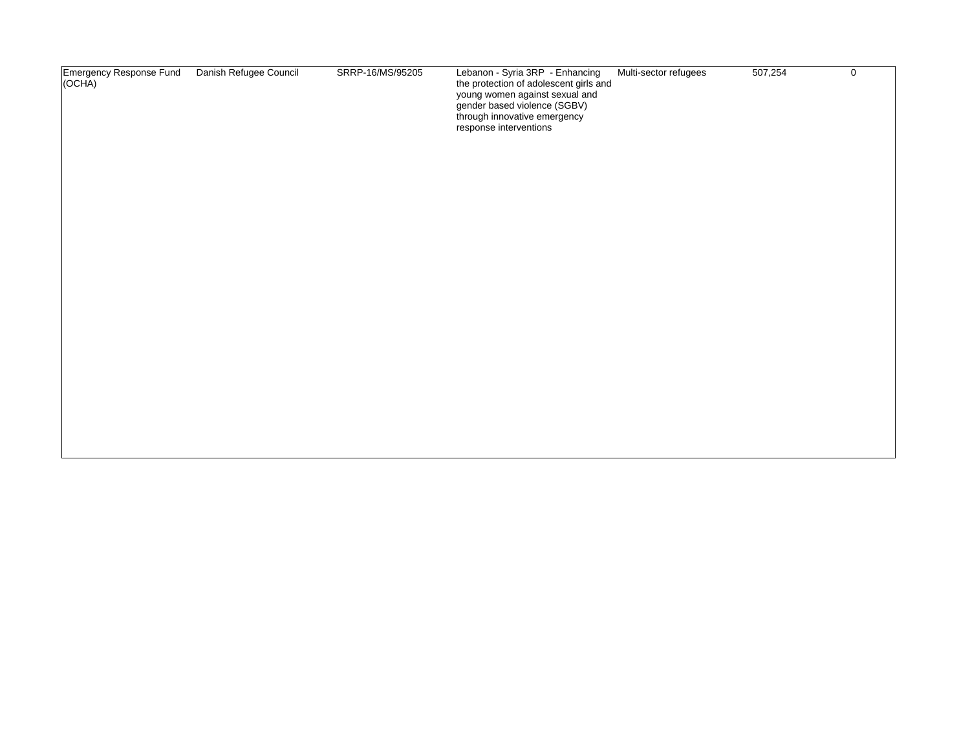| Emergency Response Fund<br>(OCHA) | Danish Refugee Council | SRRP-16/MS/95205 | Lebanon - Syria 3RP - Enhancing<br>the protection of adolescent girls and<br>young women against sexual and<br>gender based violence (SGBV)<br>through innovative emergency<br>response interventions | Multi-sector refugees | 507,254 | 0 |
|-----------------------------------|------------------------|------------------|-------------------------------------------------------------------------------------------------------------------------------------------------------------------------------------------------------|-----------------------|---------|---|
|                                   |                        |                  |                                                                                                                                                                                                       |                       |         |   |
|                                   |                        |                  |                                                                                                                                                                                                       |                       |         |   |
|                                   |                        |                  |                                                                                                                                                                                                       |                       |         |   |
|                                   |                        |                  |                                                                                                                                                                                                       |                       |         |   |
|                                   |                        |                  |                                                                                                                                                                                                       |                       |         |   |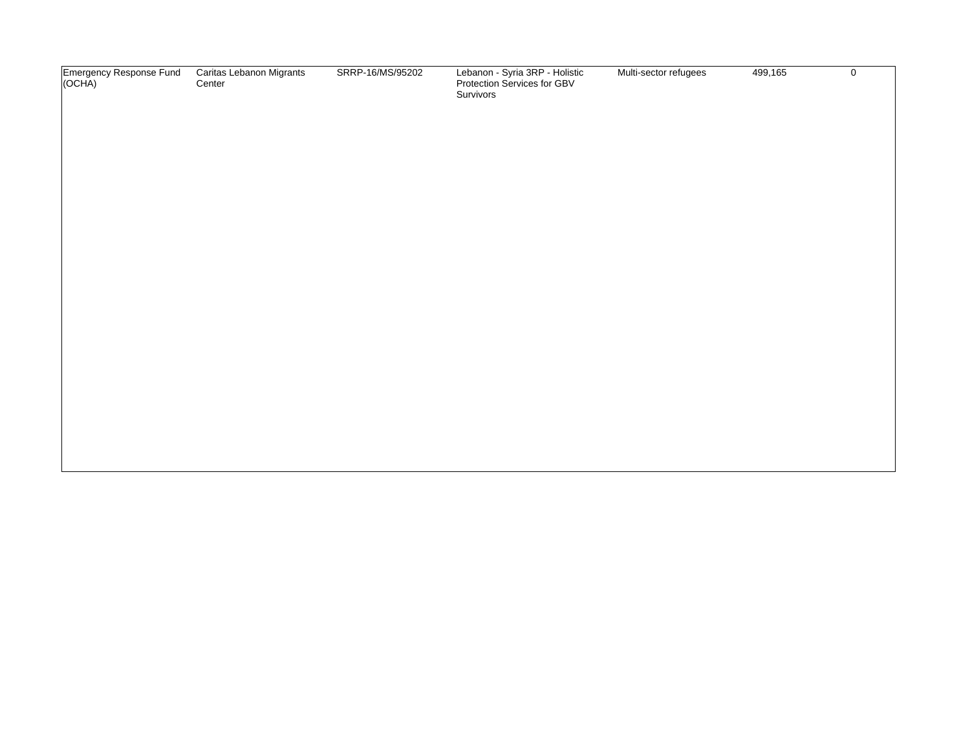| Emergency Response Fund<br>(OCHA) | Caritas Lebanon Migrants<br>Center | SRRP-16/MS/95202 | Lebanon - Syria 3RP - Holistic<br>Protection Services for GBV<br>Survivors | Multi-sector refugees | 499,165 | $\mathbf 0$ |
|-----------------------------------|------------------------------------|------------------|----------------------------------------------------------------------------|-----------------------|---------|-------------|
|                                   |                                    |                  |                                                                            |                       |         |             |
|                                   |                                    |                  |                                                                            |                       |         |             |
|                                   |                                    |                  |                                                                            |                       |         |             |
|                                   |                                    |                  |                                                                            |                       |         |             |
|                                   |                                    |                  |                                                                            |                       |         |             |
|                                   |                                    |                  |                                                                            |                       |         |             |
|                                   |                                    |                  |                                                                            |                       |         |             |
|                                   |                                    |                  |                                                                            |                       |         |             |
|                                   |                                    |                  |                                                                            |                       |         |             |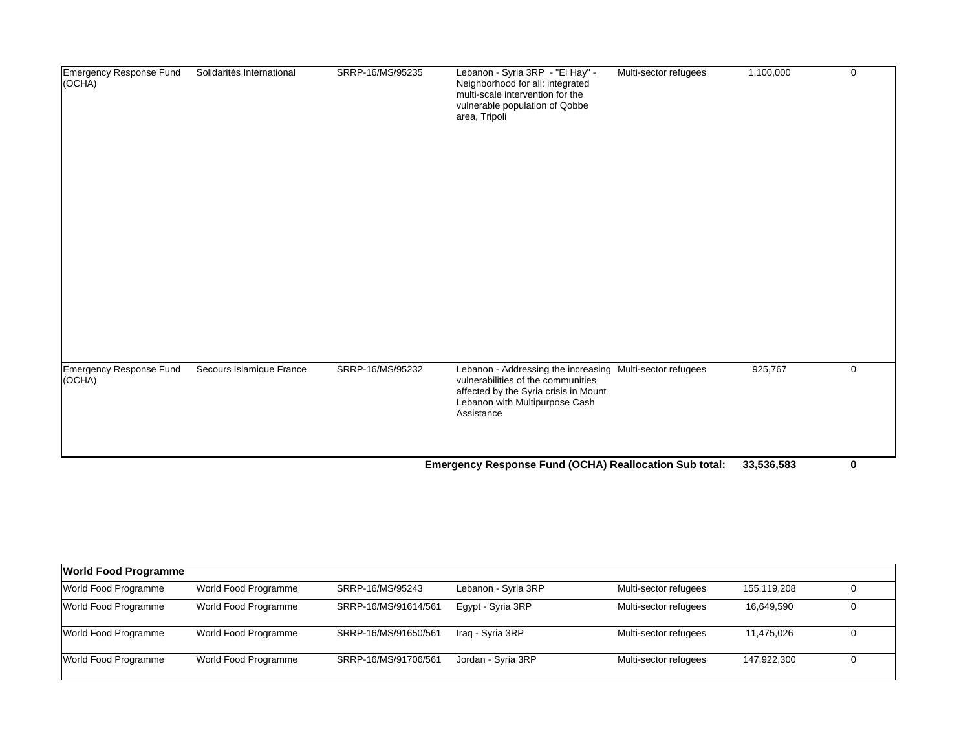| Emergency Response Fund<br>(OCHA) | Solidarités International | SRRP-16/MS/95235 | Lebanon - Syria 3RP - "El Hay" -<br>Neighborhood for all: integrated<br>multi-scale intervention for the<br>vulnerable population of Qobbe<br>area, Tripoli                              | Multi-sector refugees | 1,100,000  | $\mathbf 0$ |
|-----------------------------------|---------------------------|------------------|------------------------------------------------------------------------------------------------------------------------------------------------------------------------------------------|-----------------------|------------|-------------|
| Emergency Response Fund<br>(OCHA) | Secours Islamique France  | SRRP-16/MS/95232 | Lebanon - Addressing the increasing Multi-sector refugees<br>vulnerabilities of the communities<br>affected by the Syria crisis in Mount<br>Lebanon with Multipurpose Cash<br>Assistance |                       | 925,767    | 0           |
|                                   |                           |                  | Emergency Response Fund (OCHA) Reallocation Sub total:                                                                                                                                   |                       | 33,536,583 | $\mathbf 0$ |

| <b>World Food Programme</b> |                      |                      |                     |                       |             |  |  |
|-----------------------------|----------------------|----------------------|---------------------|-----------------------|-------------|--|--|
| World Food Programme        | World Food Programme | SRRP-16/MS/95243     | Lebanon - Syria 3RP | Multi-sector refugees | 155.119.208 |  |  |
| World Food Programme        | World Food Programme | SRRP-16/MS/91614/561 | Egypt - Syria 3RP   | Multi-sector refugees | 16,649,590  |  |  |
| World Food Programme        | World Food Programme | SRRP-16/MS/91650/561 | Iraq - Syria 3RP    | Multi-sector refugees | 11,475,026  |  |  |
| World Food Programme        | World Food Programme | SRRP-16/MS/91706/561 | Jordan - Syria 3RP  | Multi-sector refugees | 147.922.300 |  |  |